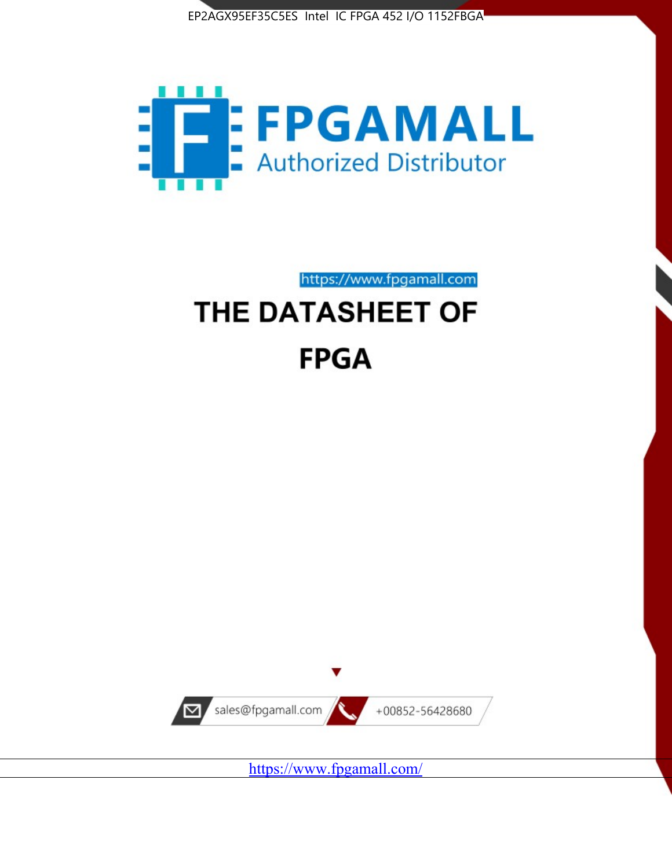



https://www.fpgamall.com

# THE DATASHEET OF **FPGA**



<https://www.fpgamall.com/>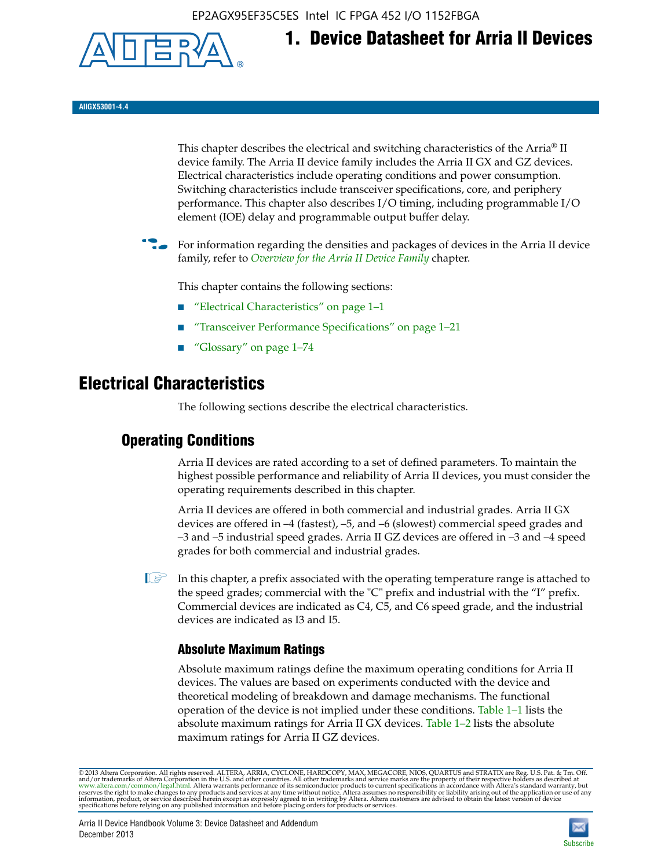EP2AGX95EF35C5ES Intel IC FPGA 452 I/O 1152FBGA



**1. Device Datasheet for Arria II Devices**

**AIIGX53001-4.4**

This chapter describes the electrical and switching characteristics of the Arria® II device family. The Arria II device family includes the Arria II GX and GZ devices. Electrical characteristics include operating conditions and power consumption. Switching characteristics include transceiver specifications, core, and periphery performance. This chapter also describes I/O timing, including programmable I/O element (IOE) delay and programmable output buffer delay.

For information regarding the densities and packages of devices in the Arria II device family, refer to *[Overview for the Arria II Device Family](http://www.altera.com/literature/hb/arria-ii-gx/aiigx_51001.pdf)* chapter.

This chapter contains the following sections:

- *"Electrical Characteristics"* on page 1–1
- "Transceiver Performance Specifications" on page 1–21
- "Glossary" on page 1–74

# **Electrical Characteristics**

The following sections describe the electrical characteristics.

# **Operating Conditions**

Arria II devices are rated according to a set of defined parameters. To maintain the highest possible performance and reliability of Arria II devices, you must consider the operating requirements described in this chapter.

Arria II devices are offered in both commercial and industrial grades. Arria II GX devices are offered in –4 (fastest), –5, and –6 (slowest) commercial speed grades and –3 and –5 industrial speed grades. Arria II GZ devices are offered in –3 and –4 speed grades for both commercial and industrial grades.

 $\Box$  In this chapter, a prefix associated with the operating temperature range is attached to the speed grades; commercial with the "C" prefix and industrial with the "I" prefix. Commercial devices are indicated as C4, C5, and C6 speed grade, and the industrial devices are indicated as I3 and I5.

# **Absolute Maximum Ratings**

Absolute maximum ratings define the maximum operating conditions for Arria II devices. The values are based on experiments conducted with the device and theoretical modeling of breakdown and damage mechanisms. The functional operation of the device is not implied under these conditions. Table 1–1 lists the absolute maximum ratings for Arria II GX devices. Table 1–2 lists the absolute maximum ratings for Arria II GZ devices.

© 2013 Altera Corporation. All rights reserved. ALTERA, ARRIA, CYCLONE, HARDCOPY, MAX, MEGACORE, NIOS, QUARTUS and STRATIX are Reg. U.S. Pat. & Tm. Off. [and/or trademarks of Altera Corporat](http://www.altera.com/common/legal.html)ion in the U.S. and other countri

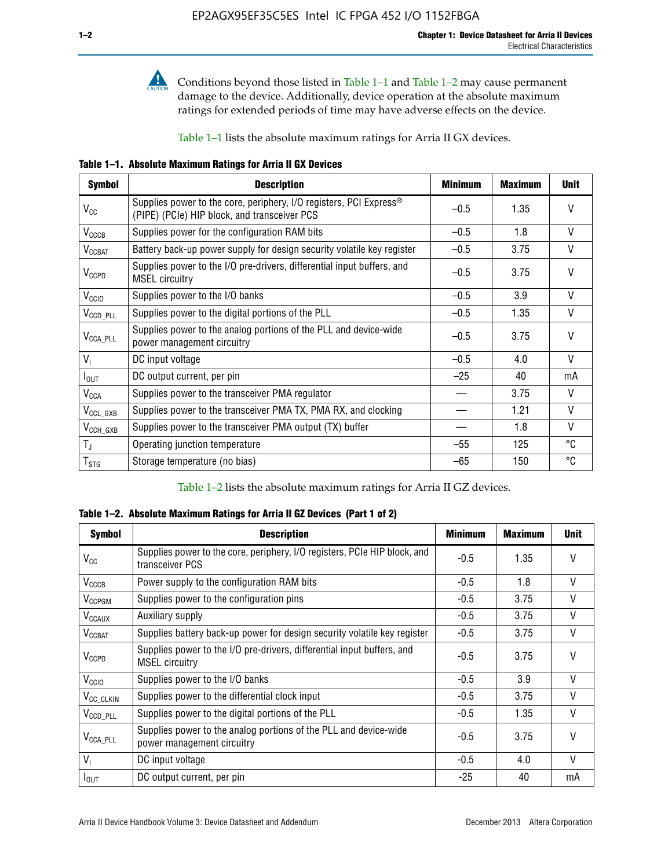

Conditions beyond those listed in Table  $1-1$  and Table  $1-2$  may cause permanent damage to the device. Additionally, device operation at the absolute maximum ratings for extended periods of time may have adverse effects on the device.

Table 1–1 lists the absolute maximum ratings for Arria II GX devices.

**Table 1–1. Absolute Maximum Ratings for Arria II GX Devices** 

| <b>Symbol</b>         | <b>Description</b>                                                                                                 | <b>Minimum</b> | <b>Maximum</b> | <b>Unit</b>  |
|-----------------------|--------------------------------------------------------------------------------------------------------------------|----------------|----------------|--------------|
| $V_{CC}$              | Supplies power to the core, periphery, I/O registers, PCI Express®<br>(PIPE) (PCIe) HIP block, and transceiver PCS | $-0.5$         | 1.35           | $\vee$       |
| $V_{CCCB}$            | Supplies power for the configuration RAM bits                                                                      | $-0.5$         | 1.8            | V            |
| $V_{\text{CCBAT}}$    | Battery back-up power supply for design security volatile key register                                             | $-0.5$         | 3.75           | V            |
| $V_{CCPD}$            | Supplies power to the I/O pre-drivers, differential input buffers, and<br><b>MSEL circuitry</b>                    | $-0.5$         | 3.75           | $\vee$       |
| V <sub>CCIO</sub>     | Supplies power to the I/O banks                                                                                    | $-0.5$         | 3.9            | $\mathsf{V}$ |
| $V_{\text{CCD\_PLL}}$ | Supplies power to the digital portions of the PLL                                                                  | $-0.5$         | 1.35           | V            |
| $V_{\text{CCA\_PLL}}$ | Supplies power to the analog portions of the PLL and device-wide<br>power management circuitry                     | $-0.5$         | 3.75           | $\mathsf{V}$ |
| $V_{1}$               | DC input voltage                                                                                                   | $-0.5$         | 4.0            | V            |
| $I_{\text{OUT}}$      | DC output current, per pin                                                                                         | $-25$          | 40             | mA           |
| $V_{\text{CCA}}$      | Supplies power to the transceiver PMA regulator                                                                    |                | 3.75           | V            |
| $V_{CCL_GXB}$         | Supplies power to the transceiver PMA TX, PMA RX, and clocking                                                     |                | 1.21           | $\vee$       |
| $V_{\text{CCH_GXB}}$  | Supplies power to the transceiver PMA output (TX) buffer                                                           |                | 1.8            | V            |
| $T_{\rm J}$           | Operating junction temperature                                                                                     | $-55$          | 125            | °C           |
| $T_{\tt STG}$         | Storage temperature (no bias)                                                                                      | -65            | 150            | ℃            |

Table 1–2 lists the absolute maximum ratings for Arria II GZ devices.

**Table 1–2. Absolute Maximum Ratings for Arria II GZ Devices (Part 1 of 2)**

| <b>Symbol</b>            | <b>Description</b>                                                                              | <b>Minimum</b> | <b>Maximum</b> | <b>Unit</b>  |
|--------------------------|-------------------------------------------------------------------------------------------------|----------------|----------------|--------------|
| $V_{CC}$                 | Supplies power to the core, periphery, I/O registers, PCIe HIP block, and<br>transceiver PCS    | -0.5           | 1.35           | $\mathsf{V}$ |
| $V_{CCCB}$               | Power supply to the configuration RAM bits                                                      | $-0.5$         | 1.8            | $\vee$       |
| V <sub>CCPGM</sub>       | Supplies power to the configuration pins                                                        | $-0.5$         | 3.75           | $\vee$       |
| <b>V<sub>CCAUX</sub></b> | Auxiliary supply                                                                                | $-0.5$         | 3.75           | $\vee$       |
| $V_{\text{CGBAT}}$       | Supplies battery back-up power for design security volatile key register                        | -0.5           | 3.75           | $\vee$       |
| $V_{CCPD}$               | Supplies power to the I/O pre-drivers, differential input buffers, and<br><b>MSEL circuitry</b> | -0.5           | 3.75           | $\mathsf{V}$ |
| V <sub>CCIO</sub>        | Supplies power to the I/O banks                                                                 | $-0.5$         | 3.9            | $\mathsf{V}$ |
| $V_{\rm CC\_CLKIN}$      | Supplies power to the differential clock input                                                  | $-0.5$         | 3.75           | $\vee$       |
| $V_{\text{CCD\_PLL}}$    | Supplies power to the digital portions of the PLL                                               | $-0.5$         | 1.35           | V            |
| $V_{\text{CCA\_PLL}}$    | Supplies power to the analog portions of the PLL and device-wide<br>power management circuitry  | $-0.5$         | 3.75           | $\mathsf{V}$ |
| V <sub>1</sub>           | DC input voltage                                                                                | $-0.5$         | 4.0            | $\vee$       |
| $I_{\text{OUT}}$         | DC output current, per pin                                                                      | $-25$          | 40             | mA           |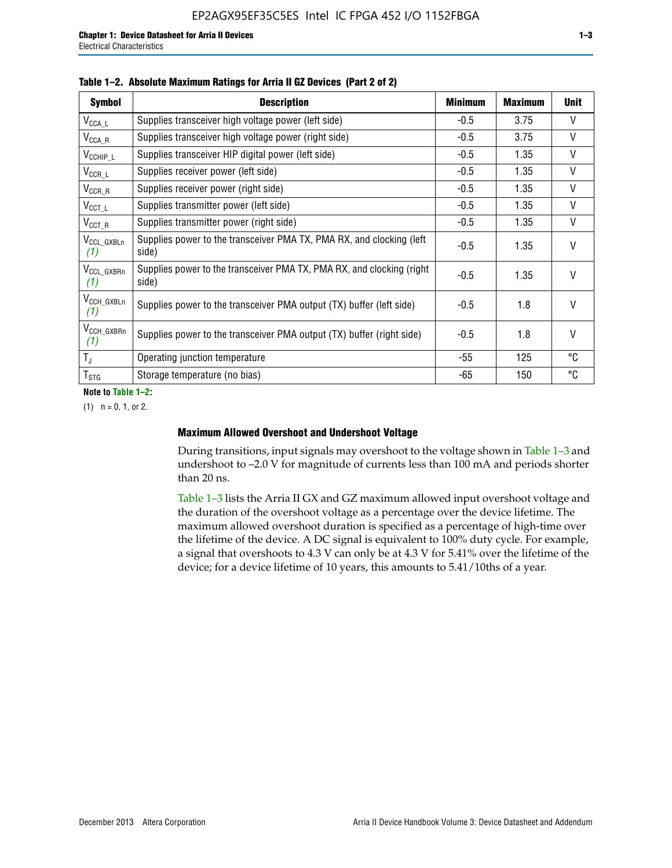| <b>Symbol</b>                  | <b>Description</b>                                                              | <b>Minimum</b> | Maximum | <b>Unit</b> |
|--------------------------------|---------------------------------------------------------------------------------|----------------|---------|-------------|
| $V_{\texttt{CCA}\_\textsf{L}}$ | Supplies transceiver high voltage power (left side)                             | $-0.5$         | 3.75    | $\vee$      |
| $V_{\mathsf{CCA}\_\mathsf{R}}$ | Supplies transceiver high voltage power (right side)                            | $-0.5$         | 3.75    | V           |
| $V_{CCHIP\_L}$                 | Supplies transceiver HIP digital power (left side)                              | $-0.5$         | 1.35    | V           |
| $V_{CCR\_L}$                   | Supplies receiver power (left side)                                             | $-0.5$         | 1.35    | V           |
| $V_{CCR\_R}$                   | Supplies receiver power (right side)                                            | $-0.5$         | 1.35    | V           |
| $V_{CCT\_L}$                   | Supplies transmitter power (left side)                                          | $-0.5$         | 1.35    | V           |
| $V_{CCT_R}$                    | Supplies transmitter power (right side)                                         | $-0.5$         | 1.35    | V           |
| V <sub>CCL</sub> GXBLn<br>(1)  | Supplies power to the transceiver PMA TX, PMA RX, and clocking (left<br>side)   | $-0.5$         | 1.35    | $\vee$      |
| V <sub>CCL_GXBRn</sub><br>(1)  | Supplies power to the transceiver PMA TX, PMA RX, and clocking (right)<br>side) | $-0.5$         | 1.35    | $\vee$      |
| V <sub>CCH_GXBLn</sub><br>(1)  | Supplies power to the transceiver PMA output (TX) buffer (left side)            | $-0.5$         | 1.8     | $\vee$      |
| V <sub>CCH_GXBRn</sub><br>(1)  | Supplies power to the transceiver PMA output (TX) buffer (right side)           | $-0.5$         | 1.8     | $\vee$      |
| $T_{\rm J}$                    | Operating junction temperature                                                  | -55            | 125     | °C          |
| $T_{\text{STG}}$               | Storage temperature (no bias)                                                   | -65            | 150     | °C          |

|  |  | Table 1-2. Absolute Maximum Ratings for Arria II GZ Devices (Part 2 of 2) |  |  |  |
|--|--|---------------------------------------------------------------------------|--|--|--|
|--|--|---------------------------------------------------------------------------|--|--|--|

**Note to Table 1–2:**

 $(1)$   $n = 0, 1,$  or 2.

#### **Maximum Allowed Overshoot and Undershoot Voltage**

During transitions, input signals may overshoot to the voltage shown in Table 1–3 and undershoot to –2.0 V for magnitude of currents less than 100 mA and periods shorter than 20 ns.

Table 1–3 lists the Arria II GX and GZ maximum allowed input overshoot voltage and the duration of the overshoot voltage as a percentage over the device lifetime. The maximum allowed overshoot duration is specified as a percentage of high-time over the lifetime of the device. A DC signal is equivalent to 100% duty cycle. For example, a signal that overshoots to 4.3 V can only be at 4.3 V for 5.41% over the lifetime of the device; for a device lifetime of 10 years, this amounts to 5.41/10ths of a year.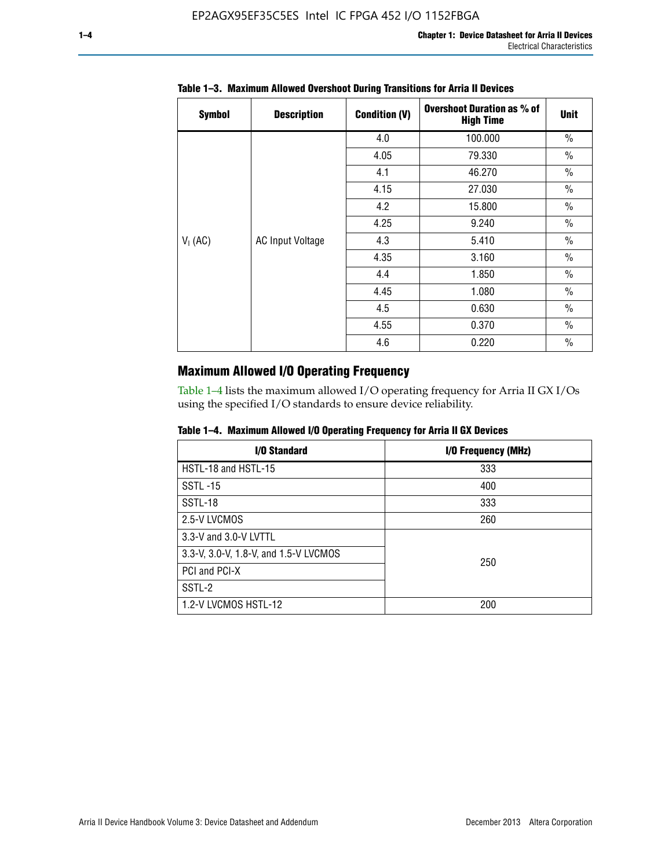| <b>Symbol</b> | <b>Description</b>      | <b>Condition (V)</b> | <b>Overshoot Duration as % of</b><br><b>High Time</b> | <b>Unit</b>   |
|---------------|-------------------------|----------------------|-------------------------------------------------------|---------------|
|               |                         | 4.0                  | 100.000                                               | $\frac{0}{0}$ |
|               |                         | 4.05                 | 79.330                                                | $\frac{0}{0}$ |
|               |                         | 4.1                  | 46.270                                                | $\frac{0}{0}$ |
| $V_1$ (AC)    |                         | 4.15                 | 27.030                                                | $\frac{0}{0}$ |
|               | <b>AC Input Voltage</b> | 4.2                  | 15.800                                                | $\frac{0}{0}$ |
|               |                         | 4.25                 | 9.240                                                 | $\frac{0}{0}$ |
|               |                         | 4.3                  | 5.410                                                 | $\frac{0}{0}$ |
|               |                         | 4.35                 | 3.160                                                 | $\frac{0}{0}$ |
|               |                         | 4.4                  | 1.850                                                 | $\frac{0}{0}$ |
|               |                         | 4.45                 | 1.080                                                 | $\frac{0}{0}$ |
|               |                         | 4.5                  | 0.630                                                 | $\frac{0}{0}$ |
|               |                         | 4.55                 | 0.370                                                 | $\frac{0}{0}$ |
|               |                         | 4.6                  | 0.220                                                 | $\frac{0}{0}$ |

# **Table 1–3. Maximum Allowed Overshoot During Transitions for Arria II Devices**

# **Maximum Allowed I/O Operating Frequency**

Table 1–4 lists the maximum allowed I/O operating frequency for Arria II GX I/Os using the specified I/O standards to ensure device reliability.

|  |  |  | Table 1–4. Maximum Allowed I/O Operating Frequency for Arria II GX Devices |
|--|--|--|----------------------------------------------------------------------------|
|--|--|--|----------------------------------------------------------------------------|

| I/O Standard                          | I/O Frequency (MHz) |
|---------------------------------------|---------------------|
| HSTL-18 and HSTL-15                   | 333                 |
| <b>SSTL-15</b>                        | 400                 |
| SSTL-18                               | 333                 |
| 2.5-V LVCMOS                          | 260                 |
| 3.3-V and 3.0-V LVTTL                 |                     |
| 3.3-V, 3.0-V, 1.8-V, and 1.5-V LVCMOS | 250                 |
| PCI and PCI-X                         |                     |
| SSTL-2                                |                     |
| 1.2-V LVCMOS HSTL-12                  | 200                 |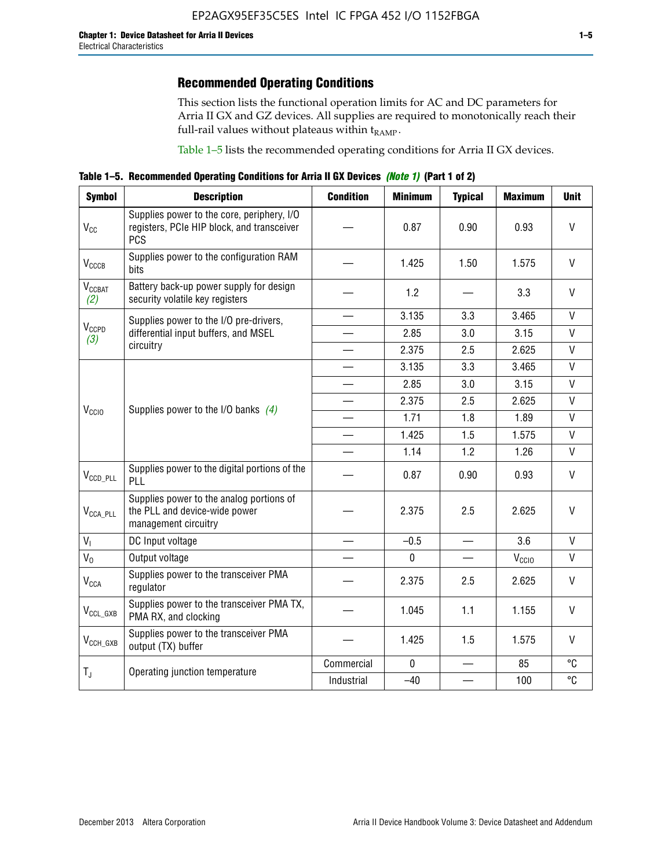# **Recommended Operating Conditions**

This section lists the functional operation limits for AC and DC parameters for Arria II GX and GZ devices. All supplies are required to monotonically reach their full-rail values without plateaus within  $t_{RAMP}$ .

Table 1–5 lists the recommended operating conditions for Arria II GX devices.

**Table 1–5. Recommended Operating Conditions for Arria II GX Devices** *(Note 1)* **(Part 1 of 2)**

| <b>Symbol</b>                   | <b>Description</b>                                                                                     | <b>Condition</b> | <b>Minimum</b> | <b>Typical</b>                   | <b>Maximum</b>    | <b>Unit</b>  |
|---------------------------------|--------------------------------------------------------------------------------------------------------|------------------|----------------|----------------------------------|-------------------|--------------|
| $V_{CC}$                        | Supplies power to the core, periphery, I/O<br>registers, PCIe HIP block, and transceiver<br><b>PCS</b> |                  | 0.87           | 0.90                             | 0.93              | $\vee$       |
| $V_{CCCB}$                      | Supplies power to the configuration RAM<br>bits                                                        |                  | 1.425          | 1.50                             | 1.575             | $\mathsf{V}$ |
| <b>V<sub>CCBAT</sub></b><br>(2) | Battery back-up power supply for design<br>security volatile key registers                             |                  | 1.2            |                                  | 3.3               | $\vee$       |
|                                 | Supplies power to the I/O pre-drivers,                                                                 |                  | 3.135          | 3.3                              | 3.465             | $\mathsf{V}$ |
| $V_{CCPD}$<br>(3)               | differential input buffers, and MSEL                                                                   |                  | 2.85           | 3.0                              | 3.15              | $\mathsf{V}$ |
|                                 | circuitry                                                                                              |                  | 2.375          | 2.5                              | 2.625             | $\mathsf{V}$ |
|                                 |                                                                                                        |                  | 3.135          | 3.3                              | 3.465             | $\mathsf{V}$ |
| V <sub>CCIO</sub>               | Supplies power to the I/O banks $(4)$                                                                  |                  | 2.85           | 3.0                              | 3.15              | $\mathsf{V}$ |
|                                 |                                                                                                        |                  | 2.375          | 2.5                              | 2.625             | V            |
|                                 |                                                                                                        |                  | 1.71           | 1.8                              | 1.89              | $\mathsf{V}$ |
|                                 |                                                                                                        |                  | 1.425          | 1.5                              | 1.575             | $\mathsf{V}$ |
|                                 |                                                                                                        |                  | 1.14           | 1.2                              | 1.26              | $\mathsf{V}$ |
| $V_{CCD\_PLL}$                  | Supplies power to the digital portions of the<br>PLL                                                   |                  | 0.87           | 0.90                             | 0.93              | V            |
| $V_{\text{CCA\_PLL}}$           | Supplies power to the analog portions of<br>the PLL and device-wide power<br>management circuitry      |                  | 2.375          | 2.5                              | 2.625             | V            |
| $V_{I}$                         | DC Input voltage                                                                                       |                  | $-0.5$         |                                  | 3.6               | V            |
| $V_0$                           | Output voltage                                                                                         |                  | $\mathbf 0$    | $\overbrace{\phantom{12322111}}$ | V <sub>CCIO</sub> | V            |
| <b>V<sub>CCA</sub></b>          | Supplies power to the transceiver PMA<br>regulator                                                     |                  | 2.375          | 2.5                              | 2.625             | $\mathsf{V}$ |
| $V_{CCL_GXB}$                   | Supplies power to the transceiver PMA TX,<br>PMA RX, and clocking                                      |                  | 1.045          | 1.1                              | 1.155             | $\vee$       |
| $V_{CCH_GXB}$                   | Supplies power to the transceiver PMA<br>output (TX) buffer                                            |                  | 1.425          | 1.5                              | 1.575             | $\mathsf{V}$ |
|                                 | Operating junction temperature                                                                         | Commercial       | $\mathbf 0$    |                                  | 85                | °C           |
| $T_{J}$                         |                                                                                                        | Industrial       | $-40$          |                                  | 100               | °C           |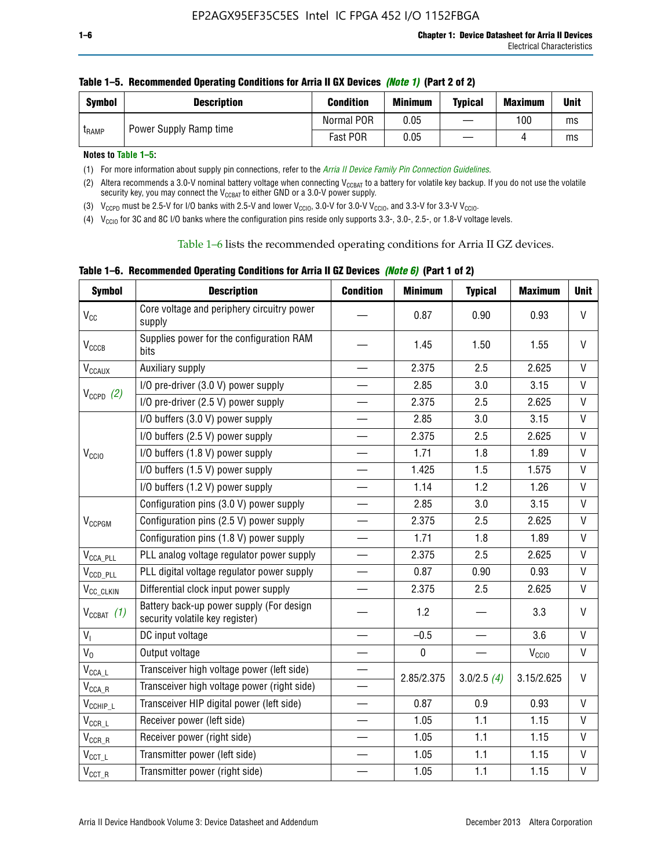| Symbol        | <b>Description</b>     | <b>Condition</b> | <b>Minimum</b> | <b>Typical</b> | <b>Maximum</b> | <b>Unit</b> |
|---------------|------------------------|------------------|----------------|----------------|----------------|-------------|
| <b>L</b> RAMP | Power Supply Ramp time | Normal POR       | 0.05           |                | 100            | ms          |
|               |                        | Fast POR         | 0.05           |                |                | ms          |

**Notes to Table 1–5:** 

(1) For more information about supply pin connections, refer to the *[Arria II Device Family Pin Connection Guidelines](http://www.altera.com/literature/dp/arria-ii-gx/PCG-01007.pdf)*.

(2) Altera recommends a 3.0-V nominal battery voltage when connecting V<sub>CCBAT</sub> to a battery for volatile key backup. If you do not use the volatile security key, you may connect the V<sub>CCBAT</sub> to either GND or a 3.0-V power supply.

(3)  $V_{CCPD}$  must be 2.5-V for I/O banks with 2.5-V and lower  $V_{CCIO}$ , 3.0-V for 3.0-V  $V_{CCIO}$ , and 3.3-V for 3.3-V  $V_{CCIO}$ .

(4)  $V_{\text{CCIO}}$  for 3C and 8C I/O banks where the configuration pins reside only supports 3.3-, 3.0-, 2.5-, or 1.8-V voltage levels.

Table 1–6 lists the recommended operating conditions for Arria II GZ devices.

**Table 1–6. Recommended Operating Conditions for Arria II GZ Devices** *(Note 6)* **(Part 1 of 2)**

| <b>Symbol</b>                  | <b>Description</b>                                                          | <b>Condition</b>         | <b>Minimum</b> | <b>Typical</b> | <b>Maximum</b>    | <b>Unit</b>  |
|--------------------------------|-----------------------------------------------------------------------------|--------------------------|----------------|----------------|-------------------|--------------|
| $V_{CC}$                       | Core voltage and periphery circuitry power<br>supply                        |                          | 0.87           | 0.90           | 0.93              | V            |
| V <sub>CCCB</sub>              | Supplies power for the configuration RAM<br>bits                            |                          | 1.45           | 1.50           | 1.55              | $\vee$       |
| $\mathsf{V}_{\texttt{CCAUX}}$  | Auxiliary supply                                                            |                          | 2.375          | 2.5            | 2.625             | V            |
|                                | I/O pre-driver (3.0 V) power supply                                         |                          | 2.85           | 3.0            | 3.15              | $\mathsf{V}$ |
| $V_{CCPD}$ (2)                 | I/O pre-driver (2.5 V) power supply                                         |                          | 2.375          | 2.5            | 2.625             | $\mathsf{V}$ |
|                                | I/O buffers (3.0 V) power supply                                            |                          | 2.85           | 3.0            | 3.15              | V            |
|                                | I/O buffers (2.5 V) power supply                                            |                          | 2.375          | 2.5            | 2.625             | V            |
| V <sub>CCIO</sub>              | I/O buffers (1.8 V) power supply                                            |                          | 1.71           | 1.8            | 1.89              | V            |
|                                | I/O buffers (1.5 V) power supply                                            |                          | 1.425          | 1.5            | 1.575             | V            |
|                                | I/O buffers (1.2 V) power supply                                            |                          | 1.14           | 1.2            | 1.26              | $\mathsf{V}$ |
|                                | Configuration pins (3.0 V) power supply                                     |                          | 2.85           | 3.0            | 3.15              | V            |
| V <sub>CCPGM</sub>             | Configuration pins (2.5 V) power supply                                     |                          | 2.375          | 2.5            | 2.625             | $\vee$       |
|                                | Configuration pins (1.8 V) power supply                                     | $\qquad \qquad$          | 1.71           | 1.8            | 1.89              | $\mathsf{V}$ |
| $V_{\text{CCA\_PLL}}$          | PLL analog voltage regulator power supply                                   |                          | 2.375          | 2.5            | 2.625             | $\vee$       |
| $V_{CCD\_PLL}$                 | PLL digital voltage regulator power supply                                  |                          | 0.87           | 0.90           | 0.93              | $\mathsf{V}$ |
| V <sub>CC_CLKIN</sub>          | Differential clock input power supply                                       |                          | 2.375          | 2.5            | 2.625             | V            |
| $V_{CCBAT}$ (1)                | Battery back-up power supply (For design<br>security volatile key register) |                          | 1.2            |                | 3.3               | V            |
| $V_{I}$                        | DC input voltage                                                            |                          | $-0.5$         |                | 3.6               | $\mathsf{V}$ |
| $V_0$                          | Output voltage                                                              |                          | $\pmb{0}$      |                | V <sub>CCIO</sub> | $\mathsf{V}$ |
| $\mathsf{V}_\mathsf{CCA\_L}$   | Transceiver high voltage power (left side)                                  | $\overline{\phantom{0}}$ | 2.85/2.375     | 3.0/2.5(4)     | 3.15/2.625        | V            |
| $\mathsf{V}_{\mathsf{CCA\_R}}$ | Transceiver high voltage power (right side)                                 |                          |                |                |                   |              |
| $V_{CCHIP\_L}$                 | Transceiver HIP digital power (left side)                                   |                          | 0.87           | 0.9            | 0.93              | V            |
| $\mathsf{V}_{\texttt{CCR\_L}}$ | Receiver power (left side)                                                  |                          | 1.05           | 1.1            | 1.15              | V            |
| $\mathsf{V}_{\mathsf{CCR\_R}}$ | Receiver power (right side)                                                 |                          | 1.05           | 1.1            | 1.15              | V            |
| $V_{CCT\_L}$                   | Transmitter power (left side)                                               |                          | 1.05           | 1.1            | 1.15              | $\mathsf{V}$ |
| $\mathsf{V}_{\mathsf{CCT\_R}}$ | Transmitter power (right side)                                              |                          | 1.05           | 1.1            | 1.15              | $\mathsf{V}$ |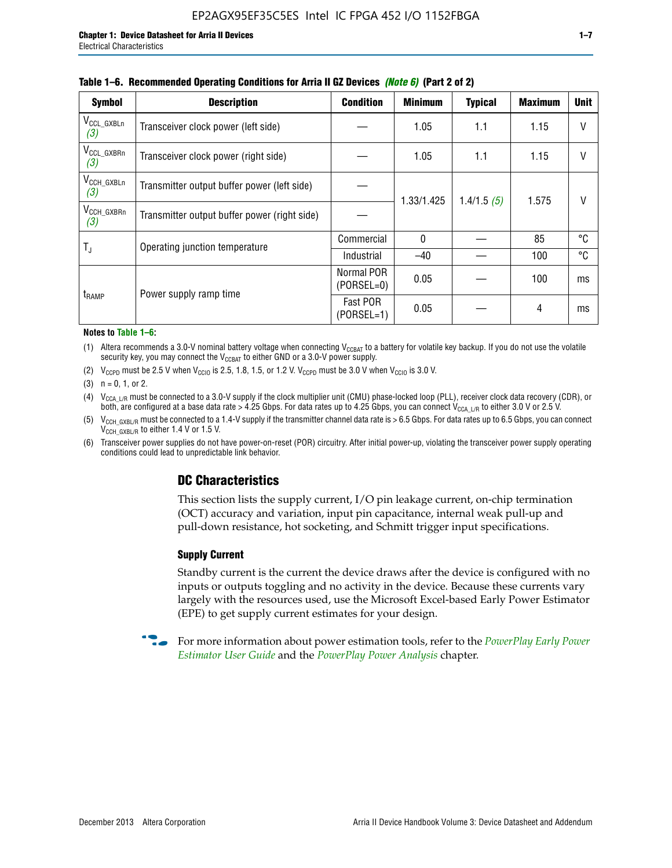| <b>Symbol</b>                 | <b>Description</b>                           | <b>Condition</b>           | <b>Minimum</b> | <b>Typical</b> | <b>Maximum</b> | <b>Unit</b> |
|-------------------------------|----------------------------------------------|----------------------------|----------------|----------------|----------------|-------------|
| $V_{\rm CCL_GXBLn}$<br>(3)    | Transceiver clock power (left side)          |                            | 1.05           | 1.1            | 1.15           | V           |
| V <sub>CCL_GXBRn</sub><br>(3) | Transceiver clock power (right side)         |                            | 1.05           | 1.1            | 1.15           |             |
| $V_{\text{CCH_GXBLn}}$<br>(3) | Transmitter output buffer power (left side)  |                            |                | 1.4/1.5(5)     | 1.575          | V           |
| $V_{\text{CCH_GXBRn}}$<br>(3) | Transmitter output buffer power (right side) |                            | 1.33/1.425     |                |                |             |
| $T_{\rm J}$                   | Operating junction temperature               | Commercial                 | $\mathbf{0}$   |                | 85             | ℃           |
|                               |                                              | Industrial                 | $-40$          |                | 100            | °C          |
|                               | Power supply ramp time                       | Normal POR<br>$(PORSEL=0)$ | 0.05           |                | 100            | ms          |
| t <sub>RAMP</sub>             |                                              | Fast POR<br>$(PORSEL=1)$   | 0.05           |                | 4              | ms          |

#### **Table 1–6. Recommended Operating Conditions for Arria II GZ Devices** *(Note 6)* **(Part 2 of 2)**

#### **Notes to Table 1–6:**

(1) Altera recommends a 3.0-V nominal battery voltage when connecting  $V_{CCBAT}$  to a battery for volatile key backup. If you do not use the volatile security key, you may connect the  $V_{\text{CCBAT}}$  to either GND or a 3.0-V power supply.

(2)  $V_{CCPD}$  must be 2.5 V when  $V_{CCIO}$  is 2.5, 1.8, 1.5, or 1.2 V.  $V_{CCPD}$  must be 3.0 V when  $V_{CCIO}$  is 3.0 V.

(3)  $n = 0, 1, or 2$ .

(4)  $V_{CCA~LR}$  must be connected to a 3.0-V supply if the clock multiplier unit (CMU) phase-locked loop (PLL), receiver clock data recovery (CDR), or both, are configured at a base data rate > 4.25 Gbps. For data rates up to 4.25 Gbps, you can connect V<sub>CCA L/R</sub> to either 3.0 V or 2.5 V.

- (5)  $V_{\text{CCH\_GXBL/R}}$  must be connected to a 1.4-V supply if the transmitter channel data rate is > 6.5 Gbps. For data rates up to 6.5 Gbps, you can connect V<sub>CCH\_GXBL/R</sub> to either 1.4 V or 1.5 V.
- (6) Transceiver power supplies do not have power-on-reset (POR) circuitry. After initial power-up, violating the transceiver power supply operating conditions could lead to unpredictable link behavior.

# **DC Characteristics**

This section lists the supply current, I/O pin leakage current, on-chip termination (OCT) accuracy and variation, input pin capacitance, internal weak pull-up and pull-down resistance, hot socketing, and Schmitt trigger input specifications.

### **Supply Current**

Standby current is the current the device draws after the device is configured with no inputs or outputs toggling and no activity in the device. Because these currents vary largely with the resources used, use the Microsoft Excel-based Early Power Estimator (EPE) to get supply current estimates for your design.

**For more information about power estimation tools, refer to the** *PowerPlay Early Power* **<b>Formation** *[Estimator User Guide](http://www.altera.com/literature/ug/ug_epe.pdf
)* and the *[PowerPlay Power Analysis](http://www.altera.com/literature/hb/qts/qts_qii53013.pdf)* chapter.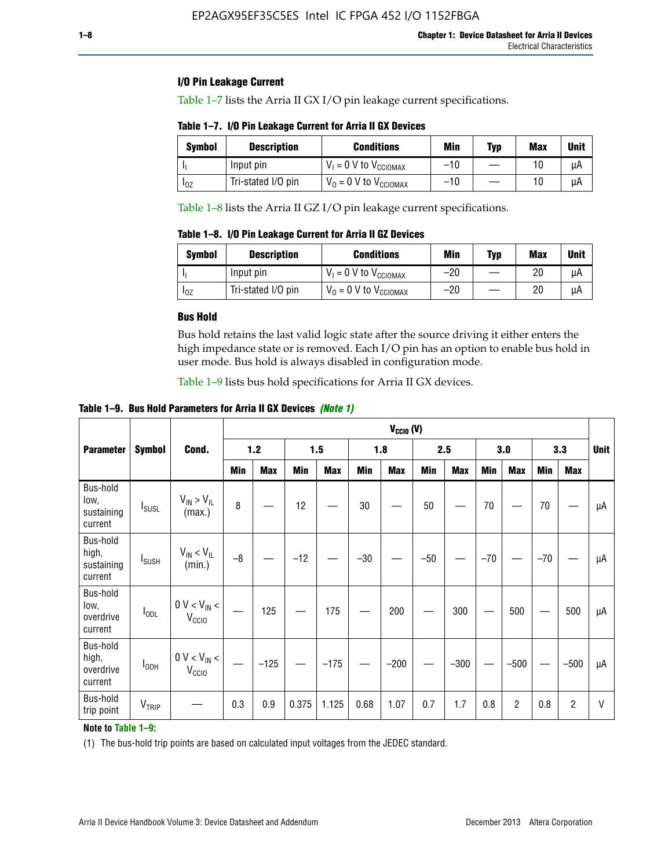### **I/O Pin Leakage Current**

Table 1–7 lists the Arria II GX I/O pin leakage current specifications.

# **Table 1–7. I/O Pin Leakage Current for Arria II GX Devices**

| Symbol   | <b>Description</b> | <b>Conditions</b>                   | <b>Min</b> | <b>Typ</b> | <b>Max</b> | <b>Unit</b> |
|----------|--------------------|-------------------------------------|------------|------------|------------|-------------|
|          | Input pin          | $V_1 = 0$ V to $V_{\text{CCIOMAX}}$ | $-10$      |            |            | uА          |
| $I_{0Z}$ | Tri-stated I/O pin | $V_0 = 0$ V to $V_{\text{CCIOMAX}}$ | $-10$      |            | 10         | uА          |

Table 1–8 lists the Arria II GZ I/O pin leakage current specifications.

**Table 1–8. I/O Pin Leakage Current for Arria II GZ Devices**

| Symbol | <b>Description</b> | <b>Conditions</b>                   | Min   | Typ | Max | Unit |
|--------|--------------------|-------------------------------------|-------|-----|-----|------|
|        | Input pin          | $V_1 = 0$ V to $V_{\text{CCIOMAX}}$ | $-20$ |     | 20  | uА   |
| 10Z    | Tri-stated I/O pin | $V_0 = 0$ V to $V_{\text{CCIOMAX}}$ | $-20$ |     | 20  | μA   |

### **Bus Hold**

Bus hold retains the last valid logic state after the source driving it either enters the high impedance state or is removed. Each I/O pin has an option to enable bus hold in user mode. Bus hold is always disabled in configuration mode.

Table 1–9 lists bus hold specifications for Arria II GX devices.

**Table 1–9. Bus Hold Parameters for Arria II GX Devices** *(Note 1)*

|                                            |                          |                                       | $V_{CClO}$ (V) |            |       |            |       |            |       |            |       |                |       |                |              |
|--------------------------------------------|--------------------------|---------------------------------------|----------------|------------|-------|------------|-------|------------|-------|------------|-------|----------------|-------|----------------|--------------|
| <b>Parameter</b>                           | <b>Symbol</b>            | Cond.                                 |                | $1.2$      |       | 1.5        |       | 1.8        |       | 2.5        |       | 3.0            |       | 3.3            | <b>Unit</b>  |
|                                            |                          |                                       | Min            | <b>Max</b> | Min   | <b>Max</b> | Min   | <b>Max</b> | Min   | <b>Max</b> | Min   | <b>Max</b>     | Min   | <b>Max</b>     |              |
| Bus-hold<br>low,<br>sustaining<br>current  | <b>I</b> susL            | $V_{IN}$ > $V_{IL}$<br>(max.)         | 8              |            | 12    |            | 30    |            | 50    |            | 70    |                | 70    |                | μA           |
| Bus-hold<br>high,<br>sustaining<br>current | <b>I</b> <sub>SUSH</sub> | $V_{IN}$ < $V_{IL}$<br>(min.)         | $-8$           |            | $-12$ |            | $-30$ |            | $-50$ |            | $-70$ |                | $-70$ |                | μA           |
| Bus-hold<br>low,<br>overdrive<br>current   | $I_{ODL}$                | $0 V < V_{IN} <$<br>V <sub>CCIO</sub> |                | 125        |       | 175        |       | 200        |       | 300        |       | 500            |       | 500            | μA           |
| Bus-hold<br>high,<br>overdrive<br>current  | $I_{ODH}$                | $0 V < V_{IN}$ <<br>V <sub>CCIO</sub> |                | $-125$     |       | $-175$     |       | $-200$     |       | $-300$     |       | $-500$         |       | $-500$         | μA           |
| Bus-hold<br>trip point                     | V <sub>TRIP</sub>        |                                       | 0.3            | 0.9        | 0.375 | 1.125      | 0.68  | 1.07       | 0.7   | 1.7        | 0.8   | $\overline{c}$ | 0.8   | $\overline{c}$ | $\mathsf{V}$ |

### **Note to Table 1–9:**

(1) The bus-hold trip points are based on calculated input voltages from the JEDEC standard.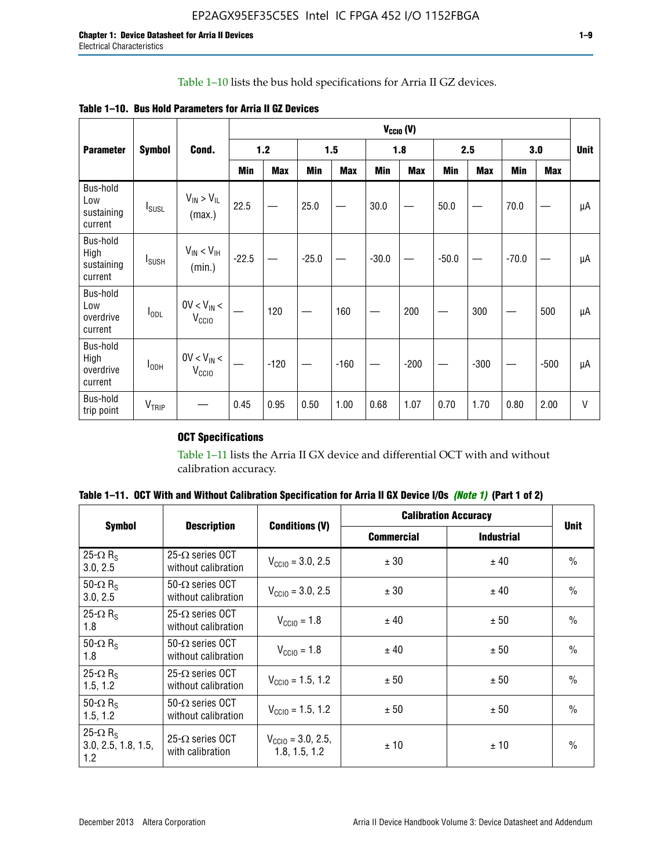# Table 1–10 lists the bus hold specifications for Arria II GZ devices.

| <b>Table 1–10. Bus Hold Parameters for Arria II GZ Devices</b> |  |  |  |  |
|----------------------------------------------------------------|--|--|--|--|
|----------------------------------------------------------------|--|--|--|--|

|                                           |                          |                                    | $V_{CClO}$ (V) |            |            |            |         |            |         |            |         |            |             |
|-------------------------------------------|--------------------------|------------------------------------|----------------|------------|------------|------------|---------|------------|---------|------------|---------|------------|-------------|
| <b>Parameter</b>                          | <b>Symbol</b>            | Cond.                              |                | 1.2        |            | 1.5        |         | 1.8        |         | 2.5        |         | 3.0        | <b>Unit</b> |
|                                           |                          |                                    | Min            | <b>Max</b> | <b>Min</b> | <b>Max</b> | Min     | <b>Max</b> | Min     | <b>Max</b> | Min     | <b>Max</b> |             |
| Bus-hold<br>Low<br>sustaining<br>current  | $I_{SUSL}$               | $V_{IN} > V_{IL}$<br>(max.)        | 22.5           |            | 25.0       |            | 30.0    |            | 50.0    |            | 70.0    |            | μA          |
| Bus-hold<br>High<br>sustaining<br>current | <b>I</b> <sub>SUSH</sub> | $V_{IN}$ < $V_{IH}$<br>(min.)      | $-22.5$        |            | $-25.0$    |            | $-30.0$ |            | $-50.0$ |            | $-70.0$ |            | μA          |
| Bus-hold<br>Low<br>overdrive<br>current   | $I_{ODL}$                | $0V < V_{IN}$<br>V <sub>CCIO</sub> |                | 120        |            | 160        |         | 200        |         | 300        |         | 500        | μA          |
| Bus-hold<br>High<br>overdrive<br>current  | $I_{ODH}$                | $0V < V_{IN}$<br>V <sub>CCIO</sub> |                | $-120$     |            | $-160$     |         | $-200$     |         | $-300$     |         | $-500$     | μA          |
| Bus-hold<br>trip point                    | V <sub>TRIP</sub>        |                                    | 0.45           | 0.95       | 0.50       | 1.00       | 0.68    | 1.07       | 0.70    | 1.70       | 0.80    | 2.00       | $\vee$      |

# **OCT Specifications**

Table 1–11 lists the Arria II GX device and differential OCT with and without calibration accuracy.

| Table 1–11. OCT With and Without Calibration Specification for Arria II GX Device I/Os (Note 1) (Part 1 of 2) |  |  |  |  |  |
|---------------------------------------------------------------------------------------------------------------|--|--|--|--|--|
|---------------------------------------------------------------------------------------------------------------|--|--|--|--|--|

|                                                           |                                                 |                                                | <b>Calibration Accuracy</b> |                   |               |
|-----------------------------------------------------------|-------------------------------------------------|------------------------------------------------|-----------------------------|-------------------|---------------|
| <b>Symbol</b>                                             | <b>Description</b>                              | <b>Conditions (V)</b>                          | <b>Commercial</b>           | <b>Industrial</b> | <b>Unit</b>   |
| 25- $\Omega$ R <sub>s</sub><br>3.0, 2.5                   | 25- $\Omega$ series OCT<br>without calibration  | $V_{\text{CC10}} = 3.0, 2.5$                   | ± 30                        | ± 40              | $\frac{0}{0}$ |
| 50- $\Omega$ R <sub>s</sub><br>3.0, 2.5                   | $50-\Omega$ series OCT<br>without calibration   | $V_{\text{CC10}} = 3.0, 2.5$                   | ± 30                        | ± 40              | $\frac{0}{0}$ |
| 25- $\Omega$ R <sub>S</sub><br>1.8                        | 25- $\Omega$ series OCT<br>without calibration  | $V_{\text{CCI0}} = 1.8$                        | ± 40                        | ± 50              | $\frac{0}{0}$ |
| 50- $\Omega$ R <sub>s</sub><br>1.8                        | $50-\Omega$ series OCT<br>without calibration   | $V_{\text{CC10}} = 1.8$                        | ± 40                        | ± 50              | $\frac{0}{0}$ |
| 25- $\Omega$ R <sub>s</sub><br>1.5, 1.2                   | 25- $\Omega$ series OCT<br>without calibration  | $V_{CCD} = 1.5, 1.2$                           | ± 50                        | ± 50              | $\frac{0}{0}$ |
| 50- $\Omega$ R <sub>s</sub><br>1.5, 1.2                   | $50 - \Omega$ series OCT<br>without calibration | $V_{\text{CC10}} = 1.5, 1.2$                   | ± 50                        | ± 50              | $\frac{0}{0}$ |
| 25- $\Omega$ R <sub>S</sub><br>3.0, 2.5, 1.8, 1.5,<br>1.2 | 25- $\Omega$ series OCT<br>with calibration     | $V_{\text{CC10}} = 3.0, 2.5,$<br>1.8, 1.5, 1.2 | ±10                         | ± 10              | $\frac{0}{0}$ |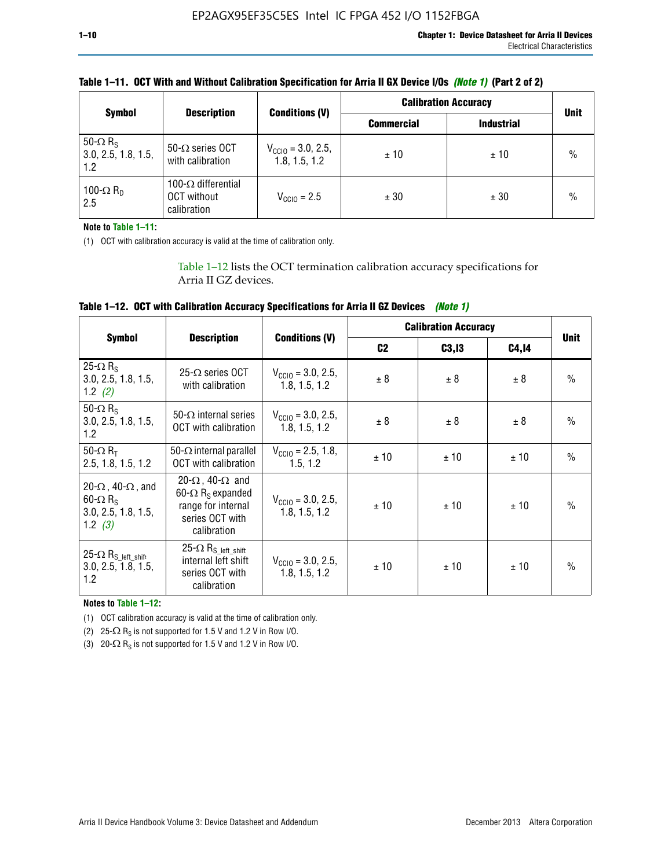| <b>Symbol</b>                                             | <b>Description</b>                                       |                                                | <b>Calibration Accuracy</b> | <b>Unit</b>       |               |
|-----------------------------------------------------------|----------------------------------------------------------|------------------------------------------------|-----------------------------|-------------------|---------------|
|                                                           |                                                          | <b>Conditions (V)</b>                          | <b>Commercial</b>           | <b>Industrial</b> |               |
| 50- $\Omega$ R <sub>S</sub><br>3.0, 2.5, 1.8, 1.5,<br>1.2 | 50- $\Omega$ series OCT<br>with calibration              | $V_{\text{CCIO}} = 3.0, 2.5,$<br>1.8, 1.5, 1.2 | ±10                         | ± 10              | $\frac{0}{0}$ |
| 100- $\Omega$ R <sub>D</sub><br>2.5                       | 100- $\Omega$ differential<br>OCT without<br>calibration | $V_{CCD} = 2.5$                                | ± 30                        | ± 30              | $\%$          |

# **Table 1–11. OCT With and Without Calibration Specification for Arria II GX Device I/Os** *(Note 1)* **(Part 2 of 2)**

**Note to Table 1–11:**

(1) OCT with calibration accuracy is valid at the time of calibration only.

Table 1–12 lists the OCT termination calibration accuracy specifications for Arria II GZ devices.

| Table 1-12. OCT with Calibration Accuracy Specifications for Arria II GZ Devices (Note 1) |  |  |  |  |  |
|-------------------------------------------------------------------------------------------|--|--|--|--|--|
|-------------------------------------------------------------------------------------------|--|--|--|--|--|

|                                                                                                       |                                                                                                                                 |                                                | <b>Calibration Accuracy</b> |        |       |               |
|-------------------------------------------------------------------------------------------------------|---------------------------------------------------------------------------------------------------------------------------------|------------------------------------------------|-----------------------------|--------|-------|---------------|
| <b>Symbol</b>                                                                                         | <b>Description</b>                                                                                                              | <b>Conditions (V)</b>                          | C <sub>2</sub>              | C3, I3 | C4,14 | <b>Unit</b>   |
| 25 $\Omega$ R <sub>s</sub><br>3.0, 2.5, 1.8, 1.5,<br>1.2 $(2)$                                        | $25-\Omega$ series OCT<br>with calibration                                                                                      | $V_{CGI0} = 3.0, 2.5,$<br>1.8.1.5.1.2          | ± 8                         | ± 8    | ± 8   | $\frac{0}{0}$ |
| 50- $\Omega$ R <sub>S</sub><br>3.0, 2.5, 1.8, 1.5,<br>1.2                                             | 50- $\Omega$ internal series<br>OCT with calibration                                                                            | $V_{\text{CC10}} = 3.0, 2.5,$<br>1.8, 1.5, 1.2 | ± 8                         | ± 8    | ± 8   | $\frac{0}{0}$ |
| 50- $\Omega$ R <sub>T</sub><br>2.5, 1.8, 1.5, 1.2                                                     | 50- $\Omega$ internal parallel<br><b>OCT</b> with calibration                                                                   | $V_{\text{CC10}} = 2.5, 1.8,$<br>1.5.1.2       | ± 10                        | ±10    | ± 10  | $\frac{0}{0}$ |
| 20- $\Omega$ , 40- $\Omega$ , and<br>$60 - \Omega$ R <sub>S</sub><br>3.0, 2.5, 1.8, 1.5,<br>1.2 $(3)$ | 20- $\Omega$ , 40- $\Omega$ and<br>60- $\Omega$ R <sub>s</sub> expanded<br>range for internal<br>series OCT with<br>calibration | $V_{\text{CC10}} = 3.0, 2.5,$<br>1.8.1.5.1.2   | ± 10                        | ± 10   | ± 10  | $\frac{0}{0}$ |
| 25- $\Omega$ R <sub>S_left_shift</sub><br>3.0, 2.5, 1.8, 1.5,<br>1.2                                  | 25- $\Omega$ R <sub>S left shift</sub><br>internal left shift<br>series OCT with<br>calibration                                 | $V_{\text{CGI0}} = 3.0, 2.5,$<br>1.8, 1.5, 1.2 | ± 10                        | ±10    | ± 10  | $\frac{0}{0}$ |

**Notes to Table 1–12:**

(1) OCT calibration accuracy is valid at the time of calibration only.

(2) 25- $\Omega$  R<sub>S</sub> is not supported for 1.5 V and 1.2 V in Row I/O.

(3)  $20-\Omega$  R<sub>S</sub> is not supported for 1.5 V and 1.2 V in Row I/O.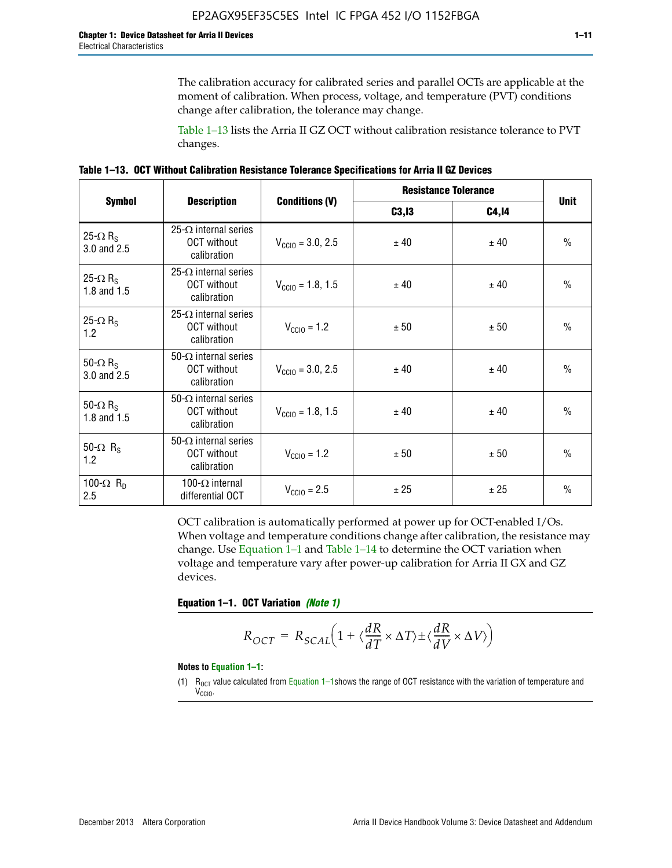The calibration accuracy for calibrated series and parallel OCTs are applicable at the moment of calibration. When process, voltage, and temperature (PVT) conditions change after calibration, the tolerance may change.

Table 1–13 lists the Arria II GZ OCT without calibration resistance tolerance to PVT changes.

|  | Table 1–13. OCT Without Calibration Resistance Tolerance Specifications for Arria II GZ Devices |  |  |  |
|--|-------------------------------------------------------------------------------------------------|--|--|--|
|--|-------------------------------------------------------------------------------------------------|--|--|--|

|                                            |                                                                   |                              | <b>Resistance Tolerance</b> | <b>Unit</b>  |               |
|--------------------------------------------|-------------------------------------------------------------------|------------------------------|-----------------------------|--------------|---------------|
| <b>Symbol</b>                              | <b>Description</b>                                                | <b>Conditions (V)</b>        | C3, I3                      | <b>C4,14</b> |               |
| 25- $\Omega$ R <sub>S</sub><br>3.0 and 2.5 | $25-\Omega$ internal series<br><b>OCT</b> without<br>calibration  | $V_{\text{CC10}} = 3.0, 2.5$ | ± 40                        | ± 40         | $\frac{0}{0}$ |
| 25- $\Omega$ R <sub>S</sub><br>1.8 and 1.5 | 25- $\Omega$ internal series<br><b>OCT</b> without<br>calibration | $V_{CGI0} = 1.8, 1.5$        | ± 40                        | ± 40         | $\frac{0}{0}$ |
| 25- $\Omega$ R <sub>S</sub><br>1.2         | 25- $\Omega$ internal series<br><b>OCT</b> without<br>calibration | $V_{\text{CC10}} = 1.2$      | ± 50                        | ± 50         | $\frac{0}{0}$ |
| 50- $\Omega$ R <sub>S</sub><br>3.0 and 2.5 | $50-\Omega$ internal series<br><b>OCT</b> without<br>calibration  | $V_{\text{CC10}} = 3.0, 2.5$ | ± 40                        | ± 40         | $\frac{0}{0}$ |
| 50- $\Omega$ R <sub>S</sub><br>1.8 and 1.5 | 50- $\Omega$ internal series<br><b>OCT</b> without<br>calibration | $V_{\text{CC10}} = 1.8, 1.5$ | ± 40                        | ± 40         | $\frac{0}{0}$ |
| 50- $\Omega$ R <sub>s</sub><br>1.2         | 50- $\Omega$ internal series<br><b>OCT</b> without<br>calibration | $V_{\text{CC10}} = 1.2$      | ± 50                        | ± 50         | $\frac{0}{0}$ |
| 100- $\Omega$ R <sub>D</sub><br>2.5        | 100- $\Omega$ internal<br>differential OCT                        | $V_{\text{CC10}} = 2.5$      | ± 25                        | ± 25         | $\frac{0}{0}$ |

OCT calibration is automatically performed at power up for OCT-enabled I/Os. When voltage and temperature conditions change after calibration, the resistance may change. Use Equation 1–1 and Table 1–14 to determine the OCT variation when voltage and temperature vary after power-up calibration for Arria II GX and GZ devices.

**Equation 1–1. OCT Variation** *(Note 1)*

$$
R_{OCT} = R_{SCAL} \Big( 1 + \langle \frac{dR}{dT} \times \Delta T \rangle \pm \langle \frac{dR}{dV} \times \Delta V \rangle \Big)
$$

#### **Notes to Equation 1–1:**

(1)  $R_{OCT}$  value calculated from Equation 1–1shows the range of OCT resistance with the variation of temperature and V<sub>CCIO</sub>.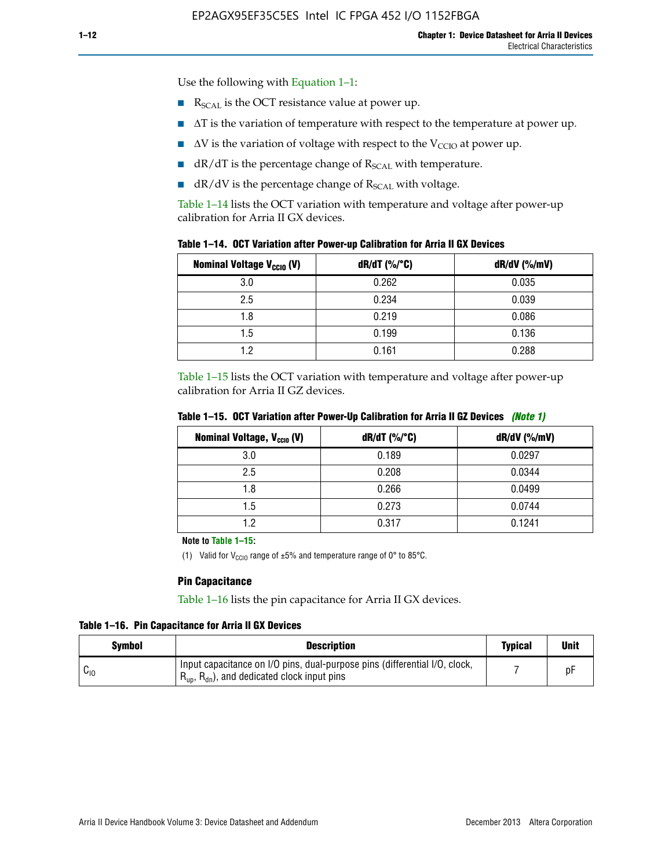Use the following with Equation 1–1:

- $\blacksquare$  R<sub>SCAL</sub> is the OCT resistance value at power up.
- $\blacksquare$   $\Delta T$  is the variation of temperature with respect to the temperature at power up.
- $\blacksquare$   $\Delta V$  is the variation of voltage with respect to the V<sub>CCIO</sub> at power up.
- $\blacksquare$  dR/dT is the percentage change of  $R_{\text{SCAL}}$  with temperature.
- $\blacksquare$  dR/dV is the percentage change of R<sub>SCAL</sub> with voltage.

Table 1–14 lists the OCT variation with temperature and voltage after power-up calibration for Arria II GX devices.

| Table 1–14. OCT Variation after Power-up Calibration for Arria II GX Devices |  |  |  |  |  |  |  |  |  |
|------------------------------------------------------------------------------|--|--|--|--|--|--|--|--|--|
|------------------------------------------------------------------------------|--|--|--|--|--|--|--|--|--|

| <b>Nominal Voltage V<sub>CCIO</sub> (V)</b> | $dR/dT$ (%/°C) | $dR/dV$ (%/mV) |
|---------------------------------------------|----------------|----------------|
| 3.0                                         | 0.262          | 0.035          |
| 2.5                                         | 0.234          | 0.039          |
| 1.8                                         | 0.219          | 0.086          |
| 1.5                                         | 0.199          | 0.136          |
| 1.2                                         | 0.161          | 0.288          |

Table 1–15 lists the OCT variation with temperature and voltage after power-up calibration for Arria II GZ devices.

| <b>Nominal Voltage, V<sub>ccio</sub> (V)</b> | $dR/dT$ (%/°C) | dR/dV (%/mV) |
|----------------------------------------------|----------------|--------------|
| 3.0                                          | 0.189          | 0.0297       |
| 2.5                                          | 0.208          | 0.0344       |
| 1.8                                          | 0.266          | 0.0499       |
| 1.5                                          | 0.273          | 0.0744       |
| 1.2                                          | 0.317          | 0.1241       |

**Table 1–15. OCT Variation after Power-Up Calibration for Arria II GZ Devices** *(Note 1)*

**Note to Table 1–15:**

(1) Valid for V<sub>CCIO</sub> range of  $\pm 5\%$  and temperature range of 0° to 85°C.

#### **Pin Capacitance**

Table 1–16 lists the pin capacitance for Arria II GX devices.

**Table 1–16. Pin Capacitance for Arria II GX Devices**

| <b>Symbol</b> | <b>Description</b>                                                                                                                               | <b>Typical</b> | <b>Unit</b> |
|---------------|--------------------------------------------------------------------------------------------------------------------------------------------------|----------------|-------------|
| ⊍∪            | Input capacitance on I/O pins, dual-purpose pins (differential I/O, clock,<br>$R_{\text{up}}$ , $R_{\text{dn}}$ , and dedicated clock input pins |                |             |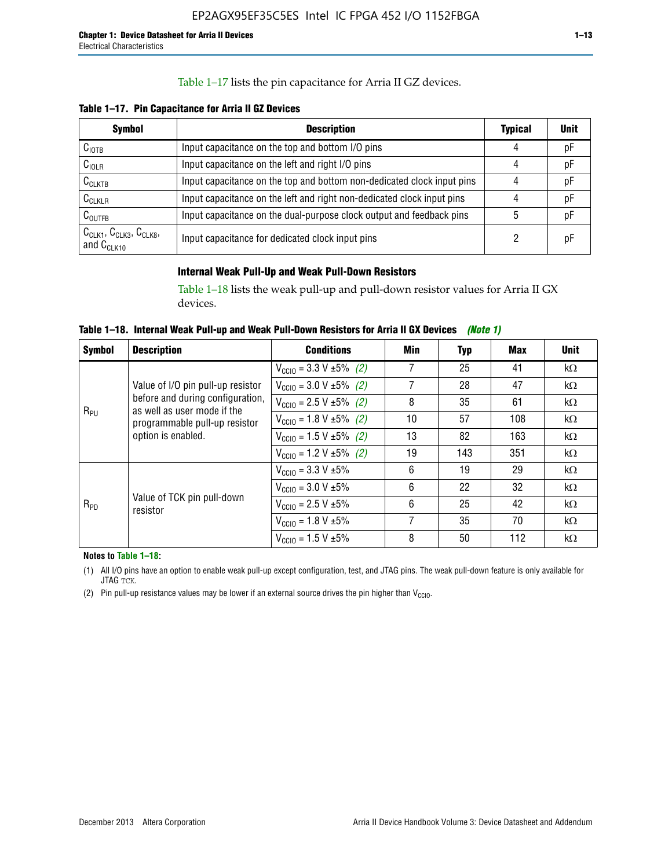### Table 1–17 lists the pin capacitance for Arria II GZ devices.

**Table 1–17. Pin Capacitance for Arria II GZ Devices** 

| <b>Symbol</b>                                    | <b>Description</b>                                                     | <b>Typical</b> | <b>Unit</b> |
|--------------------------------------------------|------------------------------------------------------------------------|----------------|-------------|
| $C_{\text{IOTB}}$                                | Input capacitance on the top and bottom I/O pins                       | 4              | pF          |
| C <sub>IOLR</sub>                                | Input capacitance on the left and right I/O pins                       | 4              | pF          |
| $C_{CLKTB}$                                      | Input capacitance on the top and bottom non-dedicated clock input pins |                | рF          |
| $C_{CLKLR}$                                      | Input capacitance on the left and right non-dedicated clock input pins |                | pF          |
| $C_{\text{OUTFB}}$                               | Input capacitance on the dual-purpose clock output and feedback pins   | 5              | pF          |
| $CCLK1$ , $CCLK3$ , $CCLK8$ ,<br>and $C_{CLK10}$ | Input capacitance for dedicated clock input pins                       |                | рF          |

### **Internal Weak Pull-Up and Weak Pull-Down Resistors**

Table 1–18 lists the weak pull-up and pull-down resistor values for Arria II GX devices.

**Table 1–18. Internal Weak Pull-up and Weak Pull-Down Resistors for Arria II GX Devices** *(Note 1)* 

| <b>Symbol</b> | <b>Description</b>                                              | <b>Conditions</b>                              | Min                                                                                                                                                                                                                                           | Typ | Max | <b>Unit</b> |
|---------------|-----------------------------------------------------------------|------------------------------------------------|-----------------------------------------------------------------------------------------------------------------------------------------------------------------------------------------------------------------------------------------------|-----|-----|-------------|
|               |                                                                 | $V_{\text{CC10}} = 3.3 \text{ V} \pm 5\%$ (2)  | 7                                                                                                                                                                                                                                             | 25  | 41  | $k\Omega$   |
| $R_{PU}$      | Value of I/O pin pull-up resistor                               | $V_{\text{CC10}} = 3.0 V \pm 5\%$ (2)          | 7                                                                                                                                                                                                                                             | 28  | 47  | $k\Omega$   |
|               | before and during configuration,<br>as well as user mode if the | $V_{\text{CC10}} = 2.5 V \pm 5\% (2)$          | 8                                                                                                                                                                                                                                             | 35  | 61  | $k\Omega$   |
|               | programmable pull-up resistor                                   | $V_{\text{CC10}} = 1.8 \text{ V } \pm 5\%$ (2) | 57<br>10<br>108<br>$k\Omega$<br>13<br>82<br>163<br>$k\Omega$<br>19<br>143<br>351<br>$k\Omega$<br>6<br>19<br>29<br>$k\Omega$<br>6<br>22<br>32<br>$k\Omega$<br>6<br>25<br>42<br>$k\Omega$<br>7<br>35<br>70<br>$k\Omega$<br>8<br>112<br>50<br>kΩ |     |     |             |
|               | option is enabled.                                              | $V_{\text{CC10}} = 1.5 \text{ V} \pm 5\%$ (2)  |                                                                                                                                                                                                                                               |     |     |             |
|               |                                                                 | $V_{\text{CC10}} = 1.2 V \pm 5\%$ (2)          |                                                                                                                                                                                                                                               |     |     |             |
|               |                                                                 | $V_{\text{CC10}} = 3.3 V \pm 5\%$              |                                                                                                                                                                                                                                               |     |     |             |
| $R_{PD}$      |                                                                 | $V_{\text{CC10}} = 3.0 V \pm 5\%$              |                                                                                                                                                                                                                                               |     |     |             |
|               | Value of TCK pin pull-down<br>resistor                          | $V_{\text{CC10}} = 2.5 V \pm 5\%$              |                                                                                                                                                                                                                                               |     |     |             |
|               |                                                                 | $V_{\text{CC10}} = 1.8 \text{ V} \pm 5\%$      |                                                                                                                                                                                                                                               |     |     |             |
|               |                                                                 | $V_{\text{CC10}} = 1.5 V \pm 5\%$              |                                                                                                                                                                                                                                               |     |     |             |

**Notes to Table 1–18:**

(1) All I/O pins have an option to enable weak pull-up except configuration, test, and JTAG pins. The weak pull-down feature is only available for JTAG TCK.

(2) Pin pull-up resistance values may be lower if an external source drives the pin higher than  $V_{\text{CCIO}}$ .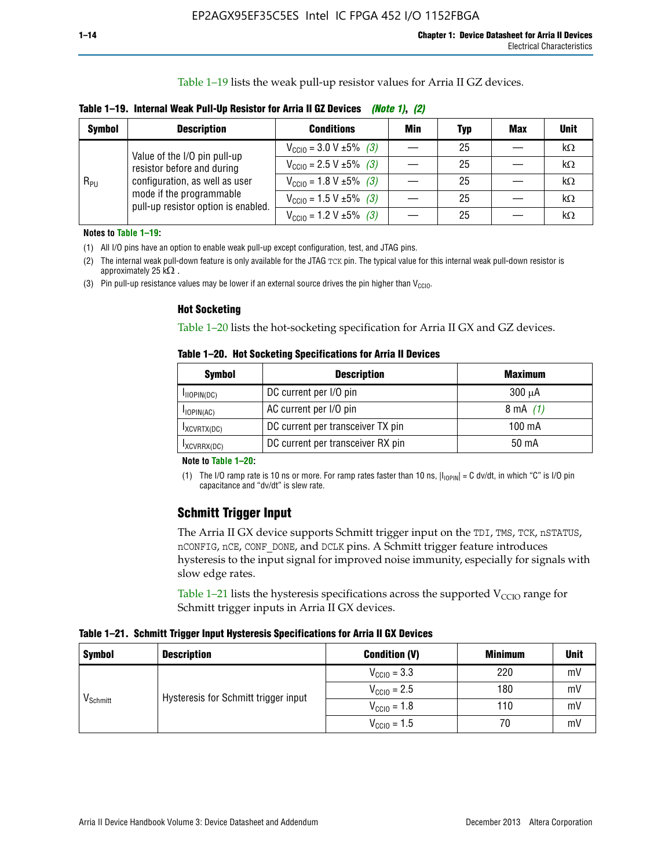Table 1–19 lists the weak pull-up resistor values for Arria II GZ devices.

**Table 1–19. Internal Weak Pull-Up Resistor for Arria II GZ Devices** *(Note 1)***,** *(2)*

| <b>Symbol</b> | <b>Description</b>                                                                                                              | <b>Conditions</b>                             | Min | <b>Typ</b> | <b>Max</b> | <b>Unit</b> |
|---------------|---------------------------------------------------------------------------------------------------------------------------------|-----------------------------------------------|-----|------------|------------|-------------|
|               | Value of the I/O pin pull-up                                                                                                    | $V_{\text{CC10}} = 3.0 V \pm 5\%$ (3)         |     | 25         |            | kΩ          |
| $R_{PU}$      | resistor before and during<br>configuration, as well as user<br>mode if the programmable<br>pull-up resistor option is enabled. | $V_{\text{CC10}} = 2.5 V \pm 5\%$ (3)         |     | 25         |            | kΩ          |
|               |                                                                                                                                 | $V_{\text{CC10}} = 1.8 \text{ V} \pm 5\%$ (3) |     | 25         |            | kΩ          |
|               |                                                                                                                                 | $V_{\text{CC10}} = 1.5 \text{ V} \pm 5\%$ (3) |     | 25         |            | kΩ          |
|               |                                                                                                                                 | $V_{\text{CC10}} = 1.2 V \pm 5\%$ (3)         |     | 25         |            | kΩ          |

**Notes to Table 1–19:**

(1) All I/O pins have an option to enable weak pull-up except configuration, test, and JTAG pins.

(2) The internal weak pull-down feature is only available for the JTAG TCK pin. The typical value for this internal weak pull-down resistor is approximately 25 k $\Omega$ .

(3) Pin pull-up resistance values may be lower if an external source drives the pin higher than  $V_{\text{CCIO}}$ .

#### **Hot Socketing**

Table 1–20 lists the hot-socketing specification for Arria II GX and GZ devices.

**Table 1–20. Hot Socketing Specifications for Arria II Devices** 

| <b>Symbol</b> | <b>Description</b>                | <b>Maximum</b>     |
|---------------|-----------------------------------|--------------------|
| IIOPIN(DC)    | DC current per I/O pin            | $300 \mu A$        |
| $I$ IOPIN(AC) | AC current per I/O pin            | $8 \text{ mA}$ (1) |
| IXCVRTX(DC)   | DC current per transceiver TX pin | 100 mA             |
| IXCVRRX(DC)   | DC current per transceiver RX pin | 50 mA              |

#### **Note to Table 1–20:**

(1) The I/O ramp rate is 10 ns or more. For ramp rates faster than 10 ns,  $|I_{10\text{PIN}}| = C$  dv/dt, in which "C" is I/O pin capacitance and "dv/dt" is slew rate.

# **Schmitt Trigger Input**

The Arria II GX device supports Schmitt trigger input on the TDI, TMS, TCK, nSTATUS, nCONFIG, nCE, CONF\_DONE, and DCLK pins. A Schmitt trigger feature introduces hysteresis to the input signal for improved noise immunity, especially for signals with slow edge rates.

Table 1–21 lists the hysteresis specifications across the supported  $V<sub>CCIO</sub>$  range for Schmitt trigger inputs in Arria II GX devices.

**Table 1–21. Schmitt Trigger Input Hysteresis Specifications for Arria II GX Devices**

| <b>Symbol</b>        | <b>Description</b>                   | <b>Condition (V)</b>    | <b>Minimum</b> | <b>Unit</b> |
|----------------------|--------------------------------------|-------------------------|----------------|-------------|
|                      |                                      | $V_{\text{CGI0}} = 3.3$ | 220            | mV          |
| V <sub>Schmitt</sub> | Hysteresis for Schmitt trigger input | $V_{\text{CCIO}} = 2.5$ | 180            | mV          |
|                      |                                      | $V_{\text{CCIO}} = 1.8$ | 110            | mV          |
|                      |                                      | $V_{\text{CCIO}} = 1.5$ | 70             | mV          |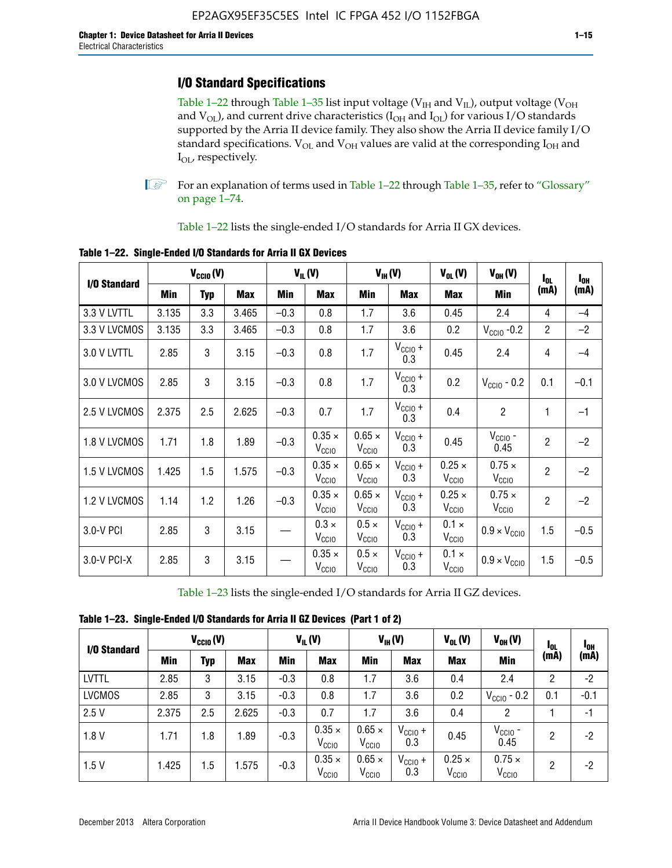# **I/O Standard Specifications**

Table 1–22 through Table 1–35 list input voltage ( $V_{IH}$  and  $V_{IL}$ ), output voltage ( $V_{OH}$ and  $V_{OL}$ ), and current drive characteristics ( $I_{OH}$  and  $I_{OL}$ ) for various I/O standards supported by the Arria II device family. They also show the Arria II device family I/O standard specifications.  $V_{OL}$  and  $V_{OH}$  values are valid at the corresponding  $I_{OH}$  and I<sub>OL</sub>, respectively.

**1.** For an explanation of terms used in Table 1–22 through Table 1–35, refer to "Glossary" on page 1–74.

Table 1–22 lists the single-ended I/O standards for Arria II GX devices.

| I/O Standard |       | $V_{CClO}(V)$ |            |        | $V_{IL}(V)$                        |                                    | $V_{IH}(V)$             | $V_{OL}(V)$                        | $V_{OH} (V)$                       | $I_{0L}$       | $I_{0H}$ |
|--------------|-------|---------------|------------|--------|------------------------------------|------------------------------------|-------------------------|------------------------------------|------------------------------------|----------------|----------|
|              | Min   | <b>Typ</b>    | <b>Max</b> | Min    | <b>Max</b>                         | Min                                | <b>Max</b>              | <b>Max</b>                         | Min                                | (mA)           | (mA)     |
| 3.3 V LVTTL  | 3.135 | 3.3           | 3.465      | $-0.3$ | 0.8                                | 1.7                                | 3.6                     | 0.45                               | 2.4                                | 4              | $-4$     |
| 3.3 V LVCMOS | 3.135 | 3.3           | 3.465      | $-0.3$ | 0.8                                | 1.7                                | 3.6                     | 0.2                                | $V_{\text{CCIO}}$ -0.2             | $\overline{2}$ | $-2$     |
| 3.0 V LVTTL  | 2.85  | 3             | 3.15       | $-0.3$ | 0.8                                | 1.7                                | $V_{CC10} +$<br>0.3     | 0.45                               | 2.4                                | 4              | $-4$     |
| 3.0 V LVCMOS | 2.85  | 3             | 3.15       | $-0.3$ | 0.8                                | 1.7                                | $V_{CC10} +$<br>0.3     | 0.2                                | $V_{\text{CC10}}$ - 0.2            | 0.1            | $-0.1$   |
| 2.5 V LVCMOS | 2.375 | 2.5           | 2.625      | $-0.3$ | 0.7                                | 1.7                                | $V_{\rm CClO}$ +<br>0.3 | 0.4                                | $\overline{c}$                     | 1              | $-1$     |
| 1.8 V LVCMOS | 1.71  | 1.8           | 1.89       | $-0.3$ | $0.35 \times$<br>V <sub>CCIO</sub> | $0.65 \times$<br>V <sub>CCIO</sub> | $V_{CCIO} +$<br>0.3     | 0.45                               | $V_{CGIO}$ -<br>0.45               | $\overline{2}$ | $-2$     |
| 1.5 V LVCMOS | 1.425 | 1.5           | 1.575      | $-0.3$ | $0.35 \times$<br>V <sub>CCIO</sub> | $0.65 \times$<br>V <sub>CCIO</sub> | $V_{CC10} +$<br>0.3     | $0.25 \times$<br>V <sub>CCIO</sub> | $0.75 \times$<br>V <sub>CCIO</sub> | $\overline{2}$ | $-2$     |
| 1.2 V LVCMOS | 1.14  | 1.2           | 1.26       | $-0.3$ | $0.35 \times$<br>V <sub>CCIO</sub> | $0.65 \times$<br>V <sub>CClO</sub> | $V_{CC10} +$<br>0.3     | $0.25 \times$<br>V <sub>CCIO</sub> | $0.75 \times$<br>V <sub>CCIO</sub> | $\overline{2}$ | $-2$     |
| 3.0-V PCI    | 2.85  | 3             | 3.15       |        | $0.3 \times$<br>$V_{\rm CClO}$     | $0.5 \times$<br>$V_{\rm CClO}$     | $V_{CC10} +$<br>0.3     | $0.1 \times$<br>V <sub>CCIO</sub>  | $0.9 \times V_{\text{CC10}}$       | 1.5            | $-0.5$   |
| 3.0-V PCI-X  | 2.85  | 3             | 3.15       |        | $0.35 \times$<br>V <sub>CCIO</sub> | $0.5 \times$<br>V <sub>CClO</sub>  | $V_{CC10} +$<br>0.3     | $0.1 \times$<br>V <sub>CCIO</sub>  | $0.9 \times V_{\text{CC10}}$       | 1.5            | $-0.5$   |

**Table 1–22. Single-Ended I/O Standards for Arria II GX Devices**

Table 1–23 lists the single-ended I/O standards for Arria II GZ devices.

|  |  | Table 1-23. Single-Ended I/O Standards for Arria II GZ Devices (Part 1 of 2) |  |
|--|--|------------------------------------------------------------------------------|--|
|--|--|------------------------------------------------------------------------------|--|

|               | $V_{\text{CCIO}}(V)$ |     | $V_{IL}(V)$ |            | $V_{IH} (V)$                       |                                    | $V_{OL}(V)$         | $V_{OH} (V)$                    | <sup>1</sup> OL                    | <sup>1</sup> OH |        |
|---------------|----------------------|-----|-------------|------------|------------------------------------|------------------------------------|---------------------|---------------------------------|------------------------------------|-----------------|--------|
| I/O Standard  | Min                  | Typ | <b>Max</b>  | <b>Min</b> | <b>Max</b>                         | Min                                | <b>Max</b>          | <b>Max</b>                      | Min                                | (mA)            | (mA)   |
| <b>LVTTL</b>  | 2.85                 | 3   | 3.15        | $-0.3$     | 0.8                                | 1.7                                | 3.6                 | 0.4                             | 2.4                                | 2               | $-2$   |
| <b>LVCMOS</b> | 2.85                 | 3   | 3.15        | $-0.3$     | 0.8                                | 1.7                                | 3.6                 | 0.2                             | $V_{CGIO}$ - 0.2                   | 0.1             | $-0.1$ |
| 2.5V          | 2.375                | 2.5 | 2.625       | $-0.3$     | 0.7                                | 1.7                                | 3.6                 | 0.4                             | 2                                  |                 | $-1$   |
| 1.8V          | 1.71                 | 1.8 | 1.89        | $-0.3$     | $0.35 \times$<br>V <sub>CCIO</sub> | $0.65 \times$<br>V <sub>CCIO</sub> | $V_{CClO}$ +<br>0.3 | 0.45                            | $V_{CGIO}$ -<br>0.45               | 2               | -2     |
| 1.5V          | 1.425                | 1.5 | .575        | $-0.3$     | $0.35 \times$<br>V <sub>CCIO</sub> | $0.65 \times$<br>V <sub>CCIO</sub> | $V_{CC10}$ +<br>0.3 | $0.25 \times$<br>$V_{\rm CCIO}$ | $0.75 \times$<br>V <sub>CCIO</sub> | 2               | -2     |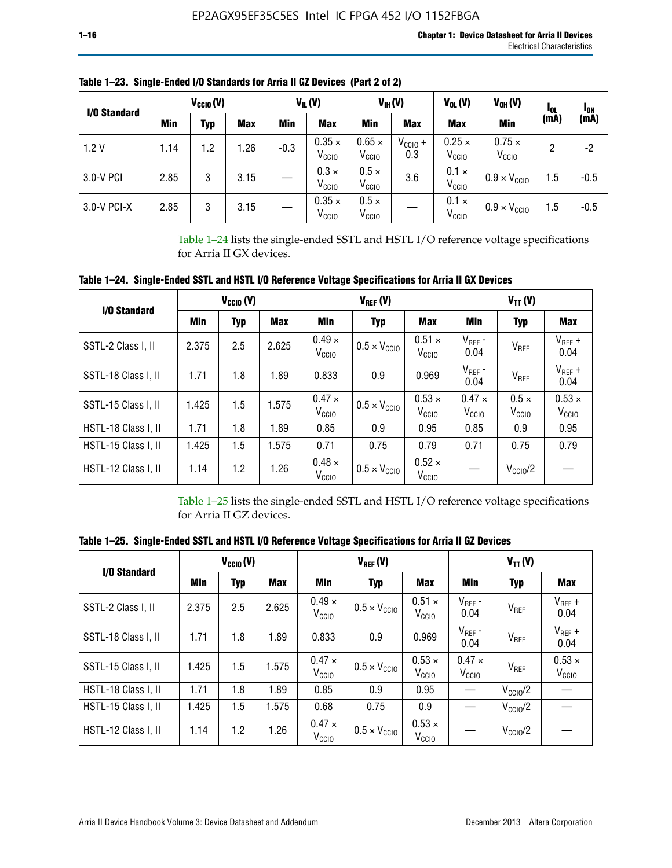| I/O Standard |      | $V_{CClO}(V)$ |            |        | $V_{IL}(V)$                        |                                    | $V_{IH} (V)$               | $V_{OL}(V)$                        | $V_{OH} (V)$                       | <b>I</b> OL | <sup>1</sup> OH |
|--------------|------|---------------|------------|--------|------------------------------------|------------------------------------|----------------------------|------------------------------------|------------------------------------|-------------|-----------------|
|              | Min  | Typ           | <b>Max</b> | Min    | <b>Max</b>                         | Min                                | <b>Max</b>                 | <b>Max</b>                         | <b>Min</b>                         | (mA)        | (mA)            |
| 1.2V         | 1.14 | 1.2           | 1.26       | $-0.3$ | $0.35 \times$<br>V <sub>CCIO</sub> | $0.65 \times$<br>V <sub>CCIO</sub> | $V_{\text{CC1O}} +$<br>0.3 | $0.25 \times$<br>V <sub>CCIO</sub> | $0.75 \times$<br>V <sub>CCIO</sub> | 2           | -2              |
| 3.0-V PCI    | 2.85 | 3             | 3.15       |        | $0.3 \times$<br>V <sub>CCIO</sub>  | $0.5 \times$<br>V <sub>CCIO</sub>  | 3.6                        | $0.1 \times$<br>V <sub>CCIO</sub>  | $0.9 \times V_{\text{CC10}}$       | 1.5         | $-0.5$          |
| 3.0-V PCI-X  | 2.85 | 3             | 3.15       |        | $0.35 \times$<br>V <sub>CCIO</sub> | $0.5 \times$<br>V <sub>CCIO</sub>  |                            | $0.1 \times$<br>V <sub>CCIO</sub>  | $0.9 \times V_{\text{CC10}}$       | 1.5         | $-0.5$          |

**Table 1–23. Single-Ended I/O Standards for Arria II GZ Devices (Part 2 of 2)**

Table 1–24 lists the single-ended SSTL and HSTL I/O reference voltage specifications for Arria II GX devices.

**Table 1–24. Single-Ended SSTL and HSTL I/O Reference Voltage Specifications for Arria II GX Devices**

| I/O Standard        |       | $V_{\text{CCIO}}(V)$ |            |                                    | $V_{REF}(V)$                 |                                    | $V_{TT} (V)$                       |                                   |                                    |  |
|---------------------|-------|----------------------|------------|------------------------------------|------------------------------|------------------------------------|------------------------------------|-----------------------------------|------------------------------------|--|
|                     | Min   | <b>Typ</b>           | <b>Max</b> | Min                                | Typ                          | Max                                | Min                                | <b>Typ</b>                        | <b>Max</b>                         |  |
| SSTL-2 Class I, II  | 2.375 | 2.5                  | 2.625      | $0.49 \times$<br>V <sub>CCD</sub>  | $0.5 \times V_{\text{CC10}}$ | $0.51 \times$<br>V <sub>CCIO</sub> | $V_{REF}$ -<br>0.04                | $V_{REF}$                         | $V_{REF}$ +<br>0.04                |  |
| SSTL-18 Class I, II | 1.71  | 1.8                  | 1.89       | 0.833                              | 0.9                          | 0.969                              | $V_{REF}$ -<br>0.04                | V <sub>REF</sub>                  | $V_{REF}$ +<br>0.04                |  |
| SSTL-15 Class I, II | 1.425 | 1.5                  | 1.575      | $0.47 \times$<br>V <sub>CCIO</sub> | $0.5 \times V_{\text{CCIO}}$ | $0.53 \times$<br>V <sub>CCIO</sub> | $0.47 \times$<br>V <sub>CCIO</sub> | $0.5 \times$<br>V <sub>CCIO</sub> | $0.53 \times$<br>V <sub>CCIO</sub> |  |
| HSTL-18 Class I, II | 1.71  | 1.8                  | 1.89       | 0.85                               | 0.9                          | 0.95                               | 0.85                               | 0.9                               | 0.95                               |  |
| HSTL-15 Class I, II | 1.425 | 1.5                  | 1.575      | 0.71                               | 0.75                         | 0.79                               | 0.71                               | 0.75                              | 0.79                               |  |
| HSTL-12 Class I, II | 1.14  | 1.2                  | 1.26       | $0.48 \times$<br>V <sub>CCIO</sub> | $0.5 \times V_{\text{CCIO}}$ | $0.52 \times$<br>V <sub>CCIO</sub> |                                    | $V_{\text{CCIO}}/2$               |                                    |  |

Table 1–25 lists the single-ended SSTL and HSTL I/O reference voltage specifications for Arria II GZ devices.

**Table 1–25. Single-Ended SSTL and HSTL I/O Reference Voltage Specifications for Arria II GZ Devices** 

| I/O Standard        |       | $V_{\text{CCIO}}(V)$ |            |                                    | $V_{REF}(V)$                 |                                    | $V_{TT}(V)$                        |                     |                                    |  |
|---------------------|-------|----------------------|------------|------------------------------------|------------------------------|------------------------------------|------------------------------------|---------------------|------------------------------------|--|
|                     | Min   | <b>Typ</b>           | <b>Max</b> | Min                                | Typ                          | Max                                | Min                                | Typ                 | Max                                |  |
| SSTL-2 Class I. II  | 2.375 | 2.5                  | 2.625      | $0.49 \times$<br>V <sub>CCD</sub>  | $0.5 \times V_{\text{CC10}}$ | $0.51 \times$<br>V <sub>CCIO</sub> | $V_{REF}$ -<br>0.04                | V <sub>REF</sub>    | $V_{REF}$ +<br>0.04                |  |
| SSTL-18 Class I, II | 1.71  | 1.8                  | 1.89       | 0.833                              | 0.9                          | 0.969                              | $V_{REF}$ -<br>0.04                | V <sub>REF</sub>    | $V_{REF}$ +<br>0.04                |  |
| SSTL-15 Class I, II | 1.425 | 1.5                  | 1.575      | $0.47 \times$<br>V <sub>CCIO</sub> | $0.5 \times V_{\text{CCIO}}$ | $0.53 \times$<br>V <sub>CCIO</sub> | $0.47 \times$<br>V <sub>CCIO</sub> | V <sub>REF</sub>    | $0.53 \times$<br>V <sub>CCIO</sub> |  |
| HSTL-18 Class I, II | 1.71  | 1.8                  | 1.89       | 0.85                               | 0.9                          | 0.95                               |                                    | $V_{\rm CClO}/2$    |                                    |  |
| HSTL-15 Class I, II | 1.425 | 1.5                  | 1.575      | 0.68                               | 0.75                         | 0.9                                |                                    | $V_{\rm CC10}$ /2   |                                    |  |
| HSTL-12 Class I, II | 1.14  | 1.2                  | 1.26       | $0.47 \times$<br>V <sub>CCIO</sub> | $0.5 \times V_{\text{CCIO}}$ | $0.53 \times$<br>V <sub>CCIO</sub> |                                    | $V_{\text{CC10}}/2$ |                                    |  |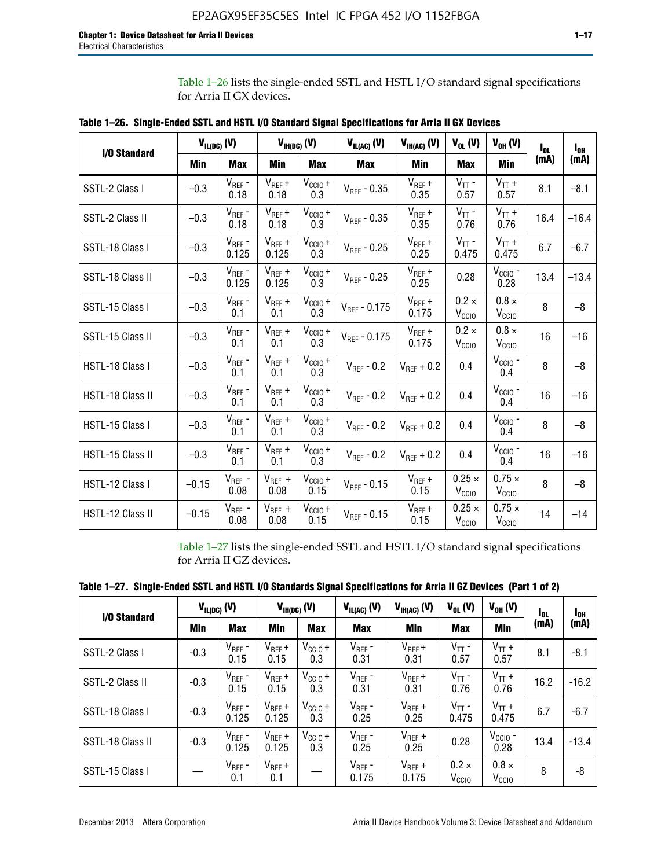Table 1–26 lists the single-ended SSTL and HSTL I/O standard signal specifications for Arria II GX devices.

|                  |         | $V_{IL(DC)}(V)$      |                      | $V_{IH(DC)}(V)$             | $V_{IL(AC)}(V)$   | $V_{IH(AC)}$ (V)     | $V_{OL}$ (V)                       | $V_{OH} (V)$                       | l <sub>ol.</sub> | $I_{0H}$ |
|------------------|---------|----------------------|----------------------|-----------------------------|-------------------|----------------------|------------------------------------|------------------------------------|------------------|----------|
| I/O Standard     | Min     | <b>Max</b>           | Min                  | <b>Max</b>                  | <b>Max</b>        | Min                  | Max                                | <b>Min</b>                         | (mA)             | (mA)     |
| SSTL-2 Class I   | $-0.3$  | $V_{REF}$ -<br>0.18  | $V_{REF} +$<br>0.18  | $V_{\text{CCIO}} +$<br>0.3  | $V_{REF}$ - 0.35  | $V_{REF} +$<br>0.35  | $V_{TT}$ -<br>0.57                 | $V_{TT}$ +<br>0.57                 | 8.1              | $-8.1$   |
| SSTL-2 Class II  | $-0.3$  | $V_{REF}$ -<br>0.18  | $V_{REF} +$<br>0.18  | $V_{CCIO} +$<br>0.3         | $V_{REF}$ - 0.35  | $V_{REF} +$<br>0.35  | $V_{TT}$ -<br>0.76                 | $V_{TT}$ +<br>0.76                 | 16.4             | $-16.4$  |
| SSTL-18 Class I  | $-0.3$  | $V_{REF}$ -<br>0.125 | $V_{REF} +$<br>0.125 | $V_{\text{CCIO}} +$<br>0.3  | $V_{REF}$ - 0.25  | $V_{REF}$ +<br>0.25  | $V_{TT}$ -<br>0.475                | $V_{TT}$ +<br>0.475                | 6.7              | $-6.7$   |
| SSTL-18 Class II | $-0.3$  | $V_{REF}$ -<br>0.125 | $V_{REF}$ +<br>0.125 | $V_{\text{CC1O}} +$<br>0.3  | $V_{REF}$ - 0.25  | $V_{REF}$ +<br>0.25  | 0.28                               | $V_{CGIO}$ -<br>0.28               | 13.4             | $-13.4$  |
| SSTL-15 Class I  | $-0.3$  | $V_{REF}$ -<br>0.1   | $V_{REF}$ +<br>0.1   | $V_{\text{CC1O}} +$<br>0.3  | $V_{REF}$ - 0.175 | $V_{REF}$ +<br>0.175 | $0.2 \times$<br>V <sub>CCIO</sub>  | $0.8 \times$<br>$V_{\text{CGIO}}$  | 8                | $-8$     |
| SSTL-15 Class II | $-0.3$  | $V_{REF}$ -<br>0.1   | $V_{REF} +$<br>0.1   | $V_{\text{CCIO}} +$<br>0.3  | $V_{REF}$ - 0.175 | $V_{REF}$ +<br>0.175 | $0.2 \times$<br>V <sub>CCIO</sub>  | $0.8 \times$<br>V <sub>CCIO</sub>  | 16               | $-16$    |
| HSTL-18 Class I  | $-0.3$  | $V_{REF}$ -<br>0.1   | $V_{REF}$ +<br>0.1   | $V_{CCIO} +$<br>0.3         | $V_{REF}$ - 0.2   | $V_{REF}$ + 0.2      | 0.4                                | $V_{CGIO}$ -<br>0.4                | 8                | $-8$     |
| HSTL-18 Class II | $-0.3$  | $V_{REF}$ -<br>0.1   | $V_{REF}$ +<br>0.1   | $V_{\text{CC1O}} +$<br>0.3  | $V_{REF}$ - 0.2   | $V_{REF}$ + 0.2      | 0.4                                | $V_{\text{CCIO}}$ -<br>0.4         | 16               | $-16$    |
| HSTL-15 Class I  | $-0.3$  | $V_{REF}$ -<br>0.1   | $V_{REF}$ +<br>0.1   | $V_{\text{CCIO}} +$<br>0.3  | $V_{REF}$ - 0.2   | $V_{REF}$ + 0.2      | 0.4                                | $V_{CCIO}$ -<br>0.4                | 8                | $-8$     |
| HSTL-15 Class II | $-0.3$  | $V_{REF}$ -<br>0.1   | $V_{REF}$ +<br>0.1   | $V_{\text{CCIO}} +$<br>0.3  | $V_{REF}$ - 0.2   | $V_{REF}$ + 0.2      | 0.4                                | $V_{CGIO}$ -<br>0.4                | 16               | $-16$    |
| HSTL-12 Class I  | $-0.15$ | $V_{REF}$ -<br>0.08  | $V_{REF}$ +<br>0.08  | $V_{\text{CCIO}} +$<br>0.15 | $V_{REF} - 0.15$  | $V_{REF} +$<br>0.15  | $0.25 \times$<br>V <sub>CCIO</sub> | $0.75 \times$<br>V <sub>CCIO</sub> | 8                | $-8$     |
| HSTL-12 Class II | $-0.15$ | $V_{REF}$ -<br>0.08  | $V_{REF}$ +<br>0.08  | $V_{CCIO} +$<br>0.15        | $V_{REF}$ - 0.15  | $V_{REF} +$<br>0.15  | $0.25 \times$<br>$V_{\rm CCIO}$    | $0.75 \times$<br>V <sub>CCIO</sub> | 14               | $-14$    |

**Table 1–26. Single-Ended SSTL and HSTL I/O Standard Signal Specifications for Arria II GX Devices** 

Table 1–27 lists the single-ended SSTL and HSTL I/O standard signal specifications for Arria II GZ devices.

| I/O Standard     |        | $V_{IL(DC)}(V)$      |                      | $V_{IH(DC)}$ (V)    | $V_{IL(AC)}(V)$      | $V_{IH(AC)}(V)$      | $V_{OL}$ (V)                      | $V_{OH} (V)$                   | $I_{0L}$ | l <sub>oh</sub> |
|------------------|--------|----------------------|----------------------|---------------------|----------------------|----------------------|-----------------------------------|--------------------------------|----------|-----------------|
|                  | Min    | <b>Max</b>           | <b>Min</b>           | <b>Max</b>          | <b>Max</b>           | Min                  | <b>Max</b>                        | Min                            | (mA)     | (mA)            |
| SSTL-2 Class I   | $-0.3$ | $V_{REF}$ -<br>0.15  | $V_{REF} +$<br>0.15  | $V_{CClO} +$<br>0.3 | $V_{REF}$ -<br>0.31  | $V_{REF} +$<br>0.31  | $V_{TT}$ -<br>0.57                | $V_{TT}$ +<br>0.57             | 8.1      | $-8.1$          |
| SSTL-2 Class II  | $-0.3$ | $V_{REF}$ -<br>0.15  | $V_{REF} +$<br>0.15  | $V_{CClO} +$<br>0.3 | $V_{REF}$ -<br>0.31  | $V_{REF} +$<br>0.31  | $V_{TT}$ -<br>0.76                | $V_{TT}$ +<br>0.76             | 16.2     | $-16.2$         |
| SSTL-18 Class I  | $-0.3$ | $V_{REF}$ -<br>0.125 | $V_{REF}$ +<br>0.125 | $V_{CClO} +$<br>0.3 | $V_{REF}$ -<br>0.25  | $V_{REF}$ +<br>0.25  | $V_{TT}$ -<br>0.475               | $V_{TT}$ +<br>0.475            | 6.7      | $-6.7$          |
| SSTL-18 Class II | $-0.3$ | $V_{REF}$ -<br>0.125 | $V_{REF}$ +<br>0.125 | $V_{CC10} +$<br>0.3 | $V_{REF}$ -<br>0.25  | $V_{REF}$ +<br>0.25  | 0.28                              | $V_{\rm CCIO}$ -<br>0.28       | 13.4     | $-13.4$         |
| SSTL-15 Class I  |        | $V_{REF}$ -<br>0.1   | $V_{REF}$ +<br>0.1   |                     | $V_{REF}$ -<br>0.175 | $V_{REF}$ +<br>0.175 | $0.2 \times$<br>V <sub>CCIO</sub> | $0.8 \times$<br>$V_{\rm CClO}$ | 8        | -8              |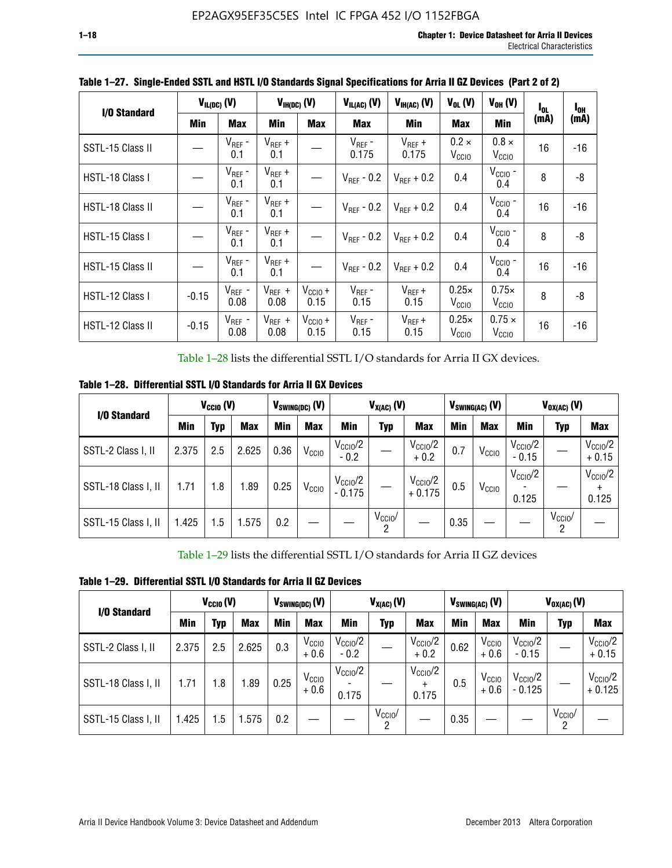| I/O Standard            |            | $V_{IL(DC)}$ (V)    |                     | $V_{IH(DC)}$ (V)     | $V_{IL(AC)}(V)$        | $V_{IH(AC)}(V)$        | $V_{OL}$ (V)                      | $V_{OH} (V)$                       | $I_{0L}$ | $I_{0H}$ |
|-------------------------|------------|---------------------|---------------------|----------------------|------------------------|------------------------|-----------------------------------|------------------------------------|----------|----------|
|                         | <b>Min</b> | <b>Max</b>          | Min                 | <b>Max</b>           | <b>Max</b>             | Min                    | <b>Max</b>                        | Min                                | (mA)     | (mA)     |
| SSTL-15 Class II        |            | $V_{REF}$ -<br>0.1  | $V_{REF}$ +<br>0.1  |                      | $V_{REF}$ -<br>0.175   | $V_{REF}$ +<br>0.175   | $0.2 \times$<br>V <sub>CCIO</sub> | $0.8 \times$<br>V <sub>CCIO</sub>  | 16       | -16      |
| HSTL-18 Class I         |            | $V_{REF}$ -<br>0.1  | $V_{REF}$ +<br>0.1  |                      | $V_{\text{RFF}}$ - 0.2 | $V_{RFF}$ + 0.2        | 0.4                               | $V_{\rm CCIO}$ -<br>0.4            | 8        | -8       |
| <b>HSTL-18 Class II</b> |            | $V_{REF}$ -<br>0.1  | $V_{REF}$ +<br>0.1  |                      | $V_{\text{RFF}}$ - 0.2 | $V_{RFF}$ + 0.2        | 0.4                               | $V_{\text{CCIO}}$ -<br>0.4         | 16       | $-16$    |
| HSTL-15 Class I         |            | $V_{REF}$ -<br>0.1  | $V_{REF}$ +<br>0.1  |                      | $V_{\text{RFF}}$ - 0.2 | $V_{\text{RFF}} + 0.2$ | 0.4                               | $V_{CCIO}$ -<br>0.4                | 8        | -8       |
| HSTL-15 Class II        |            | $V_{REF}$ -<br>0.1  | $V_{REF}$ +<br>0.1  |                      | $V_{\text{RFF}}$ - 0.2 | $V_{RFF}$ + 0.2        | 0.4                               | $VCCIO$ -<br>0.4                   | 16       | $-16$    |
| HSTL-12 Class I         | $-0.15$    | $V_{REF}$ -<br>0.08 | $V_{REF}$ +<br>0.08 | $V_{CCIO} +$<br>0.15 | $V_{REF}$ -<br>0.15    | $V_{REF} +$<br>0.15    | $0.25\times$<br>V <sub>CCIO</sub> | $0.75\times$<br>V <sub>CCIO</sub>  | 8        | -8       |
| HSTL-12 Class II        | $-0.15$    | $V_{REF}$ -<br>0.08 | $V_{REF}$ +<br>0.08 | $V_{CCI0} +$<br>0.15 | $V_{REF}$ -<br>0.15    | $V_{REF} +$<br>0.15    | $0.25\times$<br>V <sub>CCIO</sub> | $0.75 \times$<br>V <sub>CCIO</sub> | 16       | $-16$    |

**Table 1–27. Single-Ended SSTL and HSTL I/O Standards Signal Specifications for Arria II GZ Devices (Part 2 of 2)**

Table 1–28 lists the differential SSTL I/O standards for Arria II GX devices.

**Table 1–28. Differential SSTL I/O Standards for Arria II GX Devices**

| I/O Standard        |       | $V_{CClO}$ (V) |            |      | $V_{SWING(DC)}$ (V) |                              | $V_{X(AC)}(V)$  |                                 |      | $V_{SWING(AC)}$ (V) | $V_{OX(AC)}$ (V)             |                         |                                |
|---------------------|-------|----------------|------------|------|---------------------|------------------------------|-----------------|---------------------------------|------|---------------------|------------------------------|-------------------------|--------------------------------|
|                     | Min   | Typ            | <b>Max</b> | Min  | <b>Max</b>          | Min                          | Typ             | <b>Max</b>                      | Min  | <b>Max</b>          | Min                          | Typ                     | <b>Max</b>                     |
| SSTL-2 Class I, II  | 2.375 | 2.5            | 2.625      | 0.36 | V <sub>CCIO</sub>   | $V_{\rm CClO}/2$<br>$-0.2$   |                 | $V_{\rm CClO}/2$<br>$+0.2$      | 0.7  | V <sub>CCIO</sub>   | $V_{\rm CC10}$ /2<br>$-0.15$ |                         | $V_{\text{CCIO}}/2$<br>$+0.15$ |
| SSTL-18 Class I, II | 1.71  | 1.8            | 1.89       | 0.25 | V <sub>CCIO</sub>   | $V_{\rm CClO}/2$<br>$-0.175$ |                 | $V_{\text{CC10}}/2$<br>$+0.175$ | 0.5  | V <sub>CCIO</sub>   | $V_{\rm CC10}$ /2<br>0.125   |                         | $V_{\text{CCIO}}/2$<br>0.125   |
| SSTL-15 Class I, II | 1.425 | 1.5            | .575       | 0.2  |                     |                              | $V_{CClO}$<br>2 |                                 | 0.35 |                     |                              | $V_{\text{CCIO}}/$<br>2 |                                |

Table 1–29 lists the differential SSTL I/O standards for Arria II GZ devices

**Table 1–29. Differential SSTL I/O Standards for Arria II GZ Devices**

| I/O Standard        |       | $V_{\text{CCIO}}(V)$ |            |      | $V_{SWING(DC)}(V)$          | $V_{X(AC)}(V)$                |                     |                                   |      | $V_{SWING(AC)}$ (V)         | $V_{OX(AC)}(V)$                |                 |                                 |
|---------------------|-------|----------------------|------------|------|-----------------------------|-------------------------------|---------------------|-----------------------------------|------|-----------------------------|--------------------------------|-----------------|---------------------------------|
|                     | Min   | Typ                  | <b>Max</b> | Min  | <b>Max</b>                  | Min                           | Typ                 | <b>Max</b>                        | Min  | <b>Max</b>                  | Min                            | Typ             | <b>Max</b>                      |
| SSTL-2 Class I, II  | 2.375 | 2.5                  | 2.625      | 0.3  | V <sub>CCIO</sub><br>$+0.6$ | $V_{\text{CC1O}}/2$<br>$-0.2$ |                     | $V_{\text{CCIO}}/2$<br>$+0.2$     | 0.62 | V <sub>CCIO</sub><br>$+0.6$ | $V_{\text{CC10}}/2$<br>$-0.15$ |                 | $V_{\text{CC10}}/2$<br>$+0.15$  |
| SSTL-18 Class I, II | 1.71  | 1.8                  | 1.89       | 0.25 | V <sub>CCIO</sub><br>$+0.6$ | $V_{\text{CCIO}}/2$<br>0.175  |                     | $V_{\text{CCIO}}/2$<br>÷<br>0.175 | 0.5  | V <sub>CCIO</sub><br>$+0.6$ | $V_{\text{CC10}}/2$<br>- 0.125 |                 | $V_{\text{CC10}}/2$<br>$+0.125$ |
| SSTL-15 Class I, II | 1.425 | 1.5                  | .575       | 0.2  |                             |                               | $V_{\rm CCIO}$<br>2 |                                   | 0.35 |                             |                                | $V_{CClO}$<br>2 |                                 |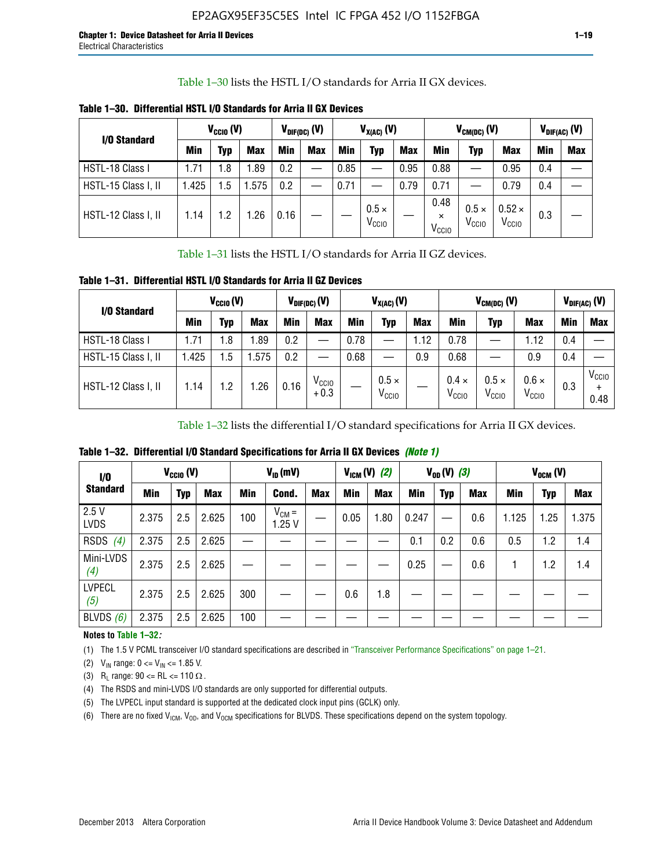Table 1–30 lists the HSTL I/O standards for Arria II GX devices.

| I/O Standard        |            | $V_{CGI0} (V)$ |            |      | $V_{\text{DIF(DC)}}$ (V) | $V_{X(AC)}(V)$ |                                   |            | $V_{CM(DC)}(V)$                       |                                   |                                    | $V_{DIF(AC)}(V)$ |            |
|---------------------|------------|----------------|------------|------|--------------------------|----------------|-----------------------------------|------------|---------------------------------------|-----------------------------------|------------------------------------|------------------|------------|
|                     | <b>Min</b> | Typ            | <b>Max</b> | Min  | <b>Max</b>               | <b>Min</b>     | Typ                               | <b>Max</b> | Min                                   | Typ                               | <b>Max</b>                         | Min              | <b>Max</b> |
| HSTL-18 Class I     | 1.71       | . 8            | .89        | 0.2  | —                        | 0.85           |                                   | 0.95       | 0.88                                  |                                   | 0.95                               | 0.4              |            |
| HSTL-15 Class I, II | l.425      | .5             | .575       | 0.2  |                          | 0.71           |                                   | 0.79       | 0.71                                  |                                   | 0.79                               | 0.4              |            |
| HSTL-12 Class I, II | 1.14       | $\cdot$ .2     | .26        | 0.16 |                          |                | $0.5 \times$<br>V <sub>CCIO</sub> |            | 0.48<br>$\times$<br>V <sub>CCIO</sub> | $0.5 \times$<br>V <sub>CCIO</sub> | $0.52 \times$<br>V <sub>CCIO</sub> | 0.3              |            |

**Table 1–30. Differential HSTL I/O Standards for Arria II GX Devices**

Table 1–31 lists the HSTL I/O standards for Arria II GZ devices.

**Table 1–31. Differential HSTL I/O Standards for Arria II GZ Devices**

| I/O Standard        |       | $V_{\text{CCIO}}(V)$ |            |            | $V_{\text{DIF(DC)}}(V)$     |      | $V_{X(AC)}(V)$                    |            | $V_{CM(DC)}$ (V)                  | $V_{DIF(AC)}$ (V)                 |                                   |     |                           |
|---------------------|-------|----------------------|------------|------------|-----------------------------|------|-----------------------------------|------------|-----------------------------------|-----------------------------------|-----------------------------------|-----|---------------------------|
|                     | Min   | Typ                  | <b>Max</b> | <b>Min</b> | <b>Max</b>                  | Min  | Typ                               | <b>Max</b> | <b>Min</b>                        | Typ                               | <b>Max</b>                        | Min | <b>Max</b>                |
| HSTL-18 Class I     | 71، ، | 1.8                  | .89        | 0.2        | —                           | 0.78 |                                   | 1.12       | 0.78                              |                                   | 1.12                              | 0.4 |                           |
| HSTL-15 Class I, II | .425  | $1.5\,$              | .575       | 0.2        | —                           | 0.68 |                                   | 0.9        | 0.68                              |                                   | 0.9                               | 0.4 |                           |
| HSTL-12 Class I, II | l.14  | 1.2                  | .26        | 0.16       | V <sub>CCIO</sub><br>$+0.3$ |      | $0.5 \times$<br>V <sub>CCIO</sub> |            | $0.4 \times$<br>V <sub>CCIO</sub> | $0.5 \times$<br>V <sub>CCIO</sub> | $0.6 \times$<br>V <sub>CCIO</sub> | 0.3 | V <sub>CCIO</sub><br>0.48 |

Table 1–32 lists the differential I/O standard specifications for Arria II GX devices.

**Table 1–32. Differential I/O Standard Specifications for Arria II GX Devices** *(Note 1)*

| 1/0                  |       | $V_{CGI0} (V)$ |            |     | $V_{ID}$ (mV)       |            |      | $V_{IGM} (V)$ (2) |       | $V_{OD} (V)$ (3) |            |       | $V_{OCM}$ (V) |            |
|----------------------|-------|----------------|------------|-----|---------------------|------------|------|-------------------|-------|------------------|------------|-------|---------------|------------|
| <b>Standard</b>      | Min   | Typ            | <b>Max</b> | Min | Cond.               | <b>Max</b> | Min  | <b>Max</b>        | Min   | <b>Typ</b>       | <b>Max</b> | Min   | Typ           | <b>Max</b> |
| 2.5V<br><b>LVDS</b>  | 2.375 | 2.5            | 2.625      | 100 | $V_{CM} =$<br>1.25V |            | 0.05 | 1.80              | 0.247 |                  | 0.6        | 1.125 | 1.25          | 1.375      |
| <b>RSDS</b><br>(4)   | 2.375 | 2.5            | 2.625      |     |                     |            |      |                   | 0.1   | 0.2              | 0.6        | 0.5   | 1.2           | 1.4        |
| Mini-LVDS<br>(4)     | 2.375 | 2.5            | 2.625      |     |                     |            |      |                   | 0.25  |                  | 0.6        |       | 1.2           | 1.4        |
| <b>LVPECL</b><br>(5) | 2.375 | 2.5            | 2.625      | 300 |                     |            | 0.6  | 1.8               |       |                  |            |       |               |            |
| BLVDS $(6)$          | 2.375 | 2.5            | 2.625      | 100 |                     |            |      |                   |       |                  |            |       |               |            |

### **Notes to Table 1–32***:*

(1) The 1.5 V PCML transceiver I/O standard specifications are described in "Transceiver Performance Specifications" on page 1–21.

(2)  $V_{IN}$  range:  $0 \le V_{IN} \le 1.85$  V.

(3) R<sub>L</sub> range:  $90 \leq R$ L  $\leq 110 \Omega$ .

- (4) The RSDS and mini-LVDS I/O standards are only supported for differential outputs.
- (5) The LVPECL input standard is supported at the dedicated clock input pins (GCLK) only.
- (6) There are no fixed  $V_{ICM}$ ,  $V_{OD}$ , and  $V_{OCM}$  specifications for BLVDS. These specifications depend on the system topology.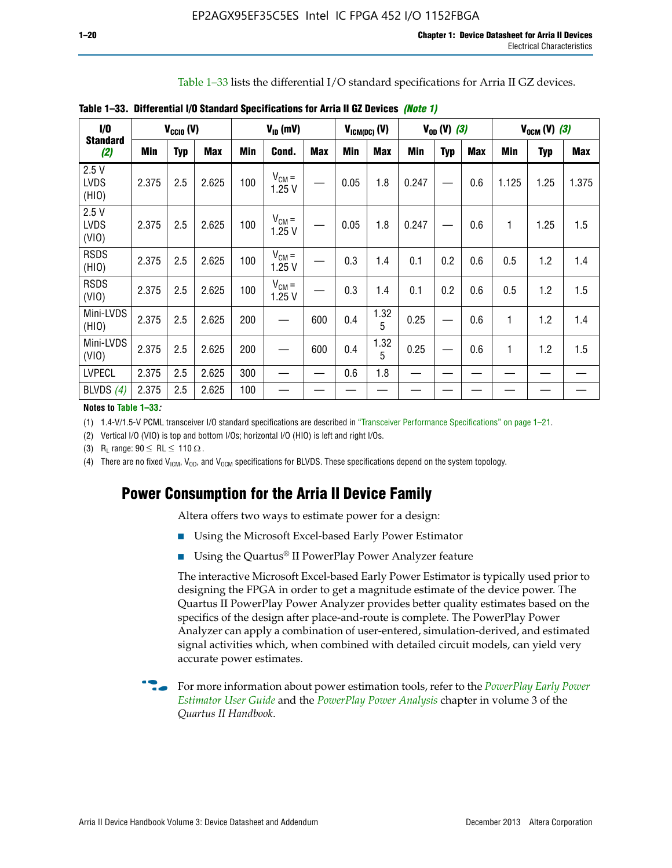Table 1–33 lists the differential I/O standard specifications for Arria II GZ devices.

| $\dot{v}$                    |       | $V_{\text{CCIO}}(V)$ |            |     | $V_{ID}$ (mV)       |            |            | $V_{ICM(DC)}(V)$ |            | $V_{OD} (V) (3)$ |            |       | $V_{OCM} (V) (3)$ |            |
|------------------------------|-------|----------------------|------------|-----|---------------------|------------|------------|------------------|------------|------------------|------------|-------|-------------------|------------|
| <b>Standard</b><br>(2)       | Min   | <b>Typ</b>           | <b>Max</b> | Min | Cond.               | <b>Max</b> | <b>Min</b> | <b>Max</b>       | <b>Min</b> | <b>Typ</b>       | <b>Max</b> | Min   | Typ               | <b>Max</b> |
| 2.5V<br><b>LVDS</b><br>(HIO) | 2.375 | 2.5                  | 2.625      | 100 | $V_{CM} =$<br>1.25V |            | 0.05       | 1.8              | 0.247      |                  | 0.6        | 1.125 | 1.25              | 1.375      |
| 2.5V<br><b>LVDS</b><br>(VIO) | 2.375 | 2.5                  | 2.625      | 100 | $V_{CM} =$<br>1.25V |            | 0.05       | 1.8              | 0.247      |                  | 0.6        | 1     | 1.25              | 1.5        |
| <b>RSDS</b><br>(HIO)         | 2.375 | 2.5                  | 2.625      | 100 | $V_{CM} =$<br>1.25V |            | 0.3        | 1.4              | 0.1        | 0.2              | 0.6        | 0.5   | 1.2               | 1.4        |
| <b>RSDS</b><br>(VIO)         | 2.375 | 2.5                  | 2.625      | 100 | $V_{CM} =$<br>1.25V |            | 0.3        | 1.4              | 0.1        | 0.2              | 0.6        | 0.5   | 1.2               | 1.5        |
| Mini-LVDS<br>(HIO)           | 2.375 | 2.5                  | 2.625      | 200 | —                   | 600        | 0.4        | 1.32<br>5        | 0.25       |                  | 0.6        | 1     | 1.2               | 1.4        |
| Mini-LVDS<br>(VIO)           | 2.375 | 2.5                  | 2.625      | 200 |                     | 600        | 0.4        | 1.32<br>5        | 0.25       |                  | 0.6        | 1     | 1.2               | 1.5        |
| <b>LVPECL</b>                | 2.375 | 2.5                  | 2.625      | 300 |                     |            | 0.6        | 1.8              |            |                  |            |       |                   |            |
| BLVDS $(4)$                  | 2.375 | 2.5                  | 2.625      | 100 |                     |            |            |                  |            |                  |            |       |                   |            |

**Table 1–33. Differential I/O Standard Specifications for Arria II GZ Devices** *(Note 1)*

#### **Notes to Table 1–33***:*

(1) 1.4-V/1.5-V PCML transceiver I/O standard specifications are described in "Transceiver Performance Specifications" on page 1–21.

(2) Vertical I/O (VIO) is top and bottom I/Os; horizontal I/O (HIO) is left and right I/Os.

(3) R<sub>l</sub> range:  $90 \leq R L \leq 110 \Omega$ .

(4) There are no fixed  $V_{IGM}$ ,  $V_{OD}$ , and  $V_{OCM}$  specifications for BLVDS. These specifications depend on the system topology.

# **Power Consumption for the Arria II Device Family**

Altera offers two ways to estimate power for a design:

- Using the Microsoft Excel-based Early Power Estimator
- Using the Quartus<sup>®</sup> II PowerPlay Power Analyzer feature

The interactive Microsoft Excel-based Early Power Estimator is typically used prior to designing the FPGA in order to get a magnitude estimate of the device power. The Quartus II PowerPlay Power Analyzer provides better quality estimates based on the specifics of the design after place-and-route is complete. The PowerPlay Power Analyzer can apply a combination of user-entered, simulation-derived, and estimated signal activities which, when combined with detailed circuit models, can yield very accurate power estimates.

f For more information about power estimation tools, refer to the *[PowerPlay Early Power](http://www.altera.com/literature/ug/ug_epe.pdf?GSA_pos=5&WT.oss_r=1&WT.oss=powerplay early power estimator)  [Estimator User Guide](http://www.altera.com/literature/ug/ug_epe.pdf?GSA_pos=5&WT.oss_r=1&WT.oss=powerplay early power estimator)* and the *[PowerPlay Power Analysis](http://www.altera.com/literature/hb/qts/qts_qii53013.pdf)* chapter in volume 3 of the *Quartus II Handbook*.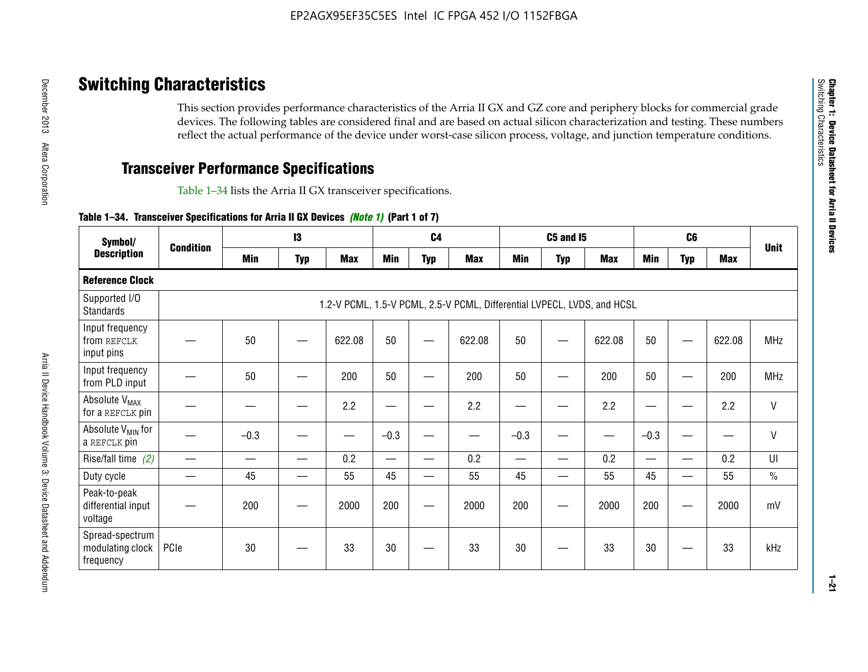# **Switching Characteristics**

This section provides performance characteristics of the Arria II GX and GZ core and periphery blocks for commercial grade devices. The following tables are considered final and are based on actual silicon characterization and testing. These numbers reflect the actual performance of the device under worst-case silicon process, voltage, and junction temperature conditions.

# **Transceiver Performance Specifications**

Table 1–34 lists the Arria II GX transceiver specifications.

### **Table 1–34. Transceiver Specifications for Arria II GX Devices** *(Note 1)* **(Part 1 of 7)**

| Symbol/                                          |                  |            | $\mathbf{13}$ |            |                          | C <sub>4</sub> |                                                                         |                          | <b>C5 and 15</b> |            |                 | C <sub>6</sub>           |            |               |
|--------------------------------------------------|------------------|------------|---------------|------------|--------------------------|----------------|-------------------------------------------------------------------------|--------------------------|------------------|------------|-----------------|--------------------------|------------|---------------|
| <b>Description</b>                               | <b>Condition</b> | <b>Min</b> | <b>Typ</b>    | <b>Max</b> | <b>Min</b>               | <b>Typ</b>     | <b>Max</b>                                                              | <b>Min</b>               | <b>Typ</b>       | <b>Max</b> | <b>Min</b>      | <b>Typ</b>               | <b>Max</b> | <b>Unit</b>   |
| <b>Reference Clock</b>                           |                  |            |               |            |                          |                |                                                                         |                          |                  |            |                 |                          |            |               |
| Supported I/O<br><b>Standards</b>                |                  |            |               |            |                          |                | 1.2-V PCML, 1.5-V PCML, 2.5-V PCML, Differential LVPECL, LVDS, and HCSL |                          |                  |            |                 |                          |            |               |
| Input frequency<br>from REFCLK<br>input pins     |                  | 50         |               | 622.08     | 50                       |                | 622.08                                                                  | 50                       |                  | 622.08     | 50              |                          | 622.08     | <b>MHz</b>    |
| Input frequency<br>from PLD input                |                  | 50         |               | 200        | 50                       |                | 200                                                                     | 50                       |                  | 200        | 50              |                          | 200        | <b>MHz</b>    |
| Absolute V <sub>MAX</sub><br>for a REFCLK pin    |                  |            |               | 2.2        | —                        |                | 2.2                                                                     | ٠                        | —                | 2.2        | —               |                          | 2.2        | $\mathsf{V}$  |
| Absolute V <sub>MIN</sub> for<br>a REFCLK pin    |                  | $-0.3$     |               |            | $-0.3$                   |                |                                                                         | $-0.3$                   |                  |            | $-0.3$          |                          | —<br>——    | $\mathsf{V}$  |
| Rise/fall time (2)                               |                  |            |               | 0.2        | $\overline{\phantom{0}}$ |                | 0.2                                                                     | $\overline{\phantom{0}}$ |                  | 0.2        | $\qquad \qquad$ |                          | 0.2        | UI            |
| Duty cycle                                       |                  | 45         |               | 55         | 45                       | —              | 55                                                                      | 45                       | —                | 55         | 45              |                          | 55         | $\frac{0}{0}$ |
| Peak-to-peak<br>differential input<br>voltage    |                  | 200        |               | 2000       | 200                      | __             | 2000                                                                    | 200                      | —                | 2000       | 200             | $\overline{\phantom{0}}$ | 2000       | mV            |
| Spread-spectrum<br>modulating clock<br>frequency | PCIe             | 30         |               | 33         | 30                       |                | 33                                                                      | 30                       |                  | 33         | 30              |                          | 33         | kHz           |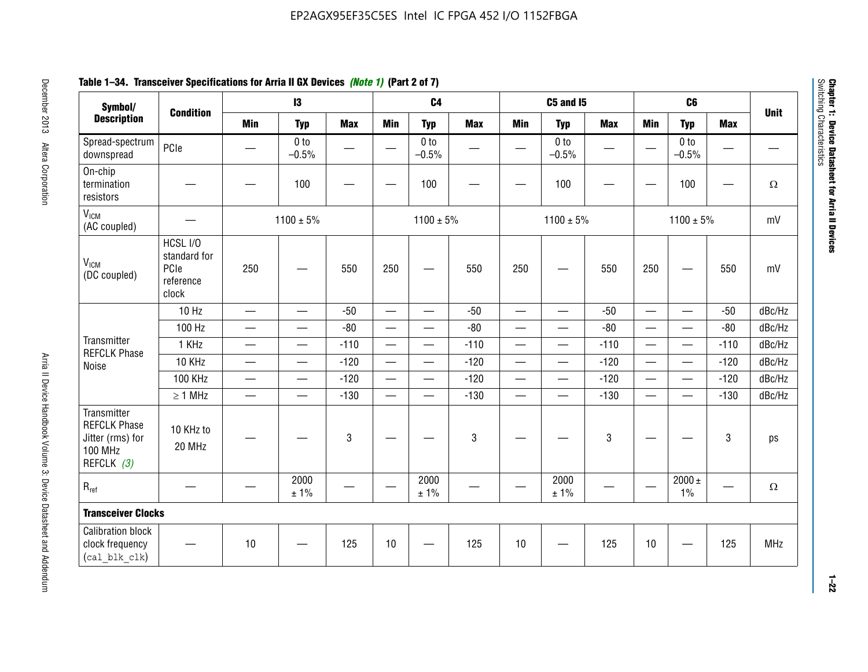# **Table 1–34. Transceiver Specifications for Arria II GX Devices** *(Note 1)* **(Part 2 of 7)**

| Symbol/                                                                                |                                                        |                               | $\mathbf{13}$              |                 |                          | C <sub>4</sub>             |            |                          | C5 and I5                  |            |                          | C <sub>6</sub>             |                          |             |
|----------------------------------------------------------------------------------------|--------------------------------------------------------|-------------------------------|----------------------------|-----------------|--------------------------|----------------------------|------------|--------------------------|----------------------------|------------|--------------------------|----------------------------|--------------------------|-------------|
| <b>Description</b>                                                                     | <b>Condition</b>                                       | <b>Min</b>                    | <b>Typ</b>                 | <b>Max</b>      | <b>Min</b>               | <b>Typ</b>                 | <b>Max</b> | <b>Min</b>               | <b>Typ</b>                 | <b>Max</b> | <b>Min</b>               | <b>Typ</b>                 | <b>Max</b>               | <b>Unit</b> |
| Spread-spectrum<br>downspread                                                          | PCIe                                                   |                               | 0 <sub>to</sub><br>$-0.5%$ | $\qquad \qquad$ |                          | 0 <sub>to</sub><br>$-0.5%$ | —          | —                        | 0 <sub>to</sub><br>$-0.5%$ |            | $\overline{\phantom{0}}$ | 0 <sub>to</sub><br>$-0.5%$ | $\qquad \qquad \qquad$   |             |
| On-chip<br>termination<br>resistors                                                    |                                                        |                               | 100                        |                 |                          | 100                        |            |                          | 100                        |            | —                        | 100                        | $\overline{\phantom{0}}$ | $\Omega$    |
| V <sub>ICM</sub><br>(AC coupled)                                                       |                                                        |                               | $1100 \pm 5\%$             |                 |                          | $1100 \pm 5\%$             |            |                          | $1100 \pm 5\%$             |            |                          | $1100 \pm 5\%$             |                          | mV          |
| V <sub>ICM</sub><br>(DC coupled)                                                       | HCSL I/O<br>standard for<br>PCIe<br>reference<br>clock | 250                           |                            | 550             | 250                      | $\hspace{0.05cm}$          | 550        | 250                      | $\hspace{0.05cm}$          | 550        | 250                      |                            | 550                      | mV          |
|                                                                                        | 10 Hz                                                  | $\overline{\phantom{0}}$      | $\overline{\phantom{0}}$   | $-50$           | $\equiv$                 |                            | $-50$      | $\overline{\phantom{0}}$ | $\equiv$                   | $-50$      | $\overline{\phantom{0}}$ |                            | $-50$                    | dBc/Hz      |
|                                                                                        | 100 Hz                                                 | $\overline{\phantom{0}}$      | $\overline{\phantom{0}}$   | $-80$           | $\overline{\phantom{0}}$ | $\overline{\phantom{0}}$   | $-80$      | $\overline{\phantom{0}}$ |                            | $-80$      | $\overline{\phantom{0}}$ | $\overline{\phantom{0}}$   | $-80$                    | dBc/Hz      |
| Transmitter<br><b>REFCLK Phase</b>                                                     | 1 KHz                                                  | $\qquad \qquad$               | $\overline{\phantom{0}}$   | $-110$          |                          | $\hspace{0.05cm}$          | $-110$     | $\overline{\phantom{0}}$ | $\hspace{0.05cm}$          | $-110$     |                          | $\overline{\phantom{0}}$   | $-110$                   | dBc/Hz      |
| Noise                                                                                  | 10 KHz                                                 | $\overbrace{\phantom{aaaaa}}$ | $\equiv$                   | $-120$          |                          |                            | $-120$     | $\overline{\phantom{0}}$ |                            | $-120$     | $\overline{\phantom{0}}$ | $\overline{\phantom{0}}$   | $-120$                   | dBc/Hz      |
|                                                                                        | <b>100 KHz</b>                                         |                               | $\overline{\phantom{0}}$   | $-120$          |                          | —                          | $-120$     | $\overline{\phantom{0}}$ | $\overline{\phantom{0}}$   | $-120$     | $\overline{\phantom{0}}$ | $\overline{\phantom{0}}$   | $-120$                   | dBc/Hz      |
|                                                                                        | $\geq 1$ MHz                                           |                               | $\qquad \qquad$            | $-130$          |                          | $\overline{\phantom{m}}$   | $-130$     | $\overline{\phantom{0}}$ | $\qquad \qquad$            | $-130$     |                          | $\overline{\phantom{0}}$   | $-130$                   | dBc/Hz      |
| Transmitter<br><b>REFCLK Phase</b><br>Jitter (rms) for<br><b>100 MHz</b><br>REFCLK (3) | 10 KHz to<br>20 MHz                                    |                               |                            | 3               |                          |                            | 3          |                          |                            | 3          |                          |                            | 3                        | ps          |
| $R_{ref}$                                                                              |                                                        |                               | 2000<br>$\pm$ 1%           |                 | $\overline{\phantom{m}}$ | 2000<br>± 1%               |            |                          | 2000<br>$\pm$ 1%           |            |                          | 2000 $\pm$<br>$1\%$        |                          | $\Omega$    |
| <b>Transceiver Clocks</b>                                                              |                                                        |                               |                            |                 |                          |                            |            |                          |                            |            |                          |                            |                          |             |
| <b>Calibration block</b><br>clock frequency<br>(cal blk clk)                           |                                                        | 10                            |                            | 125             | 10                       |                            | 125        | 10                       |                            | 125        | 10                       |                            | 125                      | <b>MHz</b>  |

December 2013 Altera Corporation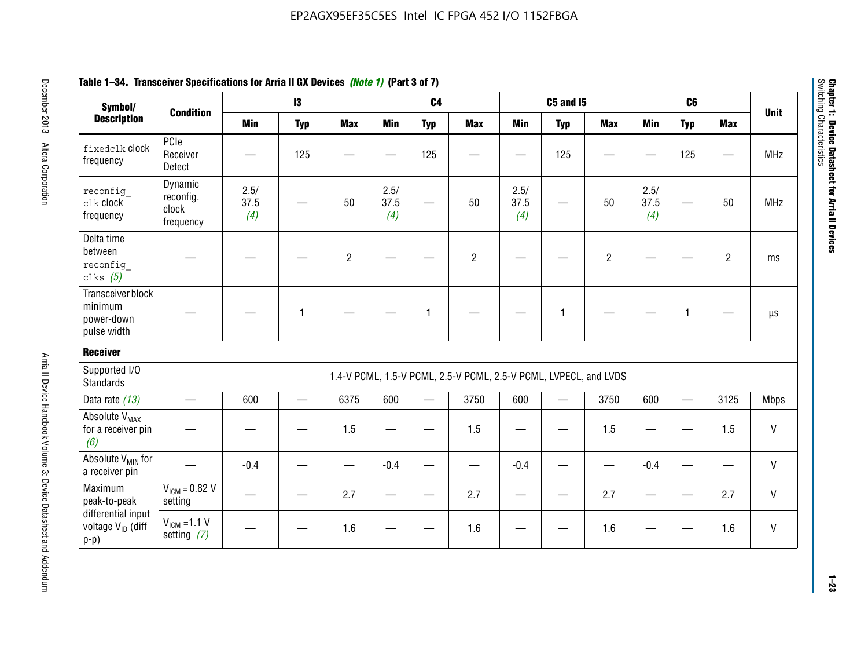| Symbol/                                                       |                                            |                     | $\mathbf{13}$            |                |                     | C <sub>4</sub> |                                                                  |                     | <b>C5 and I5</b>                 |                |                     | C <sub>6</sub>           |                | <b>Unit</b>  |
|---------------------------------------------------------------|--------------------------------------------|---------------------|--------------------------|----------------|---------------------|----------------|------------------------------------------------------------------|---------------------|----------------------------------|----------------|---------------------|--------------------------|----------------|--------------|
| <b>Description</b>                                            | <b>Condition</b>                           | <b>Min</b>          | <b>Typ</b>               | <b>Max</b>     | <b>Min</b>          | <b>Typ</b>     | <b>Max</b>                                                       | <b>Min</b>          | <b>Typ</b>                       | <b>Max</b>     | <b>Min</b>          | <b>Typ</b>               | <b>Max</b>     |              |
| fixedclk Clock<br>frequency                                   | PCIe<br>Receiver<br>Detect                 |                     | 125                      |                |                     | 125            |                                                                  |                     | 125                              |                |                     | 125                      |                | <b>MHz</b>   |
| reconfig<br>clk clock<br>frequency                            | Dynamic<br>reconfig.<br>clock<br>frequency | 2.5/<br>37.5<br>(4) |                          | 50             | 2.5/<br>37.5<br>(4) |                | 50                                                               | 2.5/<br>37.5<br>(4) | —                                | 50             | 2.5/<br>37.5<br>(4) |                          | 50             | <b>MHz</b>   |
| Delta time<br>between<br>reconfig<br>clks $(5)$               |                                            |                     |                          | $\overline{c}$ |                     |                | $\overline{2}$                                                   |                     |                                  | $\overline{2}$ |                     |                          | $\overline{2}$ | ms           |
| Transceiver block<br>minimum<br>power-down<br>pulse width     |                                            |                     | 1                        |                |                     | 1              |                                                                  |                     | $\mathbf{1}$                     |                |                     | 1                        |                | $\mu s$      |
| <b>Receiver</b>                                               |                                            |                     |                          |                |                     |                |                                                                  |                     |                                  |                |                     |                          |                |              |
| Supported I/O<br>Standards                                    |                                            |                     |                          |                |                     |                | 1.4-V PCML, 1.5-V PCML, 2.5-V PCML, 2.5-V PCML, LVPECL, and LVDS |                     |                                  |                |                     |                          |                |              |
| Data rate (13)                                                |                                            | 600                 | $\overline{\phantom{0}}$ | 6375           | 600                 |                | 3750                                                             | 600                 | $\overbrace{\phantom{12322111}}$ | 3750           | 600                 | $\overline{\phantom{0}}$ | 3125           | <b>Mbps</b>  |
| Absolute V <sub>MAX</sub><br>for a receiver pin<br>(6)        |                                            |                     |                          | 1.5            |                     |                | 1.5                                                              |                     |                                  | 1.5            |                     |                          | 1.5            | $\mathsf{V}$ |
| Absolute V <sub>MIN</sub> for<br>a receiver pin               |                                            | $-0.4$              |                          |                | $-0.4$              |                |                                                                  | $-0.4$              |                                  |                | $-0.4$              |                          |                | $\mathsf{V}$ |
| Maximum<br>peak-to-peak                                       | $VICM = 0.82 V$<br>setting                 |                     |                          | 2.7            |                     |                | 2.7                                                              |                     |                                  | 2.7            |                     |                          | 2.7            | $\mathsf{V}$ |
| differential input<br>voltage V <sub>ID</sub> (diff<br>$p-p)$ | $V_{ICM}$ =1.1 V<br>setting $(7)$          |                     |                          | 1.6            |                     |                | 1.6                                                              |                     |                                  | 1.6            |                     |                          | 1.6            | V            |

**Chapter 1: Device Datasheet for Arria II Devices**

Chapter 1: Device Datasheet for Arria II Devices<br>Switching Characteristics

Switching Characteristics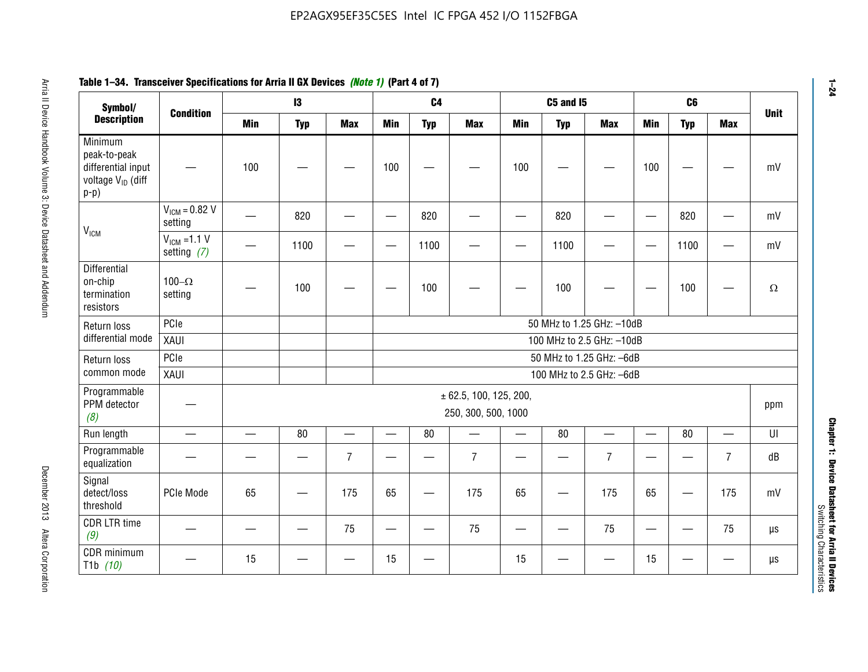| Symbol/                                                                                  | <b>Condition</b>                  |                          | 13         |                          |                          | C <sub>4</sub>           |                                               |            | <b>C5 and I5</b> |                           |                          | C6              |                | <b>Unit</b> |
|------------------------------------------------------------------------------------------|-----------------------------------|--------------------------|------------|--------------------------|--------------------------|--------------------------|-----------------------------------------------|------------|------------------|---------------------------|--------------------------|-----------------|----------------|-------------|
| <b>Description</b>                                                                       |                                   | <b>Min</b>               | <b>Typ</b> | <b>Max</b>               | <b>Min</b>               | <b>Typ</b>               | <b>Max</b>                                    | <b>Min</b> | <b>Typ</b>       | <b>Max</b>                | Min                      | <b>Typ</b>      | <b>Max</b>     |             |
| Minimum<br>peak-to-peak<br>differential input<br>voltage V <sub>ID</sub> (diff<br>$p-p)$ |                                   | 100                      |            |                          | 100                      |                          |                                               | 100        |                  |                           | 100                      |                 |                |             |
| V <sub>ICM</sub>                                                                         | $V_{IGM} = 0.82 V$<br>setting     |                          | 820        |                          |                          | 820                      |                                               |            | 820              |                           | $\overline{\phantom{0}}$ | 820             |                |             |
|                                                                                          | $V_{ICM}$ =1.1 V<br>setting $(7)$ |                          | 1100       |                          | —                        | 1100                     |                                               |            | 1100             |                           | $\overline{\phantom{m}}$ | 1100            |                |             |
| Differential<br>on-chip<br>termination<br>resistors                                      | 100 $-\Omega$<br>setting          |                          | 100        |                          |                          | 100                      |                                               |            | 100              |                           |                          | 100             |                |             |
| Return loss                                                                              | PCle                              |                          |            |                          |                          |                          |                                               |            |                  | 50 MHz to 1.25 GHz: -10dB |                          |                 |                |             |
| differential mode                                                                        | XAUI                              |                          |            |                          |                          |                          |                                               |            |                  | 100 MHz to 2.5 GHz: -10dB |                          |                 |                |             |
| Return loss                                                                              | PCIe                              |                          |            |                          |                          |                          |                                               |            |                  | 50 MHz to 1.25 GHz: -6dB  |                          |                 |                |             |
| common mode                                                                              | XAUI                              |                          |            |                          |                          |                          |                                               |            |                  | 100 MHz to 2.5 GHz: -6dB  |                          |                 |                |             |
| Programmable<br>PPM detector<br>(8)                                                      |                                   |                          |            |                          |                          |                          | ± 62.5, 100, 125, 200,<br>250, 300, 500, 1000 |            |                  |                           |                          |                 |                | ppm         |
| Run length                                                                               | $\equiv$                          | $\overline{\phantom{0}}$ | 80         | $\overline{\phantom{0}}$ | $\overline{\phantom{0}}$ | 80                       |                                               | $\equiv$   | 80               | $\overline{\phantom{0}}$  | $\qquad \qquad$          | 80              |                |             |
| Programmable<br>equalization                                                             |                                   |                          |            | $\overline{7}$           |                          |                          | $\overline{7}$                                |            |                  | $\overline{7}$            |                          |                 | $\overline{7}$ |             |
| Signal<br>detect/loss<br>threshold                                                       | PCIe Mode                         | 65                       | —          | 175                      | 65                       | $\overline{\phantom{0}}$ | 175                                           | 65         | —<br>—           | 175                       | 65                       |                 | 175            |             |
| <b>CDR LTR time</b><br>(9)                                                               |                                   |                          |            | 75                       | $\overline{\phantom{0}}$ | —                        | 75                                            | —          |                  | 75                        | $\qquad \qquad$          | $\qquad \qquad$ | 75             |             |
| CDR minimum<br>T <sub>1</sub> b $(10)$                                                   |                                   | 15                       |            |                          | 15                       |                          |                                               | 15         |                  |                           | 15                       |                 |                |             |

# **Table 1–34. Transceiver Specifications for Arria II GX Devices** *(Note 1)* **(Part 4 of 7)**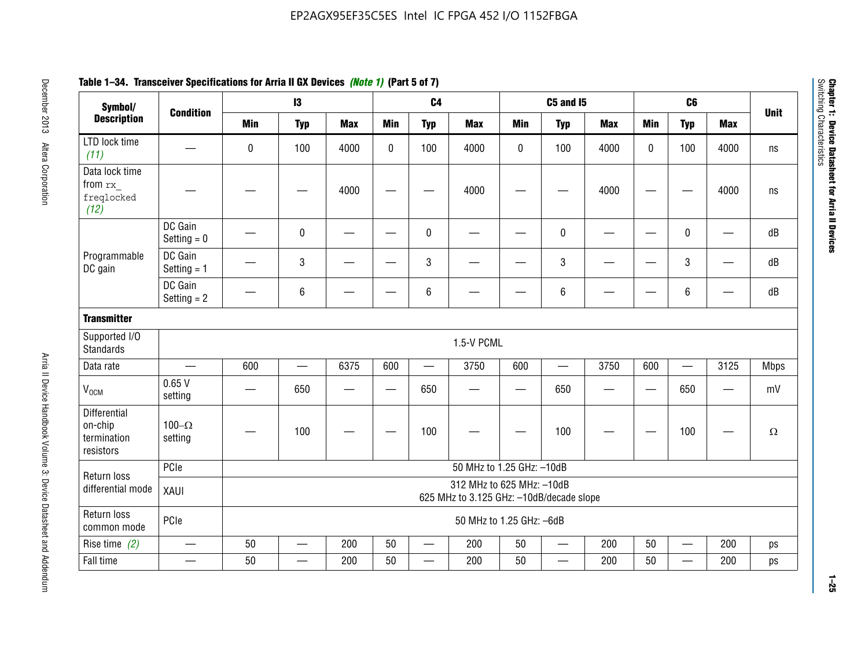| Symbol/                                             |                           |                                                                       | $\mathsf{I}3$ |            |              | C <sub>4</sub>           |                           |            | <b>C5 and 15</b>         |            |            | C <sub>6</sub>           |                          | <b>Unit</b> |
|-----------------------------------------------------|---------------------------|-----------------------------------------------------------------------|---------------|------------|--------------|--------------------------|---------------------------|------------|--------------------------|------------|------------|--------------------------|--------------------------|-------------|
| <b>Description</b>                                  | <b>Condition</b>          | <b>Min</b>                                                            | <b>Typ</b>    | <b>Max</b> | <b>Min</b>   | <b>Typ</b>               | <b>Max</b>                | <b>Min</b> | <b>Typ</b>               | <b>Max</b> | <b>Min</b> | <b>Typ</b>               | <b>Max</b>               |             |
| LTD lock time<br>(11)                               |                           | $\mathbf 0$                                                           | 100           | 4000       | $\mathbf{0}$ | 100                      | 4000                      | 0          | 100                      | 4000       | 0          | 100                      | 4000                     | ns          |
| Data lock time<br>from rx<br>freqlocked<br>(12)     |                           |                                                                       |               | 4000       |              |                          | 4000                      |            |                          | 4000       |            |                          | 4000                     | ns          |
|                                                     | DC Gain<br>Setting $= 0$  |                                                                       | $\pmb{0}$     |            |              | 0                        |                           |            | $\pmb{0}$                |            | <u>—</u>   | 0                        | $\overline{\phantom{0}}$ | dB          |
| Programmable<br>DC gain                             | DC Gain<br>Setting $= 1$  |                                                                       | $\mathbf{3}$  |            |              | 3                        |                           |            | $\mathbf{3}$             |            |            | 3                        |                          | dB          |
|                                                     | DC Gain<br>Setting $= 2$  |                                                                       | $\,6\,$       |            |              | 6                        |                           |            | $\,6\,$                  |            |            | 6                        |                          | dB          |
| <b>Transmitter</b>                                  |                           |                                                                       |               |            |              |                          |                           |            |                          |            |            |                          |                          |             |
| Supported I/O<br><b>Standards</b>                   |                           |                                                                       |               |            |              |                          | 1.5-V PCML                |            |                          |            |            |                          |                          |             |
| Data rate                                           |                           | 600                                                                   |               | 6375       | 600          |                          | 3750                      | 600        | $\qquad \qquad -$        | 3750       | 600        | $\overline{\phantom{0}}$ | 3125                     | Mbps        |
| $V_{OCM}$                                           | 0.65V<br>setting          |                                                                       | 650           |            |              | 650                      |                           |            | 650                      |            |            | 650                      | $\overline{\phantom{0}}$ | mV          |
| Differential<br>on-chip<br>termination<br>resistors | $100 - \Omega$<br>setting |                                                                       | 100           |            |              | 100                      |                           |            | 100                      |            |            | 100                      |                          | $\Omega$    |
| Return loss                                         | PCIe                      |                                                                       |               |            |              |                          | 50 MHz to 1.25 GHz: -10dB |            |                          |            |            |                          |                          |             |
| differential mode                                   | XAUI                      | 312 MHz to 625 MHz: -10dB<br>625 MHz to 3.125 GHz: -10dB/decade slope |               |            |              |                          |                           |            |                          |            |            |                          |                          |             |
| Return loss<br>common mode                          | PCIe                      |                                                                       |               |            |              |                          | 50 MHz to 1.25 GHz: -6dB  |            |                          |            |            |                          |                          |             |
| Rise time $(2)$                                     |                           | 50                                                                    |               | 200        | 50           | $\overline{\phantom{0}}$ | 200                       | 50         | —                        | 200        | 50         | $\overline{\phantom{0}}$ | 200                      | ps          |
| Fall time                                           |                           | 50                                                                    |               | 200        | 50           |                          | 200                       | 50         | $\overline{\phantom{0}}$ | 200        | 50         |                          | 200                      | ps          |

# **Table 1–34. Transceiver Specifications for Arria II GX Devices** *(Note 1)* **(Part 5 of 7)**

**1–25**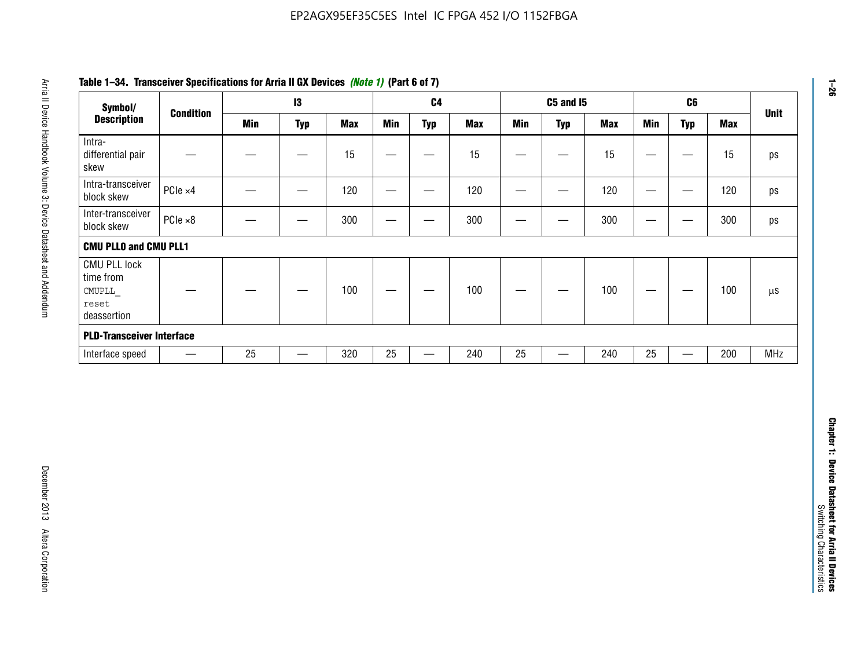| Symbol/                                                            |                  |            | 13                |            |                          | C <sub>4</sub>    |            |                   | <b>C5 and 15</b>                 |            |                                   | C6                               |            | <b>Unit</b>   |
|--------------------------------------------------------------------|------------------|------------|-------------------|------------|--------------------------|-------------------|------------|-------------------|----------------------------------|------------|-----------------------------------|----------------------------------|------------|---------------|
| <b>Description</b>                                                 | <b>Condition</b> | <b>Min</b> | <b>Typ</b>        | <b>Max</b> | <b>Min</b>               | <b>Typ</b>        | <b>Max</b> | <b>Min</b>        | <b>Typ</b>                       | <b>Max</b> | <b>Min</b>                        | <b>Typ</b>                       | <b>Max</b> |               |
| Intra-<br>differential pair<br>skew                                |                  |            |                   | 15         |                          | —                 | 15         | $\qquad \qquad$   | $\qquad \qquad$                  | 15         | $\overbrace{\phantom{123221111}}$ | $\overline{\phantom{m}}$         | 15         |               |
| Intra-transceiver<br>block skew                                    | PCIe ×4          |            | $\hspace{0.05cm}$ | 120        | $\hspace{0.05cm}$        | $\hspace{0.05cm}$ | 120        | $\hspace{0.05cm}$ | $\hspace{0.05cm}$                | 120        |                                   | $\hspace{0.05cm}$                | 120        |               |
| Inter-transceiver<br>block skew                                    | $PCle \times 8$  |            | -                 | 300        |                          | -                 | 300        |                   | -                                | 300        | —                                 | —                                | 300        |               |
| <b>CMU PLLO and CMU PLL1</b>                                       |                  |            |                   |            |                          |                   |            |                   |                                  |            |                                   |                                  |            |               |
| <b>CMU PLL lock</b><br>time from<br>CMUPLL<br>reset<br>deassertion |                  |            |                   | 100        | $\overline{\phantom{m}}$ |                   | 100        |                   |                                  | 100        |                                   | $\overbrace{\phantom{12322111}}$ | 100        | $\mu\text{S}$ |
| <b>PLD-Transceiver Interface</b>                                   |                  |            |                   |            |                          |                   |            |                   |                                  |            |                                   |                                  |            |               |
| Interface speed                                                    |                  | 25         | $\qquad \qquad -$ | 320        | 25                       | $\qquad \qquad$   | 240        | 25                | $\overbrace{\phantom{12322111}}$ | 240        | 25                                | $\overline{\phantom{0}}$         | 200        | <b>MHz</b>    |
|                                                                    |                  |            |                   |            |                          |                   |            |                   |                                  |            |                                   |                                  |            |               |
|                                                                    |                  |            |                   |            |                          |                   |            |                   |                                  |            |                                   |                                  |            |               |
|                                                                    |                  |            |                   |            |                          |                   |            |                   |                                  |            |                                   |                                  |            |               |

# **Table 1–34. Transceiver Specifications for Arria II GX Devices** *(Note 1)* **(Part 6 of 7)**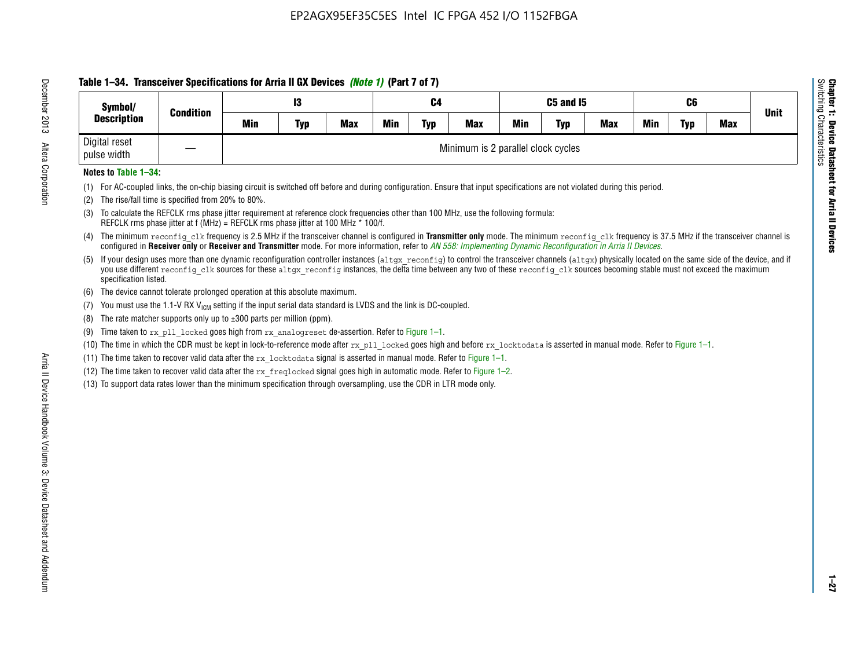# **Table 1–34. Transceiver Specifications for Arria II GX Devices** *(Note 1)* **(Part 7 of 7)**

| Symbol/<br><b>Description</b> | <b>Condition</b> |     | 13         |            |            | C4         |                                    |            | C5 and I5  |            |     | C <sub>6</sub> |            | <b>Unit</b> |
|-------------------------------|------------------|-----|------------|------------|------------|------------|------------------------------------|------------|------------|------------|-----|----------------|------------|-------------|
|                               |                  | Min | <b>Typ</b> | <b>Max</b> | <b>Min</b> | <b>Typ</b> | <b>Max</b>                         | <b>Min</b> | <b>Typ</b> | <b>Max</b> | Min | <b>Typ</b>     | <b>Max</b> |             |
| Digital reset<br>pulse width  |                  |     |            |            |            |            | Minimum is 2 parallel clock cycles |            |            |            |     |                |            |             |

### **Notes to Table 1–34:**

- (1) For AC-coupled links, the on-chip biasing circuit is switched off before and during configuration. Ensure that input specifications are not violated during this period.
- (2) The rise/fall time is specified from 20% to 80%.
- (3) To calculate the REFCLK rms phase jitter requirement at reference clock frequencies other than 100 MHz, use the following formula: REFCLK rms phase jitter at f (MHz) = REFCLK rms phase jitter at 100 MHz \* 100/f.
- (4) The minimum reconfig clk frequency is 2.5 MHz if the transceiver channel is configured in **Transmitter only** mode. The minimum reconfig clk frequency is 37.5 MHz if the transceiver channel is configured in **Receiver only** or **Receiver and Transmitter** mode. For more information, refer to *AN [558: Implementing Dynamic Reconfiguration in Arria II Devices](www.altera.com/literature/hb/arria-ii-gx/an558.pdf)*.
- (5) If your design uses more than one dynamic reconfiguration controller instances (altgx reconfig) to control the transceiver channels (altgx) physically located on the same side of the device, and if you use different reconfig clk sources for these altgx reconfig instances, the delta time between any two of these reconfig clk sources becoming stable must not exceed the maximum specification listed.
- (6) The device cannot tolerate prolonged operation at this absolute maximum.
- (7) You must use the 1.1-V RX  $V_{ICM}$  setting if the input serial data standard is LVDS and the link is DC-coupled.
- (8) The rate matcher supports only up to  $\pm 300$  parts per million (ppm).
- (9) Time taken to rx\_pll\_locked goes high from rx\_analogreset de-assertion. Refer to Figure 1–1.
- (10) The time in which the CDR must be kept in lock-to-reference mode after  $rx$  pll locked goes high and before  $rx$  locktodata is asserted in manual mode. Refer to Figure 1–1.
- (11) The time taken to recover valid data after the  $rx$  locktodata signal is asserted in manual mode. Refer to Figure 1–1.
- (12) The time taken to recover valid data after the  $rx$  freqlocked signal goes high in automatic mode. Refer to Figure 1–2.
- (13) To support data rates lower than the minimum specification through oversampling, use the CDR in LTR mode only.

**Chapter 1: Device Datasheet for Arria II Devices**

**Device Datasheet for Arria II Devices** 

Switching Characteristics

Chapter 1: Device Datas<br>Switching Characteristics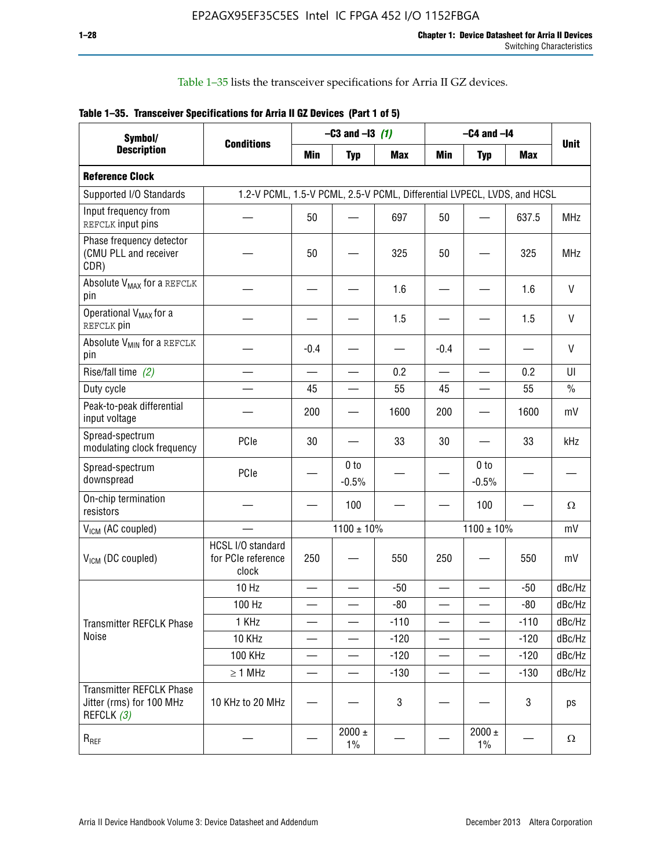Table 1–35 lists the transceiver specifications for Arria II GZ devices.

|  | Table 1-35. Transceiver Specifications for Arria II GZ Devices (Part 1 of 5) |  |
|--|------------------------------------------------------------------------------|--|
|  |                                                                              |  |

| Symbol/                                                                   |                                                                         |                          | $-C3$ and $-13$ (1)        |            |                          | $-C4$ and $-I4$            |            |             |
|---------------------------------------------------------------------------|-------------------------------------------------------------------------|--------------------------|----------------------------|------------|--------------------------|----------------------------|------------|-------------|
| <b>Description</b>                                                        | <b>Conditions</b>                                                       | Min                      | <b>Typ</b>                 | <b>Max</b> | <b>Min</b>               | <b>Typ</b>                 | <b>Max</b> | <b>Unit</b> |
| <b>Reference Clock</b>                                                    |                                                                         |                          |                            |            |                          |                            |            |             |
| Supported I/O Standards                                                   | 1.2-V PCML, 1.5-V PCML, 2.5-V PCML, Differential LVPECL, LVDS, and HCSL |                          |                            |            |                          |                            |            |             |
| Input frequency from<br>REFCLK input pins                                 |                                                                         | 50                       |                            | 697        | 50                       |                            | 637.5      | <b>MHz</b>  |
| Phase frequency detector<br>(CMU PLL and receiver<br>CDR)                 |                                                                         | 50                       |                            | 325        | 50                       |                            | 325        | <b>MHz</b>  |
| Absolute V <sub>MAX</sub> for a REFCLK<br>pin                             |                                                                         |                          |                            | 1.6        |                          |                            | 1.6        | $\vee$      |
| Operational V <sub>MAX</sub> for a<br>REFCLK pin                          |                                                                         |                          |                            | 1.5        |                          |                            | 1.5        | V           |
| Absolute V <sub>MIN</sub> for a REFCLK<br>pin                             |                                                                         | $-0.4$                   |                            |            | $-0.4$                   |                            |            | V           |
| Rise/fall time (2)                                                        |                                                                         | $\overline{\phantom{0}}$ |                            | 0.2        | $\overline{\phantom{0}}$ | $\overline{\phantom{0}}$   | 0.2        | UI          |
| Duty cycle                                                                |                                                                         | 45                       |                            | 55         | 45                       |                            | 55         | $\%$        |
| Peak-to-peak differential<br>input voltage                                |                                                                         | 200                      |                            | 1600       | 200                      |                            | 1600       | mV          |
| Spread-spectrum<br>modulating clock frequency                             | PCIe                                                                    | 30                       |                            | 33         | 30                       |                            | 33         | kHz         |
| Spread-spectrum<br>downspread                                             | PCIe                                                                    |                          | 0 <sub>to</sub><br>$-0.5%$ |            |                          | 0 <sub>to</sub><br>$-0.5%$ |            |             |
| On-chip termination<br>resistors                                          |                                                                         |                          | 100                        |            |                          | 100                        |            | Ω           |
| $V_{IGM}$ (AC coupled)                                                    |                                                                         |                          | $1100 \pm 10\%$            |            |                          | $1100 \pm 10\%$            |            | mV          |
| V <sub>ICM</sub> (DC coupled)                                             | HCSL I/O standard<br>for PCIe reference<br>clock                        | 250                      |                            | 550        | 250                      |                            | 550        | mV          |
|                                                                           | 10 Hz                                                                   | $\overline{\phantom{0}}$ |                            | $-50$      | $\sim$                   |                            | $-50$      | dBc/Hz      |
|                                                                           | 100 Hz                                                                  |                          |                            | $-80$      |                          |                            | $-80$      | dBc/Hz      |
| Transmitter REFCLK Phase                                                  | 1 KHz                                                                   |                          | $\overline{\phantom{0}}$   | $-110$     | $\overline{\phantom{0}}$ | —                          | $-110$     | dBc/Hz      |
| Noise                                                                     | 10 KHz                                                                  |                          |                            | $-120$     |                          |                            | $-120$     | dBc/Hz      |
|                                                                           | <b>100 KHz</b>                                                          |                          |                            | $-120$     | —                        |                            | $-120$     | dBc/Hz      |
|                                                                           | $\geq 1$ MHz                                                            |                          |                            | $-130$     | $\overline{\phantom{0}}$ | $\overline{\phantom{0}}$   | $-130$     | dBc/Hz      |
| <b>Transmitter REFCLK Phase</b><br>Jitter (rms) for 100 MHz<br>REFCLK (3) | 10 KHz to 20 MHz                                                        |                          |                            | 3          |                          |                            | 3          | ps          |
| $R_{REF}$                                                                 |                                                                         |                          | $2000 \pm$<br>$1\%$        |            |                          | 2000 $\pm$<br>$1\%$        |            | $\Omega$    |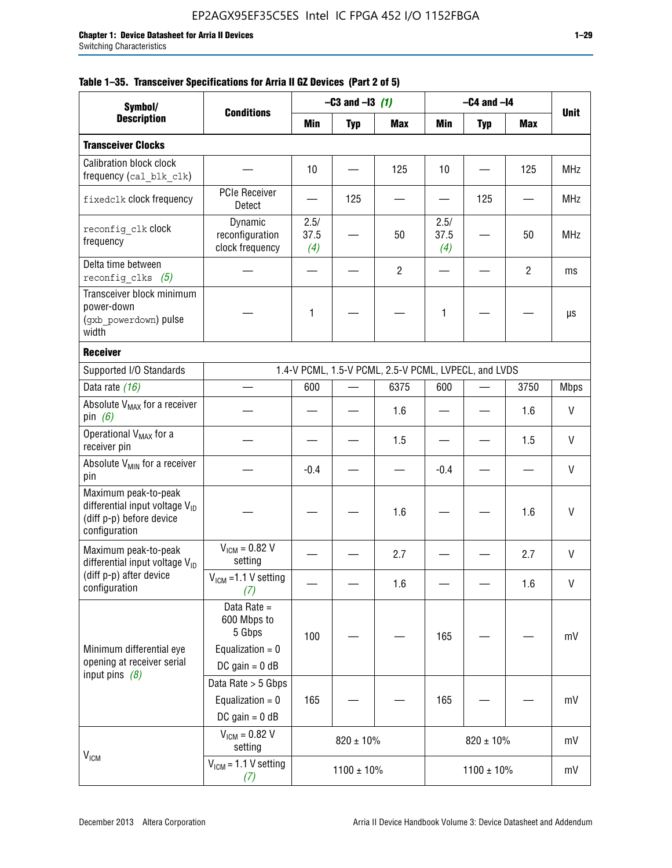|  |  | Table 1–35. Transceiver Specifications for Arria II GZ Devices (Part 2 of 5) |  |  |  |
|--|--|------------------------------------------------------------------------------|--|--|--|
|--|--|------------------------------------------------------------------------------|--|--|--|

| Symbol/                                                                                                         |                                                                                | $-C3$ and $-13$ (1) |                 |                                                      | $-C4$ and $-I4$     |                 |                |              |
|-----------------------------------------------------------------------------------------------------------------|--------------------------------------------------------------------------------|---------------------|-----------------|------------------------------------------------------|---------------------|-----------------|----------------|--------------|
| <b>Description</b>                                                                                              | <b>Conditions</b>                                                              | Min                 | <b>Typ</b>      | <b>Max</b>                                           | Min                 | <b>Typ</b>      | Max            | <b>Unit</b>  |
| <b>Transceiver Clocks</b>                                                                                       |                                                                                |                     |                 |                                                      |                     |                 |                |              |
| <b>Calibration block clock</b><br>frequency (cal_blk_clk)                                                       |                                                                                | 10                  |                 | 125                                                  | 10                  |                 | 125            | <b>MHz</b>   |
| fixedclk clock frequency                                                                                        | <b>PCIe Receiver</b><br>Detect                                                 |                     | 125             |                                                      |                     | 125             |                | <b>MHz</b>   |
| reconfig clk clock<br>frequency                                                                                 | Dynamic<br>reconfiguration<br>clock frequency                                  | 2.5/<br>37.5<br>(4) |                 | 50                                                   | 2.5/<br>37.5<br>(4) |                 | 50             | <b>MHz</b>   |
| Delta time between<br>reconfig clks $(5)$                                                                       |                                                                                |                     |                 | $\overline{2}$                                       |                     |                 | $\overline{2}$ | ms           |
| Transceiver block minimum<br>power-down<br>(gxb powerdown) pulse<br>width                                       |                                                                                | 1                   |                 |                                                      | 1                   |                 |                | μs           |
| <b>Receiver</b>                                                                                                 |                                                                                |                     |                 |                                                      |                     |                 |                |              |
| Supported I/O Standards                                                                                         |                                                                                |                     |                 | 1.4-V PCML, 1.5-V PCML, 2.5-V PCML, LVPECL, and LVDS |                     |                 |                |              |
| Data rate (16)                                                                                                  |                                                                                | 600                 |                 | 6375                                                 | 600                 |                 | 3750           | <b>Mbps</b>  |
| Absolute V <sub>MAX</sub> for a receiver<br>pin $(6)$                                                           |                                                                                |                     |                 | 1.6                                                  |                     |                 | 1.6            | V            |
| Operational V <sub>MAX</sub> for a<br>receiver pin                                                              |                                                                                |                     |                 | 1.5                                                  |                     |                 | 1.5            | V            |
| Absolute $V_{MIN}$ for a receiver<br>pin                                                                        |                                                                                | $-0.4$              |                 |                                                      | $-0.4$              |                 |                | $\mathsf{V}$ |
| Maximum peak-to-peak<br>differential input voltage $V_{\text{ID}}$<br>(diff p-p) before device<br>configuration |                                                                                |                     |                 | 1.6                                                  |                     |                 | 1.6            | V            |
| Maximum peak-to-peak<br>differential input voltage $V_{ID}$                                                     | $V_{IGM} = 0.82 V$<br>setting                                                  |                     |                 | 2.7                                                  |                     |                 | 2.7            | V            |
| (diff p-p) after device<br>configuration                                                                        | $V_{ICM}$ =1.1 V setting<br>(7)                                                |                     |                 | 1.6                                                  |                     |                 | 1.6            | V            |
| Minimum differential eye<br>opening at receiver serial                                                          | Data Rate =<br>600 Mbps to<br>5 Gbps<br>Equalization = $0$<br>DC gain = $0$ dB | 100                 |                 |                                                      | 165                 |                 |                | mV           |
| input pins $(8)$                                                                                                | Data Rate > 5 Gbps<br>Equalization = $0$<br>DC gain = $0$ dB                   | 165                 |                 |                                                      | 165                 |                 |                | mV           |
| $V_{IGM}$                                                                                                       | $V_{IGM} = 0.82 V$<br>setting                                                  |                     | $820 \pm 10\%$  |                                                      |                     | $820 \pm 10\%$  |                | mV           |
|                                                                                                                 | $V_{IGM}$ = 1.1 V setting<br>(7)                                               |                     | $1100 \pm 10\%$ |                                                      |                     | $1100 \pm 10\%$ |                | mV           |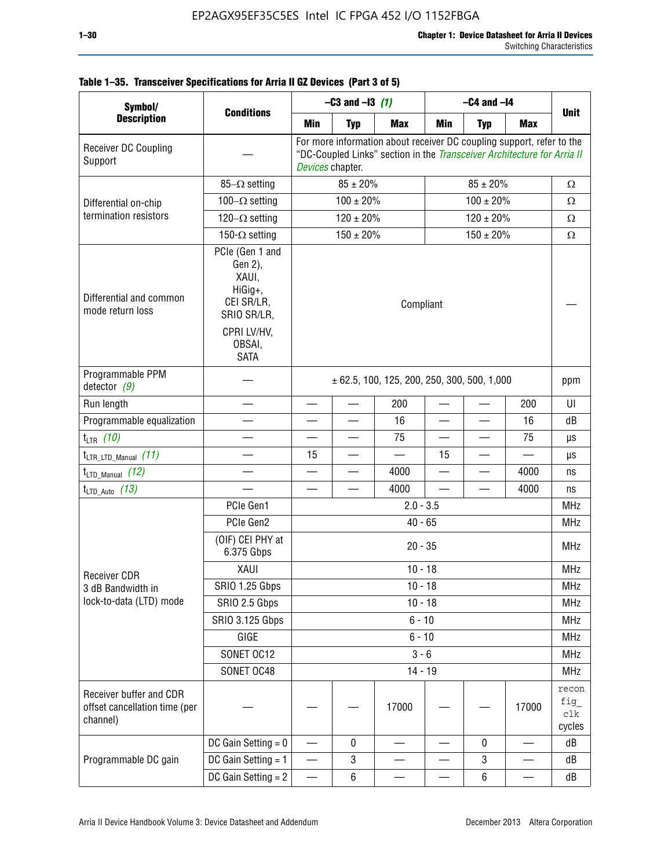| Symbol/                                                              |                                                                                                                     |                                                 | $-C3$ and $-13$ (1)                                                                                                                                                                   |            | $-C4$ and $-I4$ |                |            |                               |  |
|----------------------------------------------------------------------|---------------------------------------------------------------------------------------------------------------------|-------------------------------------------------|---------------------------------------------------------------------------------------------------------------------------------------------------------------------------------------|------------|-----------------|----------------|------------|-------------------------------|--|
| <b>Description</b>                                                   | <b>Conditions</b>                                                                                                   | Min                                             | <b>Typ</b>                                                                                                                                                                            | <b>Max</b> | Min             | <b>Typ</b>     | <b>Max</b> | <b>Unit</b>                   |  |
| Receiver DC Coupling<br>Support                                      |                                                                                                                     |                                                 | For more information about receiver DC coupling support, refer to the<br>"DC-Coupled Links" section in the Transceiver Architecture for Arria II<br>Devices chapter.<br>$85 \pm 20\%$ |            |                 |                |            |                               |  |
|                                                                      | $85-\Omega$ setting                                                                                                 |                                                 | $85 \pm 20\%$                                                                                                                                                                         |            |                 | $\Omega$       |            |                               |  |
| Differential on-chip                                                 | 100 $-\Omega$ setting                                                                                               |                                                 | $100 \pm 20\%$                                                                                                                                                                        |            |                 | Ω              |            |                               |  |
| termination resistors                                                | 120 $-\Omega$ setting                                                                                               |                                                 | $120 \pm 20\%$                                                                                                                                                                        |            |                 | $\Omega$       |            |                               |  |
|                                                                      | 150- $\Omega$ setting                                                                                               |                                                 | $150 \pm 20\%$                                                                                                                                                                        |            |                 | $150 \pm 20\%$ |            | $\Omega$                      |  |
| Differential and common<br>mode return loss                          | PCIe (Gen 1 and<br>Gen 2),<br>XAUI,<br>HiGig+,<br>CEI SR/LR,<br>SRIO SR/LR,<br>CPRI LV/HV,<br>OBSAI,<br><b>SATA</b> | Compliant                                       |                                                                                                                                                                                       |            |                 |                |            |                               |  |
| Programmable PPM<br>detector $(9)$                                   |                                                                                                                     | $\pm$ 62.5, 100, 125, 200, 250, 300, 500, 1,000 |                                                                                                                                                                                       |            |                 |                |            |                               |  |
| Run length                                                           |                                                                                                                     | —                                               |                                                                                                                                                                                       | 200        |                 |                | 200        | UI                            |  |
| Programmable equalization                                            |                                                                                                                     |                                                 |                                                                                                                                                                                       | 16         |                 |                | 16         | dB                            |  |
| $t_{LTR}$ (10)                                                       |                                                                                                                     |                                                 |                                                                                                                                                                                       | 75         |                 |                | 75         | μs                            |  |
| $t_{\text{LTR\_LTD\_Manual}}$ (11)                                   |                                                                                                                     | 15                                              |                                                                                                                                                                                       |            | 15              |                |            | μs                            |  |
| $t_{\text{LTD\_Manual}}$ (12)                                        |                                                                                                                     |                                                 |                                                                                                                                                                                       | 4000       |                 |                | 4000       | ns                            |  |
| $t_{LTD\_Auto}$ (13)                                                 |                                                                                                                     |                                                 |                                                                                                                                                                                       | 4000       |                 |                | 4000       | ns                            |  |
|                                                                      | PCIe Gen1                                                                                                           | $2.0 - 3.5$                                     |                                                                                                                                                                                       |            |                 |                |            |                               |  |
|                                                                      | PCIe Gen2                                                                                                           |                                                 |                                                                                                                                                                                       | $40 - 65$  |                 |                |            | <b>MHz</b>                    |  |
|                                                                      | (OIF) CEI PHY at<br>6.375 Gbps                                                                                      | $20 - 35$                                       |                                                                                                                                                                                       |            |                 |                |            |                               |  |
| <b>Receiver CDR</b>                                                  | XAUI                                                                                                                | $10 - 18$                                       |                                                                                                                                                                                       |            |                 |                |            |                               |  |
| 3 dB Bandwidth in                                                    | <b>SRIO 1.25 Gbps</b>                                                                                               |                                                 |                                                                                                                                                                                       | $10 - 18$  |                 |                |            | MHz                           |  |
| lock-to-data (LTD) mode                                              | SRIO 2.5 Gbps                                                                                                       | $10 - 18$                                       |                                                                                                                                                                                       |            |                 |                |            |                               |  |
|                                                                      | SRIO 3.125 Gbps                                                                                                     | $6 - 10$                                        |                                                                                                                                                                                       |            |                 |                |            |                               |  |
|                                                                      | GIGE                                                                                                                |                                                 |                                                                                                                                                                                       | $6 - 10$   |                 |                |            | <b>MHz</b>                    |  |
|                                                                      | SONET OC12                                                                                                          |                                                 |                                                                                                                                                                                       | $3 - 6$    |                 |                |            | <b>MHz</b>                    |  |
|                                                                      | SONET OC48                                                                                                          |                                                 |                                                                                                                                                                                       | $14 - 19$  |                 |                |            | <b>MHz</b>                    |  |
| Receiver buffer and CDR<br>offset cancellation time (per<br>channel) |                                                                                                                     |                                                 |                                                                                                                                                                                       | 17000      |                 |                | 17000      | recon<br>fig<br>clk<br>cycles |  |
|                                                                      | DC Gain Setting $= 0$                                                                                               |                                                 | 0                                                                                                                                                                                     |            |                 | 0              |            | dB                            |  |
| Programmable DC gain                                                 | DC Gain Setting = 1                                                                                                 | $\overline{\phantom{0}}$                        | 3                                                                                                                                                                                     |            |                 | 3              |            | dB                            |  |
|                                                                      | DC Gain Setting $= 2$                                                                                               |                                                 | $\,6\,$                                                                                                                                                                               |            |                 | $\,6\,$        |            | dB                            |  |

# **Table 1–35. Transceiver Specifications for Arria II GZ Devices (Part 3 of 5)**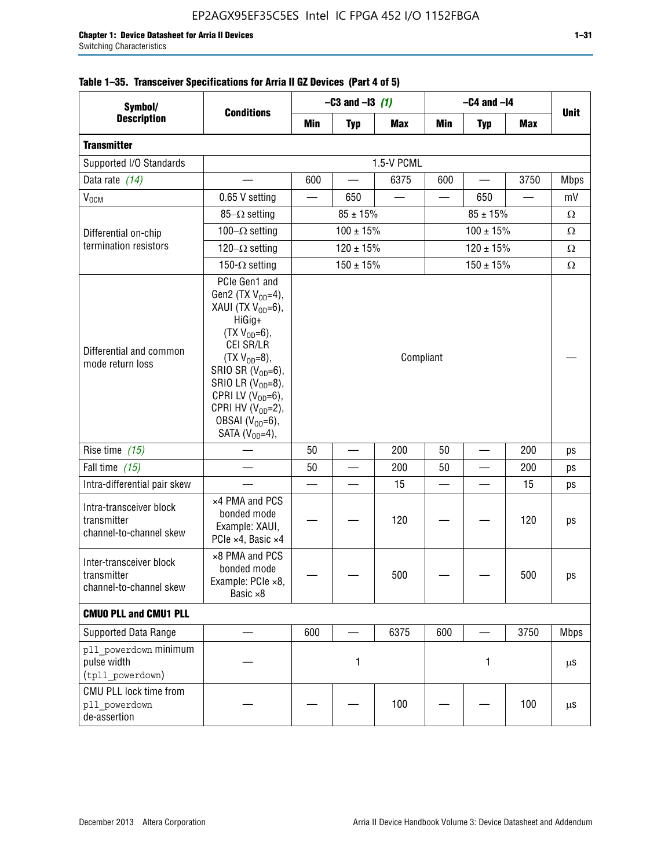| Symbol/                                                           |                                                                                                                                                                                                                                                                                              |           | $-C3$ and $-13$ (1) |            | $-C4$ and $-I4$          |                |            |             |
|-------------------------------------------------------------------|----------------------------------------------------------------------------------------------------------------------------------------------------------------------------------------------------------------------------------------------------------------------------------------------|-----------|---------------------|------------|--------------------------|----------------|------------|-------------|
| <b>Description</b>                                                | <b>Conditions</b>                                                                                                                                                                                                                                                                            | Min       | <b>Typ</b>          | <b>Max</b> | Min                      | <b>Typ</b>     | <b>Max</b> | <b>Unit</b> |
| <b>Transmitter</b>                                                |                                                                                                                                                                                                                                                                                              |           |                     |            |                          |                |            |             |
| Supported I/O Standards                                           |                                                                                                                                                                                                                                                                                              |           |                     | 1.5-V PCML |                          |                |            |             |
| Data rate (14)                                                    |                                                                                                                                                                                                                                                                                              | 600       |                     | 6375       | 600                      |                | 3750       | <b>Mbps</b> |
| V <sub>OCM</sub>                                                  | 0.65 V setting                                                                                                                                                                                                                                                                               |           | 650                 |            |                          | 650            |            | mV          |
|                                                                   | 85- $\Omega$ setting                                                                                                                                                                                                                                                                         |           | $85 \pm 15\%$       |            |                          | Ω              |            |             |
| Differential on-chip                                              | 100 $-\Omega$ setting                                                                                                                                                                                                                                                                        |           | $100 \pm 15\%$      |            |                          | Ω              |            |             |
| termination resistors                                             | 120 $-\Omega$ setting                                                                                                                                                                                                                                                                        |           | $120 \pm 15%$       |            |                          | Ω              |            |             |
|                                                                   | 150- $\Omega$ setting                                                                                                                                                                                                                                                                        |           | $150 \pm 15\%$      |            |                          | $150 \pm 15\%$ |            | Ω           |
| Differential and common<br>mode return loss                       | PCIe Gen1 and<br>Gen2 (TX $V_{OD} = 4$ ),<br>XAUI (TX $V_{OD} = 6$ ),<br>HiGig+<br>$(TX V_{OD} = 6)$ ,<br>CEI SR/LR<br>$(TX V_{OD} = 8),$<br>SRIO SR $(V_{OD}=6)$ ,<br>SRIO LR $(V_{OD} = 8)$ ,<br>CPRI LV $(V_{OD}=6)$ ,<br>CPRI HV $(V_{OD}=2)$ ,<br>OBSAI $(VOD=6)$ ,<br>SATA $(VOD=4)$ , | Compliant |                     |            |                          |                |            |             |
| Rise time (15)                                                    |                                                                                                                                                                                                                                                                                              | 50        |                     | 200        | 50                       |                | 200        | ps          |
| Fall time $(15)$                                                  |                                                                                                                                                                                                                                                                                              | 50        |                     | 200        | 50                       |                | 200        | ps          |
| Intra-differential pair skew                                      |                                                                                                                                                                                                                                                                                              |           |                     | 15         | $\overline{\phantom{a}}$ |                | 15         | ps          |
| Intra-transceiver block<br>transmitter<br>channel-to-channel skew | x4 PMA and PCS<br>bonded mode<br>Example: XAUI,<br>PCIe ×4, Basic ×4                                                                                                                                                                                                                         |           |                     | 120        |                          |                | 120        | ps          |
| Inter-transceiver block<br>transmitter<br>channel-to-channel skew | ×8 PMA and PCS<br>bonded mode<br>Example: PCle ×8,<br>Basic ×8                                                                                                                                                                                                                               |           |                     | 500        |                          |                | 500        | ps          |
| <b>CMUO PLL and CMU1 PLL</b>                                      |                                                                                                                                                                                                                                                                                              |           |                     |            |                          |                |            |             |
| Supported Data Range                                              |                                                                                                                                                                                                                                                                                              | 600       |                     | 6375       | 600                      |                | 3750       | <b>Mbps</b> |
| pll powerdown minimum<br>pulse width<br>(tpll_powerdown)          |                                                                                                                                                                                                                                                                                              |           | 1                   |            |                          | 1              |            | μS          |
| CMU PLL lock time from<br>pll powerdown<br>de-assertion           |                                                                                                                                                                                                                                                                                              |           |                     | 100        |                          |                | 100        | μS          |

# **Table 1–35. Transceiver Specifications for Arria II GZ Devices (Part 4 of 5)**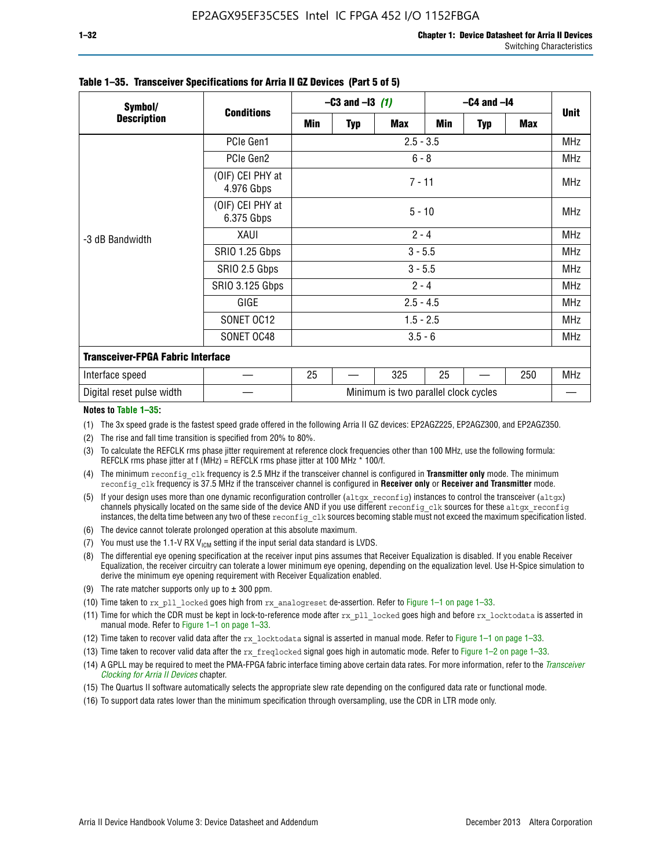| Symbol/                                  |                                | $-C3$ and $-13$ (1) |             |                                      | $-C4$ and $-I4$ |            |     |             |  |
|------------------------------------------|--------------------------------|---------------------|-------------|--------------------------------------|-----------------|------------|-----|-------------|--|
| <b>Description</b>                       | <b>Conditions</b>              | Min                 | Typ         | <b>Max</b>                           | Min             | <b>Typ</b> | Max | <b>Unit</b> |  |
|                                          | PCIe Gen1                      |                     | $2.5 - 3.5$ |                                      |                 |            |     |             |  |
|                                          | PCIe Gen2                      | $6 - 8$             |             |                                      |                 |            |     |             |  |
| -3 dB Bandwidth                          | (OIF) CEI PHY at<br>4.976 Gbps | $7 - 11$            |             |                                      |                 |            |     |             |  |
|                                          | (OIF) CEI PHY at<br>6.375 Gbps | $5 - 10$            |             |                                      |                 |            |     |             |  |
|                                          | XAUI                           | $2 - 4$             |             |                                      |                 |            |     |             |  |
|                                          | SRIO 1.25 Gbps                 | $3 - 5.5$           |             |                                      |                 |            |     |             |  |
|                                          | SRIO 2.5 Gbps                  | $3 - 5.5$           |             |                                      |                 |            |     |             |  |
|                                          | <b>SRIO 3.125 Gbps</b>         | $2 - 4$             |             |                                      |                 |            |     |             |  |
|                                          | GIGE                           | $2.5 - 4.5$         |             |                                      |                 |            |     |             |  |
|                                          | SONET OC12                     | $1.5 - 2.5$         |             |                                      |                 |            |     |             |  |
|                                          | SONET OC48                     | $3.5 - 6$           |             |                                      |                 |            |     |             |  |
| <b>Transceiver-FPGA Fabric Interface</b> |                                |                     |             |                                      |                 |            |     |             |  |
| Interface speed                          |                                | 25                  |             | 325                                  | 25              |            | 250 | MHz         |  |
| Digital reset pulse width                |                                |                     |             | Minimum is two parallel clock cycles |                 |            |     |             |  |

#### **Table 1–35. Transceiver Specifications for Arria II GZ Devices (Part 5 of 5)**

#### **Notes to Table 1–35:**

(1) The 3x speed grade is the fastest speed grade offered in the following Arria II GZ devices: EP2AGZ225, EP2AGZ300, and EP2AGZ350.

- (2) The rise and fall time transition is specified from 20% to 80%.
- (3) To calculate the REFCLK rms phase jitter requirement at reference clock frequencies other than 100 MHz, use the following formula: REFCLK rms phase jitter at f (MHz) = REFCLK rms phase jitter at 100 MHz  $*$  100/f.
- (4) The minimum reconfig clk frequency is 2.5 MHz if the transceiver channel is configured in **Transmitter only** mode. The minimum reconfig clk frequency is 37.5 MHz if the transceiver channel is configured in **Receiver only** or **Receiver and Transmitter** mode.
- (5) If your design uses more than one dynamic reconfiguration controller ( $\text{altgx\_reconfig}$ ) instances to control the transceiver ( $\text{altgx}$ ) channels physically located on the same side of the device AND if you use different reconfig clk sources for these altgx reconfig instances, the delta time between any two of these reconfig clk sources becoming stable must not exceed the maximum specification listed.
- (6) The device cannot tolerate prolonged operation at this absolute maximum.
- (7) You must use the 1.1-V RX  $V_{ICM}$  setting if the input serial data standard is LVDS.
- (8) The differential eye opening specification at the receiver input pins assumes that Receiver Equalization is disabled. If you enable Receiver Equalization, the receiver circuitry can tolerate a lower minimum eye opening, depending on the equalization level. Use H-Spice simulation to derive the minimum eye opening requirement with Receiver Equalization enabled.
- (9) The rate matcher supports only up to  $\pm$  300 ppm.
- (10) Time taken to rx\_pll\_locked goes high from rx\_analogreset de-assertion. Refer to Figure 1–1 on page 1–33.
- (11) Time for which the CDR must be kept in lock-to-reference mode after rx pll\_locked goes high and before rx\_locktodata is asserted in manual mode. Refer to Figure 1–1 on page 1–33.
- (12) Time taken to recover valid data after the rx locktodata signal is asserted in manual mode. Refer to Figure 1–1 on page 1–33.
- (13) Time taken to recover valid data after the rx\_freqlocked signal goes high in automatic mode. Refer to Figure 1–2 on page 1–33.
- (14) A GPLL may be required to meet the PMA-FPGA fabric interface timing above certain data rates. For more information, refer to the *[Transceiver](http://www.altera.com/literature/hb/arria-ii-gx/aiigx_52002.pdf)  [Clocking for Arria II Devices](http://www.altera.com/literature/hb/arria-ii-gx/aiigx_52002.pdf)* chapter.
- (15) The Quartus II software automatically selects the appropriate slew rate depending on the configured data rate or functional mode.
- (16) To support data rates lower than the minimum specification through oversampling, use the CDR in LTR mode only.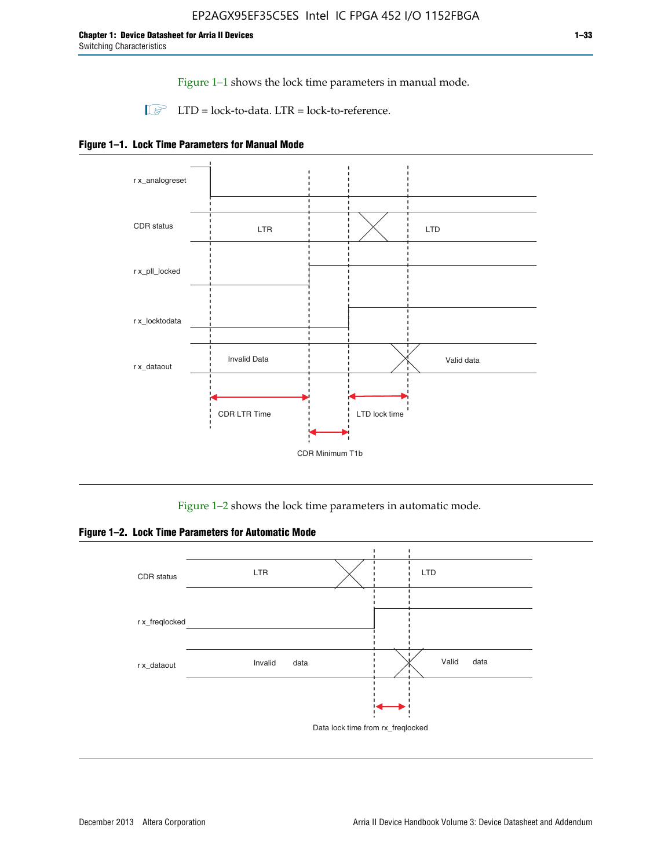Figure 1–1 shows the lock time parameters in manual mode.

 $\Box$  LTD = lock-to-data. LTR = lock-to-reference.





Figure 1–2 shows the lock time parameters in automatic mode.

**Figure 1–2. Lock Time Parameters for Automatic Mode**

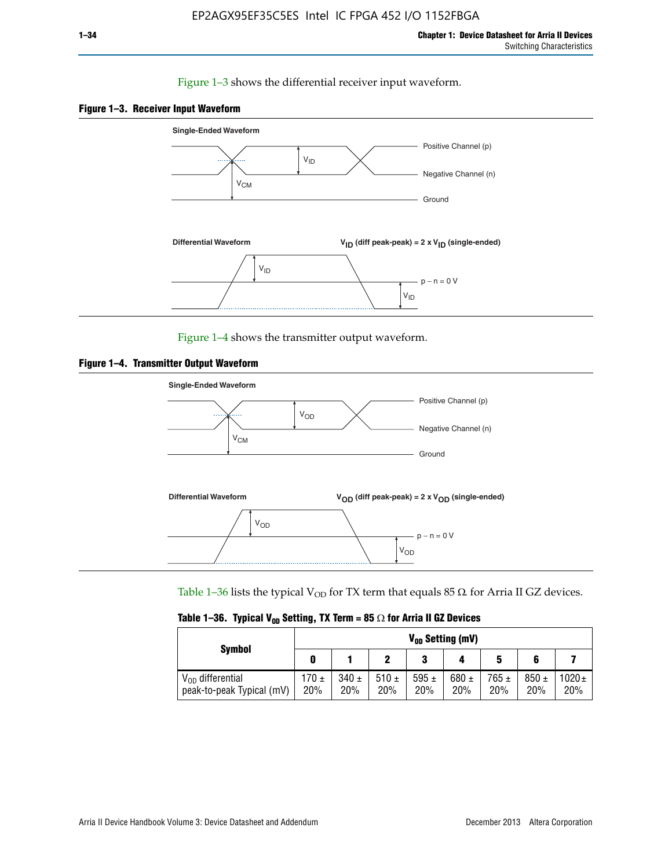### Figure 1–3 shows the differential receiver input waveform.





Figure 1–4 shows the transmitter output waveform.





Table 1–36 lists the typical V<sub>OD</sub> for TX term that equals 85  $\Omega$  for Arria II GZ devices.

|                                                    |              |                  |             | $V_{0D}$ Setting (mV) |                  |                  |                  |                 |
|----------------------------------------------------|--------------|------------------|-------------|-----------------------|------------------|------------------|------------------|-----------------|
| <b>Symbol</b>                                      |              |                  |             | າ<br>J                |                  | 5                |                  |                 |
| $V_{OD}$ differential<br>peak-to-peak Typical (mV) | 170 ±<br>20% | $340 \pm$<br>20% | 510±<br>20% | 595 $\pm$<br>20%      | 680 $\pm$<br>20% | $765 \pm$<br>20% | $850 \pm$<br>20% | $1020 +$<br>20% |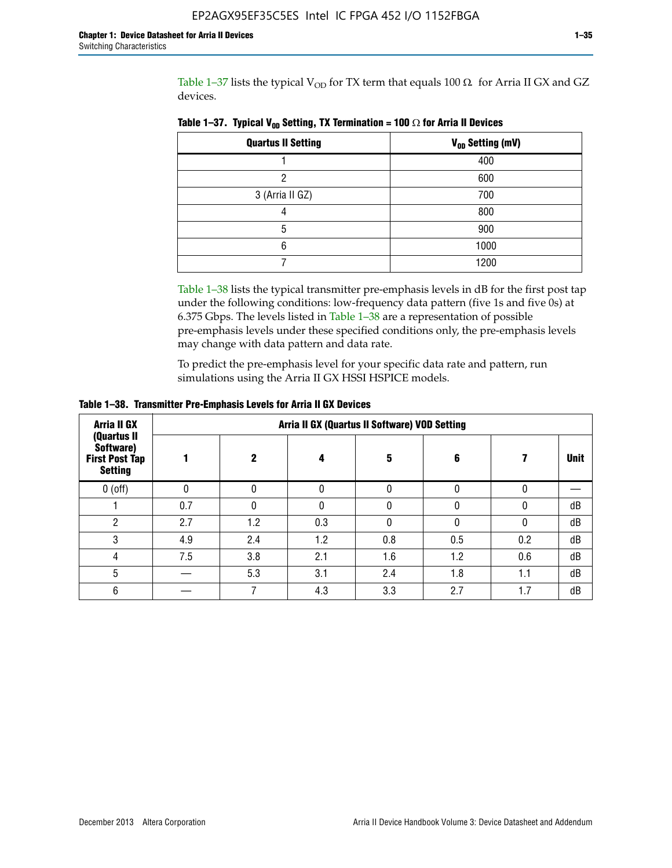Table 1–37 lists the typical  $V_{OD}$  for TX term that equals 100  $\Omega$  for Arria II GX and GZ devices.

| <b>Quartus II Setting</b> | V <sub>OD</sub> Setting (mV) |
|---------------------------|------------------------------|
|                           | 400                          |
| າ                         | 600                          |
| 3 (Arria II GZ)           | 700                          |
|                           | 800                          |
| 5                         | 900                          |
| 6                         | 1000                         |
|                           | 1200                         |

**Table 1–37. Typical V<sub>OD</sub> Setting, TX Termination = 100**  $\Omega$  for Arria II Devices

Table 1–38 lists the typical transmitter pre-emphasis levels in dB for the first post tap under the following conditions: low-frequency data pattern (five 1s and five 0s) at 6.375 Gbps. The levels listed in Table 1–38 are a representation of possible pre-emphasis levels under these specified conditions only, the pre-emphasis levels may change with data pattern and data rate.

To predict the pre-emphasis level for your specific data rate and pattern, run simulations using the Arria II GX HSSI HSPICE models.

| Arria II GX                                                         | Arria II GX (Quartus II Software) VOD Setting |             |     |     |     |          |             |  |  |
|---------------------------------------------------------------------|-----------------------------------------------|-------------|-----|-----|-----|----------|-------------|--|--|
| (Quartus II<br>Software)<br><b>First Post Tap</b><br><b>Setting</b> |                                               | $\mathbf 2$ | 4   | 5   | 6   |          | <b>Unit</b> |  |  |
| $0$ (off)                                                           | 0                                             |             |     |     |     |          |             |  |  |
|                                                                     | 0.7                                           | N           |     |     |     | $\Omega$ | dB          |  |  |
| 2                                                                   | 2.7                                           | 1.2         | 0.3 |     |     | 0        | dB          |  |  |
| 3                                                                   | 4.9                                           | 2.4         | 1.2 | 0.8 | 0.5 | 0.2      | dB          |  |  |
| 4                                                                   | 7.5                                           | 3.8         | 2.1 | 1.6 | 1.2 | 0.6      | dB          |  |  |
| 5                                                                   |                                               | 5.3         | 3.1 | 2.4 | 1.8 | 1.1      | dB          |  |  |
| 6                                                                   |                                               |             | 4.3 | 3.3 | 2.7 | 1.7      | dB          |  |  |

**Table 1–38. Transmitter Pre-Emphasis Levels for Arria II GX Devices**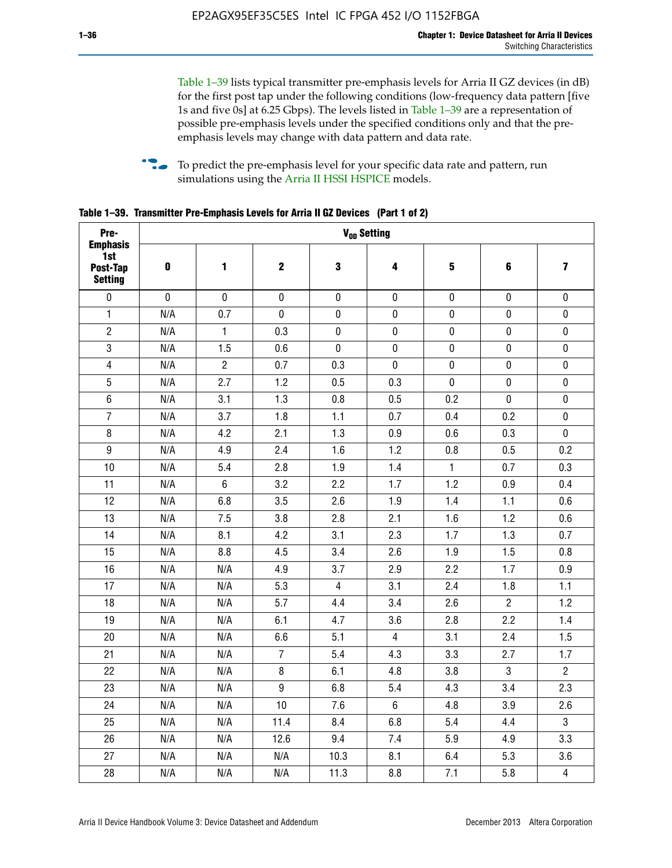Table 1–39 lists typical transmitter pre-emphasis levels for Arria II GZ devices (in dB) for the first post tap under the following conditions (low-frequency data pattern [five 1s and five 0s] at 6.25 Gbps). The levels listed in Table 1–39 are a representation of possible pre-emphasis levels under the specified conditions only and that the preemphasis levels may change with data pattern and data rate.

**follow** To predict the pre-emphasis level for your specific data rate and pattern, run simulations using the [Arria II HSSI HSPICE](http://www.altera.com/support/software/download/hspice/hsp-index.html) models.

| Pre-                                                 |           |                |                  |                | V <sub>op</sub> Setting |              |                |                         |
|------------------------------------------------------|-----------|----------------|------------------|----------------|-------------------------|--------------|----------------|-------------------------|
| <b>Emphasis</b><br>1st<br>Post-Tap<br><b>Setting</b> | $\pmb{0}$ | 1              | $\boldsymbol{2}$ | $\bf{3}$       | 4                       | 5            | 6              | $\overline{\mathbf{z}}$ |
| $\pmb{0}$                                            | $\pmb{0}$ | $\pmb{0}$      | $\pmb{0}$        | $\pmb{0}$      | $\pmb{0}$               | $\pmb{0}$    | $\pmb{0}$      | $\pmb{0}$               |
| $\mathbf{1}$                                         | N/A       | 0.7            | $\pmb{0}$        | $\pmb{0}$      | $\pmb{0}$               | $\pmb{0}$    | 0              | $\pmb{0}$               |
| $\overline{2}$                                       | N/A       | $\mathbf{1}$   | 0.3              | $\pmb{0}$      | $\pmb{0}$               | $\pmb{0}$    | $\pmb{0}$      | $\pmb{0}$               |
| $\sqrt{3}$                                           | N/A       | 1.5            | 0.6              | $\pmb{0}$      | $\pmb{0}$               | $\pmb{0}$    | $\pmb{0}$      | $\pmb{0}$               |
| $\overline{4}$                                       | N/A       | $\overline{2}$ | 0.7              | 0.3            | $\mathbf 0$             | $\pmb{0}$    | $\pmb{0}$      | $\pmb{0}$               |
| $\overline{5}$                                       | N/A       | 2.7            | 1.2              | 0.5            | 0.3                     | $\pmb{0}$    | $\pmb{0}$      | $\pmb{0}$               |
| $\,6\,$                                              | N/A       | 3.1            | 1.3              | 0.8            | 0.5                     | 0.2          | $\mathbf 0$    | $\pmb{0}$               |
| $\overline{7}$                                       | N/A       | 3.7            | 1.8              | 1.1            | 0.7                     | 0.4          | 0.2            | $\pmb{0}$               |
| 8                                                    | N/A       | 4.2            | 2.1              | 1.3            | 0.9                     | 0.6          | 0.3            | $\pmb{0}$               |
| $\boldsymbol{9}$                                     | N/A       | 4.9            | 2.4              | 1.6            | 1.2                     | 0.8          | 0.5            | 0.2                     |
| 10                                                   | N/A       | 5.4            | 2.8              | 1.9            | 1.4                     | $\mathbf{1}$ | 0.7            | 0.3                     |
| 11                                                   | N/A       | $\,6\,$        | 3.2              | 2.2            | 1.7                     | 1.2          | 0.9            | 0.4                     |
| 12                                                   | N/A       | 6.8            | 3.5              | 2.6            | 1.9                     | 1.4          | 1.1            | 0.6                     |
| 13                                                   | N/A       | 7.5            | 3.8              | 2.8            | 2.1                     | 1.6          | 1.2            | 0.6                     |
| 14                                                   | N/A       | 8.1            | 4.2              | 3.1            | 2.3                     | 1.7          | 1.3            | 0.7                     |
| 15                                                   | N/A       | 8.8            | 4.5              | 3.4            | 2.6                     | 1.9          | 1.5            | 0.8                     |
| 16                                                   | N/A       | N/A            | 4.9              | 3.7            | 2.9                     | 2.2          | 1.7            | 0.9                     |
| 17                                                   | N/A       | N/A            | 5.3              | $\overline{4}$ | 3.1                     | 2.4          | 1.8            | 1.1                     |
| 18                                                   | N/A       | N/A            | 5.7              | 4.4            | 3.4                     | 2.6          | $\overline{c}$ | 1.2                     |
| 19                                                   | N/A       | N/A            | 6.1              | 4.7            | 3.6                     | 2.8          | 2.2            | 1.4                     |
| 20                                                   | N/A       | N/A            | 6.6              | 5.1            | $\overline{4}$          | 3.1          | 2.4            | 1.5                     |
| 21                                                   | N/A       | N/A            | $\overline{7}$   | 5.4            | 4.3                     | 3.3          | 2.7            | 1.7                     |
| 22                                                   | N/A       | N/A            | 8                | 6.1            | 4.8                     | 3.8          | 3              | $\overline{2}$          |
| 23                                                   | N/A       | N/A            | $\boldsymbol{9}$ | 6.8            | 5.4                     | 4.3          | 3.4            | 2.3                     |
| 24                                                   | N/A       | N/A            | 10               | 7.6            | $\,6\,$                 | 4.8          | 3.9            | 2.6                     |
| 25                                                   | N/A       | N/A            | 11.4             | 8.4            | 6.8                     | 5.4          | 4.4            | $\overline{3}$          |
| 26                                                   | N/A       | N/A            | 12.6             | 9.4            | 7.4                     | 5.9          | 4.9            | 3.3                     |
| 27                                                   | N/A       | N/A            | N/A              | 10.3           | 8.1                     | 6.4          | 5.3            | 3.6                     |
| 28                                                   | N/A       | N/A            | N/A              | 11.3           | 8.8                     | 7.1          | 5.8            | $\overline{4}$          |

**Table 1–39. Transmitter Pre-Emphasis Levels for Arria II GZ Devices (Part 1 of 2)**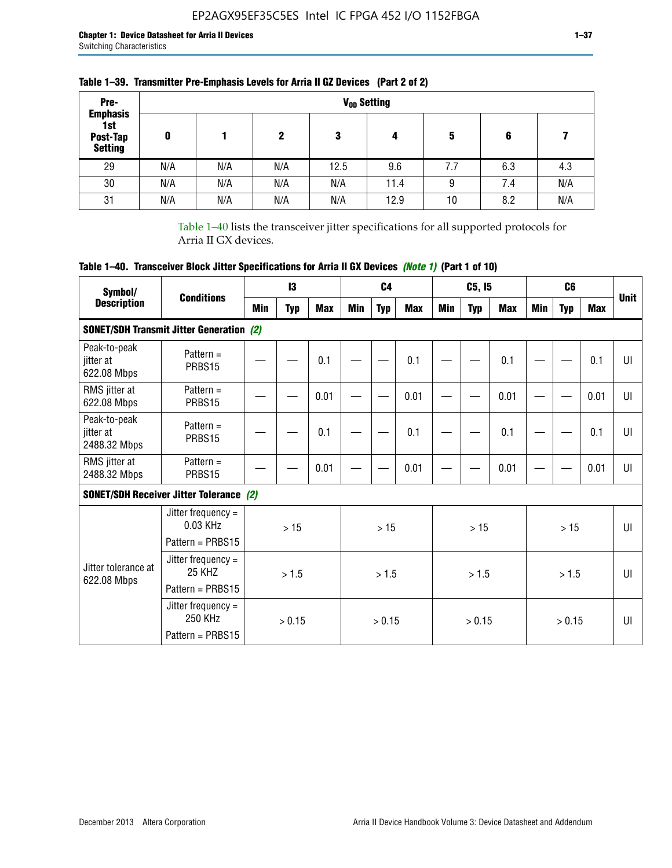| Pre-<br><b>Emphasis</b>           |     |     |     |      | V <sub>op</sub> Setting |     |     |     |
|-----------------------------------|-----|-----|-----|------|-------------------------|-----|-----|-----|
| 1st<br>Post-Tap<br><b>Setting</b> | 0   |     | 2   | 3    | 4                       | 5   | 6   |     |
| 29                                | N/A | N/A | N/A | 12.5 | 9.6                     | 7.7 | 6.3 | 4.3 |
| 30                                | N/A | N/A | N/A | N/A  | 11.4                    | 9   | 7.4 | N/A |
| 31                                | N/A | N/A | N/A | N/A  | 12.9                    | 10  | 8.2 | N/A |

## **Table 1–39. Transmitter Pre-Emphasis Levels for Arria II GZ Devices (Part 2 of 2)**

Table 1–40 lists the transceiver jitter specifications for all supported protocols for Arria II GX devices.

# **Table 1–40. Transceiver Block Jitter Specifications for Arria II GX Devices** *(Note 1)* **(Part 1 of 10)**

| Symbol/                                   | <b>Conditions</b>                                              |     | $\mathbf{13}$ |            |            | C <sub>4</sub> |            |     | C5, I5     |      |            | C <sub>6</sub> |            | <b>Unit</b>  |
|-------------------------------------------|----------------------------------------------------------------|-----|---------------|------------|------------|----------------|------------|-----|------------|------|------------|----------------|------------|--------------|
| <b>Description</b>                        |                                                                | Min | <b>Typ</b>    | <b>Max</b> | <b>Min</b> | <b>Typ</b>     | <b>Max</b> | Min | <b>Typ</b> | Max  | <b>Min</b> | <b>Typ</b>     | <b>Max</b> |              |
|                                           | <b>SONET/SDH Transmit Jitter Generation (2)</b>                |     |               |            |            |                |            |     |            |      |            |                |            |              |
| Peak-to-peak<br>jitter at<br>622.08 Mbps  | Pattern $=$<br>PRBS15                                          |     |               | 0.1        |            |                | 0.1        |     |            | 0.1  |            |                | 0.1        | UI           |
| RMS jitter at<br>622.08 Mbps              | Pattern $=$<br>PRBS15                                          |     |               | 0.01       |            |                | 0.01       |     |            | 0.01 |            |                | 0.01       | UI           |
| Peak-to-peak<br>iitter at<br>2488.32 Mbps | Pattern $=$<br>PRBS15                                          |     |               | 0.1        |            |                | 0.1        |     |            | 0.1  |            |                | 0.1        | U            |
| RMS jitter at<br>2488.32 Mbps             | Pattern $=$<br>PRBS15                                          |     |               | 0.01       |            |                | 0.01       |     |            | 0.01 |            |                | 0.01       | UI           |
|                                           | <b>SONET/SDH Receiver Jitter Tolerance (2)</b>                 |     |               |            |            |                |            |     |            |      |            |                |            |              |
|                                           | Jitter frequency $=$<br>$0.03$ KHz<br>Pattern = PRBS15         |     | >15           |            |            | >15            |            |     | >15        |      |            | >15            |            | $\mathbf{U}$ |
| Jitter tolerance at<br>622.08 Mbps        | Jitter frequency $=$<br>25 KH <sub>7</sub><br>Pattern = PRBS15 |     | > 1.5         |            |            | > 1.5          |            |     | > 1.5      |      |            | > 1.5          |            | $\mathbf{U}$ |
|                                           | Jitter frequency $=$<br>250 KHz<br>Pattern = PRBS15            |     | > 0.15        |            |            | > 0.15         |            |     | > 0.15     |      |            | > 0.15         |            | UI           |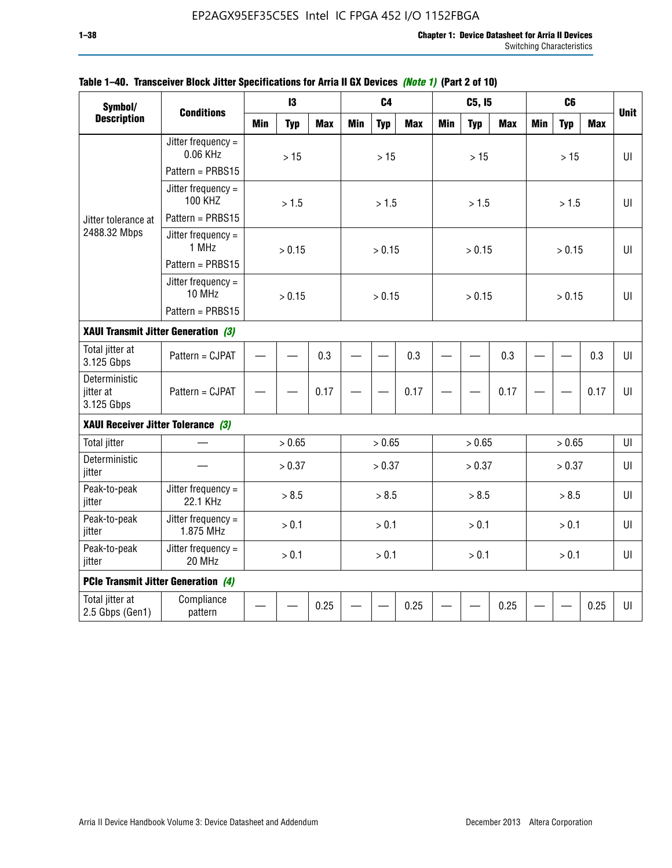| Symbol/<br><b>Description</b>              |                                        |            | 13         |            |            | C <sub>4</sub> |            |            | C5, I5     |            |            | C <sub>6</sub> |            |              |
|--------------------------------------------|----------------------------------------|------------|------------|------------|------------|----------------|------------|------------|------------|------------|------------|----------------|------------|--------------|
|                                            | <b>Conditions</b>                      | <b>Min</b> | <b>Typ</b> | <b>Max</b> | <b>Min</b> | <b>Typ</b>     | <b>Max</b> | <b>Min</b> | <b>Typ</b> | <b>Max</b> | <b>Min</b> | <b>Typ</b>     | <b>Max</b> | <b>Unit</b>  |
|                                            | Jitter frequency $=$<br>0.06 KHz       |            | $>15$      |            |            | $>15$          |            |            | $>15$      |            |            | $>15$          |            | $U\Gamma$    |
|                                            | Pattern = PRBS15                       |            |            |            |            |                |            |            |            |            |            |                |            |              |
|                                            | Jitter frequency $=$<br><b>100 KHZ</b> |            | > 1.5      |            |            | > 1.5          |            |            | > 1.5      |            |            | > 1.5          |            | UI           |
| Jitter tolerance at                        | Pattern = PRBS15                       |            |            |            |            |                |            |            |            |            |            |                |            |              |
| 2488.32 Mbps                               | Jitter frequency $=$<br>1 MHz          |            | > 0.15     |            |            | > 0.15         |            |            | > 0.15     |            |            | > 0.15         |            | UI           |
|                                            | Pattern = PRBS15                       |            |            |            |            |                |            |            |            |            |            |                |            |              |
|                                            | Jitter frequency $=$<br>10 MHz         |            | > 0.15     |            |            | > 0.15         |            |            | > 0.15     |            |            | > 0.15         |            | $\mathbf{U}$ |
|                                            | Pattern = PRBS15                       |            |            |            |            |                |            |            |            |            |            |                |            |              |
| XAUI Transmit Jitter Generation (3)        |                                        | 0.3        |            |            |            |                |            |            |            |            |            |                |            |              |
| Total jitter at<br>3.125 Gbps              | Pattern = CJPAT                        |            |            |            |            |                | 0.3        |            |            | 0.3        |            |                | 0.3        | UI           |
| Deterministic<br>jitter at<br>3.125 Gbps   | Pattern = CJPAT                        |            |            | 0.17       |            |                | 0.17       |            |            | 0.17       |            |                | 0.17       | $U\Gamma$    |
| XAUI Receiver Jitter Tolerance (3)         |                                        |            |            |            |            |                |            |            |            |            |            |                |            |              |
| <b>Total jitter</b>                        |                                        |            | > 0.65     |            |            | > 0.65         |            |            | > 0.65     |            |            | > 0.65         |            | UI           |
| Deterministic<br>jitter                    |                                        |            | > 0.37     |            |            | > 0.37         |            |            | > 0.37     |            |            | > 0.37         |            | UI           |
| Peak-to-peak<br>jitter                     | Jitter frequency $=$<br>22.1 KHz       |            | > 8.5      |            |            | > 8.5          |            |            | > 8.5      |            |            | > 8.5          |            | UI           |
| Peak-to-peak<br>jitter                     | Jitter frequency $=$<br>1.875 MHz      |            | > 0.1      |            |            | > 0.1          |            |            | > 0.1      |            |            | > 0.1          |            | $U\Gamma$    |
| Peak-to-peak<br>jitter                     | Jitter frequency $=$<br>20 MHz         | > 0.1      |            |            |            | > 0.1          |            |            | > 0.1      |            |            | > 0.1          |            | UI           |
| <b>PCIe Transmit Jitter Generation (4)</b> |                                        |            |            |            |            |                |            |            |            |            |            |                |            |              |
| Total jitter at<br>2.5 Gbps (Gen1)         | Compliance<br>pattern                  |            |            | 0.25       |            |                | 0.25       |            |            | 0.25       |            |                | 0.25       | $U\Gamma$    |

### **Table 1–40. Transceiver Block Jitter Specifications for Arria II GX Devices** *(Note 1)* **(Part 2 of 10)**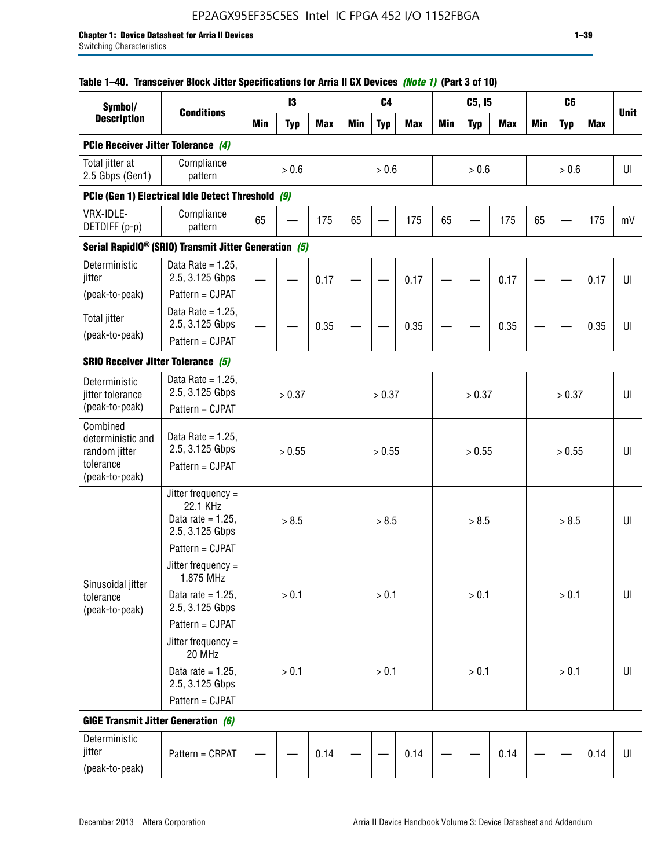# EP2AGX95EF35C5ES Intel IC FPGA 452 I/O 1152FBGA

### **Table 1–40. Transceiver Block Jitter Specifications for Arria II GX Devices** *(Note 1)* **(Part 3 of 10)**

| Symbol/                                                                       |                                                                             |            | 13         |            |            | C <sub>4</sub> |            |            | C5, I5     |            |            | C <sub>6</sub> |            |             |
|-------------------------------------------------------------------------------|-----------------------------------------------------------------------------|------------|------------|------------|------------|----------------|------------|------------|------------|------------|------------|----------------|------------|-------------|
| <b>Description</b>                                                            | <b>Conditions</b>                                                           | <b>Min</b> | <b>Typ</b> | <b>Max</b> | <b>Min</b> | <b>Typ</b>     | <b>Max</b> | <b>Min</b> | <b>Typ</b> | <b>Max</b> | <b>Min</b> | <b>Typ</b>     | <b>Max</b> | <b>Unit</b> |
| PCIe Receiver Jitter Tolerance (4)                                            |                                                                             |            |            |            |            |                |            |            |            |            |            |                |            |             |
| Total jitter at<br>2.5 Gbps (Gen1)                                            | Compliance<br>pattern                                                       |            | $> 0.6$    |            |            | > 0.6          |            |            | > 0.6      |            |            | > 0.6          |            | UI          |
|                                                                               | PCIe (Gen 1) Electrical Idle Detect Threshold (9)                           |            |            |            |            |                |            |            |            |            |            |                |            |             |
| VRX-IDLE-<br>DETDIFF (p-p)                                                    | Compliance<br>pattern                                                       | 65         |            | 175        | 65         | <u>—</u>       | 175        | 65         |            | 175        | 65         |                | 175        | mV          |
|                                                                               | Serial RapidIO <sup>®</sup> (SRIO) Transmit Jitter Generation (5)           |            |            |            |            |                |            |            |            |            |            |                |            |             |
| Deterministic<br>jitter<br>(peak-to-peak)                                     | Data Rate = $1.25$ ,<br>2.5, 3.125 Gbps<br>Pattern = CJPAT                  |            |            | 0.17       |            |                | 0.17       |            |            | 0.17       |            |                | 0.17       | UI          |
| <b>Total jitter</b><br>(peak-to-peak)                                         | Data Rate = $1.25$ ,<br>2.5, 3.125 Gbps<br>Pattern = CJPAT                  |            |            | 0.35       |            |                | 0.35       |            |            | 0.35       |            |                | 0.35       | UI          |
| <b>SRIO Receiver Jitter Tolerance (5)</b>                                     |                                                                             |            |            |            |            |                |            |            |            |            |            |                |            |             |
| Deterministic<br>jitter tolerance<br>(peak-to-peak)                           | Data Rate = $1.25$ ,<br>2.5, 3.125 Gbps<br>Pattern = CJPAT                  | > 0.37     |            |            |            | > 0.37         |            |            | > 0.37     |            |            | > 0.37         |            | UI          |
| Combined<br>deterministic and<br>random jitter<br>tolerance<br>(peak-to-peak) | Data Rate = $1.25$ ,<br>2.5, 3.125 Gbps<br>Pattern = CJPAT                  | > 0.55     |            |            |            | > 0.55         |            |            | > 0.55     |            |            | > 0.55         |            | U           |
|                                                                               | Jitter frequency $=$<br>22.1 KHz<br>Data rate = $1.25$ .<br>2.5, 3.125 Gbps |            | > 8.5      |            |            | > 8.5          |            |            | > 8.5      |            |            | > 8.5          |            | UI          |
|                                                                               | Pattern = CJPAT                                                             |            |            |            |            |                |            |            |            |            |            |                |            |             |
| Sinusoidal jitter                                                             | Jitter frequency $=$<br>1.875 MHz                                           |            |            |            |            |                |            |            |            |            |            |                |            |             |
| tolerance<br>(peak-to-peak)                                                   | Data rate = $1.25$ ,<br>2.5, 3.125 Gbps                                     |            | > 0.1      |            |            | > 0.1          |            |            | > 0.1      |            |            | > 0.1          |            | UI          |
|                                                                               | Pattern = CJPAT                                                             |            |            |            |            |                |            |            |            |            |            |                |            |             |
|                                                                               | Jitter frequency $=$<br>20 MHz                                              |            |            |            |            |                |            |            |            |            |            |                |            |             |
|                                                                               | Data rate = $1.25$ ,<br>2.5, 3.125 Gbps                                     | $> 0.1$    |            |            |            | $> 0.1$        |            |            | > 0.1      |            |            | $> 0.1$        |            | UI          |
|                                                                               | Pattern = CJPAT                                                             |            |            |            |            |                |            |            |            |            |            |                |            |             |
| <b>GIGE Transmit Jitter Generation (6)</b>                                    |                                                                             |            |            |            |            |                |            |            |            |            |            |                |            |             |
| Deterministic<br>jitter<br>(peak-to-peak)                                     | Pattern = CRPAT                                                             |            |            | 0.14       |            |                | 0.14       |            |            | 0.14       |            |                | 0.14       | UI          |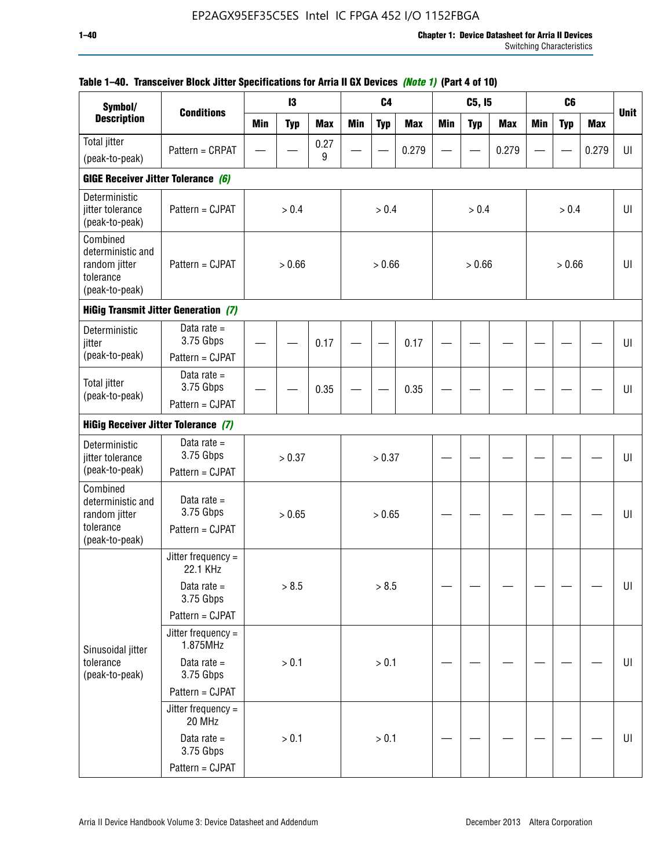| Symbol/                                                                       |                                               |            | 13         |            |            | C <sub>4</sub> |            |     | C5, I5     |            |            | C <sub>6</sub> |            |             |
|-------------------------------------------------------------------------------|-----------------------------------------------|------------|------------|------------|------------|----------------|------------|-----|------------|------------|------------|----------------|------------|-------------|
| <b>Description</b>                                                            | <b>Conditions</b>                             | <b>Min</b> | <b>Typ</b> | <b>Max</b> | <b>Min</b> | <b>Typ</b>     | <b>Max</b> | Min | <b>Typ</b> | <b>Max</b> | <b>Min</b> | <b>Typ</b>     | <b>Max</b> | <b>Unit</b> |
| Total jitter                                                                  | Pattern = CRPAT                               |            |            | 0.27       |            |                | 0.279      |     |            | 0.279      |            |                | 0.279      | UI          |
| (peak-to-peak)                                                                |                                               |            |            | 9          |            |                |            |     |            |            |            |                |            |             |
| GIGE Receiver Jitter Tolerance (6)                                            |                                               |            |            |            |            |                |            |     |            |            |            |                |            |             |
| Deterministic<br>jitter tolerance<br>(peak-to-peak)                           | Pattern = CJPAT                               |            | > 0.4      |            |            | > 0.4          |            |     | > 0.4      |            |            | > 0.4          |            | UI          |
| Combined<br>deterministic and<br>random jitter<br>tolerance<br>(peak-to-peak) | Pattern = CJPAT                               |            | > 0.66     |            |            | > 0.66         |            |     | > 0.66     |            |            | > 0.66         |            | UI          |
|                                                                               | <b>HiGig Transmit Jitter Generation (7)</b>   |            |            |            |            |                |            |     |            |            |            |                |            |             |
| Deterministic<br>jitter                                                       | Data rate $=$<br>3.75 Gbps                    |            |            | 0.17       |            |                | 0.17       |     |            |            |            |                |            | UI          |
| (peak-to-peak)                                                                | Pattern = CJPAT                               |            |            |            |            |                |            |     |            |            |            |                |            |             |
| <b>Total jitter</b><br>(peak-to-peak)                                         | Data rate $=$<br>3.75 Gbps                    |            |            | 0.35       |            |                | 0.35       |     |            |            |            |                |            | UI          |
|                                                                               | Pattern = CJPAT                               |            |            |            |            |                |            |     |            |            |            |                |            |             |
| <b>HiGig Receiver Jitter Tolerance (7)</b>                                    |                                               |            |            |            |            |                |            |     |            |            |            |                |            |             |
| Deterministic<br>jitter tolerance                                             | Data rate $=$<br>3.75 Gbps                    |            | > 0.37     |            |            | > 0.37         |            |     |            |            |            |                |            | UI          |
| (peak-to-peak)<br>Combined                                                    | Pattern = CJPAT                               |            |            |            |            |                |            |     |            |            |            |                |            |             |
| deterministic and<br>random jitter<br>tolerance                               | Data rate $=$<br>3.75 Gbps<br>Pattern = CJPAT |            | > 0.65     |            |            | > 0.65         |            |     |            |            |            |                |            | UI          |
| (peak-to-peak)                                                                |                                               |            |            |            |            |                |            |     |            |            |            |                |            |             |
|                                                                               | Jitter frequency =<br>22.1 KHz                |            |            |            |            |                |            |     |            |            |            |                |            |             |
|                                                                               | Data rate $=$<br>3.75 Gbps                    |            | > 8.5      |            |            | > 8.5          |            |     |            |            |            |                |            | UI          |
|                                                                               | Pattern = CJPAT                               |            |            |            |            |                |            |     |            |            |            |                |            |             |
| Sinusoidal jitter                                                             | Jitter frequency =<br>1.875MHz                |            |            |            |            |                |            |     |            |            |            |                |            |             |
| tolerance<br>(peak-to-peak)                                                   | Data rate $=$<br>3.75 Gbps                    |            | > 0.1      |            |            | > 0.1          |            |     |            |            |            |                |            | UI          |
|                                                                               | Pattern = CJPAT                               |            |            |            |            |                |            |     |            |            |            |                |            |             |
|                                                                               | Jitter frequency =<br>20 MHz                  |            |            |            |            |                |            |     |            |            |            |                |            |             |
|                                                                               | Data rate $=$<br>3.75 Gbps                    |            | > 0.1      |            |            | > 0.1          |            |     |            |            |            |                |            | UI          |
|                                                                               | Pattern = CJPAT                               |            |            |            |            |                |            |     |            |            |            |                |            |             |

### **Table 1–40. Transceiver Block Jitter Specifications for Arria II GX Devices** *(Note 1)* **(Part 4 of 10)**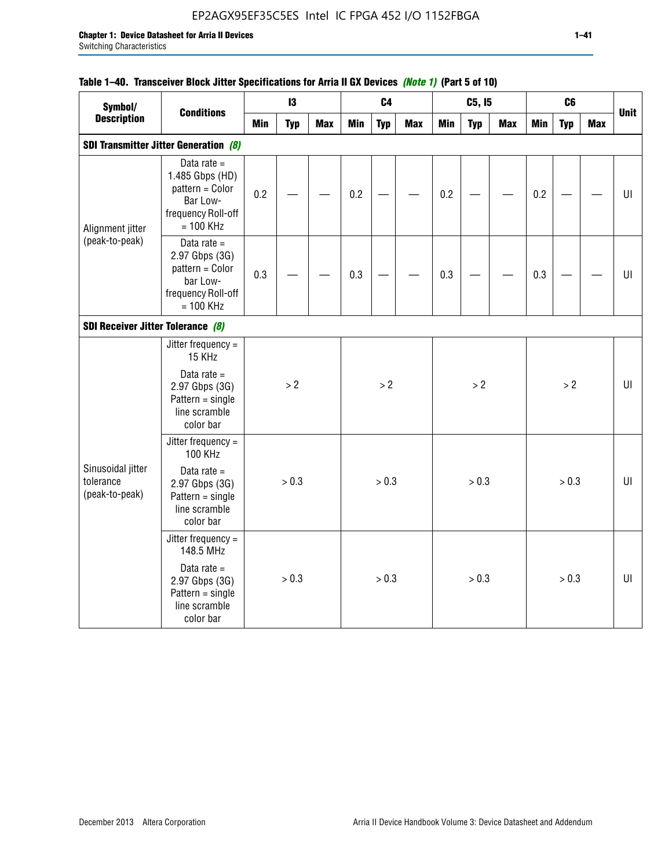## EP2AGX95EF35C5ES Intel IC FPGA 452 I/O 1152FBGA

## **Table 1–40. Transceiver Block Jitter Specifications for Arria II GX Devices** *(Note 1)* **(Part 5 of 10)**

| Symbol/                                          |                                                                                                      |     | 13         |            |            | C <sub>4</sub> |            |            | C5, I5     |            |            | C <sub>6</sub> |            |             |
|--------------------------------------------------|------------------------------------------------------------------------------------------------------|-----|------------|------------|------------|----------------|------------|------------|------------|------------|------------|----------------|------------|-------------|
| <b>Description</b>                               | <b>Conditions</b>                                                                                    | Min | <b>Typ</b> | <b>Max</b> | <b>Min</b> | <b>Typ</b>     | <b>Max</b> | <b>Min</b> | <b>Typ</b> | <b>Max</b> | <b>Min</b> | <b>Typ</b>     | <b>Max</b> | <b>Unit</b> |
|                                                  | <b>SDI Transmitter Jitter Generation (8)</b>                                                         |     |            |            |            |                |            |            |            |            |            |                |            |             |
| Alignment jitter                                 | Data rate $=$<br>1.485 Gbps (HD)<br>pattern = Color<br>Bar Low-<br>frequency Roll-off<br>$= 100$ KHz | 0.2 |            |            | 0.2        |                |            | 0.2        |            |            | 0.2        |                |            | UI          |
| (peak-to-peak)                                   | Data rate $=$<br>2.97 Gbps (3G)<br>pattern = Color<br>bar Low-<br>frequency Roll-off<br>$= 100$ KHz  | 0.3 |            |            | 0.3        |                |            | 0.3        |            |            | 0.3        |                |            | U           |
| SDI Receiver Jitter Tolerance (8)                |                                                                                                      |     |            |            |            |                |            |            |            |            |            |                |            |             |
|                                                  | Jitter frequency $=$<br>15 KHz                                                                       |     |            |            |            |                |            |            |            |            |            |                |            |             |
|                                                  | Data rate $=$<br>2.97 Gbps (3G)<br>$Pattern = single$<br>line scramble<br>color bar                  |     | > 2        |            |            | >2             |            |            | $>2$       |            |            | $>2$           |            | $U\Gamma$   |
|                                                  | Jitter frequency =<br><b>100 KHz</b>                                                                 |     |            |            |            |                |            |            |            |            |            |                |            |             |
| Sinusoidal jitter<br>tolerance<br>(peak-to-peak) | Data rate $=$<br>2.97 Gbps (3G)<br>$Pattern = single$<br>line scramble<br>color bar                  |     | > 0.3      |            |            | > 0.3          |            |            | > 0.3      |            |            | > 0.3          |            | UI          |
|                                                  | Jitter frequency $=$<br>148.5 MHz                                                                    |     |            |            |            |                |            |            |            |            |            |                |            |             |
|                                                  | Data rate $=$<br>2.97 Gbps (3G)<br>$Pattern = single$<br>line scramble<br>color bar                  |     | > 0.3      |            |            | > 0.3          |            |            | > 0.3      |            |            | > 0.3          |            | UI          |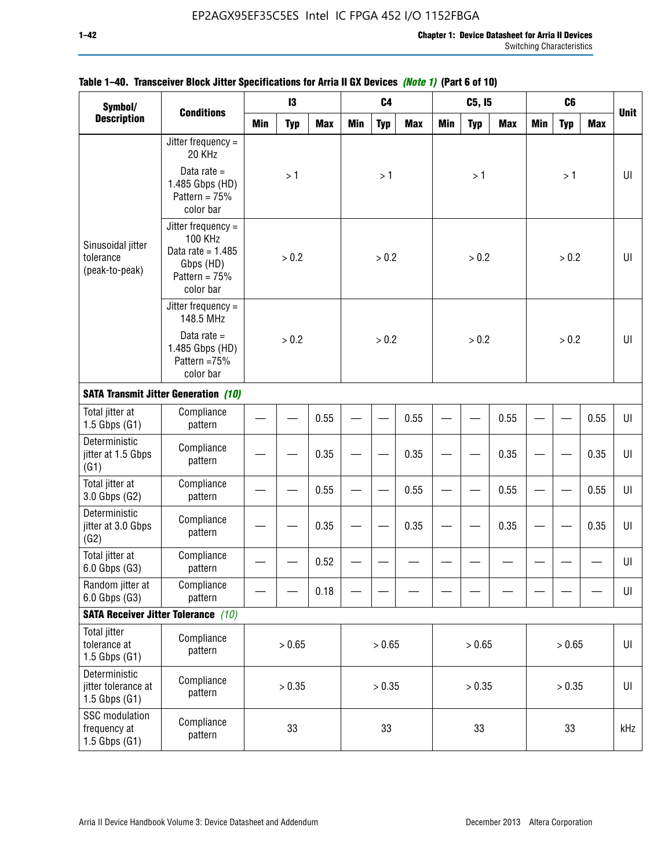| Symbol/                                                   |                                                                                                            |            | 13         |            |            | C <sub>4</sub> |            |            | C5, 15     |            |            | C <sub>6</sub> |      |             |
|-----------------------------------------------------------|------------------------------------------------------------------------------------------------------------|------------|------------|------------|------------|----------------|------------|------------|------------|------------|------------|----------------|------|-------------|
| <b>Description</b>                                        | <b>Conditions</b>                                                                                          | <b>Min</b> | <b>Typ</b> | <b>Max</b> | <b>Min</b> | <b>Typ</b>     | <b>Max</b> | <b>Min</b> | <b>Typ</b> | <b>Max</b> | <b>Min</b> | <b>Typ</b>     | Max  | <b>Unit</b> |
|                                                           | Jitter frequency $=$<br>20 KHz                                                                             |            |            |            |            |                |            |            |            |            |            |                |      |             |
|                                                           | Data rate $=$<br>1.485 Gbps (HD)<br>Pattern = $75%$<br>color bar                                           |            | >1         |            |            | >1             |            |            | >1         |            |            | >1             |      | UI          |
| Sinusoidal jitter<br>tolerance<br>(peak-to-peak)          | Jitter frequency $=$<br><b>100 KHz</b><br>Data rate = $1.485$<br>Gbps (HD)<br>Pattern = $75%$<br>color bar |            | > 0.2      |            |            | > 0.2          |            |            | > 0.2      |            |            | > 0.2          |      | UI          |
|                                                           | Jitter frequency $=$<br>148.5 MHz                                                                          |            |            |            |            |                |            |            |            |            |            |                |      |             |
|                                                           | Data rate $=$<br>1.485 Gbps (HD)<br>Pattern = 75%<br>color bar                                             |            | > 0.2      |            |            | > 0.2          |            |            | > 0.2      |            |            | > 0.2          |      | UI          |
|                                                           | <b>SATA Transmit Jitter Generation (10)</b>                                                                |            |            |            |            |                |            |            |            |            |            |                |      |             |
| Total jitter at<br>$1.5$ Gbps $(G1)$                      | Compliance<br>pattern                                                                                      | 0.55       |            |            |            |                | 0.55       |            |            | 0.55       |            |                | 0.55 | UI          |
| Deterministic<br>jitter at 1.5 Gbps<br>(G1)               | Compliance<br>pattern                                                                                      |            | 0.35       |            |            |                | 0.35       |            |            | 0.35       |            |                | 0.35 | UI          |
| Total jitter at<br>3.0 Gbps (G2)                          | Compliance<br>pattern                                                                                      |            |            | 0.55       |            |                | 0.55       |            |            | 0.55       |            |                | 0.55 | UI          |
| Deterministic<br>jitter at 3.0 Gbps<br>(G2)               | Compliance<br>pattern                                                                                      |            |            | 0.35       |            |                | 0.35       |            |            | 0.35       |            |                | 0.35 | UI          |
| Total jitter at<br>6.0 Gbps (G3)                          | Compliance<br>pattern                                                                                      |            |            | 0.52       |            |                |            |            |            |            |            |                |      | UI          |
| Random jitter at<br>6.0 Gbps (G3)                         | Compliance<br>pattern                                                                                      |            |            | 0.18       |            |                |            |            |            |            |            |                |      | UI          |
|                                                           | <b>SATA Receiver Jitter Tolerance</b> (10)                                                                 |            |            |            |            |                |            |            |            |            |            |                |      |             |
| <b>Total jitter</b><br>tolerance at<br>$1.5$ Gbps $(G1)$  | Compliance<br>pattern                                                                                      | > 0.65     |            |            |            | > 0.65         |            |            | > 0.65     |            |            | > 0.65         |      | UI          |
| Deterministic<br>jitter tolerance at<br>$1.5$ Gbps $(G1)$ | Compliance<br>pattern                                                                                      | > 0.35     |            |            |            | > 0.35         |            |            | > 0.35     |            |            | > 0.35         |      | UI          |
| SSC modulation<br>frequency at<br>$1.5$ Gbps $(G1)$       | Compliance<br>pattern                                                                                      |            | 33         |            |            | 33             |            |            | 33         |            |            | 33             |      | kHz         |

### **Table 1–40. Transceiver Block Jitter Specifications for Arria II GX Devices** *(Note 1)* **(Part 6 of 10)**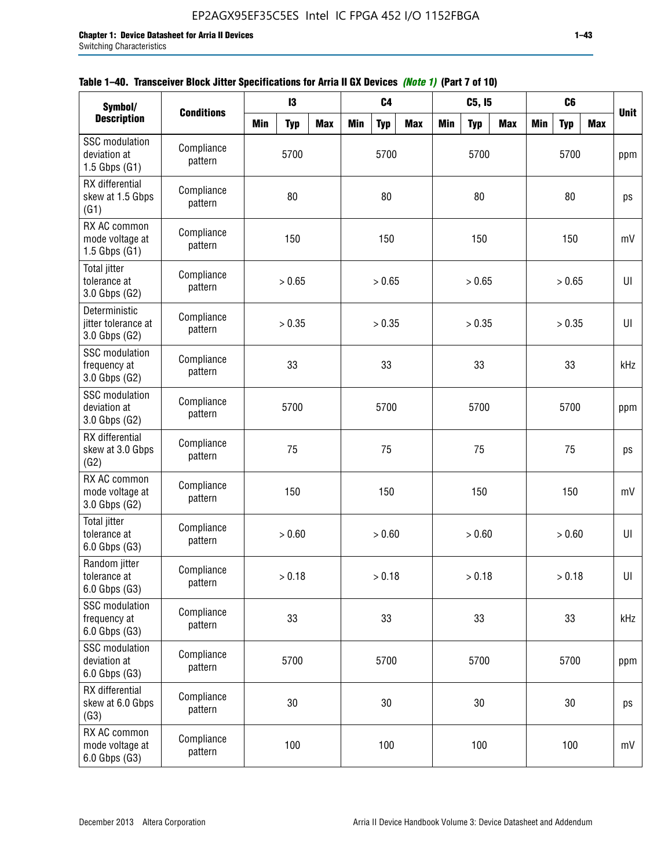|  | Table 1–40. Transceiver Block Jitter Specifications for Arria II GX Devices (Note 1) (Part 7 of 10) |  |
|--|-----------------------------------------------------------------------------------------------------|--|
|  |                                                                                                     |  |

| Symbol/                                                    | <b>Conditions</b>     |            | 13         |            |            | C <sub>4</sub> |            |            | C5, I5     |            |            | C <sub>6</sub> |            | <b>Unit</b> |
|------------------------------------------------------------|-----------------------|------------|------------|------------|------------|----------------|------------|------------|------------|------------|------------|----------------|------------|-------------|
| <b>Description</b>                                         |                       | <b>Min</b> | <b>Typ</b> | <b>Max</b> | <b>Min</b> | <b>Typ</b>     | <b>Max</b> | <b>Min</b> | <b>Typ</b> | <b>Max</b> | <b>Min</b> | <b>Typ</b>     | <b>Max</b> |             |
| <b>SSC</b> modulation<br>deviation at<br>$1.5$ Gbps $(G1)$ | Compliance<br>pattern |            | 5700       |            |            | 5700           |            |            | 5700       |            |            | 5700           |            | ppm         |
| RX differential<br>skew at 1.5 Gbps<br>(G1)                | Compliance<br>pattern |            | 80         |            |            | 80             |            |            | 80         |            |            | 80             |            | ps          |
| RX AC common<br>mode voltage at<br>$1.5$ Gbps $(G1)$       | Compliance<br>pattern |            | 150        |            |            | 150            |            |            | 150        |            |            | 150            |            | mV          |
| <b>Total jitter</b><br>tolerance at<br>3.0 Gbps (G2)       | Compliance<br>pattern |            | > 0.65     |            |            | > 0.65         |            |            | > 0.65     |            |            | > 0.65         |            | UI          |
| Deterministic<br>jitter tolerance at<br>3.0 Gbps (G2)      | Compliance<br>pattern |            | > 0.35     |            |            | > 0.35         |            |            | > 0.35     |            |            | > 0.35         |            | U           |
| <b>SSC</b> modulation<br>frequency at<br>3.0 Gbps (G2)     | Compliance<br>pattern |            | 33         |            |            | 33             |            |            | 33         |            |            | 33             |            | kHz         |
| <b>SSC</b> modulation<br>deviation at<br>3.0 Gbps (G2)     | Compliance<br>pattern |            | 5700       |            |            | 5700           |            |            | 5700       |            |            | 5700           |            | ppm         |
| RX differential<br>skew at 3.0 Gbps<br>(G2)                | Compliance<br>pattern |            | 75         |            |            | 75             |            |            | 75         |            |            | 75             |            | ps          |
| RX AC common<br>mode voltage at<br>3.0 Gbps (G2)           | Compliance<br>pattern |            | 150        |            |            | 150            |            |            | 150        |            |            | 150            |            | mV          |
| <b>Total jitter</b><br>tolerance at<br>$6.0$ Gbps $(G3)$   | Compliance<br>pattern |            | > 0.60     |            |            | > 0.60         |            |            | > 0.60     |            |            | > 0.60         |            | U           |
| Random jitter<br>tolerance at<br>6.0 Gbps (G3)             | Compliance<br>pattern |            | > 0.18     |            |            | > 0.18         |            |            | > 0.18     |            |            | > 0.18         |            | UI          |
| <b>SSC</b> modulation<br>frequency at<br>6.0 Gbps (G3)     | Compliance<br>pattern |            | 33         |            |            | 33             |            |            | 33         |            |            | 33             |            | kHz         |
| <b>SSC</b> modulation<br>deviation at<br>6.0 Gbps (G3)     | Compliance<br>pattern | 5700       |            |            |            | 5700           |            |            | 5700       |            |            | 5700           |            | ppm         |
| RX differential<br>skew at 6.0 Gbps<br>(G3)                | Compliance<br>pattern |            | 30         |            |            | 30             |            |            | 30         |            |            | 30             |            | ps          |
| RX AC common<br>mode voltage at<br>6.0 Gbps (G3)           | Compliance<br>pattern |            | 100        |            |            | 100            |            |            | 100        |            |            | 100            |            | mV          |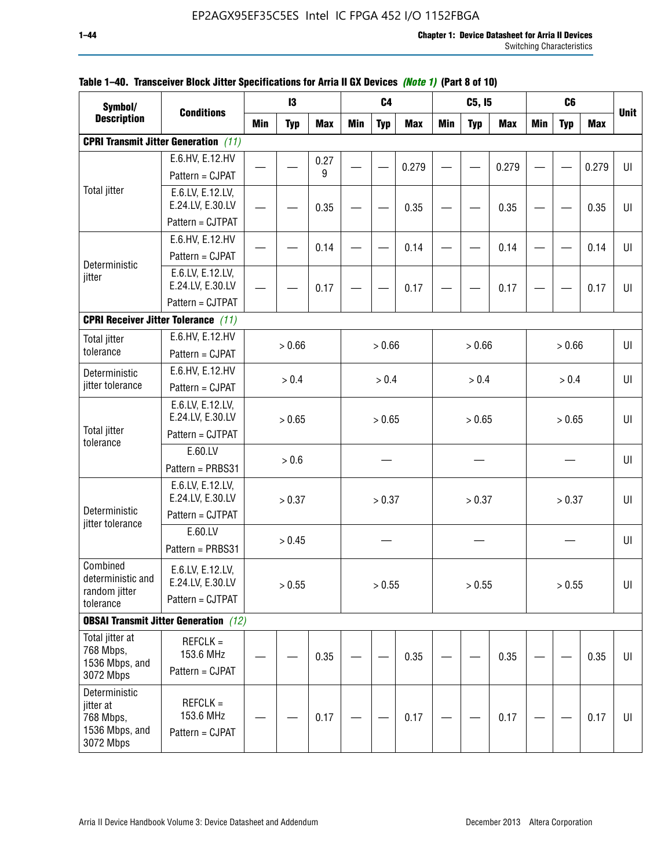| Symbol/                                                                |                                                          |            | 13         |            |            | C <sub>4</sub> |            |            | C5, I5     |            |            | C <sub>6</sub> |            |             |
|------------------------------------------------------------------------|----------------------------------------------------------|------------|------------|------------|------------|----------------|------------|------------|------------|------------|------------|----------------|------------|-------------|
| <b>Description</b>                                                     | <b>Conditions</b>                                        | <b>Min</b> | <b>Typ</b> | <b>Max</b> | <b>Min</b> | <b>Typ</b>     | <b>Max</b> | <b>Min</b> | <b>Typ</b> | <b>Max</b> | <b>Min</b> | <b>Typ</b>     | <b>Max</b> | <b>Unit</b> |
|                                                                        | <b>CPRI Transmit Jitter Generation</b> (11)              |            |            |            |            |                |            |            |            |            |            |                |            |             |
|                                                                        | E.6.HV, E.12.HV                                          |            |            | 0.27       |            |                | 0.279      |            |            | 0.279      |            |                | 0.279      | U           |
|                                                                        | Pattern = CJPAT                                          |            |            | 9          |            |                |            |            |            |            |            |                |            |             |
| <b>Total jitter</b>                                                    | E.6.LV, E.12.LV,<br>E.24.LV, E.30.LV                     |            |            | 0.35       |            |                | 0.35       |            |            | 0.35       |            |                | 0.35       | U           |
|                                                                        | Pattern = CJTPAT                                         |            |            |            |            |                |            |            |            |            |            |                |            |             |
|                                                                        | E.6.HV, E.12.HV                                          |            |            | 0.14       |            |                | 0.14       |            |            | 0.14       |            |                | 0.14       | UI          |
| Deterministic                                                          | Pattern = CJPAT                                          |            |            |            |            |                |            |            |            |            |            |                |            |             |
| jitter                                                                 | E.6.LV, E.12.LV,<br>E.24.LV, E.30.LV                     |            |            | 0.17       |            |                | 0.17       |            |            | 0.17       |            |                | 0.17       | UI          |
|                                                                        | Pattern = CJTPAT                                         |            |            |            |            |                |            |            |            |            |            |                |            |             |
| <b>CPRI Receiver Jitter Tolerance (11)</b>                             |                                                          |            |            |            |            |                |            |            |            |            |            |                |            |             |
| <b>Total jitter</b>                                                    | E.6.HV, E.12.HV                                          |            |            |            |            |                |            |            |            |            |            |                |            |             |
| tolerance                                                              | Pattern = CJPAT                                          |            | > 0.66     |            |            | > 0.66         |            |            | > 0.66     |            |            | > 0.66         |            | UI          |
| Deterministic                                                          | E.6.HV, E.12.HV                                          |            | > 0.4      |            |            | > 0.4          |            |            | > 0.4      |            |            | > 0.4          |            | UI          |
| jitter tolerance                                                       | Pattern = CJPAT                                          |            |            |            |            |                |            |            |            |            |            |                |            |             |
|                                                                        | E.6.LV, E.12.LV,<br>E.24.LV, E.30.LV                     |            | > 0.65     |            |            | > 0.65         |            |            | > 0.65     |            |            | > 0.65         |            | UI          |
| <b>Total jitter</b><br>tolerance                                       | Pattern = CJTPAT                                         |            |            |            |            |                |            |            |            |            |            |                |            |             |
|                                                                        | E.60.LV                                                  |            | > 0.6      |            |            |                |            |            |            |            |            |                |            | UI          |
|                                                                        | Pattern = PRBS31                                         |            |            |            |            |                |            |            |            |            |            |                |            |             |
|                                                                        | E.6.LV, E.12.LV,<br>E.24.LV, E.30.LV                     |            | > 0.37     |            |            | > 0.37         |            |            | > 0.37     |            |            | > 0.37         |            | UI          |
| Deterministic<br>jitter tolerance                                      | Pattern = CJTPAT                                         |            |            |            |            |                |            |            |            |            |            |                |            |             |
|                                                                        | E.60.LV<br>Pattern = PRBS31                              |            | > 0.45     |            |            |                |            |            |            |            |            |                |            | UI          |
| Combined<br>deterministic and<br>random jitter                         | E.6.LV, E.12.LV,<br>E.24.LV, E.30.LV<br>Pattern = CJTPAT |            | > 0.55     |            |            | > 0.55         |            |            | > 0.55     |            |            | > 0.55         |            | UI          |
| tolerance                                                              |                                                          |            |            |            |            |                |            |            |            |            |            |                |            |             |
|                                                                        | <b>OBSAI Transmit Jitter Generation</b> (12)             |            |            |            |            |                |            |            |            |            |            |                |            |             |
| Total jitter at<br>768 Mbps,<br>1536 Mbps, and<br>3072 Mbps            | $REFCLK =$<br>153.6 MHz<br>Pattern = CJPAT               |            |            | 0.35       |            |                | 0.35       |            |            | 0.35       |            |                | 0.35       | UI          |
| Deterministic<br>jitter at<br>768 Mbps,<br>1536 Mbps, and<br>3072 Mbps | $REFCLK =$<br>153.6 MHz<br>Pattern = CJPAT               |            |            | 0.17       |            |                | 0.17       |            |            | 0.17       |            |                | 0.17       | UI          |

### **Table 1–40. Transceiver Block Jitter Specifications for Arria II GX Devices** *(Note 1)* **(Part 8 of 10)**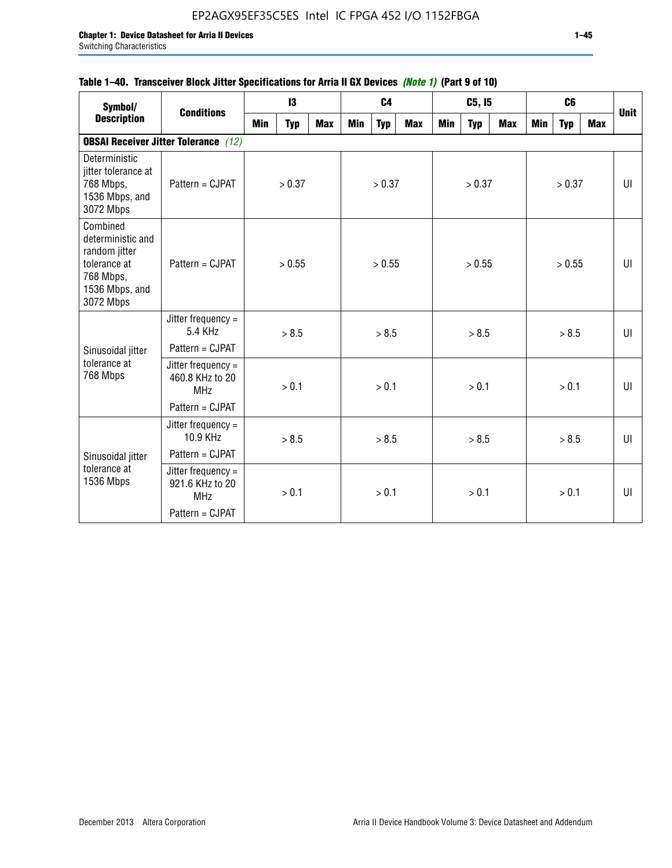### **Table 1–40. Transceiver Block Jitter Specifications for Arria II GX Devices** *(Note 1)* **(Part 9 of 10)**

| Symbol/<br><b>Description</b>                                                                              | <b>Conditions</b>                                     |     | 13         |            |     | C <sub>4</sub> |            |     | C5, I5     |            |     | C <sub>6</sub> |     | <b>Unit</b> |
|------------------------------------------------------------------------------------------------------------|-------------------------------------------------------|-----|------------|------------|-----|----------------|------------|-----|------------|------------|-----|----------------|-----|-------------|
|                                                                                                            |                                                       | Min | <b>Typ</b> | <b>Max</b> | Min | <b>Typ</b>     | <b>Max</b> | Min | <b>Typ</b> | <b>Max</b> | Min | <b>Typ</b>     | Max |             |
|                                                                                                            | <b>OBSAI Receiver Jitter Tolerance</b> (12)           |     |            |            |     |                |            |     |            |            |     |                |     |             |
| Deterministic<br>jitter tolerance at<br>768 Mbps,<br>1536 Mbps, and<br>3072 Mbps                           | $Pattern = C.IPATH$                                   |     | > 0.37     |            |     | > 0.37         |            |     | > 0.37     |            |     | > 0.37         |     | UI          |
| Combined<br>deterministic and<br>random jitter<br>tolerance at<br>768 Mbps,<br>1536 Mbps, and<br>3072 Mbps | Pattern = CJPAT                                       |     | > 0.55     |            |     | > 0.55         |            |     | > 0.55     |            |     | > 0.55         |     | UI          |
|                                                                                                            | Jitter frequency $=$<br>5.4 KHz                       |     | > 8.5      |            |     | > 8.5          |            |     | > 8.5      |            |     | > 8.5          |     | UI          |
| Sinusoidal jitter                                                                                          | Pattern = CJPAT                                       |     |            |            |     |                |            |     |            |            |     |                |     |             |
| tolerance at<br>768 Mbps                                                                                   | Jitter frequency $=$<br>460.8 KHz to 20<br><b>MHz</b> |     | > 0.1      |            |     | > 0.1          |            |     | > 0.1      |            |     | > 0.1          |     | UI          |
|                                                                                                            | Pattern = CJPAT                                       |     |            |            |     |                |            |     |            |            |     |                |     |             |
|                                                                                                            | Jitter frequency $=$<br>10.9 KHz                      |     | > 8.5      |            |     | > 8.5          |            |     | > 8.5      |            |     | > 8.5          |     | UI          |
| Sinusoidal jitter                                                                                          | Pattern = CJPAT                                       |     |            |            |     |                |            |     |            |            |     |                |     |             |
| tolerance at<br>1536 Mbps                                                                                  | Jitter frequency =<br>921.6 KHz to 20<br><b>MHz</b>   |     | > 0.1      |            |     | > 0.1          |            |     | > 0.1      |            |     | > 0.1          |     | UI          |
|                                                                                                            | Pattern = CJPAT                                       |     |            |            |     |                |            |     |            |            |     |                |     |             |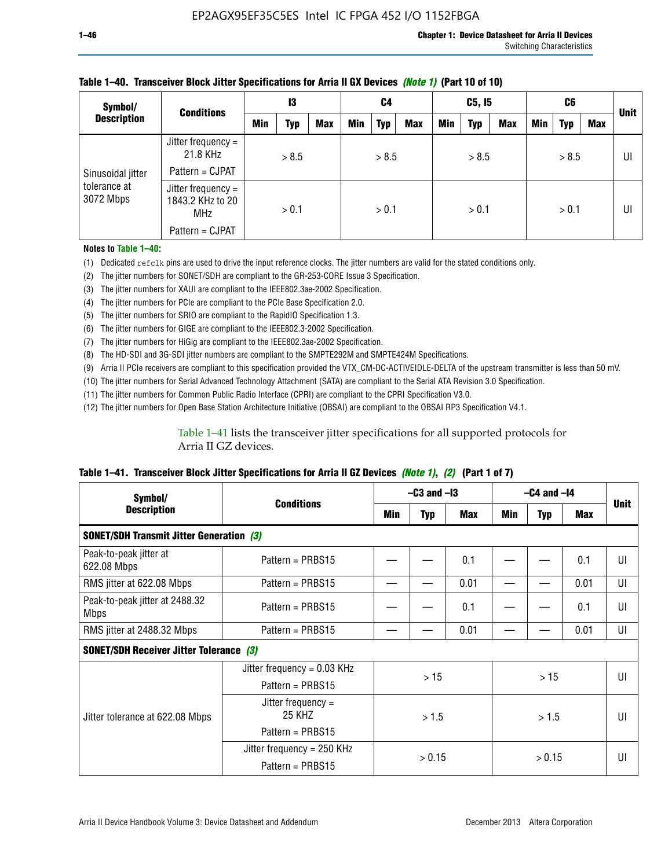| Symbol/                   | <b>Conditions</b>                                      |     | 13         |            | C4  |            | C5, I5     |            |            | C6  |     |            | <b>Unit</b> |    |
|---------------------------|--------------------------------------------------------|-----|------------|------------|-----|------------|------------|------------|------------|-----|-----|------------|-------------|----|
| <b>Description</b>        |                                                        | Min | <b>Typ</b> | <b>Max</b> | Min | <b>Typ</b> | <b>Max</b> | <b>Min</b> | <b>Typ</b> | Max | Min | <b>Typ</b> | Max         |    |
|                           | Jitter frequency =<br>21.8 KHz                         |     | > 8.5      |            |     | > 8.5      |            |            | > 8.5      |     |     | > 8.5      |             | UI |
| Sinusoidal jitter         | Pattern = CJPAT                                        |     |            |            |     |            |            |            |            |     |     |            |             |    |
| tolerance at<br>3072 Mbps | Jitter frequency $=$<br>1843.2 KHz to 20<br><b>MHz</b> |     | > 0.1      |            |     | > 0.1      |            |            | > 0.1      |     |     | > 0.1      |             | UI |
|                           | Pattern = CJPAT                                        |     |            |            |     |            |            |            |            |     |     |            |             |    |

### **Table 1–40. Transceiver Block Jitter Specifications for Arria II GX Devices** *(Note 1)* **(Part 10 of 10)**

**Notes to Table 1–40:**

(1) Dedicated refclk pins are used to drive the input reference clocks. The jitter numbers are valid for the stated conditions only.

(2) The jitter numbers for SONET/SDH are compliant to the GR-253-CORE Issue 3 Specification.

(3) The jitter numbers for XAUI are compliant to the IEEE802.3ae-2002 Specification.

(4) The jitter numbers for PCIe are compliant to the PCIe Base Specification 2.0.

(5) The jitter numbers for SRIO are compliant to the RapidIO Specification 1.3.

(6) The jitter numbers for GIGE are compliant to the IEEE802.3-2002 Specification.

(7) The jitter numbers for HiGig are compliant to the IEEE802.3ae-2002 Specification.

(8) The HD-SDI and 3G-SDI jitter numbers are compliant to the SMPTE292M and SMPTE424M Specifications.

(9) Arria II PCIe receivers are compliant to this specification provided the VTX\_CM-DC-ACTIVEIDLE-DELTA of the upstream transmitter is less than 50 mV.

(10) The jitter numbers for Serial Advanced Technology Attachment (SATA) are compliant to the Serial ATA Revision 3.0 Specification.

(11) The jitter numbers for Common Public Radio Interface (CPRI) are compliant to the CPRI Specification V3.0.

(12) The jitter numbers for Open Base Station Architecture Initiative (OBSAI) are compliant to the OBSAI RP3 Specification V4.1.

Table 1–41 lists the transceiver jitter specifications for all supported protocols for Arria II GZ devices.

### **Table 1–41. Transceiver Block Jitter Specifications for Arria II GZ Devices** *(Note 1)***,** *(2)* **(Part 1 of 7)**

| Symbol/                                         | <b>Conditions</b>             | $-C3$ and $-I3$ |            |      | $-C4$ and $-I4$ | <b>Unit</b> |            |    |
|-------------------------------------------------|-------------------------------|-----------------|------------|------|-----------------|-------------|------------|----|
| <b>Description</b>                              |                               | Min             | <b>Typ</b> | Max  | Min             | <b>Typ</b>  | <b>Max</b> |    |
| <b>SONET/SDH Transmit Jitter Generation (3)</b> |                               |                 |            |      |                 |             |            |    |
| Peak-to-peak jitter at<br>622.08 Mbps           | Pattern = $PRBS15$            |                 |            | 0.1  |                 |             | 0.1        | UI |
| RMS jitter at 622.08 Mbps                       | Pattern = $PRBS15$            |                 |            | 0.01 |                 |             | 0.01       | UI |
| Peak-to-peak jitter at 2488.32<br><b>Mbps</b>   | Pattern = $PRBS15$            |                 |            | 0.1  |                 |             | 0.1        | UI |
| RMS jitter at 2488.32 Mbps                      | Pattern = $PRBS15$            |                 |            | 0.01 |                 |             | 0.01       | UI |
| <b>SONET/SDH Receiver Jitter Tolerance (3)</b>  |                               |                 |            |      |                 |             |            |    |
|                                                 | Jitter frequency = $0.03$ KHz |                 | >15        |      |                 |             |            | UI |
|                                                 | Pattern = $PRBS15$            |                 |            |      | >15             |             |            |    |
| Jitter tolerance at 622.08 Mbps                 | Jitter frequency =<br>25 KHZ  |                 | > 1.5      |      | > 1.5           |             |            | UI |
|                                                 | Pattern = $PRBS15$            |                 |            |      |                 |             |            |    |
|                                                 | Jitter frequency = $250$ KHz  |                 | > 0.15     |      |                 | > 0.15      |            | UI |
|                                                 | Pattern = $PRBS15$            |                 |            |      |                 |             |            |    |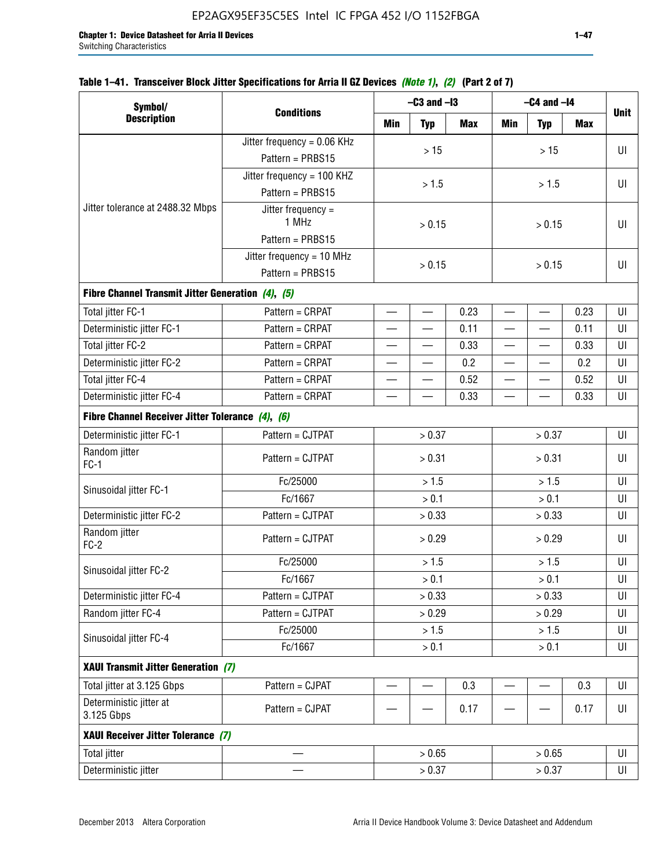| Table 1–41. Transceiver Block Jitter Specifications for Arria II GZ Devices <i>(Note 1), (2)</i> (Part 2 of 7) |  |  |  |
|----------------------------------------------------------------------------------------------------------------|--|--|--|
|                                                                                                                |  |  |  |

| Symbol/                                           |                               |                          | $-C3$ and $-I3$          |      | $-C4$ and $-I4$          |                          |            |             |  |
|---------------------------------------------------|-------------------------------|--------------------------|--------------------------|------|--------------------------|--------------------------|------------|-------------|--|
| <b>Description</b>                                | <b>Conditions</b>             | Min                      | <b>Typ</b>               | Max  | Min                      | <b>Typ</b>               | <b>Max</b> | <b>Unit</b> |  |
|                                                   | Jitter frequency = $0.06$ KHz |                          | $>15$                    |      |                          | >15                      |            | UI          |  |
|                                                   | Pattern = PRBS15              |                          |                          |      |                          |                          |            |             |  |
|                                                   | Jitter frequency = 100 KHZ    |                          | > 1.5                    |      |                          | > 1.5                    |            | UI          |  |
|                                                   | Pattern = PRBS15              |                          |                          |      |                          |                          |            |             |  |
| Jitter tolerance at 2488.32 Mbps                  | Jitter frequency =<br>1 MHz   |                          | > 0.15                   |      |                          | > 0.15                   |            |             |  |
|                                                   | Pattern = PRBS15              |                          |                          |      |                          |                          |            |             |  |
|                                                   | Jitter frequency = $10$ MHz   | > 0.15                   |                          |      | UI                       |                          |            |             |  |
|                                                   | Pattern = PRBS15              | > 0.15                   |                          |      |                          |                          |            |             |  |
| Fibre Channel Transmit Jitter Generation (4), (5) |                               |                          |                          |      |                          |                          |            |             |  |
| Total jitter FC-1                                 | Pattern = CRPAT               | $\overline{\phantom{0}}$ | $\overline{\phantom{0}}$ | 0.23 | $\overline{\phantom{0}}$ | $\overline{\phantom{0}}$ | 0.23       | UI          |  |
| Deterministic jitter FC-1                         | Pattern = CRPAT               | $\overline{\phantom{0}}$ | —                        | 0.11 | $\overline{\phantom{0}}$ | $\overline{\phantom{0}}$ | 0.11       | UI          |  |
| Total jitter FC-2                                 | Pattern = CRPAT               | $\overline{\phantom{0}}$ | —                        | 0.33 | $\overline{\phantom{0}}$ | $\overline{\phantom{0}}$ | 0.33       | UI          |  |
| Deterministic jitter FC-2                         | Pattern = CRPAT               | $\overline{\phantom{0}}$ | —                        | 0.2  | $\qquad \qquad$          | —                        | 0.2        | UI          |  |
| Total jitter FC-4                                 | Pattern = CRPAT               |                          |                          | 0.52 | $\overline{\phantom{0}}$ |                          | 0.52       | UI          |  |
| Deterministic jitter FC-4                         | Pattern = CRPAT               |                          |                          | 0.33 |                          |                          | 0.33       | UI          |  |
| Fibre Channel Receiver Jitter Tolerance (4), (6)  |                               |                          |                          |      |                          |                          |            |             |  |
| Deterministic jitter FC-1                         | Pattern = CJTPAT              |                          | > 0.37                   |      |                          | > 0.37                   |            | UI          |  |
| Random jitter<br>$FC-1$                           | Pattern = CJTPAT              |                          | > 0.31                   |      | > 0.31                   |                          |            | UI          |  |
| Sinusoidal jitter FC-1                            | Fc/25000                      |                          | > 1.5                    |      | > 1.5                    |                          |            | UI          |  |
|                                                   | Fc/1667                       |                          | > 0.1                    |      | > 0.1                    |                          |            | UI          |  |
| Deterministic jitter FC-2                         | Pattern = CJTPAT              |                          | > 0.33                   |      |                          | > 0.33                   |            | UI          |  |
| Random jitter<br>$FC-2$                           | Pattern = CJTPAT              |                          | > 0.29                   |      |                          | > 0.29                   |            | UI          |  |
| Sinusoidal jitter FC-2                            | Fc/25000                      |                          | > 1.5                    |      |                          | > 1.5                    |            | UI          |  |
|                                                   | Fc/1667                       |                          | > 0.1                    |      |                          | > 0.1                    |            | UI          |  |
| Deterministic jitter FC-4                         | Pattern = CJTPAT              |                          | > 0.33                   |      |                          | > 0.33                   |            | UI          |  |
| Random jitter FC-4                                | Pattern = CJTPAT              |                          | > 0.29                   |      |                          | > 0.29                   |            | UI          |  |
| Sinusoidal jitter FC-4                            | Fc/25000                      |                          | > 1.5                    |      |                          | > 1.5                    |            | UI          |  |
|                                                   | Fc/1667                       |                          | > 0.1                    |      |                          | $> 0.1$                  |            | UI          |  |
| XAUI Transmit Jitter Generation (7)               |                               |                          |                          |      |                          |                          |            |             |  |
| Total jitter at 3.125 Gbps                        | Pattern = CJPAT               | —                        |                          | 0.3  | $\overline{\phantom{0}}$ | $\overline{\phantom{0}}$ | 0.3        | UI          |  |
| Deterministic jitter at<br>3.125 Gbps             | Pattern = CJPAT               |                          |                          | 0.17 |                          |                          | 0.17       | UI          |  |
| XAUI Receiver Jitter Tolerance (7)                |                               |                          |                          |      |                          |                          |            |             |  |
| <b>Total jitter</b>                               |                               |                          | > 0.65                   |      |                          | > 0.65                   |            | UI          |  |
| Deterministic jitter                              |                               |                          | > 0.37                   |      |                          | > 0.37                   |            | UI          |  |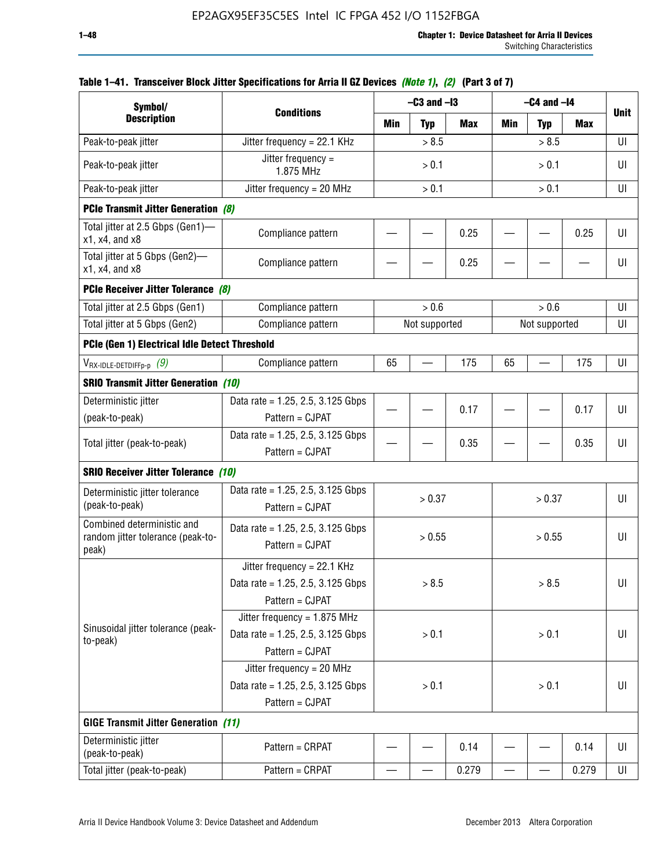| Symbol/                                                                  |                                                                                           | $-C3$ and $-I3$                 |               |       | $-C4$ and $-I4$          |               |             |    |
|--------------------------------------------------------------------------|-------------------------------------------------------------------------------------------|---------------------------------|---------------|-------|--------------------------|---------------|-------------|----|
| <b>Description</b>                                                       | <b>Conditions</b>                                                                         | Min<br><b>Max</b><br><b>Typ</b> |               | Min   | <b>Typ</b>               | Max           | <b>Unit</b> |    |
| Peak-to-peak jitter                                                      | Jitter frequency = 22.1 KHz                                                               |                                 | > 8.5         |       |                          | > 8.5         |             | UI |
| Peak-to-peak jitter                                                      | Jitter frequency =<br>1.875 MHz                                                           | > 0.1                           |               |       |                          | > 0.1         |             | UI |
| Peak-to-peak jitter                                                      | Jitter frequency = $20$ MHz                                                               | > 0.1<br>> 0.1                  |               |       | UI                       |               |             |    |
| <b>PCIe Transmit Jitter Generation (8)</b>                               |                                                                                           |                                 |               |       |                          |               |             |    |
| Total jitter at 2.5 Gbps (Gen1)-<br>$x1$ , $x4$ , and $x8$               | Compliance pattern                                                                        |                                 |               | 0.25  |                          |               | 0.25        | UI |
| Total jitter at 5 Gbps (Gen2)-<br>$x1$ , $x4$ , and $x8$                 | Compliance pattern                                                                        |                                 |               | 0.25  |                          |               |             | UI |
| PCIe Receiver Jitter Tolerance (8)                                       |                                                                                           |                                 |               |       |                          |               |             |    |
| Total jitter at 2.5 Gbps (Gen1)                                          | Compliance pattern                                                                        |                                 | > 0.6         |       |                          | > 0.6         |             | UI |
| Total jitter at 5 Gbps (Gen2)                                            | Compliance pattern                                                                        |                                 | Not supported |       |                          | Not supported |             | UI |
| PCIe (Gen 1) Electrical Idle Detect Threshold                            |                                                                                           |                                 |               |       |                          |               |             |    |
| $V_{\mathsf{RX}\text{-IDLE-DEFp-p}}(9)$                                  | Compliance pattern                                                                        | 65                              |               | 175   | 65                       |               | 175         | UI |
| <b>SRIO Transmit Jitter Generation (10)</b>                              |                                                                                           |                                 |               |       |                          |               |             |    |
| Deterministic jitter                                                     | Data rate = 1.25, 2.5, 3.125 Gbps                                                         |                                 |               | 0.17  |                          |               | 0.17        | UI |
| (peak-to-peak)                                                           | Pattern = CJPAT                                                                           |                                 |               |       |                          |               |             |    |
| Total jitter (peak-to-peak)                                              | Data rate = 1.25, 2.5, 3.125 Gbps<br>Pattern = CJPAT                                      |                                 |               | 0.35  |                          |               | 0.35        | UI |
| <b>SRIO Receiver Jitter Tolerance (10)</b>                               |                                                                                           |                                 |               |       |                          |               |             |    |
| Deterministic jitter tolerance<br>(peak-to-peak)                         | Data rate = $1.25$ , $2.5$ , $3.125$ Gbps<br>Pattern = CJPAT                              |                                 | > 0.37        |       |                          | > 0.37        |             | UI |
| Combined deterministic and<br>random jitter tolerance (peak-to-<br>peak) | Data rate = $1.25$ , 2.5, 3.125 Gbps<br>Pattern = CJPAT                                   |                                 | > 0.55        |       |                          | > 0.55        |             | UI |
|                                                                          | Jitter frequency = 22.1 KHz<br>Data rate = 1.25, 2.5, 3.125 Gbps<br>Pattern = CJPAT       |                                 | > 8.5         |       |                          | > 8.5         |             | UI |
| Sinusoidal jitter tolerance (peak-<br>to-peak)                           | Jitter frequency = $1.875$ MHz<br>Data rate = $1.25$ , 2.5, 3.125 Gbps<br>Pattern = CJPAT |                                 | > 0.1         |       |                          | > 0.1         |             | UI |
|                                                                          | Jitter frequency = 20 MHz<br>Data rate = $1.25$ , 2.5, 3.125 Gbps<br>Pattern = CJPAT      | > 0.1<br>> 0.1                  |               |       |                          | UI            |             |    |
| <b>GIGE Transmit Jitter Generation (11)</b>                              |                                                                                           |                                 |               |       |                          |               |             |    |
| Deterministic jitter<br>(peak-to-peak)                                   | Pattern = CRPAT                                                                           |                                 |               | 0.14  |                          |               | 0.14        | UI |
| Total jitter (peak-to-peak)                                              | Pattern = CRPAT                                                                           | —                               |               | 0.279 | $\overline{\phantom{0}}$ | —             | 0.279       | UI |

## **Table 1–41. Transceiver Block Jitter Specifications for Arria II GZ Devices** *(Note 1)***,** *(2)* **(Part 3 of 7)**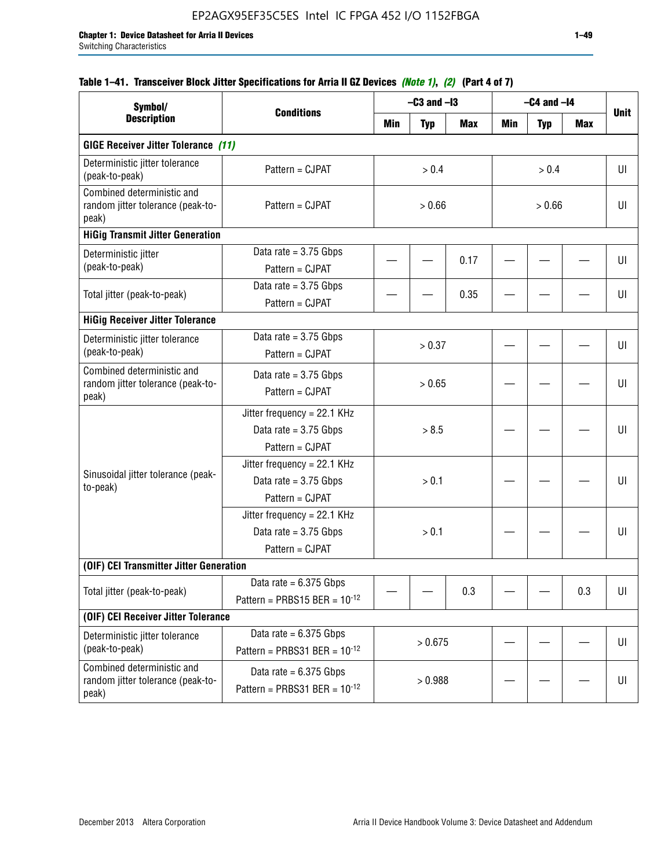| Symbol/                                                                  |                                                                           |        | $-C3$ and $-I3$ |            |            | $-C4$ and $-I4$ |            |             |
|--------------------------------------------------------------------------|---------------------------------------------------------------------------|--------|-----------------|------------|------------|-----------------|------------|-------------|
| <b>Description</b>                                                       | <b>Conditions</b>                                                         | Min    | <b>Typ</b>      | <b>Max</b> | <b>Min</b> | <b>Typ</b>      | <b>Max</b> | <b>Unit</b> |
| <b>GIGE Receiver Jitter Tolerance (11)</b>                               |                                                                           |        |                 |            |            |                 |            |             |
| Deterministic jitter tolerance<br>(peak-to-peak)                         | Pattern = CJPAT                                                           | > 0.4  |                 |            |            | > 0.4           |            |             |
| Combined deterministic and<br>random jitter tolerance (peak-to-<br>peak) | Pattern = CJPAT                                                           | > 0.66 |                 |            | > 0.66     |                 |            | UI          |
| <b>HiGig Transmit Jitter Generation</b>                                  |                                                                           |        |                 |            |            |                 |            |             |
| Deterministic jitter<br>(peak-to-peak)                                   | Data rate = $3.75$ Gbps<br>Pattern = CJPAT                                |        |                 | 0.17       |            |                 |            | UI          |
| Total jitter (peak-to-peak)                                              | Data rate = $3.75$ Gbps<br>Pattern = CJPAT                                |        |                 | 0.35       |            |                 |            | UI          |
| <b>HiGig Receiver Jitter Tolerance</b>                                   |                                                                           |        |                 |            |            |                 |            |             |
| Deterministic jitter tolerance<br>(peak-to-peak)                         | Data rate = $3.75$ Gbps<br>Pattern = CJPAT                                |        | > 0.37          |            |            |                 |            | UI          |
| Combined deterministic and<br>random jitter tolerance (peak-to-<br>peak) | Data rate = $3.75$ Gbps<br>Pattern = CJPAT                                | > 0.65 |                 |            |            |                 |            | UI          |
|                                                                          | Jitter frequency = 22.1 KHz<br>Data rate = $3.75$ Gbps<br>Pattern = CJPAT | > 8.5  |                 |            |            |                 | UI         |             |
| Sinusoidal jitter tolerance (peak-<br>to-peak)                           | Jitter frequency = 22.1 KHz<br>Data rate = $3.75$ Gbps<br>Pattern = CJPAT |        | > 0.1           |            |            |                 |            | UI          |
|                                                                          | Jitter frequency = 22.1 KHz<br>Data rate = $3.75$ Gbps<br>Pattern = CJPAT |        | > 0.1           |            |            |                 |            | UI          |
| (OIF) CEI Transmitter Jitter Generation                                  |                                                                           |        |                 |            |            |                 |            |             |
| Total jitter (peak-to-peak)                                              | Data rate = $6.375$ Gbps<br>Pattern = PRBS15 BER = $10^{-12}$             |        |                 | 0.3        |            |                 | 0.3        | U           |
| (OIF) CEI Receiver Jitter Tolerance                                      |                                                                           |        |                 |            |            |                 |            |             |
| Deterministic jitter tolerance<br>(peak-to-peak)                         | Data rate = $6.375$ Gbps<br>Pattern = PRBS31 BER = $10^{-12}$             |        | > 0.675         |            |            |                 |            | UI          |
| Combined deterministic and<br>random jitter tolerance (peak-to-<br>peak) | Data rate = $6.375$ Gbps<br>Pattern = PRBS31 BER = $10^{-12}$             |        | > 0.988         |            |            |                 |            | U           |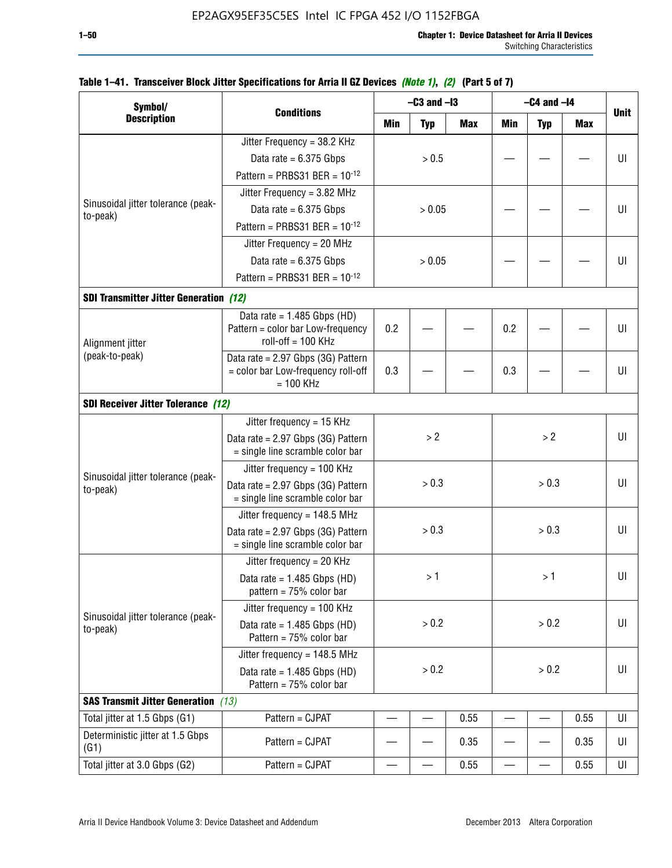| Symbol/                                        |                                                                        |     | $-C3$ and $-I3$ |            |            | $-C4$ and $-I4$ |            |             |
|------------------------------------------------|------------------------------------------------------------------------|-----|-----------------|------------|------------|-----------------|------------|-------------|
| <b>Description</b>                             | <b>Conditions</b>                                                      | Min | <b>Typ</b>      | <b>Max</b> | <b>Min</b> | <b>Typ</b>      | <b>Max</b> | <b>Unit</b> |
|                                                | Jitter Frequency = 38.2 KHz                                            |     |                 |            |            |                 |            |             |
|                                                | Data rate = $6.375$ Gbps                                               |     | > 0.5           |            |            |                 |            | UI          |
|                                                | Pattern = PRBS31 BER = $10^{-12}$                                      |     |                 |            |            |                 |            |             |
|                                                | Jitter Frequency = 3.82 MHz                                            |     |                 |            |            |                 |            |             |
| Sinusoidal jitter tolerance (peak-<br>to-peak) | Data rate = $6.375$ Gbps                                               |     | > 0.05          |            |            |                 |            | UI          |
|                                                | Pattern = PRBS31 BER = $10^{-12}$                                      |     |                 |            |            |                 |            |             |
|                                                | Jitter Frequency = 20 MHz                                              |     |                 |            |            |                 |            |             |
|                                                | Data rate = $6.375$ Gbps                                               |     | > 0.05          |            |            |                 |            | UI          |
|                                                | Pattern = PRBS31 BER = $10^{-12}$                                      |     |                 |            |            |                 |            |             |
| <b>SDI Transmitter Jitter Generation (12)</b>  |                                                                        |     |                 |            |            |                 |            |             |
|                                                | Data rate = $1.485$ Gbps (HD)<br>Pattern = color bar Low-frequency     | 0.2 |                 |            | 0.2        |                 |            | UI          |
| Alignment jitter                               | $roll-off = 100 KHz$                                                   |     |                 |            |            |                 |            |             |
| (peak-to-peak)                                 | Data rate = 2.97 Gbps (3G) Pattern                                     |     |                 |            |            |                 |            |             |
|                                                | = color bar Low-frequency roll-off<br>$= 100$ KHz                      | 0.3 |                 |            | 0.3        |                 |            | UI          |
| <b>SDI Receiver Jitter Tolerance (12)</b>      |                                                                        |     |                 |            |            |                 |            |             |
|                                                | Jitter frequency = $15$ KHz                                            |     |                 |            |            |                 |            |             |
|                                                | Data rate = 2.97 Gbps (3G) Pattern<br>= single line scramble color bar |     | > 2             |            |            | >2              |            |             |
|                                                | Jitter frequency = $100$ KHz                                           |     |                 |            |            |                 |            |             |
| Sinusoidal jitter tolerance (peak-<br>to-peak) | Data rate = 2.97 Gbps (3G) Pattern<br>= single line scramble color bar |     | > 0.3           |            |            | > 0.3           |            | UI          |
|                                                | Jitter frequency = $148.5$ MHz                                         |     |                 |            |            |                 |            |             |
|                                                | Data rate = 2.97 Gbps (3G) Pattern<br>= single line scramble color bar |     | > 0.3           |            |            | > 0.3           |            | UI          |
|                                                | Jitter frequency = $20$ KHz                                            |     |                 |            |            |                 |            |             |
|                                                | Data rate = $1.485$ Gbps (HD)<br>pattern = $75%$ color bar             |     | >1              |            |            | >1              |            | UI          |
|                                                | Jitter frequency = $100$ KHz                                           |     |                 |            |            |                 |            |             |
| Sinusoidal jitter tolerance (peak-<br>to-peak) | Data rate = $1.485$ Gbps (HD)<br>Pattern = $75%$ color bar             |     | > 0.2           |            |            | > 0.2           |            | UI          |
|                                                | Jitter frequency = $148.5$ MHz                                         |     |                 |            |            |                 |            |             |
|                                                | Data rate = $1.485$ Gbps (HD)<br>Pattern = 75% color bar               |     | > 0.2           |            |            | > 0.2           |            | UI          |
| <b>SAS Transmit Jitter Generation</b> (13)     |                                                                        |     |                 |            |            |                 |            |             |
| Total jitter at 1.5 Gbps (G1)                  | Pattern = CJPAT                                                        |     |                 | 0.55       |            |                 | 0.55       | UI          |
| Deterministic jitter at 1.5 Gbps<br>(G1)       | Pattern = CJPAT                                                        |     |                 | 0.35       |            |                 | 0.35       | UI          |
| Total jitter at 3.0 Gbps (G2)                  | Pattern = CJPAT                                                        | —   |                 | 0.55       |            |                 | 0.55       | UI          |

### **Table 1–41. Transceiver Block Jitter Specifications for Arria II GZ Devices** *(Note 1)***,** *(2)* **(Part 5 of 7)**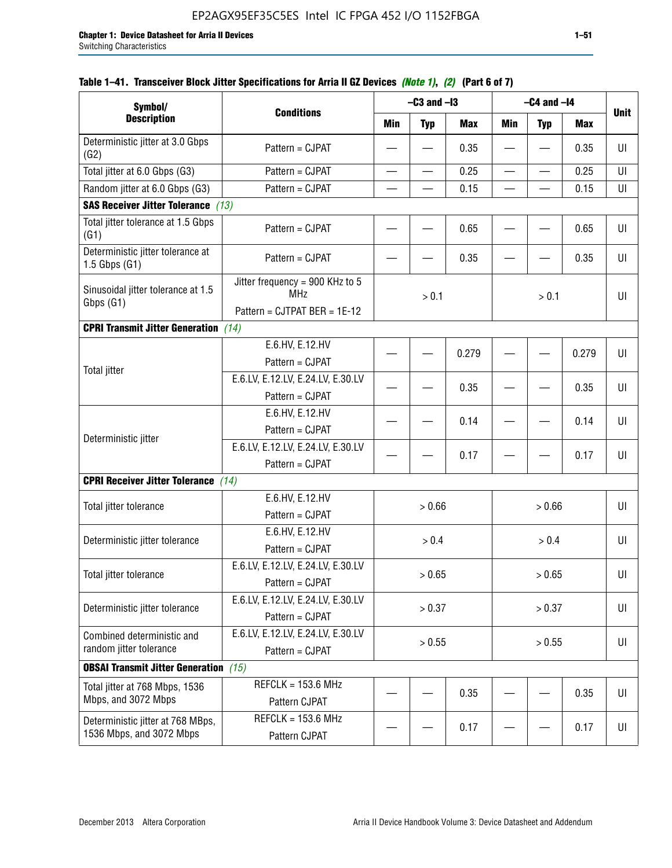| Symbol/                                                       |                                                                               |                          | $-C3$ and $-I3$ |            |                          | $-C4$ and $-I4$          |            |             |
|---------------------------------------------------------------|-------------------------------------------------------------------------------|--------------------------|-----------------|------------|--------------------------|--------------------------|------------|-------------|
| <b>Description</b>                                            | <b>Conditions</b>                                                             | Min                      | <b>Typ</b>      | <b>Max</b> | Min                      | <b>Typ</b>               | <b>Max</b> | <b>Unit</b> |
| Deterministic jitter at 3.0 Gbps<br>(G2)                      | Pattern = CJPAT                                                               |                          |                 | 0.35       |                          |                          | 0.35       | UI          |
| Total jitter at 6.0 Gbps (G3)                                 | Pattern = CJPAT                                                               | $\overline{\phantom{0}}$ |                 | 0.25       | $\overline{\phantom{0}}$ | $\overline{\phantom{0}}$ | 0.25       | UI          |
| Random jitter at 6.0 Gbps (G3)                                | Pattern = CJPAT                                                               |                          |                 | 0.15       |                          |                          | 0.15       | UI          |
| <b>SAS Receiver Jitter Tolerance (13)</b>                     |                                                                               |                          |                 |            |                          |                          |            |             |
| Total jitter tolerance at 1.5 Gbps<br>(G1)                    | Pattern = CJPAT                                                               |                          |                 | 0.65       |                          |                          | 0.65       | U           |
| Deterministic jitter tolerance at<br>$1.5$ Gbps $(G1)$        | Pattern = CJPAT                                                               |                          |                 | 0.35       |                          |                          | 0.35       | UI          |
| Sinusoidal jitter tolerance at 1.5<br>Gbps (G1)               | Jitter frequency = 900 KHz to 5<br><b>MHz</b><br>Pattern = CJTPAT BER = 1E-12 |                          | > 0.1           |            |                          | > 0.1                    |            | UI          |
| <b>CPRI Transmit Jitter Generation</b>                        | (14)                                                                          |                          |                 |            |                          |                          |            |             |
|                                                               | E.6.HV, E.12.HV<br>Pattern = CJPAT                                            |                          |                 | 0.279      |                          |                          | 0.279      | U           |
| <b>Total jitter</b>                                           | E.6.LV, E.12.LV, E.24.LV, E.30.LV<br>Pattern = CJPAT                          |                          | 0.35            |            |                          |                          | 0.35       | UI          |
|                                                               | E.6.HV, E.12.HV<br>Pattern = CJPAT                                            |                          |                 | 0.14       |                          |                          | 0.14       | UI          |
| Deterministic jitter                                          | E.6.LV, E.12.LV, E.24.LV, E.30.LV<br>Pattern = CJPAT                          |                          |                 | 0.17       |                          |                          | 0.17       | UI          |
| <b>CPRI Receiver Jitter Tolerance</b> (14)                    |                                                                               |                          |                 |            |                          |                          |            |             |
| Total jitter tolerance                                        | E.6.HV, E.12.HV<br>Pattern = CJPAT                                            |                          | > 0.66          |            |                          | > 0.66                   |            | UI          |
| Deterministic jitter tolerance                                | E.6.HV, E.12.HV<br>Pattern = CJPAT                                            |                          | > 0.4           |            |                          | > 0.4                    |            | UI          |
| Total jitter tolerance                                        | E.6.LV, E.12.LV, E.24.LV, E.30.LV<br>Pattern = CJPAT                          |                          | > 0.65          |            |                          | > 0.65                   |            | UI          |
| Deterministic jitter tolerance                                | E.6.LV, E.12.LV, E.24.LV, E.30.LV<br>Pattern = CJPAT                          |                          | > 0.37          |            |                          | > 0.37                   |            | UI          |
| Combined deterministic and<br>random jitter tolerance         | E.6.LV, E.12.LV, E.24.LV, E.30.LV<br>Pattern = CJPAT                          | > 0.55<br>> 0.55         |                 |            |                          | UI                       |            |             |
| <b>OBSAI Transmit Jitter Generation</b> (15)                  |                                                                               |                          |                 |            |                          |                          |            |             |
| Total jitter at 768 Mbps, 1536<br>Mbps, and 3072 Mbps         | $REFCLK = 153.6 MHz$<br>Pattern CJPAT                                         |                          |                 | 0.35       |                          |                          | 0.35       | UI          |
| Deterministic jitter at 768 MBps,<br>1536 Mbps, and 3072 Mbps | $REFCLK = 153.6 MHz$<br>Pattern CJPAT                                         |                          |                 | 0.17       |                          |                          | 0.17       | UI          |

## **Table 1–41. Transceiver Block Jitter Specifications for Arria II GZ Devices** *(Note 1)***,** *(2)* **(Part 6 of 7)**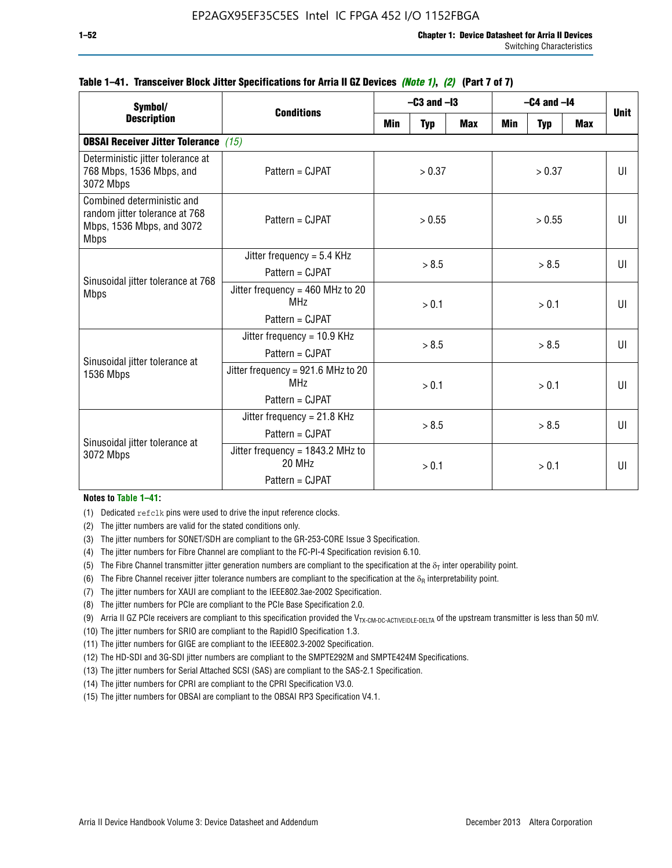| Symbol/                                                                                                  | <b>Conditions</b>                                                        | $-C3$ and $-I3$ |            |            | $-C4$ and $-I4$ | <b>Unit</b> |            |              |
|----------------------------------------------------------------------------------------------------------|--------------------------------------------------------------------------|-----------------|------------|------------|-----------------|-------------|------------|--------------|
| <b>Description</b>                                                                                       |                                                                          | Min             | <b>Typ</b> | <b>Max</b> | Min             | <b>Typ</b>  | <b>Max</b> |              |
| <b>OBSAI Receiver Jitter Tolerance (15)</b>                                                              |                                                                          |                 |            |            |                 |             |            |              |
| Deterministic jitter tolerance at<br>768 Mbps, 1536 Mbps, and<br>3072 Mbps                               | Pattern = CJPAT                                                          | > 0.37          |            | > 0.37     |                 |             | UI         |              |
| Combined deterministic and<br>random jitter tolerance at 768<br>Mbps, 1536 Mbps, and 3072<br><b>Mbps</b> | $Pattern = CJPATH$                                                       | > 0.55          |            | > 0.55     |                 |             | UI         |              |
| Sinusoidal jitter tolerance at 768<br><b>Mbps</b>                                                        | Jitter frequency = $5.4$ KHz<br>Pattern = CJPAT                          | > 8.5           |            | > 8.5      |                 |             | UI         |              |
|                                                                                                          | Jitter frequency = $460$ MHz to 20<br>MH <sub>7</sub><br>Pattern = CJPAT |                 | > 0.1      |            |                 | > 0.1       |            | UI           |
| Sinusoidal jitter tolerance at                                                                           | Jitter frequency = $10.9$ KHz<br>Pattern = CJPAT                         | > 8.5           |            |            |                 | > 8.5       |            | UI           |
| 1536 Mbps                                                                                                | Jitter frequency = 921.6 MHz to 20<br>MH <sub>7</sub><br>Pattern = CJPAT | > 0.1           |            |            | > 0.1           |             |            | $\mathbf{U}$ |
| Sinusoidal jitter tolerance at                                                                           | Jitter frequency = $21.8$ KHz<br>$Pattern = CJPATH$                      |                 | > 8.5      |            | > 8.5           |             |            | $\mathbf{U}$ |
| 3072 Mbps                                                                                                | Jitter frequency = $1843.2$ MHz to<br>20 MHz<br>Pattern = CJPAT          | > 0.1           |            | > 0.1      |                 |             | UI         |              |

### **Table 1–41. Transceiver Block Jitter Specifications for Arria II GZ Devices** *(Note 1)***,** *(2)* **(Part 7 of 7)**

#### **Notes to Table 1–41:**

(1) Dedicated refclk pins were used to drive the input reference clocks.

- (2) The jitter numbers are valid for the stated conditions only.
- (3) The jitter numbers for SONET/SDH are compliant to the GR-253-CORE Issue 3 Specification.
- (4) The jitter numbers for Fibre Channel are compliant to the FC-PI-4 Specification revision 6.10.
- (5) The Fibre Channel transmitter jitter generation numbers are compliant to the specification at the  $\delta_T$  inter operability point.
- (6) The Fibre Channel receiver jitter tolerance numbers are compliant to the specification at the  $\delta_R$  interpretability point.
- (7) The jitter numbers for XAUI are compliant to the IEEE802.3ae-2002 Specification.
- (8) The jitter numbers for PCIe are compliant to the PCIe Base Specification 2.0.
- (9) Arria II GZ PCIe receivers are compliant to this specification provided the V<sub>TX-CM-DC-ACTIVEIDLE-DELTA</sub> of the upstream transmitter is less than 50 mV.
- (10) The jitter numbers for SRIO are compliant to the RapidIO Specification 1.3.
- (11) The jitter numbers for GIGE are compliant to the IEEE802.3-2002 Specification.
- (12) The HD-SDI and 3G-SDI jitter numbers are compliant to the SMPTE292M and SMPTE424M Specifications.
- (13) The jitter numbers for Serial Attached SCSI (SAS) are compliant to the SAS-2.1 Specification.
- (14) The jitter numbers for CPRI are compliant to the CPRI Specification V3.0.
- (15) The jitter numbers for OBSAI are compliant to the OBSAI RP3 Specification V4.1.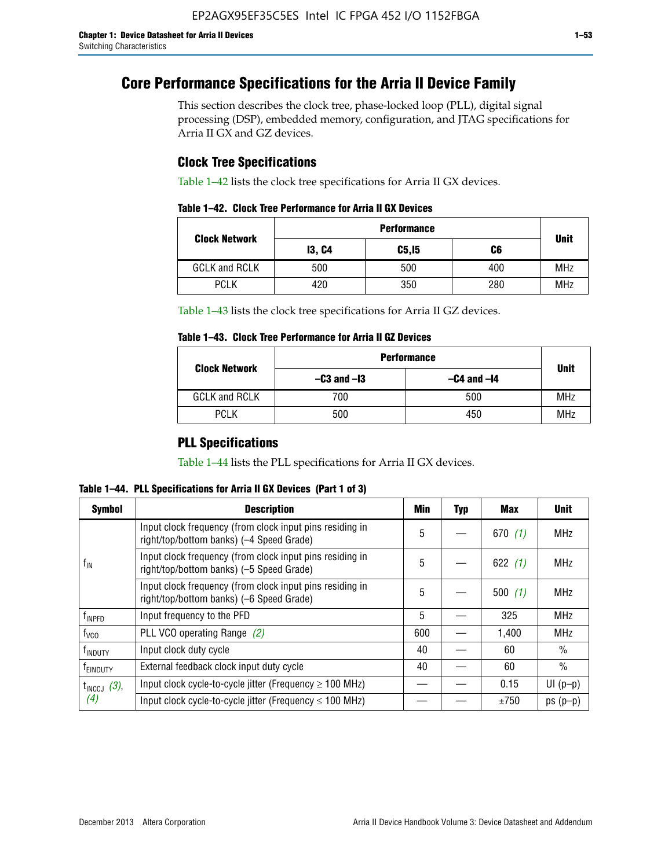# **Core Performance Specifications for the Arria II Device Family**

This section describes the clock tree, phase-locked loop (PLL), digital signal processing (DSP), embedded memory, configuration, and JTAG specifications for Arria II GX and GZ devices.

## **Clock Tree Specifications**

Table 1–42 lists the clock tree specifications for Arria II GX devices.

|                      | <b>Performance</b> |        |     |             |  |  |  |
|----------------------|--------------------|--------|-----|-------------|--|--|--|
| <b>Clock Network</b> | <b>13, C4</b>      | C5, I5 | C6  | <b>Unit</b> |  |  |  |
| <b>GCLK and RCLK</b> | 500                | 500    | 400 | <b>MHz</b>  |  |  |  |
| <b>PCLK</b>          | 420                | 350    | 280 | <b>MHz</b>  |  |  |  |

Table 1–43 lists the clock tree specifications for Arria II GZ devices.

### **Table 1–43. Clock Tree Performance for Arria II GZ Devices**

| <b>Clock Network</b> | <b>Performance</b> |                 |             |  |  |  |
|----------------------|--------------------|-----------------|-------------|--|--|--|
|                      | $-C3$ and $-I3$    | $-C4$ and $-I4$ | <b>Unit</b> |  |  |  |
| <b>GCLK and RCLK</b> | 700                | 500             | <b>MHz</b>  |  |  |  |
| <b>PCLK</b>          | 500                | 450             | <b>MHz</b>  |  |  |  |

## **PLL Specifications**

Table 1–44 lists the PLL specifications for Arria II GX devices.

**Table 1–44. PLL Specifications for Arria II GX Devices (Part 1 of 3)**

| <b>Symbol</b>           | <b>Description</b>                                                                                   | Min | <b>Typ</b> | Max       | <b>Unit</b>   |
|-------------------------|------------------------------------------------------------------------------------------------------|-----|------------|-----------|---------------|
|                         | Input clock frequency (from clock input pins residing in<br>right/top/bottom banks) (-4 Speed Grade) | 5   |            | 670(1)    | <b>MHz</b>    |
| $f_{\text{IN}}$         | Input clock frequency (from clock input pins residing in<br>right/top/bottom banks) (-5 Speed Grade) | 5   |            | 622 $(1)$ | <b>MHz</b>    |
|                         | Input clock frequency (from clock input pins residing in<br>right/top/bottom banks) (-6 Speed Grade) | 5   |            | 500(1)    | <b>MHz</b>    |
| f <sub>INPFD</sub>      | Input frequency to the PFD                                                                           | 5   |            | 325       | <b>MHz</b>    |
| $f_{\rm VCO}$           | PLL VCO operating Range (2)                                                                          | 600 |            | 1,400     | <b>MHz</b>    |
| <sup>t</sup> INDUTY     | Input clock duty cycle                                                                               | 40  |            | 60        | $\frac{0}{0}$ |
| f <sub>EINDUTY</sub>    | External feedback clock input duty cycle                                                             |     |            | 60        | $\frac{0}{0}$ |
| $t_{\text{INCCJ}}$ (3), | Input clock cycle-to-cycle jitter (Frequency $\geq$ 100 MHz)                                         |     |            | 0.15      | $UI(p-p)$     |
| (4)                     | Input clock cycle-to-cycle jitter (Frequency $\leq 100$ MHz)                                         |     |            | ±750      | $ps(p-p)$     |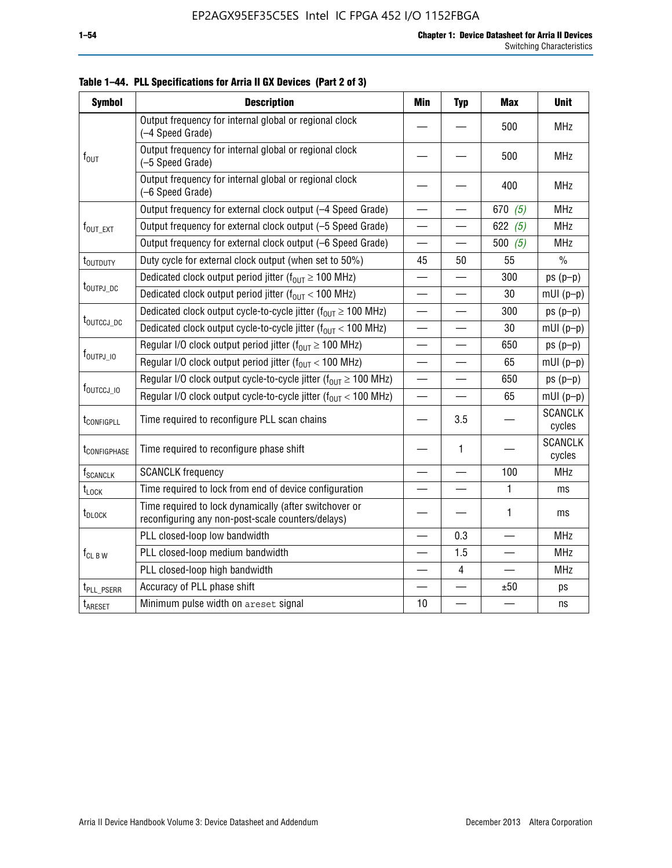| <b>Symbol</b>               | <b>Description</b>                                                                                          | <b>Min</b>               | <b>Typ</b>               | <b>Max</b> | <b>Unit</b>              |
|-----------------------------|-------------------------------------------------------------------------------------------------------------|--------------------------|--------------------------|------------|--------------------------|
|                             | Output frequency for internal global or regional clock<br>(-4 Speed Grade)                                  |                          |                          | 500        | <b>MHz</b>               |
| $f_{\text{OUT}}$            | Output frequency for internal global or regional clock<br>(-5 Speed Grade)                                  |                          |                          | 500        | <b>MHz</b>               |
|                             | Output frequency for internal global or regional clock<br>(-6 Speed Grade)                                  |                          |                          | 400        | <b>MHz</b>               |
|                             | Output frequency for external clock output (-4 Speed Grade)                                                 | $\overline{\phantom{0}}$ |                          | 670 $(5)$  | <b>MHz</b>               |
| f <sub>out_ext</sub>        | Output frequency for external clock output (-5 Speed Grade)                                                 |                          |                          | 622 $(5)$  | <b>MHz</b>               |
|                             | Output frequency for external clock output (-6 Speed Grade)                                                 | —                        |                          | 500 $(5)$  | <b>MHz</b>               |
| t <sub>outduty</sub>        | Duty cycle for external clock output (when set to 50%)                                                      | 45                       | 50                       | 55         | $\frac{0}{0}$            |
|                             | Dedicated clock output period jitter ( $f_{OUT} \ge 100$ MHz)                                               |                          |                          | 300        | $ps(p-p)$                |
| t <sub>outpj_dc</sub>       | Dedicated clock output period jitter ( $f_{OUT}$ < 100 MHz)                                                 |                          |                          | 30         | $mUI(p-p)$               |
|                             | Dedicated clock output cycle-to-cycle jitter ( $f_{OUT} \ge 100$ MHz)                                       |                          |                          | 300        | $ps(p-p)$                |
|                             | t <sub>outccj_dc</sub><br>Dedicated clock output cycle-to-cycle jitter ( $f_{OUT}$ < 100 MHz)               |                          |                          | 30         | $mUI(p-p)$               |
|                             | Regular I/O clock output period jitter ( $f_{OUT} \ge 100$ MHz)                                             |                          |                          | 650        | $ps(p-p)$                |
| $f_{\text{OUTPJ\_10}}$      | Regular I/O clock output period jitter ( $f_{OUT}$ < 100 MHz)                                               |                          |                          | 65         | $mUI(p-p)$               |
|                             | Regular I/O clock output cycle-to-cycle jitter ( $f_{OUT} \ge 100$ MHz)                                     |                          | —                        | 650        | $ps(p-p)$                |
| f <sub>outccj_io</sub>      | Regular I/O clock output cycle-to-cycle jitter ( $f_{OUT}$ < 100 MHz)                                       |                          |                          | 65         | $mUI(p-p)$               |
| t <sub>configpll</sub>      | Time required to reconfigure PLL scan chains                                                                |                          | 3.5                      |            | <b>SCANCLK</b><br>cycles |
| t <sub>configphase</sub>    | Time required to reconfigure phase shift                                                                    |                          | 1                        |            | <b>SCANCLK</b><br>cycles |
| <b>f</b> <sub>SCANCLK</sub> | <b>SCANCLK</b> frequency                                                                                    |                          |                          | 100        | <b>MHz</b>               |
| $t_{\text{LOCK}}$           | Time required to lock from end of device configuration                                                      |                          | $\overline{\phantom{0}}$ | 1          | ms                       |
| t <sub>DLOCK</sub>          | Time required to lock dynamically (after switchover or<br>reconfiguring any non-post-scale counters/delays) |                          |                          | 1          | ms                       |
|                             | PLL closed-loop low bandwidth                                                                               |                          | 0.3                      |            | <b>MHz</b>               |
| $f_{CL\,B\,W}$              | PLL closed-loop medium bandwidth                                                                            | $\overline{\phantom{0}}$ | 1.5                      |            | <b>MHz</b>               |
|                             | PLL closed-loop high bandwidth                                                                              |                          | 4                        |            | <b>MHz</b>               |
| t <sub>PLL_PSERR</sub>      | Accuracy of PLL phase shift                                                                                 |                          |                          | ±50        | ps                       |
| t <sub>ARESET</sub>         | Minimum pulse width on areset signal                                                                        | 10                       |                          |            | ns                       |

**Table 1–44. PLL Specifications for Arria II GX Devices (Part 2 of 3)**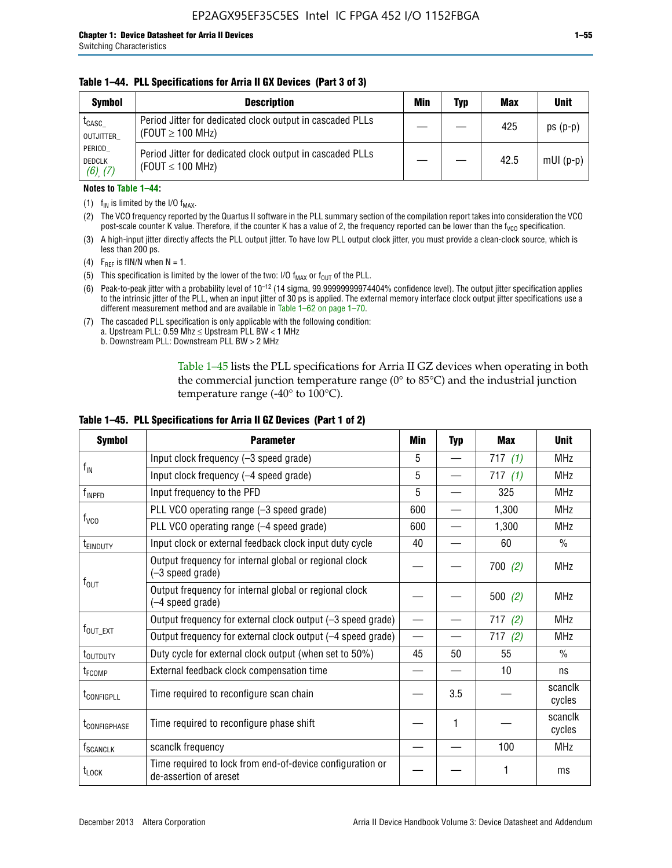### **Table 1–44. PLL Specifications for Arria II GX Devices (Part 3 of 3)**

| <b>Symbol</b>                            | <b>Description</b>                                                                 | Min | Typ | <b>Max</b> | <b>Unit</b> |
|------------------------------------------|------------------------------------------------------------------------------------|-----|-----|------------|-------------|
| t <sub>CASC</sub><br>OUTJITTER           | Period Jitter for dedicated clock output in cascaded PLLs<br>(FOUT $\geq$ 100 MHz) |     |     | 425        | $ps(p-p)$   |
| PERIOD<br><b>DEDCLK</b><br>$(6)$ , $(7)$ | Period Jitter for dedicated clock output in cascaded PLLs<br>(FOUT $\leq$ 100 MHz) |     |     | 42.5       | $mUI(p-p)$  |

### **Notes to Table 1–44:**

- (1)  $f_{IN}$  is limited by the I/O  $f_{MAX}$ .
- (2) The VCO frequency reported by the Quartus II software in the PLL summary section of the compilation report takes into consideration the VCO post-scale counter K value. Therefore, if the counter K has a value of 2, the frequency reported can be lower than the f<sub>VCO</sub> specification.
- (3) A high-input jitter directly affects the PLL output jitter. To have low PLL output clock jitter, you must provide a clean-clock source, which is less than 200 ps.
- (4) F<sub>REF</sub> is fIN/N when N = 1.
- (5) This specification is limited by the lower of the two: I/O  $f_{MAX}$  or  $f_{OUT}$  of the PLL.
- (6) Peak-to-peak jitter with a probability level of 10–12 (14 sigma, 99.99999999974404% confidence level). The output jitter specification applies to the intrinsic jitter of the PLL, when an input jitter of 30 ps is applied. The external memory interface clock output jitter specifications use a different measurement method and are available in Table 1–62 on page 1–70.
- (7) The cascaded PLL specification is only applicable with the following condition: a. Upstream PLL:  $0.59$  Mhz  $\leq$  Upstream PLL BW  $<$  1 MHz
	- b. Downstream PLL: Downstream PLL BW > 2 MHz

Table 1–45 lists the PLL specifications for Arria II GZ devices when operating in both the commercial junction temperature range (0° to 85°C) and the industrial junction temperature range (-40 $\degree$  to 100 $\degree$ C).

| <b>Symbol</b>              | <b>Parameter</b>                                                                    | Min                      | <b>Typ</b> | <b>Max</b> | <b>Unit</b>       |
|----------------------------|-------------------------------------------------------------------------------------|--------------------------|------------|------------|-------------------|
|                            | Input clock frequency (-3 speed grade)                                              | 5                        |            | 717 $(1)$  | <b>MHz</b>        |
| $f_{IN}$                   | Input clock frequency (-4 speed grade)                                              | 5                        |            | 717(1)     | <b>MHz</b>        |
| $f_{\mathsf{INPPD}}$       | Input frequency to the PFD                                                          | 5                        |            | 325        | <b>MHz</b>        |
|                            | PLL VCO operating range (-3 speed grade)                                            | 600                      |            | 1,300      | <b>MHz</b>        |
| $f_{\rm VCO}$              | PLL VCO operating range (-4 speed grade)                                            | 600                      |            | 1,300      | <b>MHz</b>        |
| <b>TEINDUTY</b>            | Input clock or external feedback clock input duty cycle                             | 40                       |            | 60         | $\frac{0}{0}$     |
|                            | Output frequency for internal global or regional clock<br>(-3 speed grade)          |                          |            | 700(2)     | <b>MHz</b>        |
| $f_{\text{OUT}}$           | Output frequency for internal global or regional clock<br>(-4 speed grade)          |                          |            | 500(2)     | <b>MHz</b>        |
|                            | Output frequency for external clock output (-3 speed grade)                         | $\overline{\phantom{0}}$ |            | 717(2)     | <b>MHz</b>        |
| $f_{\text{OUT\_EXT}}$      | Output frequency for external clock output (-4 speed grade)                         | $\overline{\phantom{0}}$ |            | 717(2)     | <b>MHz</b>        |
| t <sub>outduty</sub>       | Duty cycle for external clock output (when set to 50%)                              | 45                       | 50         | 55         | $\frac{0}{0}$     |
| t <sub>FCOMP</sub>         | External feedback clock compensation time                                           |                          |            | 10         | ns                |
| t <sub>configpll</sub>     | Time required to reconfigure scan chain                                             |                          | 3.5        |            | scanclk<br>cycles |
| <b><i>LCONFIGPHASE</i></b> | Time required to reconfigure phase shift                                            |                          | 1          |            | scanclk<br>cycles |
| f <sub>SCANCLK</sub>       | scanclk frequency                                                                   |                          |            | 100        | <b>MHz</b>        |
| t <sub>LOCK</sub>          | Time required to lock from end-of-device configuration or<br>de-assertion of areset |                          |            |            | ms                |

### **Table 1–45. PLL Specifications for Arria II GZ Devices (Part 1 of 2)**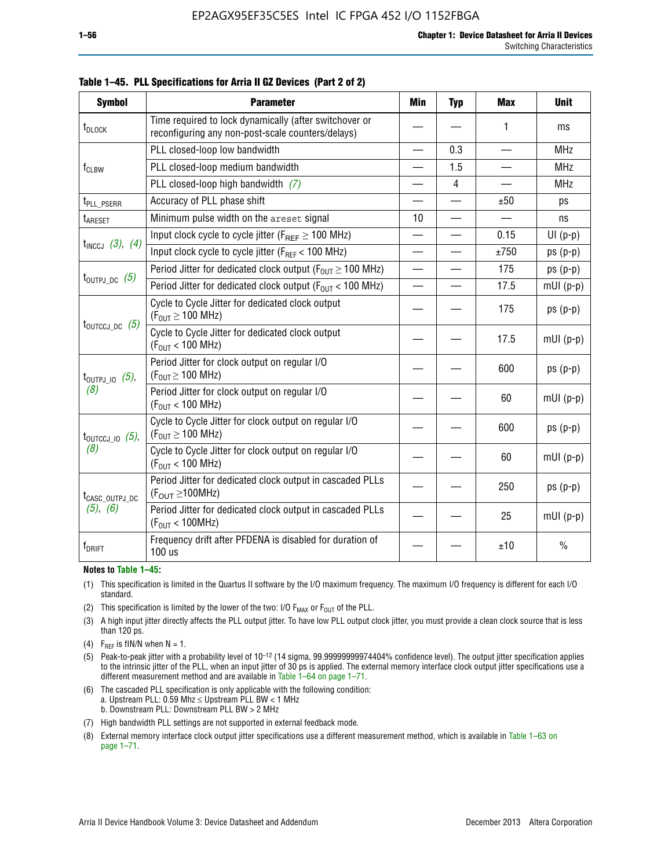| <b>Symbol</b>                                                                                  | <b>Parameter</b>                                                                                            | Min                      | <b>Typ</b>     | <b>Max</b> | <b>Unit</b>   |
|------------------------------------------------------------------------------------------------|-------------------------------------------------------------------------------------------------------------|--------------------------|----------------|------------|---------------|
| t <sub>DLOCK</sub>                                                                             | Time required to lock dynamically (after switchover or<br>reconfiguring any non-post-scale counters/delays) |                          |                | 1          | ms            |
|                                                                                                | PLL closed-loop low bandwidth                                                                               |                          | 0.3            |            | <b>MHz</b>    |
| $f_{CLBW}$                                                                                     | PLL closed-loop medium bandwidth                                                                            | —                        | 1.5            | —          | <b>MHz</b>    |
|                                                                                                | PLL closed-loop high bandwidth $(7)$                                                                        |                          | $\overline{4}$ |            | <b>MHz</b>    |
| t <sub>PLL</sub> PSERR                                                                         | Accuracy of PLL phase shift                                                                                 |                          |                | ±50        | ps            |
| <b>t</b> <sub>ARESET</sub>                                                                     | Minimum pulse width on the areset signal                                                                    | 10                       |                |            | ns            |
|                                                                                                | Input clock cycle to cycle jitter ( $F_{REF} \ge 100$ MHz)                                                  | $\overline{\phantom{0}}$ |                | 0.15       | $UI(p-p)$     |
| $t_{INCCJ}$ (3), (4)                                                                           | Input clock cycle to cycle jitter (F <sub>REF</sub> < 100 MHz)                                              |                          |                | ±750       | $ps(p-p)$     |
|                                                                                                | Period Jitter for dedicated clock output ( $F_{OIII} \ge 100$ MHz)                                          | $\overline{\phantom{0}}$ |                | 175        | $ps(p-p)$     |
| $t_{\text{OUTPJ\_DC}}$ (5)<br>Period Jitter for dedicated clock output ( $F_{OIII}$ < 100 MHz) |                                                                                                             | $\overline{\phantom{0}}$ |                | 17.5       | $mUI(p-p)$    |
|                                                                                                | Cycle to Cycle Jitter for dedicated clock output<br>$(F_{OUT} \ge 100$ MHz)                                 |                          |                | 175        | $ps(p-p)$     |
| $t_{\text{OUTCCJ\_DC}}$ (5)                                                                    | Cycle to Cycle Jitter for dedicated clock output<br>$(F_{OUT} < 100$ MHz)                                   |                          |                | 17.5       | $mUI(p-p)$    |
| $t_{\text{OUTPJ\_IO}}$ (5),                                                                    | Period Jitter for clock output on regular I/O<br>$(F_{OUT} \geq 100$ MHz)                                   |                          |                | 600        | $ps(p-p)$     |
| (8)                                                                                            | Period Jitter for clock output on regular I/O<br>$(F_{OUT}$ < 100 MHz)                                      |                          |                | 60         | $mUI(p-p)$    |
| $t_{\text{OUTCCJ\_IO}}$ (5),                                                                   | Cycle to Cycle Jitter for clock output on regular I/O<br>$(F_{OUT} \ge 100$ MHz)                            |                          |                | 600        | $ps(p-p)$     |
| (8)                                                                                            | Cycle to Cycle Jitter for clock output on regular I/O<br>$(F_{OUT} < 100$ MHz)                              |                          |                | 60         | $mUI(p-p)$    |
| t <sub>CASC_OUTPJ_DC</sub>                                                                     | Period Jitter for dedicated clock output in cascaded PLLs<br>$(F_{OUT} \ge 100MHz)$                         |                          |                | 250        | $ps(p-p)$     |
| $(5)$ , $(6)$                                                                                  | Period Jitter for dedicated clock output in cascaded PLLs<br>(F <sub>OUT</sub> < 100MHz)                    |                          |                | 25         | $mUI(p-p)$    |
| $f_{DRIFT}$                                                                                    | Frequency drift after PFDENA is disabled for duration of<br>100 us                                          |                          |                | ±10        | $\frac{0}{0}$ |

**Table 1–45. PLL Specifications for Arria II GZ Devices (Part 2 of 2)**

#### **Notes to Table 1–45:**

- (1) This specification is limited in the Quartus II software by the I/O maximum frequency. The maximum I/O frequency is different for each I/O standard.
- (2) This specification is limited by the lower of the two: I/O  $F_{MAX}$  or  $F_{OUT}$  of the PLL.
- (3) A high input jitter directly affects the PLL output jitter. To have low PLL output clock jitter, you must provide a clean clock source that is less than 120 ps.
- (4) F<sub>REF</sub> is fIN/N when  $N = 1$ .
- (5) Peak-to-peak jitter with a probability level of 10–12 (14 sigma, 99.99999999974404% confidence level). The output jitter specification applies to the intrinsic jitter of the PLL, when an input jitter of 30 ps is applied. The external memory interface clock output jitter specifications use a different measurement method and are available in Table 1–64 on page 1–71.
- (6) The cascaded PLL specification is only applicable with the following condition: a. Upstream PLL: 0.59 Mhz  $\leq$  Upstream PLL BW  $<$  1 MHz b. Downstream PLL: Downstream PLL BW > 2 MHz
- (7) High bandwidth PLL settings are not supported in external feedback mode.
- (8) External memory interface clock output jitter specifications use a different measurement method, which is available in Table 1–63 on page 1–71.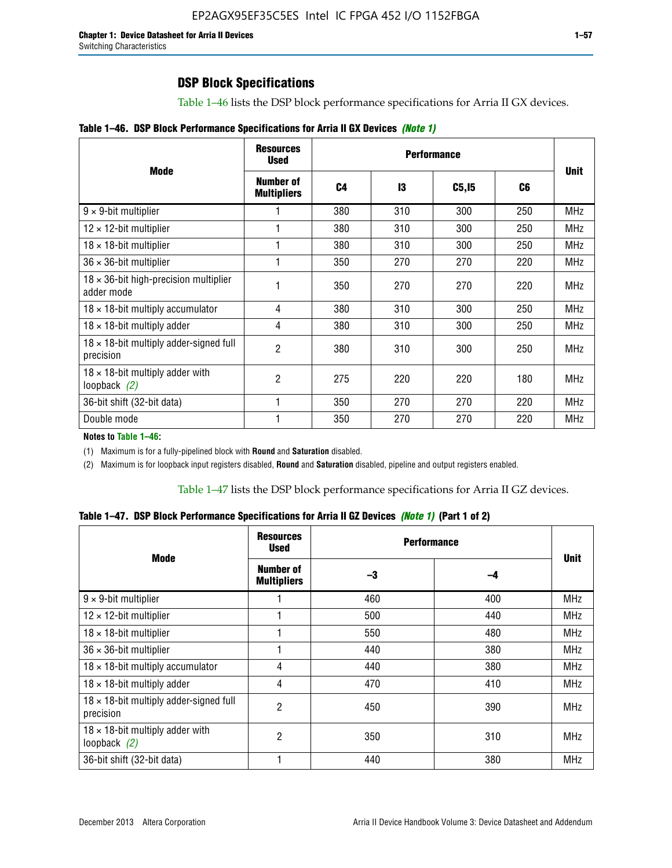# **DSP Block Specifications**

Table 1–46 lists the DSP block performance specifications for Arria II GX devices.

|  |  | Table 1–46. DSP Block Performance Specifications for Arria II GX Devices (Note 1) |  |  |  |  |  |
|--|--|-----------------------------------------------------------------------------------|--|--|--|--|--|
|--|--|-----------------------------------------------------------------------------------|--|--|--|--|--|

|                                                             | <b>Resources</b><br><b>Used</b> |     |     |        |     |             |
|-------------------------------------------------------------|---------------------------------|-----|-----|--------|-----|-------------|
| <b>Mode</b>                                                 | Number of<br><b>Multipliers</b> | C4  | 13  | C5, I5 | C6  | <b>Unit</b> |
| $9 \times 9$ -bit multiplier                                |                                 | 380 | 310 | 300    | 250 | <b>MHz</b>  |
| $12 \times 12$ -bit multiplier                              |                                 | 380 | 310 | 300    | 250 | <b>MHz</b>  |
| $18 \times 18$ -bit multiplier                              |                                 | 380 | 310 | 300    | 250 | <b>MHz</b>  |
| $36 \times 36$ -bit multiplier                              |                                 | 350 | 270 | 270    | 220 | <b>MHz</b>  |
| $18 \times 36$ -bit high-precision multiplier<br>adder mode |                                 | 350 | 270 | 270    | 220 | <b>MHz</b>  |
| $18 \times 18$ -bit multiply accumulator                    | 4                               | 380 | 310 | 300    | 250 | <b>MHz</b>  |
| $18 \times 18$ -bit multiply adder                          | 4                               | 380 | 310 | 300    | 250 | <b>MHz</b>  |
| 18 x 18-bit multiply adder-signed full<br>precision         | $\overline{2}$                  | 380 | 310 | 300    | 250 | <b>MHz</b>  |
| $18 \times 18$ -bit multiply adder with<br>loopback $(2)$   | $\mathfrak{p}$                  | 275 | 220 | 220    | 180 | <b>MHz</b>  |
| 36-bit shift (32-bit data)                                  |                                 | 350 | 270 | 270    | 220 | <b>MHz</b>  |
| Double mode                                                 |                                 | 350 | 270 | 270    | 220 | <b>MHz</b>  |

**Notes to Table 1–46:**

(1) Maximum is for a fully-pipelined block with **Round** and **Saturation** disabled.

(2) Maximum is for loopback input registers disabled, **Round** and **Saturation** disabled, pipeline and output registers enabled.

Table 1–47 lists the DSP block performance specifications for Arria II GZ devices.

**Table 1–47. DSP Block Performance Specifications for Arria II GZ Devices** *(Note 1)* **(Part 1 of 2)**

| <b>Mode</b>                                               | <b>Resources</b><br><b>Used</b> | <b>Performance</b> |     | <b>Unit</b> |
|-----------------------------------------------------------|---------------------------------|--------------------|-----|-------------|
|                                                           | Number of<br><b>Multipliers</b> | -3                 | -4  |             |
| $9 \times 9$ -bit multiplier                              |                                 | 460                | 400 | <b>MHz</b>  |
| $12 \times 12$ -bit multiplier                            |                                 | 500                | 440 | <b>MHz</b>  |
| $18 \times 18$ -bit multiplier                            |                                 | 550                | 480 | <b>MHz</b>  |
| $36 \times 36$ -bit multiplier                            |                                 | 440                | 380 | MHz         |
| $18 \times 18$ -bit multiply accumulator                  | 4                               | 440                | 380 | MHz         |
| $18 \times 18$ -bit multiply adder                        | 4                               | 470                | 410 | <b>MHz</b>  |
| 18 x 18-bit multiply adder-signed full<br>precision       | 2                               | 450                | 390 | <b>MHz</b>  |
| $18 \times 18$ -bit multiply adder with<br>loopback $(2)$ | 2                               | 350                | 310 | <b>MHz</b>  |
| 36-bit shift (32-bit data)                                |                                 | 440                | 380 | <b>MHz</b>  |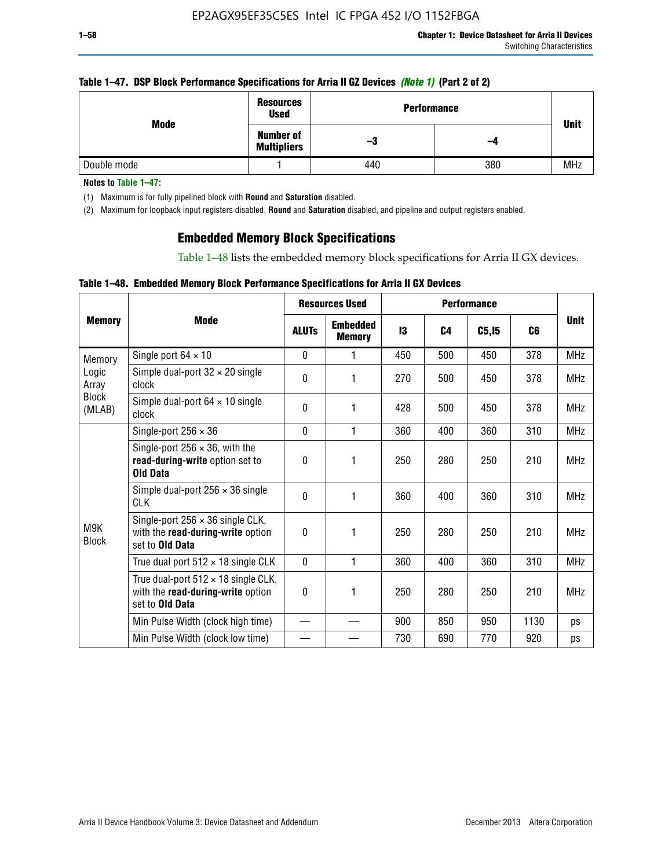### **Table 1–47. DSP Block Performance Specifications for Arria II GZ Devices** *(Note 1)* **(Part 2 of 2)**

| Mode        | <b>Resources</b><br><b>Used</b>        | <b>Performance</b> |     | <b>Unit</b> |  |
|-------------|----------------------------------------|--------------------|-----|-------------|--|
|             | <b>Number of</b><br><b>Multipliers</b> | -3                 | -4  |             |  |
| Double mode |                                        | 440                | 380 | <b>MHz</b>  |  |

**Notes to Table 1–47:**

(1) Maximum is for fully pipelined block with **Round** and **Saturation** disabled.

(2) Maximum for loopback input registers disabled, **Round** and **Saturation** disabled, and pipeline and output registers enabled.

## **Embedded Memory Block Specifications**

Table 1–48 lists the embedded memory block specifications for Arria II GX devices.

### **Table 1–48. Embedded Memory Block Performance Specifications for Arria II GX Devices**

|                        |                                                                                                           |              | <b>Resources Used</b>            |     |                | <b>Performance</b> |      |             |
|------------------------|-----------------------------------------------------------------------------------------------------------|--------------|----------------------------------|-----|----------------|--------------------|------|-------------|
| <b>Memory</b>          | <b>Mode</b>                                                                                               | <b>ALUTS</b> | <b>Embedded</b><br><b>Memory</b> | 13  | C <sub>4</sub> | C5, I5             | C6   | <b>Unit</b> |
| Memory                 | Single port $64 \times 10$                                                                                | $\Omega$     | 1                                | 450 | 500            | 450                | 378  | <b>MHz</b>  |
| Logic<br>Array         | Simple dual-port $32 \times 20$ single<br>clock                                                           | 0            | 1                                | 270 | 500            | 450                | 378  | <b>MHz</b>  |
| <b>Block</b><br>(MLAB) | Simple dual-port $64 \times 10$ single<br>clock                                                           | $\theta$     | 1                                | 428 | 500            | 450                | 378  | <b>MHz</b>  |
|                        | Single-port $256 \times 36$                                                                               | $\mathbf{0}$ | 1                                | 360 | 400            | 360                | 310  | <b>MHz</b>  |
|                        | Single-port $256 \times 36$ , with the<br>read-during-write option set to<br><b>Old Data</b>              | $\theta$     | 1                                | 250 | 280            | 250                | 210  | <b>MHz</b>  |
|                        | Simple dual-port $256 \times 36$ single<br><b>CLK</b>                                                     | $\theta$     | 1                                | 360 | 400            | 360                | 310  | <b>MHz</b>  |
| M9K<br><b>Block</b>    | Single-port $256 \times 36$ single CLK,<br>with the read-during-write option<br>set to Old Data           | $\theta$     | 1                                | 250 | 280            | 250                | 210  | <b>MHz</b>  |
|                        | True dual port $512 \times 18$ single CLK                                                                 | $\mathbf{0}$ | 1                                | 360 | 400            | 360                | 310  | <b>MHz</b>  |
|                        | True dual-port $512 \times 18$ single CLK,<br>with the read-during-write option<br>set to <b>Old Data</b> | 0            | 1                                | 250 | 280            | 250                | 210  | <b>MHz</b>  |
|                        | Min Pulse Width (clock high time)                                                                         |              |                                  | 900 | 850            | 950                | 1130 | ps          |
|                        | Min Pulse Width (clock low time)                                                                          |              |                                  | 730 | 690            | 770                | 920  | ps          |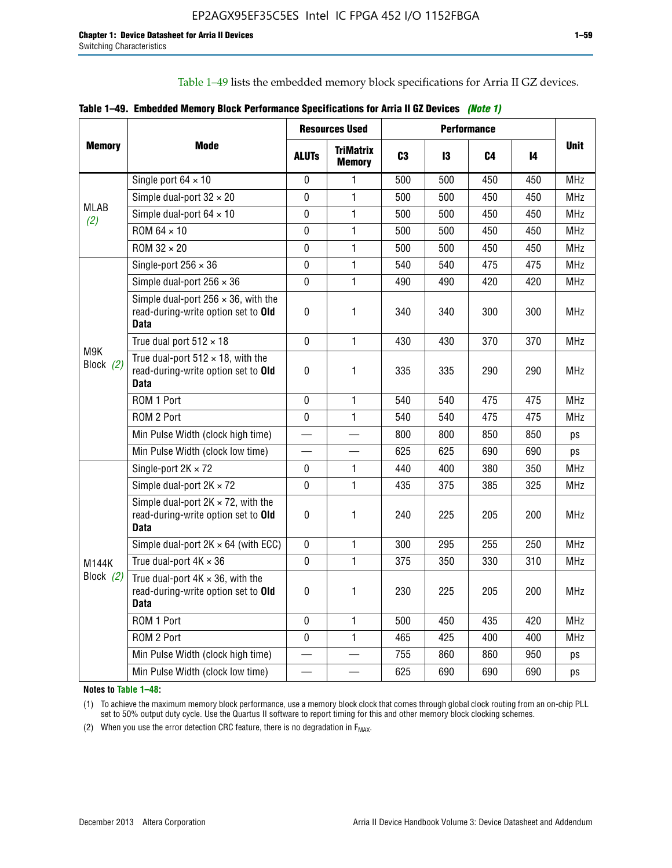Table 1–49 lists the embedded memory block specifications for Arria II GZ devices.

|  |  | Table 1–49. Embedded Memory Block Performance Specifications for Arria II GZ Devices (Note 1) |  |  |  |
|--|--|-----------------------------------------------------------------------------------------------|--|--|--|
|--|--|-----------------------------------------------------------------------------------------------|--|--|--|

|                                            |                                                                                                   |              | <b>Resources Used</b>             |                |     | <b>Performance</b> |     | <b>Unit</b> |
|--------------------------------------------|---------------------------------------------------------------------------------------------------|--------------|-----------------------------------|----------------|-----|--------------------|-----|-------------|
| <b>Memory</b>                              | Mode                                                                                              | <b>ALUTS</b> | <b>TriMatrix</b><br><b>Memory</b> | C <sub>3</sub> | 13  | C4                 | 14  |             |
|                                            | Single port $64 \times 10$                                                                        | 0            | $\mathbf{1}$                      | 500            | 500 | 450                | 450 | <b>MHz</b>  |
|                                            | Simple dual-port $32 \times 20$                                                                   | 0            | $\mathbf{1}$                      | 500            | 500 | 450                | 450 | <b>MHz</b>  |
|                                            | Simple dual-port $64 \times 10$                                                                   | 0            | $\mathbf{1}$                      | 500            | 500 | 450                | 450 | <b>MHz</b>  |
|                                            | ROM 64 × 10                                                                                       | 0            | $\mathbf{1}$                      | 500            | 500 | 450                | 450 | <b>MHz</b>  |
|                                            | ROM $32 \times 20$                                                                                | 0            | $\mathbf{1}$                      | 500            | 500 | 450                | 450 | <b>MHz</b>  |
|                                            | Single-port $256 \times 36$                                                                       | 0            | $\mathbf{1}$                      | 540            | 540 | 475                | 475 | <b>MHz</b>  |
|                                            | Simple dual-port $256 \times 36$                                                                  | 0            | $\mathbf{1}$                      | 490            | 490 | 420                | 420 | <b>MHz</b>  |
| M9K<br>Block (2)                           | Simple dual-port $256 \times 36$ , with the<br>read-during-write option set to Old<br><b>Data</b> | 0            | 1                                 | 340            | 340 | 300                | 300 | <b>MHz</b>  |
|                                            | True dual port $512 \times 18$                                                                    | $\mathbf 0$  | $\mathbf{1}$                      | 430            | 430 | 370                | 370 | <b>MHz</b>  |
|                                            | True dual-port $512 \times 18$ , with the<br>read-during-write option set to Old<br>Data          | $\mathbf 0$  | 1                                 | 335            | 335 | 290                | 290 | <b>MHz</b>  |
|                                            | ROM 1 Port                                                                                        | 0            | $\mathbf{1}$                      | 540            | 540 | 475                | 475 | <b>MHz</b>  |
|                                            | ROM 2 Port                                                                                        | 0            | 1                                 | 540            | 540 | 475                | 475 | <b>MHz</b>  |
|                                            | Min Pulse Width (clock high time)                                                                 |              |                                   | 800            | 800 | 850                | 850 | ps          |
| <b>MLAB</b><br>(2)<br>M144K<br>Block $(2)$ | Min Pulse Width (clock low time)                                                                  |              |                                   | 625            | 625 | 690                | 690 | ps          |
|                                            | Single-port $2K \times 72$                                                                        | $\mathbf 0$  | $\mathbf{1}$                      | 440            | 400 | 380                | 350 | <b>MHz</b>  |
|                                            | Simple dual-port $2K \times 72$                                                                   | $\mathbf 0$  | $\mathbf{1}$                      | 435            | 375 | 385                | 325 | <b>MHz</b>  |
|                                            | Simple dual-port $2K \times 72$ , with the<br>read-during-write option set to Old<br><b>Data</b>  | 0            | 1                                 | 240            | 225 | 205                | 200 | MHz         |
|                                            | Simple dual-port $2K \times 64$ (with ECC)                                                        | 0            | $\mathbf{1}$                      | 300            | 295 | 255                | 250 | <b>MHz</b>  |
|                                            | True dual-port $4K \times 36$                                                                     | 0            | $\mathbf{1}$                      | 375            | 350 | 330                | 310 | <b>MHz</b>  |
|                                            | True dual-port $4K \times 36$ , with the<br>read-during-write option set to Old<br><b>Data</b>    | 0            | 1                                 | 230            | 225 | 205                | 200 | <b>MHz</b>  |
|                                            | ROM 1 Port                                                                                        | $\mathbf 0$  | $\mathbf{1}$                      | 500            | 450 | 435                | 420 | <b>MHz</b>  |
|                                            | ROM 2 Port                                                                                        | 0            | $\mathbf{1}$                      | 465            | 425 | 400                | 400 | <b>MHz</b>  |
|                                            | Min Pulse Width (clock high time)                                                                 |              |                                   | 755            | 860 | 860                | 950 | ps          |
|                                            | Min Pulse Width (clock low time)                                                                  |              |                                   | 625            | 690 | 690                | 690 | ps          |

**Notes to Table 1–48:**

(1) To achieve the maximum memory block performance, use a memory block clock that comes through global clock routing from an on-chip PLL set to 50% output duty cycle. Use the Quartus II software to report timing for this and other memory block clocking schemes.

(2) When you use the error detection CRC feature, there is no degradation in  $F_{MAX}$ .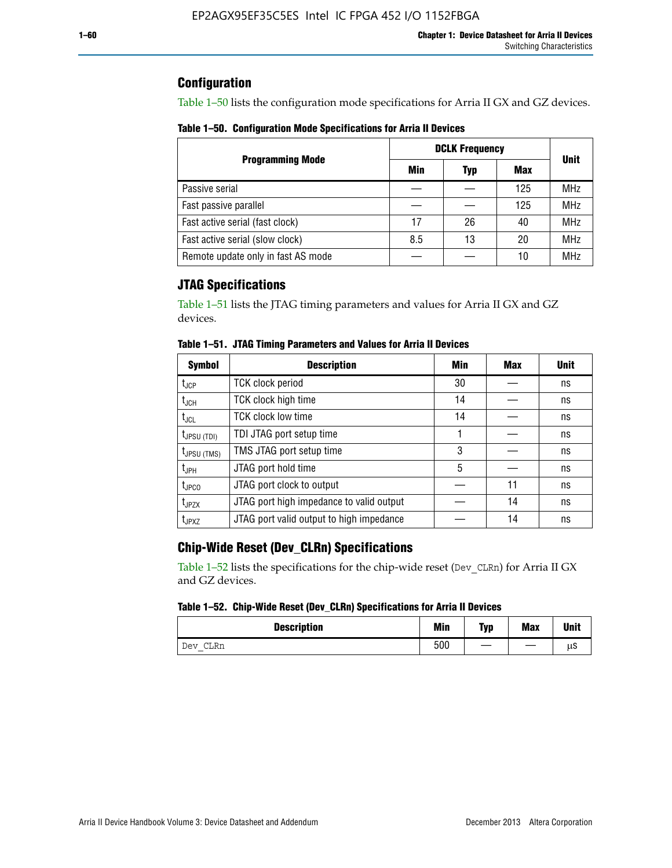## **Configuration**

Table 1–50 lists the configuration mode specifications for Arria II GX and GZ devices.

**Table 1–50. Configuration Mode Specifications for Arria II Devices**

|                                    | <b>DCLK Frequency</b> | <b>Unit</b> |     |            |
|------------------------------------|-----------------------|-------------|-----|------------|
| <b>Programming Mode</b>            | Min                   | Typ         | Max |            |
| Passive serial                     |                       |             | 125 | <b>MHz</b> |
| Fast passive parallel              |                       |             | 125 | <b>MHz</b> |
| Fast active serial (fast clock)    | 17                    | 26          | 40  | <b>MHz</b> |
| Fast active serial (slow clock)    | 8.5                   | 13          | 20  | <b>MHz</b> |
| Remote update only in fast AS mode |                       |             | 10  | <b>MHz</b> |

# **JTAG Specifications**

Table 1–51 lists the JTAG timing parameters and values for Arria II GX and GZ devices.

| <b>Symbol</b>     | <b>Description</b>                       | Min | Max | <b>Unit</b> |
|-------------------|------------------------------------------|-----|-----|-------------|
| t <sub>JCP</sub>  | <b>TCK clock period</b>                  | 30  |     | ns          |
| t <sub>JCH</sub>  | TCK clock high time                      | 14  |     | ns          |
| $t_{\sf JCL}$     | <b>TCK clock low time</b>                | 14  |     | ns          |
| $t_{JPSU(TDI)}$   | TDI JTAG port setup time                 |     |     | ns          |
| $t_{JPSU (TMS)}$  | TMS JTAG port setup time                 | 3   |     | ns          |
| $t_{JPH}$         | JTAG port hold time                      | 5   |     | ns          |
| $t_{\text{JPCO}}$ | JTAG port clock to output                |     | 11  | ns          |
| $t_{JPZX}$        | JTAG port high impedance to valid output |     | 14  | ns          |
| t <sub>JPXZ</sub> | JTAG port valid output to high impedance |     | 14  | ns          |

**Table 1–51. JTAG Timing Parameters and Values for Arria II Devices**

# **Chip-Wide Reset (Dev\_CLRn) Specifications**

Table 1–52 lists the specifications for the chip-wide reset (Dev\_CLRn) for Arria II GX and GZ devices.

### **Table 1–52. Chip-Wide Reset (Dev\_CLRn) Specifications for Arria II Devices**

| <b>Description</b> | <b>Min</b> | Typ | <b>Max</b> | <b>Unit</b> |
|--------------------|------------|-----|------------|-------------|
| CLRn<br>Dev        | 500        | __  |            | μS          |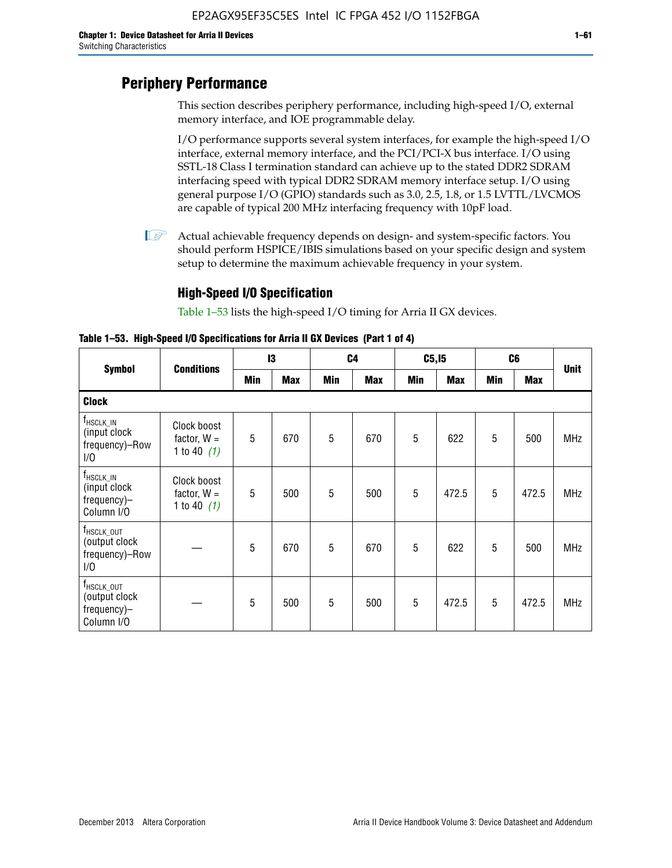# **Periphery Performance**

This section describes periphery performance, including high-speed I/O, external memory interface, and IOE programmable delay.

I/O performance supports several system interfaces, for example the high-speed I/O interface, external memory interface, and the PCI/PCI-X bus interface. I/O using SSTL-18 Class I termination standard can achieve up to the stated DDR2 SDRAM interfacing speed with typical DDR2 SDRAM memory interface setup. I/O using general purpose I/O (GPIO) standards such as 3.0, 2.5, 1.8, or 1.5 LVTTL/LVCMOS are capable of typical 200 MHz interfacing frequency with 10pF load.

 $\mathbb{I}$  Actual achievable frequency depends on design- and system-specific factors. You should perform HSPICE/IBIS simulations based on your specific design and system setup to determine the maximum achievable frequency in your system.

## **High-Speed I/O Specification**

Table 1–53 lists the high-speed I/O timing for Arria II GX devices.

**Table 1–53. High-Speed I/O Specifications for Arria II GX Devices (Part 1 of 4)**

|                                                                      |                                               | 13  |            | C <sub>4</sub> |            | C5, I5 |            | C <sub>6</sub> |            |             |
|----------------------------------------------------------------------|-----------------------------------------------|-----|------------|----------------|------------|--------|------------|----------------|------------|-------------|
| <b>Symbol</b>                                                        | <b>Conditions</b>                             | Min | <b>Max</b> | Min            | <b>Max</b> | Min    | <b>Max</b> | <b>Min</b>     | <b>Max</b> | <b>Unit</b> |
| <b>Clock</b>                                                         |                                               |     |            |                |            |        |            |                |            |             |
| $f_{\sf HSCLK\_IN}$<br>(input clock<br>frequency)-Row<br>1/0         | Clock boost<br>factor, $W =$<br>1 to 40 $(1)$ | 5   | 670        | 5              | 670        | 5      | 622        | 5              | 500        | <b>MHz</b>  |
| t <sub>hsclk_in</sub><br>(input clock)<br>frequency)-<br>Column I/O  | Clock boost<br>factor, $W =$<br>1 to 40 $(1)$ | 5   | 500        | 5              | 500        | 5      | 472.5      | 5              | 472.5      | <b>MHz</b>  |
| T <sub>HSCLK_OUT</sub><br>(output clock<br>frequency)-Row<br>1/0     |                                               | 5   | 670        | 5              | 670        | 5      | 622        | 5              | 500        | <b>MHz</b>  |
| f <sub>HSCLK_OUT</sub><br>(output clock<br>frequency)-<br>Column I/O |                                               | 5   | 500        | 5              | 500        | 5      | 472.5      | 5              | 472.5      | <b>MHz</b>  |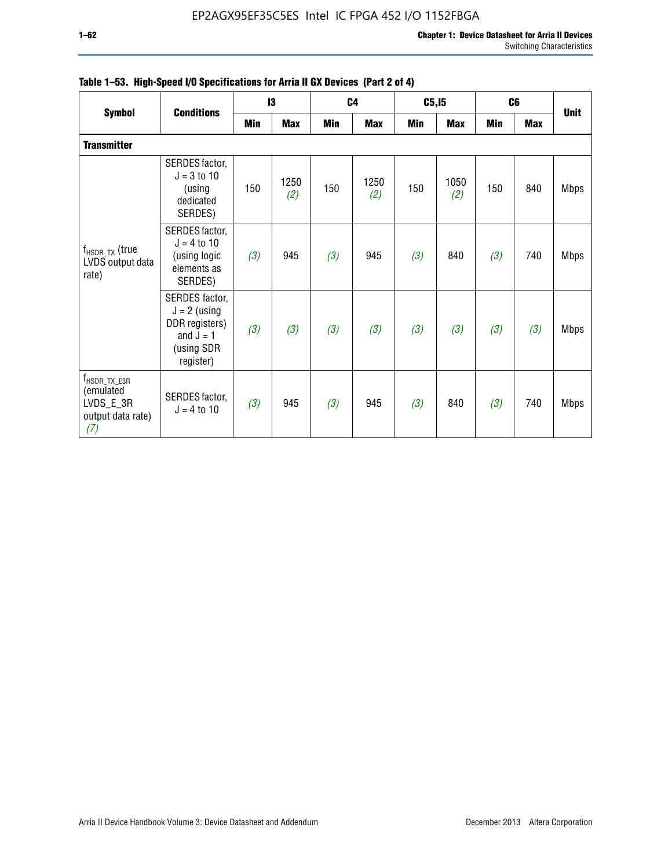| <b>Symbol</b>                                                                    | <b>Conditions</b>                                                                            | 13  |             |     | C <sub>4</sub> |     | C5, I5      | C <sub>6</sub> |            | <b>Unit</b> |
|----------------------------------------------------------------------------------|----------------------------------------------------------------------------------------------|-----|-------------|-----|----------------|-----|-------------|----------------|------------|-------------|
|                                                                                  |                                                                                              | Min | <b>Max</b>  | Min | <b>Max</b>     | Min | <b>Max</b>  | <b>Min</b>     | <b>Max</b> |             |
| <b>Transmitter</b>                                                               |                                                                                              |     |             |     |                |     |             |                |            |             |
|                                                                                  | SERDES factor,<br>$J = 3$ to 10<br>(using<br>dedicated<br>SERDES)                            | 150 | 1250<br>(2) | 150 | 1250<br>(2)    | 150 | 1050<br>(2) | 150            | 840        | <b>Mbps</b> |
| $f_{\sf{HSDR\_TX}}$ (true<br>LVDS output data<br>rate)                           | SERDES factor,<br>$J = 4$ to 10<br>(using logic<br>elements as<br>SERDES)                    | (3) | 945         | (3) | 945            | (3) | 840         | (3)            | 740        | <b>Mbps</b> |
|                                                                                  | SERDES factor,<br>$J = 2$ (using<br>DDR registers)<br>and $J = 1$<br>(using SDR<br>register) | (3) | (3)         | (3) | (3)            | (3) | (3)         | (3)            | (3)        | <b>Mbps</b> |
| $f_{\text{HSDR\_TX\_E3R}}$<br>(emulated<br>LVDS_E_3R<br>output data rate)<br>(7) | SERDES factor,<br>$J = 4$ to 10                                                              | (3) | 945         | (3) | 945            | (3) | 840         | (3)            | 740        | <b>Mbps</b> |

|  |  | Table 1–53. High-Speed I/O Specifications for Arria II GX Devices (Part 2 of 4) |  |  |
|--|--|---------------------------------------------------------------------------------|--|--|
|--|--|---------------------------------------------------------------------------------|--|--|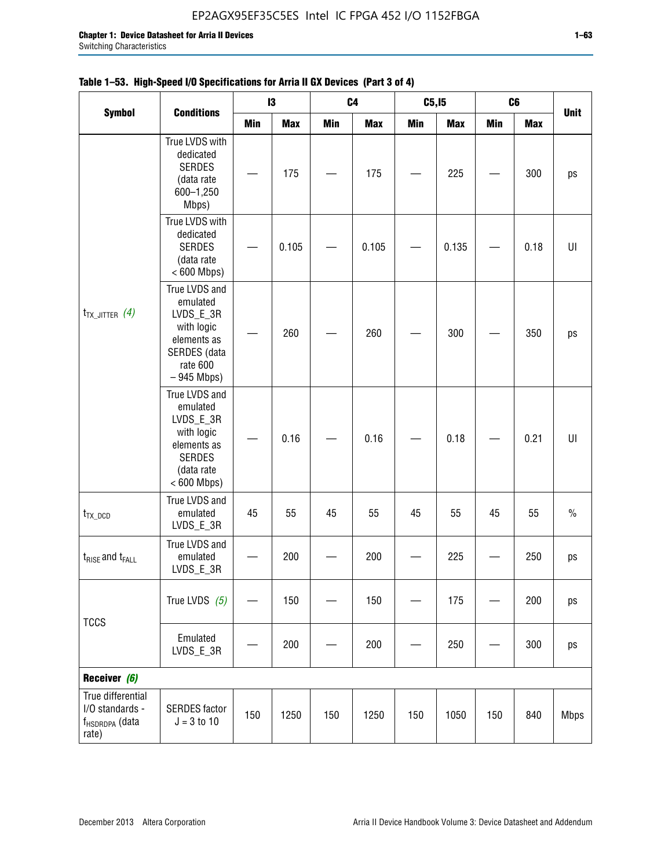|                                                                    |                                                                                                                     |            | $\mathbf{I}3$ |            | C <sub>4</sub> | C5, I5     |            | C6         |            |               |
|--------------------------------------------------------------------|---------------------------------------------------------------------------------------------------------------------|------------|---------------|------------|----------------|------------|------------|------------|------------|---------------|
| <b>Symbol</b>                                                      | <b>Conditions</b>                                                                                                   | <b>Min</b> | <b>Max</b>    | <b>Min</b> | <b>Max</b>     | <b>Min</b> | <b>Max</b> | <b>Min</b> | <b>Max</b> | <b>Unit</b>   |
|                                                                    | True LVDS with<br>dedicated<br><b>SERDES</b><br>(data rate<br>600-1,250<br>Mbps)                                    |            | 175           |            | 175            |            | 225        |            | 300        | ps            |
|                                                                    | True LVDS with<br>dedicated<br><b>SERDES</b><br>(data rate<br>$< 600$ Mbps)                                         |            | 0.105         |            | 0.105          |            | 0.135      |            | 0.18       | UI            |
| $t_{TX\_JITTER}$ (4)                                               | True LVDS and<br>emulated<br>LVDS_E_3R<br>with logic<br>elements as<br>SERDES (data<br>rate 600<br>$-945$ Mbps)     |            | 260           |            | 260            |            | 300        |            | 350        | ps            |
|                                                                    | True LVDS and<br>emulated<br>LVDS_E_3R<br>with logic<br>elements as<br><b>SERDES</b><br>(data rate<br>$< 600$ Mbps) |            | 0.16          |            | 0.16           |            | 0.18       |            | 0.21       | UI            |
| $t_{TX\_DCD}$                                                      | True LVDS and<br>emulated<br>LVDS_E_3R                                                                              | 45         | 55            | 45         | 55             | 45         | 55         | 45         | 55         | $\frac{0}{0}$ |
| $t_{RISE}$ and $t_{FALL}$                                          | True LVDS and<br>emulated<br>LVDS_E_3R                                                                              |            | 200           |            | 200            |            | 225        |            | 250        | ps            |
| <b>TCCS</b>                                                        | True LVDS $(5)$                                                                                                     |            | 150           |            | 150            |            | 175        |            | 200        | ps            |
|                                                                    | Emulated<br>LVDS_E_3R                                                                                               |            | 200           |            | 200            |            | 250        |            | 300        | ps            |
| Receiver (6)                                                       |                                                                                                                     |            |               |            |                |            |            |            |            |               |
| True differential<br>I/O standards -<br>f <sub>HSDRDPA</sub> (data | <b>SERDES</b> factor<br>$J = 3 to 10$                                                                               | 150        | 1250          | 150        | 1250           | 150        | 1050       | 150        | 840        | <b>Mbps</b>   |

# **Table 1–53. High-Speed I/O Specifications for Arria II GX Devices (Part 3 of 4)**

rate)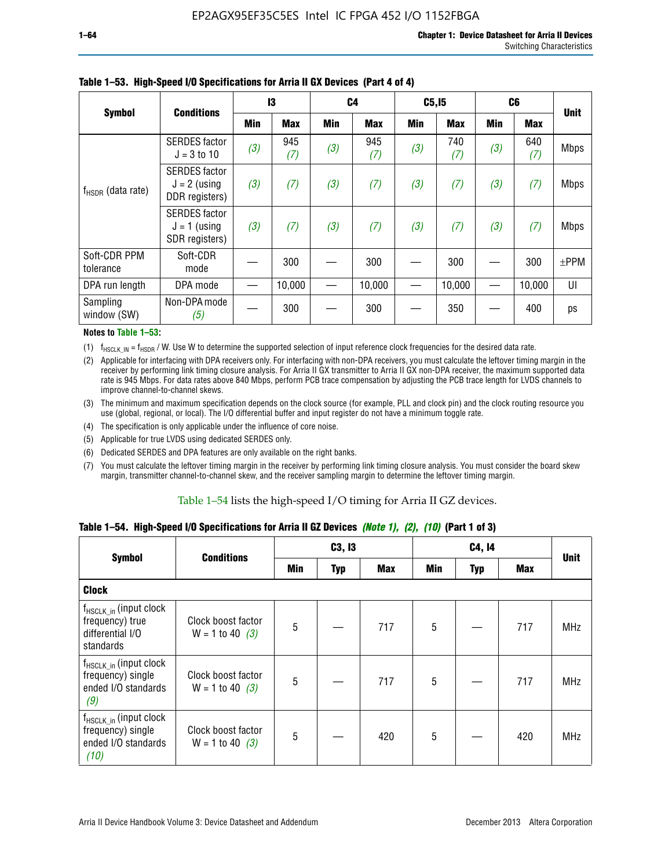|                           | <b>Conditions</b>                                        | 13  |            | C <sub>4</sub> |            | C5, I5     |            | C <sub>6</sub> |            |             |
|---------------------------|----------------------------------------------------------|-----|------------|----------------|------------|------------|------------|----------------|------------|-------------|
| <b>Symbol</b>             |                                                          | Min | <b>Max</b> | <b>Min</b>     | <b>Max</b> | <b>Min</b> | <b>Max</b> | <b>Min</b>     | <b>Max</b> | <b>Unit</b> |
|                           | <b>SERDES</b> factor<br>$J = 3$ to 10                    | (3) | 945<br>(7) | (3)            | 945<br>(7) | (3)        | 740<br>(7) | (3)            | 640<br>(7) | <b>Mbps</b> |
| $f_{HSDR}$ (data rate)    | <b>SERDES</b> factor<br>$J = 2$ (using<br>DDR registers) | (3) | (7)        | (3)            | (7)        | (3)        | (7)        | (3)            | (7)        | <b>Mbps</b> |
|                           | <b>SERDES</b> factor<br>$J = 1$ (using<br>SDR registers) | (3) | (7)        | (3)            | (7)        | (3)        | (7)        | (3)            | (7)        | <b>Mbps</b> |
| Soft-CDR PPM<br>tolerance | Soft-CDR<br>mode                                         |     | 300        |                | 300        |            | 300        |                | 300        | $\pm$ PPM   |
| DPA run length            | DPA mode                                                 |     | 10,000     |                | 10,000     |            | 10,000     |                | 10,000     | UI          |
| Sampling<br>window (SW)   | Non-DPA mode<br>(5)                                      |     | 300        |                | 300        |            | 350        |                | 400        | ps          |

### **Table 1–53. High-Speed I/O Specifications for Arria II GX Devices (Part 4 of 4)**

#### **Notes to Table 1–53:**

(1)  $f_{HSCLK\_IN} = f_{HSDR}$  / W. Use W to determine the supported selection of input reference clock frequencies for the desired data rate.

(2) Applicable for interfacing with DPA receivers only. For interfacing with non-DPA receivers, you must calculate the leftover timing margin in the receiver by performing link timing closure analysis. For Arria II GX transmitter to Arria II GX non-DPA receiver, the maximum supported data rate is 945 Mbps. For data rates above 840 Mbps, perform PCB trace compensation by adjusting the PCB trace length for LVDS channels to improve channel-to-channel skews.

- (3) The minimum and maximum specification depends on the clock source (for example, PLL and clock pin) and the clock routing resource you use (global, regional, or local). The I/O differential buffer and input register do not have a minimum toggle rate.
- (4) The specification is only applicable under the influence of core noise.
- (5) Applicable for true LVDS using dedicated SERDES only.
- (6) Dedicated SERDES and DPA features are only available on the right banks.
- (7) You must calculate the leftover timing margin in the receiver by performing link timing closure analysis. You must consider the board skew margin, transmitter channel-to-channel skew, and the receiver sampling margin to determine the leftover timing margin.

### Table 1–54 lists the high-speed I/O timing for Arria II GZ devices.

### **Table 1–54. High-Speed I/O Specifications for Arria II GZ Devices** *(Note 1), (2), (10)* **(Part 1 of 3)**

|                                                                                        | <b>Conditions</b>                       |     | C3, I3     |            |     | C4, 14 |     |             |  |
|----------------------------------------------------------------------------------------|-----------------------------------------|-----|------------|------------|-----|--------|-----|-------------|--|
| <b>Symbol</b>                                                                          |                                         | Min | <b>Typ</b> | <b>Max</b> | Min | Typ    | Max | <b>Unit</b> |  |
| <b>Clock</b>                                                                           |                                         |     |            |            |     |        |     |             |  |
| f <sub>HSCLK_in</sub> (input clock<br>frequency) true<br>differential I/O<br>standards | Clock boost factor<br>$W = 1$ to 40 (3) | 5   |            | 717        | 5   |        | 717 | <b>MHz</b>  |  |
| $f_{HSCLK_in}$ (input clock<br>frequency) single<br>ended I/O standards<br>(9)         | Clock boost factor<br>$W = 1$ to 40 (3) | 5   |            | 717        | 5   |        | 717 | <b>MHz</b>  |  |
| $f_{HSCLK_in}$ (input clock<br>frequency) single<br>ended I/O standards<br>(10)        | Clock boost factor<br>$W = 1$ to 40 (3) | 5   |            | 420        | 5   |        | 420 | <b>MHz</b>  |  |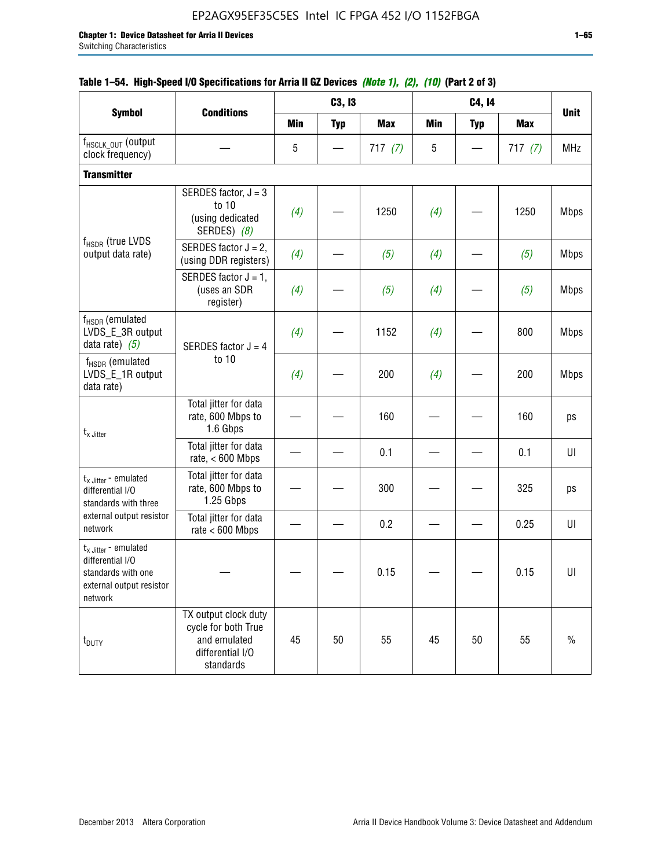|                                                                                                          |                                                                                              |            | C3, I3     |            |            | C4, 14     |            |             |
|----------------------------------------------------------------------------------------------------------|----------------------------------------------------------------------------------------------|------------|------------|------------|------------|------------|------------|-------------|
| <b>Symbol</b>                                                                                            | <b>Conditions</b>                                                                            | <b>Min</b> | <b>Typ</b> | <b>Max</b> | <b>Min</b> | <b>Typ</b> | <b>Max</b> | <b>Unit</b> |
| f <sub>HSCLK</sub> OUT (Output<br>clock frequency)                                                       |                                                                                              | 5          |            | 717(7)     | 5          |            | 717(7)     | <b>MHz</b>  |
| <b>Transmitter</b>                                                                                       |                                                                                              |            |            |            |            |            |            |             |
|                                                                                                          | SERDES factor, $J = 3$<br>to 10<br>(using dedicated<br>SERDES) (8)                           | (4)        |            | 1250       | (4)        |            | 1250       | <b>Mbps</b> |
| f <sub>HSDR</sub> (true LVDS<br>output data rate)                                                        | SERDES factor $J = 2$ .<br>(using DDR registers)                                             | (4)        |            | (5)        | (4)        |            | (5)        | <b>Mbps</b> |
|                                                                                                          | SERDES factor $J = 1$ ,<br>(uses an SDR<br>register)                                         | (4)        |            | (5)        | (4)        |            | (5)        | <b>Mbps</b> |
| f <sub>HSDR</sub> (emulated<br>LVDS_E_3R output<br>data rate) $(5)$                                      | SERDES factor $J = 4$                                                                        | (4)        |            | 1152       | (4)        |            | 800        | <b>Mbps</b> |
| $f_{HSDR}$ (emulated<br>LVDS_E_1R output<br>data rate)                                                   | to 10                                                                                        | (4)        |            | 200        | (4)        |            | 200        | <b>Mbps</b> |
| $t_{x}$ Jitter                                                                                           | Total jitter for data<br>rate, 600 Mbps to<br>1.6 Gbps                                       |            |            | 160        |            |            | 160        | ps          |
|                                                                                                          | Total jitter for data<br>rate, $< 600$ Mbps                                                  |            |            | 0.1        |            |            | 0.1        | U           |
| $t_{x}$ Jitter - emulated<br>differential I/O<br>standards with three                                    | Total jitter for data<br>rate, 600 Mbps to<br>1.25 Gbps                                      |            |            | 300        |            |            | 325        | ps          |
| external output resistor<br>network                                                                      | Total jitter for data<br>rate $< 600$ Mbps                                                   |            |            | 0.2        |            |            | 0.25       | UI          |
| $t_x$ Jitter - emulated<br>differential I/O<br>standards with one<br>external output resistor<br>network |                                                                                              |            |            | 0.15       |            |            | 0.15       | U           |
| t <sub>DUTY</sub>                                                                                        | TX output clock duty<br>cycle for both True<br>and emulated<br>differential I/O<br>standards | 45         | 50         | 55         | 45         | 50         | 55         | $\%$        |

### **Table 1–54. High-Speed I/O Specifications for Arria II GZ Devices** *(Note 1), (2), (10)* **(Part 2 of 3)**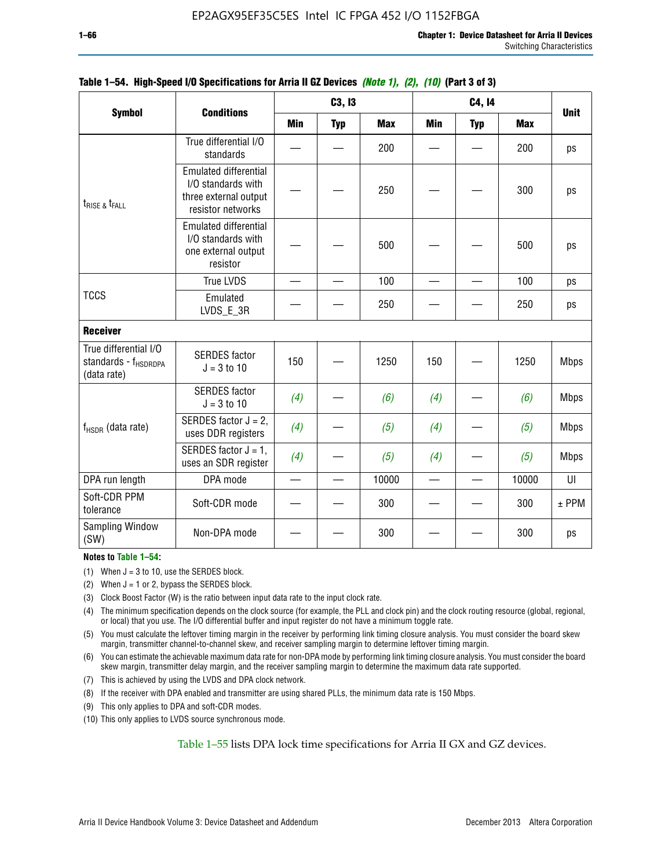|                                                                          | <b>Conditions</b>                                                                                |                          | C3, I3     |            |            | C4, 14     |            | <b>Unit</b> |
|--------------------------------------------------------------------------|--------------------------------------------------------------------------------------------------|--------------------------|------------|------------|------------|------------|------------|-------------|
| <b>Symbol</b>                                                            |                                                                                                  | <b>Min</b>               | <b>Typ</b> | <b>Max</b> | <b>Min</b> | <b>Typ</b> | <b>Max</b> |             |
|                                                                          | True differential I/O<br>standards                                                               |                          |            | 200        |            |            | 200        | ps          |
| t <sub>rise &amp;</sub> t <sub>rall</sub>                                | <b>Emulated differential</b><br>I/O standards with<br>three external output<br>resistor networks |                          |            | 250        |            |            | 300        | ps          |
|                                                                          | <b>Emulated differential</b><br>I/O standards with<br>one external output<br>resistor            |                          |            | 500        |            |            | 500        | ps          |
|                                                                          | <b>True LVDS</b>                                                                                 | $\overline{\phantom{0}}$ |            | 100        |            |            | 100        | ps          |
| <b>TCCS</b>                                                              | Emulated<br>LVDS_E_3R                                                                            |                          |            | 250        |            |            | 250        | ps          |
| <b>Receiver</b>                                                          |                                                                                                  |                          |            |            |            |            |            |             |
| True differential I/O<br>standards - f <sub>HSDRDPA</sub><br>(data rate) | <b>SERDES</b> factor<br>$J = 3$ to 10                                                            | 150                      |            | 1250       | 150        |            | 1250       | <b>Mbps</b> |
|                                                                          | <b>SERDES</b> factor<br>$J = 3$ to 10                                                            | (4)                      |            | (6)        | (4)        |            | (6)        | <b>Mbps</b> |
| $f_{HSDR}$ (data rate)                                                   | SERDES factor $J = 2$ ,<br>uses DDR registers                                                    | (4)                      |            | (5)        | (4)        |            | (5)        | <b>Mbps</b> |
|                                                                          | SERDES factor $J = 1$ ,<br>uses an SDR register                                                  | (4)                      |            | (5)        | (4)        |            | (5)        | <b>Mbps</b> |
| DPA run length                                                           | DPA mode                                                                                         | $\overline{\phantom{0}}$ |            | 10000      |            |            | 10000      | UI          |
| Soft-CDR PPM<br>tolerance                                                | Soft-CDR mode                                                                                    |                          |            | 300        |            |            | 300        | $±$ PPM     |
| Sampling Window<br>(SW)                                                  | Non-DPA mode                                                                                     |                          |            | 300        |            |            | 300        | ps          |

### **Table 1–54. High-Speed I/O Specifications for Arria II GZ Devices** *(Note 1), (2), (10)* **(Part 3 of 3)**

### **Notes to Table 1–54:**

(1) When  $J = 3$  to 10, use the SERDES block.

- (2) When  $J = 1$  or 2, bypass the SERDES block.
- (3) Clock Boost Factor (W) is the ratio between input data rate to the input clock rate.
- (4) The minimum specification depends on the clock source (for example, the PLL and clock pin) and the clock routing resource (global, regional, or local) that you use. The I/O differential buffer and input register do not have a minimum toggle rate.
- (5) You must calculate the leftover timing margin in the receiver by performing link timing closure analysis. You must consider the board skew margin, transmitter channel-to-channel skew, and receiver sampling margin to determine leftover timing margin.
- (6) You can estimate the achievable maximum data rate for non-DPA mode by performing link timing closure analysis. You must consider the board skew margin, transmitter delay margin, and the receiver sampling margin to determine the maximum data rate supported.
- (7) This is achieved by using the LVDS and DPA clock network.
- (8) If the receiver with DPA enabled and transmitter are using shared PLLs, the minimum data rate is 150 Mbps.
- (9) This only applies to DPA and soft-CDR modes.
- (10) This only applies to LVDS source synchronous mode.

Table 1–55 lists DPA lock time specifications for Arria II GX and GZ devices.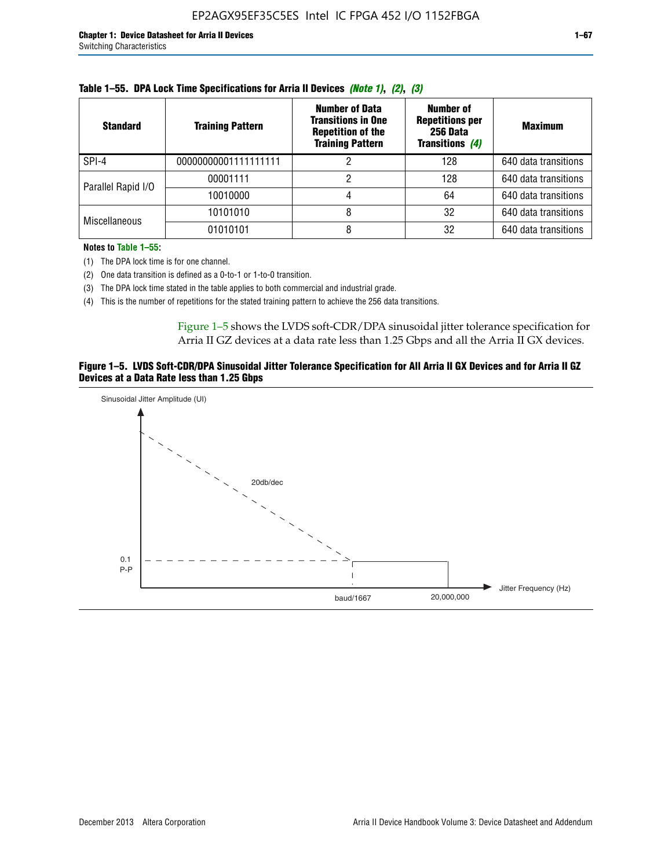| <b>Standard</b>      | <b>Training Pattern</b> | <b>Number of Data</b><br><b>Transitions in One</b><br><b>Repetition of the</b><br><b>Training Pattern</b> | Number of<br><b>Repetitions per</b><br>256 Data<br>Transitions (4) | <b>Maximum</b>       |
|----------------------|-------------------------|-----------------------------------------------------------------------------------------------------------|--------------------------------------------------------------------|----------------------|
| SPI-4                | 00000000001111111111    |                                                                                                           | 128                                                                | 640 data transitions |
| Parallel Rapid I/O   | 00001111                |                                                                                                           | 128                                                                | 640 data transitions |
|                      | 10010000                |                                                                                                           | 64                                                                 | 640 data transitions |
| <b>Miscellaneous</b> | 10101010                |                                                                                                           | 32                                                                 | 640 data transitions |
|                      | 01010101                |                                                                                                           | 32                                                                 | 640 data transitions |

| Table 1–55. DPA Lock Time Specifications for Arria II Devices (Note 1), (2), (3) |  |  |  |  |  |  |
|----------------------------------------------------------------------------------|--|--|--|--|--|--|
|----------------------------------------------------------------------------------|--|--|--|--|--|--|

**Notes to Table 1–55:**

- (1) The DPA lock time is for one channel.
- (2) One data transition is defined as a 0-to-1 or 1-to-0 transition.
- (3) The DPA lock time stated in the table applies to both commercial and industrial grade.
- (4) This is the number of repetitions for the stated training pattern to achieve the 256 data transitions.

Figure 1–5 shows the LVDS soft-CDR/DPA sinusoidal jitter tolerance specification for Arria II GZ devices at a data rate less than 1.25 Gbps and all the Arria II GX devices.

### **Figure 1–5. LVDS Soft-CDR/DPA Sinusoidal Jitter Tolerance Specification for All Arria II GX Devices and for Arria II GZ Devices at a Data Rate less than 1.25 Gbps**

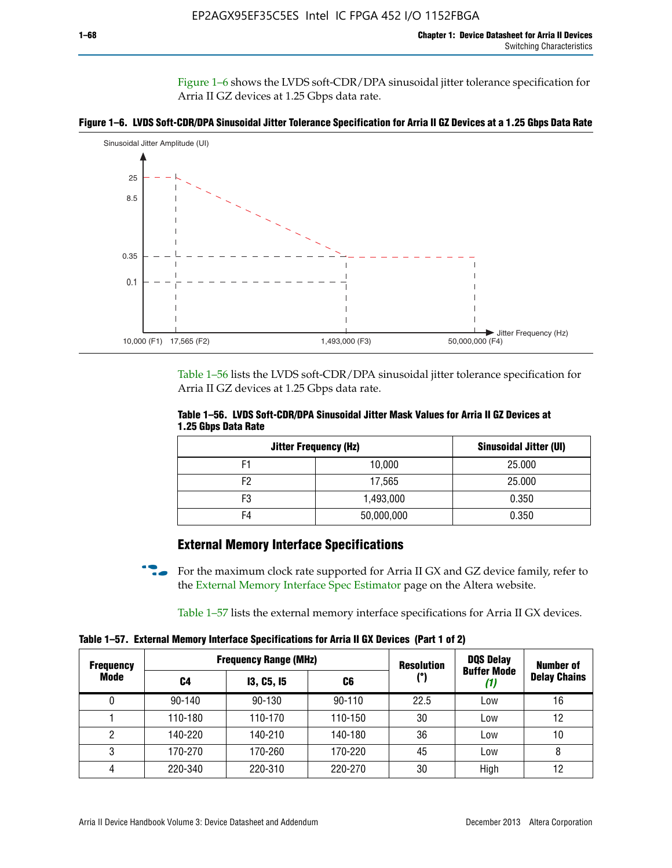Figure 1–6 shows the LVDS soft-CDR/DPA sinusoidal jitter tolerance specification for Arria II GZ devices at 1.25 Gbps data rate.





Table 1–56 lists the LVDS soft-CDR/DPA sinusoidal jitter tolerance specification for Arria II GZ devices at 1.25 Gbps data rate.

|                     | Table 1–56. LVDS Soft-CDR/DPA Sinusoidal Jitter Mask Values for Arria II GZ Devices at |  |  |
|---------------------|----------------------------------------------------------------------------------------|--|--|
| 1.25 Gbps Data Rate |                                                                                        |  |  |

| <b>Jitter Frequency (Hz)</b> | <b>Sinusoidal Jitter (UI)</b> |        |
|------------------------------|-------------------------------|--------|
| F1                           | 10,000                        | 25.000 |
| F <sub>2</sub>               | 17,565                        | 25.000 |
| F3                           | 1,493,000                     | 0.350  |
| F4                           | 50,000,000                    | 0.350  |

## **External Memory Interface Specifications**

For the maximum clock rate supported for Arria II GX and GZ device family, refer to the [External Memory Interface Spec Estimator](http://www.altera.com/technology/memory/estimator/mem-emif-index.html) page on the Altera website.

Table 1–57 lists the external memory interface specifications for Arria II GX devices.

**Table 1–57. External Memory Interface Specifications for Arria II GX Devices (Part 1 of 2)**

| <b>Frequency</b> |            | <b>Frequency Range (MHz)</b> |            | <b>Resolution</b> | <b>DQS Delay</b>   | <b>Number of</b>    |  |
|------------------|------------|------------------------------|------------|-------------------|--------------------|---------------------|--|
| Mode             | C4         | <b>13, C5, 15</b><br>C6      |            | (°)               | <b>Buffer Mode</b> | <b>Delay Chains</b> |  |
| 0                | $90 - 140$ | 90-130                       | $90 - 110$ | 22.5              | Low                | 16                  |  |
|                  | 110-180    | 110-170                      | 110-150    | 30                | Low                | 12                  |  |
| 2                | 140-220    | 140-210                      | 140-180    | 36                | Low                | 10                  |  |
| 3                | 170-270    | 170-260                      | 170-220    | 45                | Low                | 8                   |  |
| 4                | 220-340    | 220-310                      | 220-270    | 30                | High               | 12                  |  |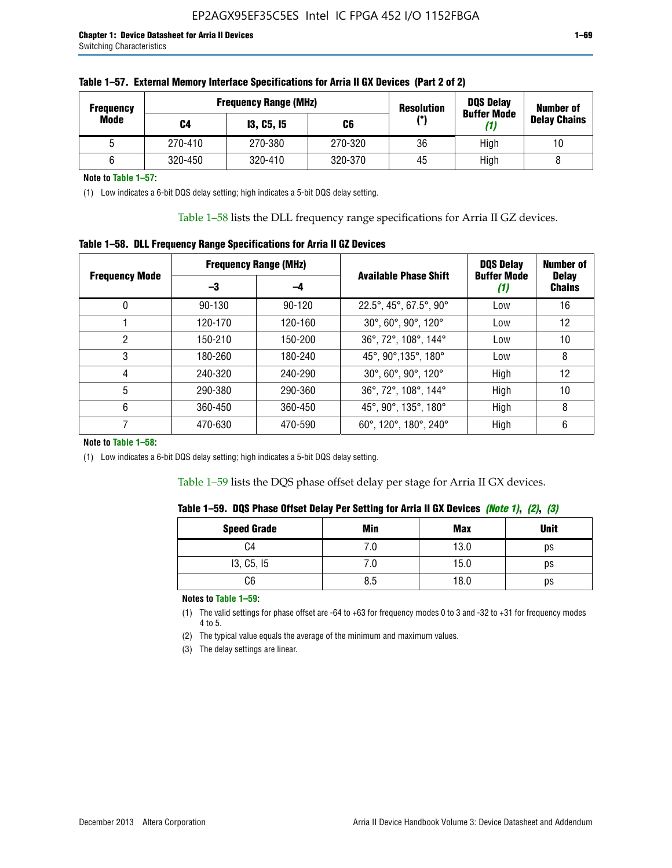| <b>Frequency</b> |         | <b>Frequency Range (MHz)</b><br><b>Resolution</b> |         | <b>DQS Delay</b><br><b>Buffer Mode</b> | <b>Number of</b> |                     |  |
|------------------|---------|---------------------------------------------------|---------|----------------------------------------|------------------|---------------------|--|
| Mode             | C4      | <b>13, C5, 15</b>                                 | C6      | (°)                                    | (1)              | <b>Delay Chains</b> |  |
|                  | 270-410 | 270-380                                           | 270-320 | 36                                     | High             | 10                  |  |
|                  | 320-450 | 320-410                                           | 320-370 | 45                                     | High             |                     |  |

| Table 1–57. External Memory Interface Specifications for Arria II GX Devices (Part 2 of 2) |
|--------------------------------------------------------------------------------------------|
|--------------------------------------------------------------------------------------------|

**Note to Table 1–57:**

(1) Low indicates a 6-bit DQS delay setting; high indicates a 5-bit DQS delay setting.

Table 1–58 lists the DLL frequency range specifications for Arria II GZ devices.

### **Table 1–58. DLL Frequency Range Specifications for Arria II GZ Devices**

|                       | <b>Frequency Range (MHz)</b> |            |                              | <b>DOS Delay</b>          | <b>Number of</b>              |
|-----------------------|------------------------------|------------|------------------------------|---------------------------|-------------------------------|
| <b>Frequency Mode</b> | -3                           | -4         | <b>Available Phase Shift</b> | <b>Buffer Mode</b><br>(1) | <b>Delay</b><br><b>Chains</b> |
| 0                     | $90 - 130$                   | $90 - 120$ | 22.5°, 45°, 67.5°, 90°       | Low                       | 16                            |
|                       | 120-170                      | 120-160    | 30°, 60°, 90°, 120°          | Low                       | 12                            |
| 2                     | 150-210                      | 150-200    | 36°, 72°, 108°, 144°         | Low                       | 10                            |
| 3                     | 180-260                      | 180-240    | 45°, 90°, 135°, 180°         | Low                       | 8                             |
| 4                     | 240-320                      | 240-290    | 30°, 60°, 90°, 120°          | High                      | 12                            |
| 5                     | 290-380                      | 290-360    | 36°, 72°, 108°, 144°         | High                      | 10                            |
| 6                     | 360-450                      | 360-450    | 45°, 90°, 135°, 180°         | High                      | 8                             |
|                       | 470-630                      | 470-590    | 60°, 120°, 180°, 240°        | High                      | 6                             |

#### **Note to Table 1–58:**

(1) Low indicates a 6-bit DQS delay setting; high indicates a 5-bit DQS delay setting.

Table 1–59 lists the DQS phase offset delay per stage for Arria II GX devices.

| Table 1–59.  DQS Phase Offset Delay Per Setting for Arria II GX Devices <i>(Note 1), (2), (3)</i> |  |  |  |  |  |  |
|---------------------------------------------------------------------------------------------------|--|--|--|--|--|--|
|---------------------------------------------------------------------------------------------------|--|--|--|--|--|--|

| <b>Speed Grade</b> | Min  | <b>Max</b> | <b>Unit</b> |
|--------------------|------|------------|-------------|
| C4                 | ن. ا | 13.0       | ps          |
| 13, C5, I5         | 7.U  | 15.0       | ps          |
| C6                 | 8.5  | 18.0       | ps          |

**Notes to Table 1–59:**

(1) The valid settings for phase offset are -64 to +63 for frequency modes 0 to 3 and -32 to +31 for frequency modes 4 to 5.

(2) The typical value equals the average of the minimum and maximum values.

(3) The delay settings are linear.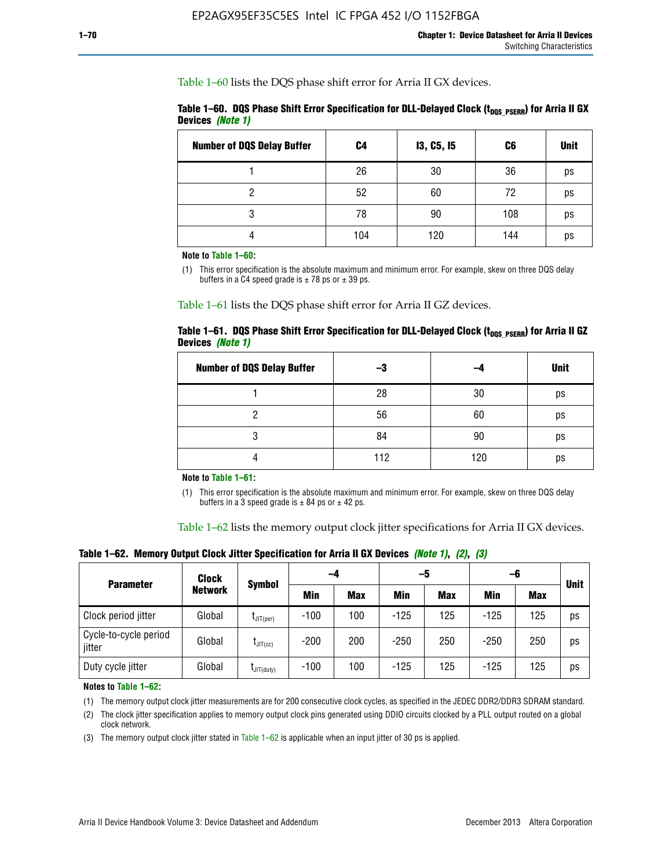Table 1–60 lists the DQS phase shift error for Arria II GX devices.

|                  | Table 1–60. DQS Phase Shift Error Specification for DLL-Delayed Clock ( $t_{\text{DOS PSERR}}$ ) for Arria II GX |  |
|------------------|------------------------------------------------------------------------------------------------------------------|--|
| Devices (Note 1) |                                                                                                                  |  |

| <b>Number of DQS Delay Buffer</b> | C <sub>4</sub> | <b>13, C5, 15</b> | C6  | <b>Unit</b> |
|-----------------------------------|----------------|-------------------|-----|-------------|
|                                   | 26             | 30                | 36  | ps          |
| റ                                 | 52             | 60                | 72  | ps          |
| 3                                 | 78             | 90                | 108 | ps          |
|                                   | 104            | 120               | 144 | ps          |

**Note to Table 1–60:**

(1) This error specification is the absolute maximum and minimum error. For example, skew on three DQS delay buffers in a C4 speed grade is  $\pm$  78 ps or  $\pm$  39 ps.

Table 1–61 lists the DQS phase shift error for Arria II GZ devices.

|                         |  | Table 1–61.DQS Phase Shift Error Specification for DLL-Delayed Clock (t <sub>oos PsERR</sub> ) for Arria II GZ |
|-------------------------|--|----------------------------------------------------------------------------------------------------------------|
| Devices <i>(Note 1)</i> |  |                                                                                                                |

| <b>Number of DQS Delay Buffer</b> | -3  |     | <b>Unit</b> |
|-----------------------------------|-----|-----|-------------|
|                                   | 28  | 30  | ps          |
|                                   | 56  | 60  | ps          |
| O                                 | 84  | 90  | ps          |
|                                   | 112 | 120 | ps          |

**Note to Table 1–61:**

(1) This error specification is the absolute maximum and minimum error. For example, skew on three DQS delay buffers in a 3 speed grade is  $\pm$  84 ps or  $\pm$  42 ps.

Table 1–62 lists the memory output clock jitter specifications for Arria II GX devices.

**Table 1–62. Memory Output Clock Jitter Specification for Arria II GX Devices** *(Note 1)***,** *(2)***,** *(3)*

| <b>Parameter</b>                | Clock<br><b>Network</b> | <b>Symbol</b>        | -4     |            | -5     |            | -6         |            |             |
|---------------------------------|-------------------------|----------------------|--------|------------|--------|------------|------------|------------|-------------|
|                                 |                         |                      | Min    | <b>Max</b> | Min    | <b>Max</b> | <b>Min</b> | <b>Max</b> | <b>Unit</b> |
| Clock period jitter             | Global                  | $L$ JIT(per)         | $-100$ | 100        | $-125$ | 125        | $-125$     | 125        | ps          |
| Cycle-to-cycle period<br>jitter | Global                  | $L$ JIT $(cc)$       | $-200$ | 200        | $-250$ | 250        | $-250$     | 250        | ps          |
| Duty cycle jitter               | Global                  | $L$ JIT $(du$ ty $)$ | $-100$ | 100        | $-125$ | 125        | $-125$     | 125        | ps          |

**Notes to Table 1–62:**

(1) The memory output clock jitter measurements are for 200 consecutive clock cycles, as specified in the JEDEC DDR2/DDR3 SDRAM standard.

(2) The clock jitter specification applies to memory output clock pins generated using DDIO circuits clocked by a PLL output routed on a global clock network.

(3) The memory output clock jitter stated in Table  $1-62$  is applicable when an input jitter of 30 ps is applied.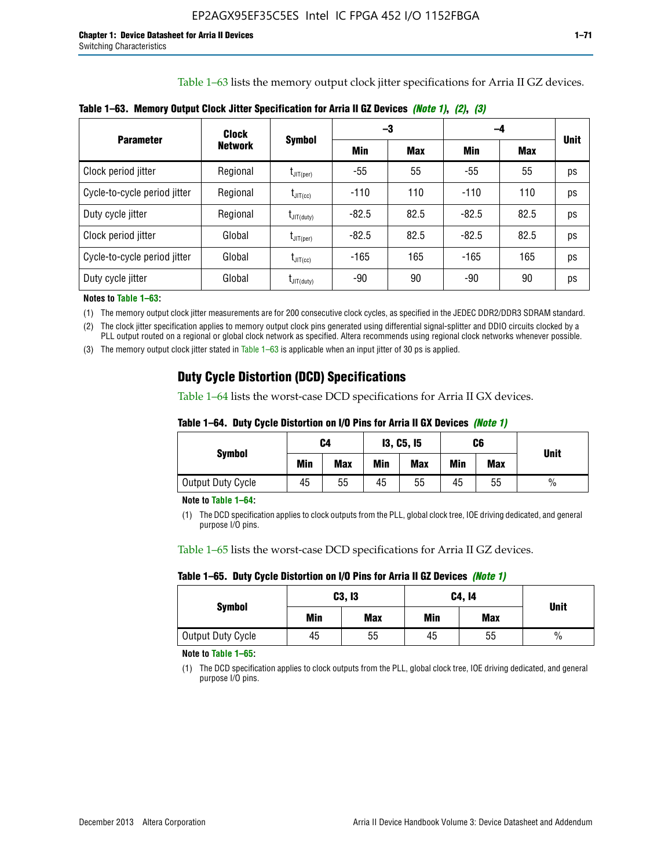Table 1–63 lists the memory output clock jitter specifications for Arria II GZ devices.

| <b>Parameter</b>             | Clock<br><b>Network</b> | <b>Symbol</b>                    |         | -3         | -4      |            |             |
|------------------------------|-------------------------|----------------------------------|---------|------------|---------|------------|-------------|
|                              |                         |                                  | Min     | <b>Max</b> | Min     | <b>Max</b> | <b>Unit</b> |
| Clock period jitter          | Regional                | $\mathsf{I}_{\mathsf{JIT}(per)}$ | -55     | 55         | $-55$   | 55         | ps          |
| Cycle-to-cycle period jitter | Regional                | $t_{\text{JIT(cc)}}$             | $-110$  | 110        | $-110$  | 110        | ps          |
| Duty cycle jitter            | Regional                | $t_{\text{JIT(duty)}}$           | $-82.5$ | 82.5       | $-82.5$ | 82.5       | ps          |
| Clock period jitter          | Global                  | $L_{\text{JIT(per)}}$            | $-82.5$ | 82.5       | $-82.5$ | 82.5       | ps          |
| Cycle-to-cycle period jitter | Global                  | $I_{\text{JIT(cc)}}$             | $-165$  | 165        | $-165$  | 165        | ps          |
| Duty cycle jitter            | Global                  | $t_{\text{JIT(duty)}}$           | -90     | 90         | -90     | 90         | ps          |

**Table 1–63. Memory Output Clock Jitter Specification for Arria II GZ Devices** *(Note 1)***,** *(2)***,** *(3)*

**Notes to Table 1–63:**

(1) The memory output clock jitter measurements are for 200 consecutive clock cycles, as specified in the JEDEC DDR2/DDR3 SDRAM standard.

(2) The clock jitter specification applies to memory output clock pins generated using differential signal-splitter and DDIO circuits clocked by a PLL output routed on a regional or global clock network as specified. Altera recommends using regional clock networks whenever possible.

(3) The memory output clock jitter stated in Table 1–63 is applicable when an input jitter of 30 ps is applied.

## **Duty Cycle Distortion (DCD) Specifications**

Table 1–64 lists the worst-case DCD specifications for Arria II GX devices.

| Table 1–64.  Duty Cycle Distortion on I/O Pins for Arria II GX Devices <i>(Note 1)</i> |  |  |
|----------------------------------------------------------------------------------------|--|--|
|----------------------------------------------------------------------------------------|--|--|

| <b>Symbol</b>     | C4  |            | <b>13, C5, 15</b> |            | C6  |            | <b>Unit</b>   |
|-------------------|-----|------------|-------------------|------------|-----|------------|---------------|
|                   | Min | <b>Max</b> | Min               | <b>Max</b> | Min | <b>Max</b> |               |
| Output Duty Cycle | 45  | 55         | 45                | 55         | 45  | 55         | $\frac{0}{0}$ |

**Note to Table 1–64:**

(1) The DCD specification applies to clock outputs from the PLL, global clock tree, IOE driving dedicated, and general purpose I/O pins.

Table 1–65 lists the worst-case DCD specifications for Arria II GZ devices.

**Table 1–65. Duty Cycle Distortion on I/O Pins for Arria II GZ Devices** *(Note 1)*

| <b>Symbol</b>     |     | C3, I3     | C4, 14 | <b>Unit</b> |      |  |
|-------------------|-----|------------|--------|-------------|------|--|
|                   | Min | <b>Max</b> | Min    | <b>Max</b>  |      |  |
| Output Duty Cycle | 45  | 55         | 45     | 55          | $\%$ |  |

**Note to Table 1–65:**

(1) The DCD specification applies to clock outputs from the PLL, global clock tree, IOE driving dedicated, and general purpose I/O pins.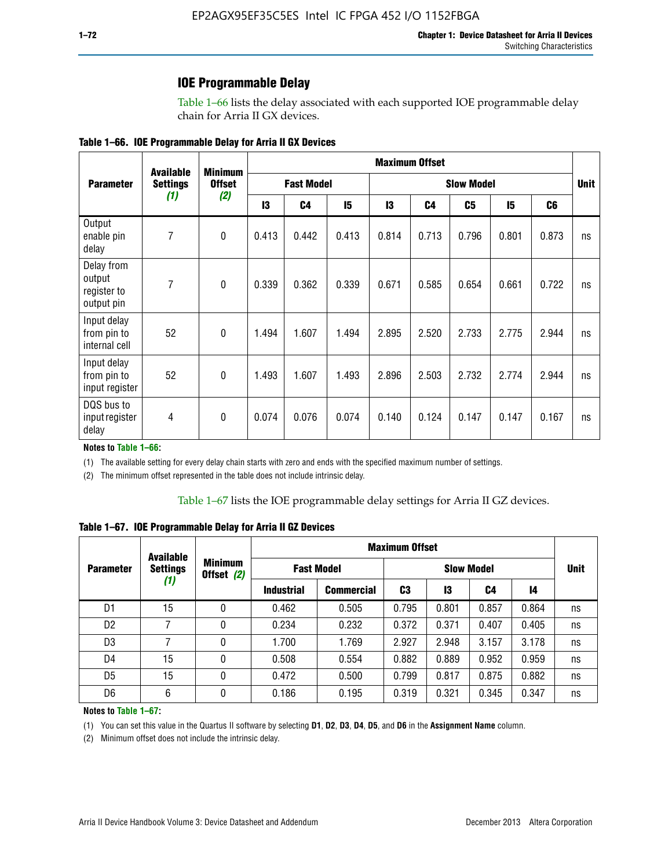### **IOE Programmable Delay**

Table 1–66 lists the delay associated with each supported IOE programmable delay chain for Arria II GX devices.

| Table 1–66. IOE Programmable Delay for Arria II GX Devices |
|------------------------------------------------------------|
|------------------------------------------------------------|

|                                                   | <b>Available</b><br><b>Settings</b> | <b>Minimum</b><br><b>Offset</b><br>(2) | <b>Maximum Offset</b> |                |                   |       |                |       |       |                |    |
|---------------------------------------------------|-------------------------------------|----------------------------------------|-----------------------|----------------|-------------------|-------|----------------|-------|-------|----------------|----|
| <b>Parameter</b>                                  |                                     |                                        | <b>Fast Model</b>     |                | <b>Slow Model</b> |       |                |       |       | <b>Unit</b>    |    |
|                                                   | (1)                                 |                                        | 13                    | C <sub>4</sub> | 15                | 13    | C <sub>4</sub> | C5    | 15    | C <sub>6</sub> |    |
| Output<br>enable pin<br>delay                     | 7                                   | $\mathbf 0$                            | 0.413                 | 0.442          | 0.413             | 0.814 | 0.713          | 0.796 | 0.801 | 0.873          | ns |
| Delay from<br>output<br>register to<br>output pin | 7                                   | $\mathbf 0$                            | 0.339                 | 0.362          | 0.339             | 0.671 | 0.585          | 0.654 | 0.661 | 0.722          | ns |
| Input delay<br>from pin to<br>internal cell       | 52                                  | $\mathbf{0}$                           | 1.494                 | 1.607          | 1.494             | 2.895 | 2.520          | 2.733 | 2.775 | 2.944          | ns |
| Input delay<br>from pin to<br>input register      | 52                                  | $\mathbf{0}$                           | 1.493                 | 1.607          | 1.493             | 2.896 | 2.503          | 2.732 | 2.774 | 2.944          | ns |
| DQS bus to<br>input register<br>delay             | 4                                   | $\mathbf 0$                            | 0.074                 | 0.076          | 0.074             | 0.140 | 0.124          | 0.147 | 0.147 | 0.167          | ns |

**Notes to Table 1–66:**

(1) The available setting for every delay chain starts with zero and ends with the specified maximum number of settings.

(2) The minimum offset represented in the table does not include intrinsic delay.

**Table 1–67. IOE Programmable Delay for Arria II GZ Devices**

|                  | <b>Available</b><br><b>Settings</b><br>(1) | <b>Minimum</b><br>Offset (2) | <b>Maximum Offset</b> |                   |                   |       |       |       |             |
|------------------|--------------------------------------------|------------------------------|-----------------------|-------------------|-------------------|-------|-------|-------|-------------|
| <b>Parameter</b> |                                            |                              | <b>Fast Model</b>     |                   | <b>Slow Model</b> |       |       |       | <b>Unit</b> |
|                  |                                            |                              | <b>Industrial</b>     | <b>Commercial</b> | C3                | 13    | C4    | 14    |             |
| D1               | 15                                         | 0                            | 0.462                 | 0.505             | 0.795             | 0.801 | 0.857 | 0.864 | ns          |
| D <sub>2</sub>   | 7                                          | 0                            | 0.234                 | 0.232             | 0.372             | 0.371 | 0.407 | 0.405 | ns          |
| D <sub>3</sub>   | 7                                          | 0                            | 1.700                 | 1.769             | 2.927             | 2.948 | 3.157 | 3.178 | ns          |
| D4               | 15                                         | 0                            | 0.508                 | 0.554             | 0.882             | 0.889 | 0.952 | 0.959 | ns          |
| D <sub>5</sub>   | 15                                         | 0                            | 0.472                 | 0.500             | 0.799             | 0.817 | 0.875 | 0.882 | ns          |
| D <sub>6</sub>   | 6                                          | 0                            | 0.186                 | 0.195             | 0.319             | 0.321 | 0.345 | 0.347 | ns          |

#### **Notes to Table 1–67:**

(1) You can set this value in the Quartus II software by selecting **D1**, **D2**, **D3**, **D4**, **D5**, and **D6** in the **Assignment Name** column.

(2) Minimum offset does not include the intrinsic delay.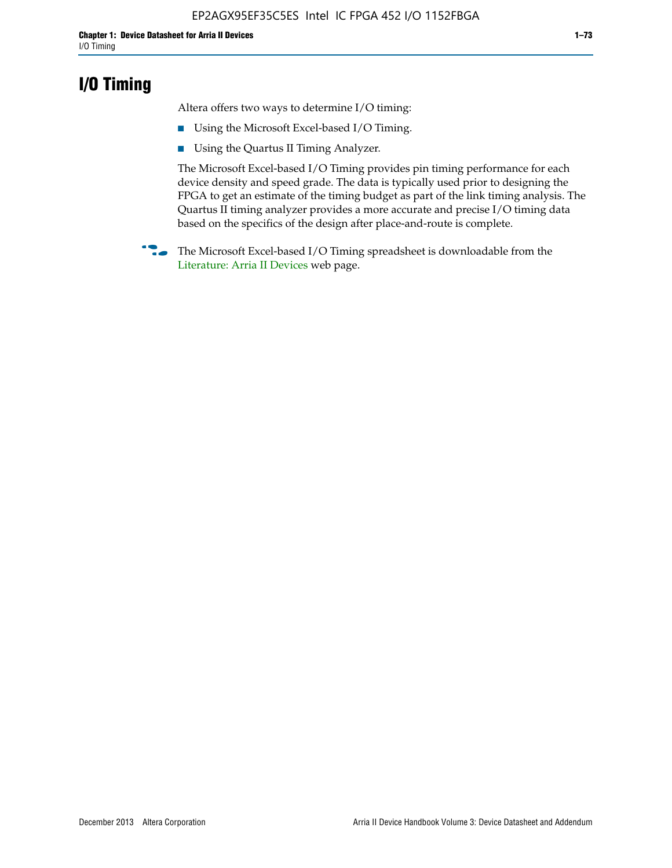## **I/O Timing**

Altera offers two ways to determine I/O timing:

- Using the Microsoft Excel-based I/O Timing.
- Using the Quartus II Timing Analyzer.

The Microsoft Excel-based I/O Timing provides pin timing performance for each device density and speed grade. The data is typically used prior to designing the FPGA to get an estimate of the timing budget as part of the link timing analysis. The Quartus II timing analyzer provides a more accurate and precise I/O timing data based on the specifics of the design after place-and-route is complete.

**f The Microsoft Excel-based I/O Timing spreadsheet is downloadable from the** [Literature: Arria II Devices](http://www.altera.com/literature/lit-arria-ii-gx.jsp) web page.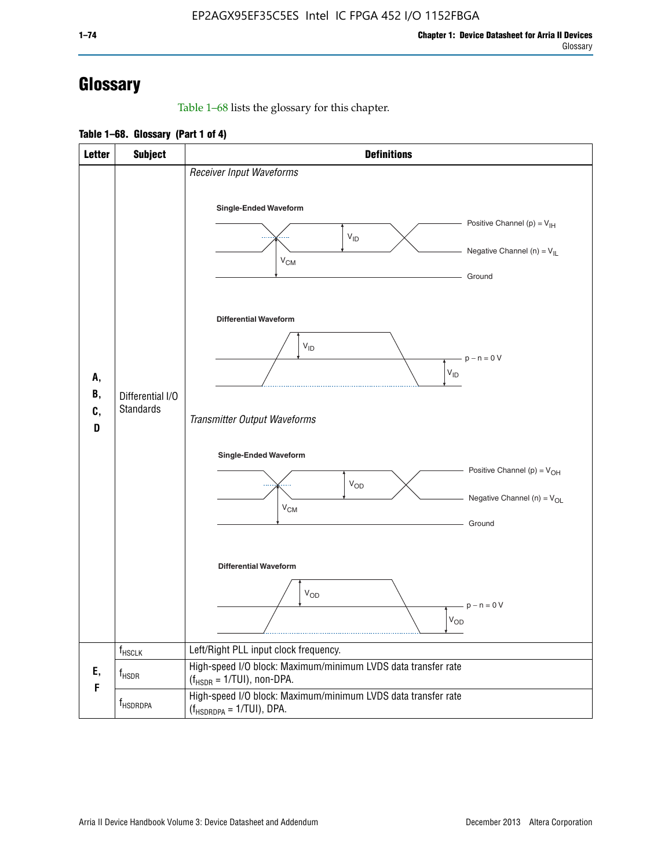# **Glossary**

Table 1–68 lists the glossary for this chapter.

**Table 1–68. Glossary (Part 1 of 4)**

| <b>Letter</b>       | <b>Subject</b>                       | <b>Definitions</b>                                                                                                                                                      |
|---------------------|--------------------------------------|-------------------------------------------------------------------------------------------------------------------------------------------------------------------------|
|                     |                                      | Receiver Input Waveforms<br>Single-Ended Waveform<br>Positive Channel (p) = $V_{\text{IH}}$<br>$V_{ID}$<br>Negative Channel (n) = $V_{IL}$                              |
|                     |                                      | $V_{CM}$<br>Ground<br><b>Differential Waveform</b>                                                                                                                      |
| А,<br>В,<br>C,<br>D | Differential I/O<br><b>Standards</b> | $V_{ID}$<br>$-p - n = 0 V$<br>$V_{ID}$                                                                                                                                  |
|                     |                                      | Transmitter Output Waveforms<br><b>Single-Ended Waveform</b><br>Positive Channel (p) = $V_{OH}$<br><b>V<sub>OD</sub></b><br>Negative Channel (n) = $V_{OL}$<br>$V_{CM}$ |
|                     |                                      | Ground<br><b>Differential Waveform</b><br>$V_{OD}$<br>$p - n = 0 V$<br>$V_{OD}$                                                                                         |
|                     | $f_{\rm HSCLK}$                      | Left/Right PLL input clock frequency.                                                                                                                                   |
| Ε,<br>F             | $f_{\rm HSDR}$                       | High-speed I/O block: Maximum/minimum LVDS data transfer rate<br>$(f_{HSDR} = 1/TUI)$ , non-DPA.                                                                        |
|                     | f <sub>HSDRDPA</sub>                 | High-speed I/O block: Maximum/minimum LVDS data transfer rate<br>$(f_{HSDRDPA} = 1/TUI)$ , DPA.                                                                         |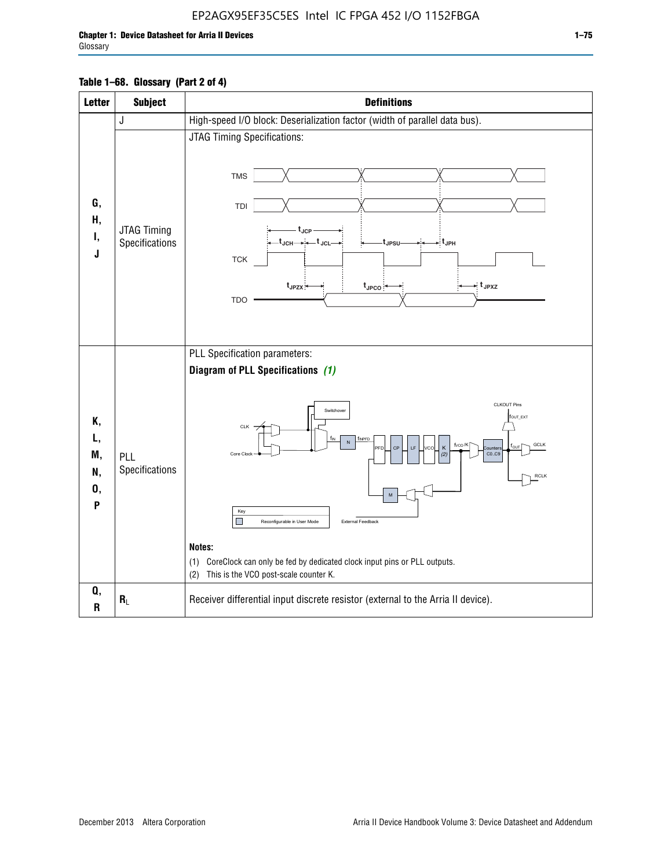### EP2AGX95EF35C5ES Intel IC FPGA 452 I/O 1152FBGA

### **Table 1–68. Glossary (Part 2 of 4)**

| <b>Letter</b>                   | <b>Subject</b>                | <b>Definitions</b>                                                                                                                                                                                                                                                                                                                                                                                                                                                                                                    |
|---------------------------------|-------------------------------|-----------------------------------------------------------------------------------------------------------------------------------------------------------------------------------------------------------------------------------------------------------------------------------------------------------------------------------------------------------------------------------------------------------------------------------------------------------------------------------------------------------------------|
|                                 | J                             | High-speed I/O block: Deserialization factor (width of parallel data bus).                                                                                                                                                                                                                                                                                                                                                                                                                                            |
| G,<br>Η,<br>Ι,<br>J             | JTAG Timing<br>Specifications | JTAG Timing Specifications:<br><b>TMS</b><br>TDI<br>$t_{\rm JCP}$<br>-t <sub>JCH</sub> → ← t <sub>JCL</sub><br>- t <sub>JPH</sub><br>t <sub>JPSU</sub><br><b>TCK</b><br>$t_{JPZX}$<br>- t <sub>JPXZ</sub><br>$t_{\text{JPCO}}$<br><b>TDO</b>                                                                                                                                                                                                                                                                          |
| Κ,<br>L,<br>M,<br>N,<br>0,<br>P | PLL<br>Specifications         | PLL Specification parameters:<br>Diagram of PLL Specifications (1)<br><b>CLKOUT Pins</b><br>Switchover<br>fout_ext<br>CLK<br>$f_{\text{IN}}$<br>f <sub>INPFD</sub><br>$\sf N$<br>f <sub>vco</sub> /K<br><b>GCLK</b><br>CF<br>K<br>LF<br><b>FD</b><br><b>Nunter:</b><br>Core Clock<br>CO.C9<br><b>RCLK</b><br>Key<br>П<br>External Feedback<br>Reconfigurable in User Mode<br>Notes:<br>CoreClock can only be fed by dedicated clock input pins or PLL outputs.<br>(1)<br>This is the VCO post-scale counter K.<br>(2) |
| Q,<br>$\mathsf R$               | $R_L$                         | Receiver differential input discrete resistor (external to the Arria II device).                                                                                                                                                                                                                                                                                                                                                                                                                                      |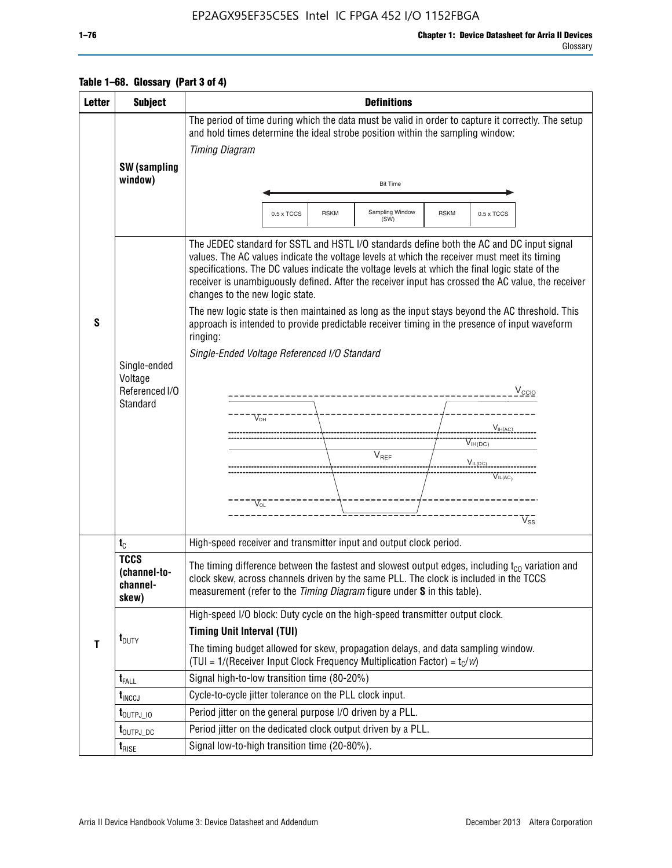## EP2AGX95EF35C5ES Intel IC FPGA 452 I/O 1152FBGA

#### Glossary

|  | Table 1–68. Glossary (Part 3 of 4) |
|--|------------------------------------|
|--|------------------------------------|

| <b>Letter</b> | <b>Subject</b>                                        | <b>Definitions</b>                                                                                                                                                                                                                                                                                                                                                                                                                                                                                                                                                                                                                                                                                                                                                                                                                                                                                  |  |  |  |  |  |
|---------------|-------------------------------------------------------|-----------------------------------------------------------------------------------------------------------------------------------------------------------------------------------------------------------------------------------------------------------------------------------------------------------------------------------------------------------------------------------------------------------------------------------------------------------------------------------------------------------------------------------------------------------------------------------------------------------------------------------------------------------------------------------------------------------------------------------------------------------------------------------------------------------------------------------------------------------------------------------------------------|--|--|--|--|--|
|               |                                                       | The period of time during which the data must be valid in order to capture it correctly. The setup<br>and hold times determine the ideal strobe position within the sampling window:<br><b>Timing Diagram</b>                                                                                                                                                                                                                                                                                                                                                                                                                                                                                                                                                                                                                                                                                       |  |  |  |  |  |
|               | SW (sampling<br>window)                               | <b>Bit Time</b>                                                                                                                                                                                                                                                                                                                                                                                                                                                                                                                                                                                                                                                                                                                                                                                                                                                                                     |  |  |  |  |  |
|               |                                                       | Sampling Window<br><b>RSKM</b><br>0.5 x TCCS<br><b>RSKM</b><br>0.5 x TCCS<br>(SW)                                                                                                                                                                                                                                                                                                                                                                                                                                                                                                                                                                                                                                                                                                                                                                                                                   |  |  |  |  |  |
| S             | Single-ended<br>Voltage<br>Referenced I/O<br>Standard | The JEDEC standard for SSTL and HSTL I/O standards define both the AC and DC input signal<br>values. The AC values indicate the voltage levels at which the receiver must meet its timing<br>specifications. The DC values indicate the voltage levels at which the final logic state of the<br>receiver is unambiguously defined. After the receiver input has crossed the AC value, the receiver<br>changes to the new logic state.<br>The new logic state is then maintained as long as the input stays beyond the AC threshold. This<br>approach is intended to provide predictable receiver timing in the presence of input waveform<br>ringing:<br>Single-Ended Voltage Referenced I/O Standard<br>$V_{\text{CCIO}}$<br>----------------------------<br>$V_{OH}$<br>$V_{H(AC)}$<br>$V_{IH(DC)}$<br>V <sub>REF</sub><br>$V_{IL(DC)}$<br>$V^{\bullet\bullet\bullet}_{\mathsf{IL}(\mathsf{AC})}$ |  |  |  |  |  |
|               |                                                       | $V_{O1}$<br>$V_{ss}$                                                                                                                                                                                                                                                                                                                                                                                                                                                                                                                                                                                                                                                                                                                                                                                                                                                                                |  |  |  |  |  |
|               | $t_{\rm C}$                                           | High-speed receiver and transmitter input and output clock period.                                                                                                                                                                                                                                                                                                                                                                                                                                                                                                                                                                                                                                                                                                                                                                                                                                  |  |  |  |  |  |
| $\mathbf{T}$  | <b>TCCS</b><br>(channel-to-<br>channel-<br>skew)      | The timing difference between the fastest and slowest output edges, including $t_{c0}$ variation and<br>clock skew, across channels driven by the same PLL. The clock is included in the TCCS<br>measurement (refer to the Timing Diagram figure under S in this table).                                                                                                                                                                                                                                                                                                                                                                                                                                                                                                                                                                                                                            |  |  |  |  |  |
|               | $t_{\text{DUTY}}$                                     | High-speed I/O block: Duty cycle on the high-speed transmitter output clock.<br><b>Timing Unit Interval (TUI)</b><br>The timing budget allowed for skew, propagation delays, and data sampling window.                                                                                                                                                                                                                                                                                                                                                                                                                                                                                                                                                                                                                                                                                              |  |  |  |  |  |
|               |                                                       | (TUI = $1/($ Receiver Input Clock Frequency Multiplication Factor) = $t_c/w$ )<br>Signal high-to-low transition time (80-20%)                                                                                                                                                                                                                                                                                                                                                                                                                                                                                                                                                                                                                                                                                                                                                                       |  |  |  |  |  |
|               | $t_{\text{FALL}}$<br>$t_{\text{INCCJ}}$               | Cycle-to-cycle jitter tolerance on the PLL clock input.                                                                                                                                                                                                                                                                                                                                                                                                                                                                                                                                                                                                                                                                                                                                                                                                                                             |  |  |  |  |  |
|               | $t_{\text{OUTPJ\_10}}$                                | Period jitter on the general purpose I/O driven by a PLL.                                                                                                                                                                                                                                                                                                                                                                                                                                                                                                                                                                                                                                                                                                                                                                                                                                           |  |  |  |  |  |
|               | t <sub>outpj_dc</sub>                                 | Period jitter on the dedicated clock output driven by a PLL.                                                                                                                                                                                                                                                                                                                                                                                                                                                                                                                                                                                                                                                                                                                                                                                                                                        |  |  |  |  |  |
|               | $t_{RISE}$                                            | Signal low-to-high transition time (20-80%).                                                                                                                                                                                                                                                                                                                                                                                                                                                                                                                                                                                                                                                                                                                                                                                                                                                        |  |  |  |  |  |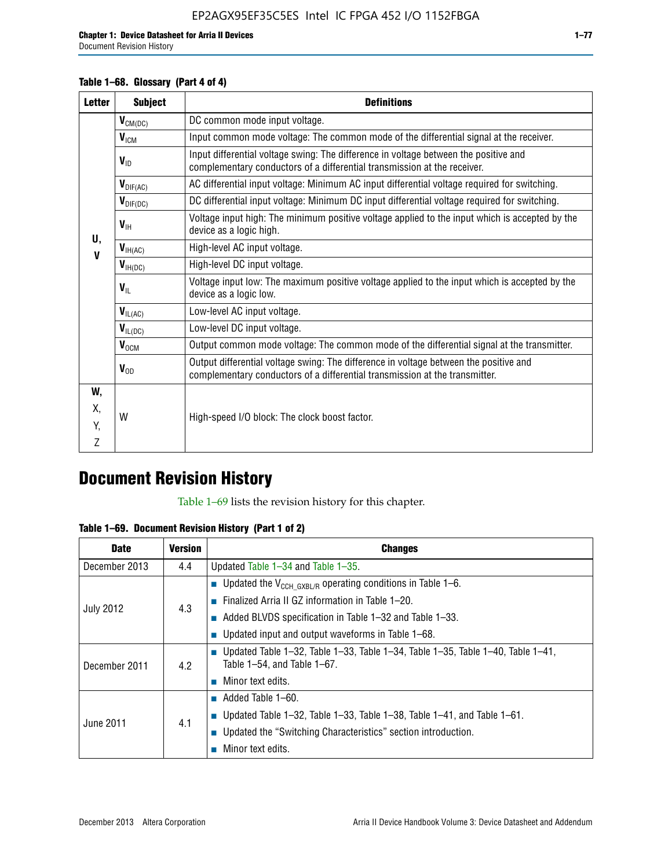### **Table 1–68. Glossary (Part 4 of 4)**

| <b>Letter</b> | <b>Subject</b>            | <b>Definitions</b>                                                                                                                                                   |
|---------------|---------------------------|----------------------------------------------------------------------------------------------------------------------------------------------------------------------|
|               | $V_{CM(DC)}$              | DC common mode input voltage.                                                                                                                                        |
|               | V <sub>ICM</sub>          | Input common mode voltage: The common mode of the differential signal at the receiver.                                                                               |
|               | $V_{ID}$                  | Input differential voltage swing: The difference in voltage between the positive and<br>complementary conductors of a differential transmission at the receiver.     |
|               | $\bm{V}_{\text{DIF(AC)}}$ | AC differential input voltage: Minimum AC input differential voltage required for switching.                                                                         |
|               | $V_{\text{DIF(DC)}}$      | DC differential input voltage: Minimum DC input differential voltage required for switching.                                                                         |
| U.            | $V_{\text{H}}$            | Voltage input high: The minimum positive voltage applied to the input which is accepted by the<br>device as a logic high.                                            |
| $\mathbf{V}$  | $V_{\text{IH(AC)}}$       | High-level AC input voltage.                                                                                                                                         |
|               | $V_{H(DC)}$               | High-level DC input voltage.                                                                                                                                         |
|               | $V_{\text{IL}}$           | Voltage input low: The maximum positive voltage applied to the input which is accepted by the<br>device as a logic low.                                              |
|               | $V_{IL(AC)}$              | Low-level AC input voltage.                                                                                                                                          |
|               | $V_{IL(DC)}$              | Low-level DC input voltage.                                                                                                                                          |
|               | $V_{OCM}$                 | Output common mode voltage: The common mode of the differential signal at the transmitter.                                                                           |
|               | $V_{OD}$                  | Output differential voltage swing: The difference in voltage between the positive and<br>complementary conductors of a differential transmission at the transmitter. |
| W,            |                           |                                                                                                                                                                      |
| Χ.            | W                         | High-speed I/O block: The clock boost factor.                                                                                                                        |
| Y.            |                           |                                                                                                                                                                      |
| Z             |                           |                                                                                                                                                                      |

# **Document Revision History**

Table 1–69 lists the revision history for this chapter.

**Table 1–69. Document Revision History (Part 1 of 2)**

| <b>Date</b>      | <b>Version</b> | <b>Changes</b>                                                                                                                      |
|------------------|----------------|-------------------------------------------------------------------------------------------------------------------------------------|
| December 2013    | 4.4            | Updated Table $1-34$ and Table $1-35$ .                                                                                             |
|                  |                | ■ Updated the $V_{CCH GXBL/R}$ operating conditions in Table 1–6.                                                                   |
|                  | 4.3            | <b>Example 1-20.</b> Finalized Arria II GZ information in Table 1-20.                                                               |
| <b>July 2012</b> |                | $\blacksquare$ Added BLVDS specification in Table 1-32 and Table 1-33.                                                              |
|                  |                | <b>Updated input and output waveforms in Table 1–68.</b>                                                                            |
| December 2011    | 4.2            | $\blacksquare$ Updated Table 1-32, Table 1-33, Table 1-34, Table 1-35, Table 1-40, Table 1-41,<br>Table $1-54$ , and Table $1-67$ . |
|                  |                | $\blacksquare$ Minor text edits.                                                                                                    |
| June 2011        | 4.1            | $\blacksquare$ Added Table 1–60.                                                                                                    |
|                  |                | <b>Updated Table 1–32, Table 1–33, Table 1–38, Table 1–41, and Table 1–61.</b>                                                      |
|                  |                | ■ Updated the "Switching Characteristics" section introduction.                                                                     |
|                  |                | Minor text edits.                                                                                                                   |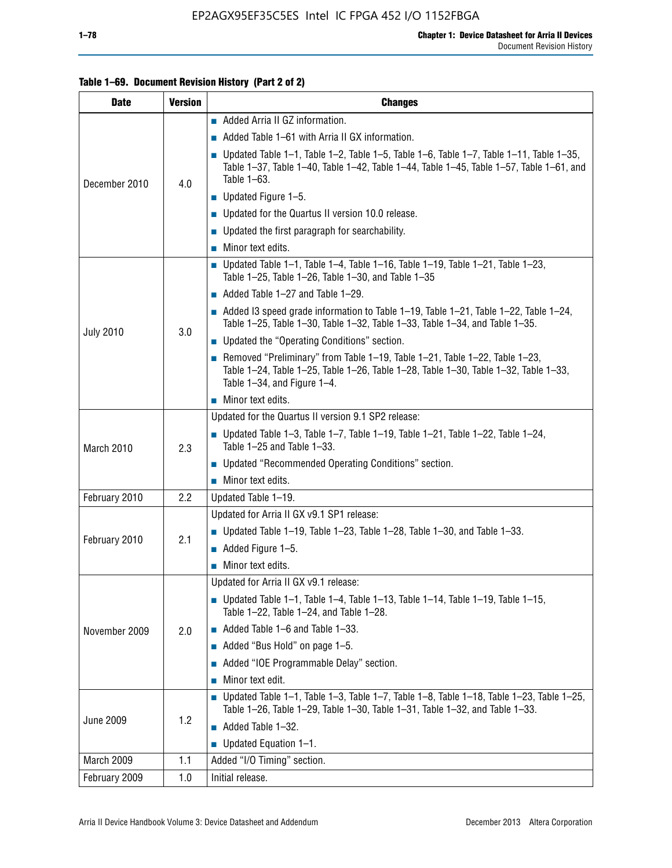### **Table 1–69. Document Revision History (Part 2 of 2)**

| <b>Date</b>      | <b>Version</b> | <b>Changes</b>                                                                                                                                                                                               |
|------------------|----------------|--------------------------------------------------------------------------------------------------------------------------------------------------------------------------------------------------------------|
|                  |                | Added Arria II GZ information.                                                                                                                                                                               |
| December 2010    |                | $\blacksquare$ Added Table 1–61 with Arria II GX information.                                                                                                                                                |
|                  | 4.0            | <b>Updated Table 1–1, Table 1–2, Table 1–5, Table 1–6, Table 1–7, Table 1–11, Table 1–35,</b><br>Table 1-37, Table 1-40, Table 1-42, Table 1-44, Table 1-45, Table 1-57, Table 1-61, and<br>Table 1-63.      |
|                  |                | $\blacksquare$ Updated Figure 1-5.                                                                                                                                                                           |
|                  |                | Updated for the Quartus II version 10.0 release.                                                                                                                                                             |
|                  |                | $\blacksquare$ Updated the first paragraph for searchability.                                                                                                                                                |
|                  |                | $\blacksquare$ Minor text edits.                                                                                                                                                                             |
|                  |                | Updated Table 1-1, Table 1-4, Table 1-16, Table 1-19, Table 1-21, Table 1-23,<br>Table 1-25, Table 1-26, Table 1-30, and Table 1-35                                                                          |
|                  |                | $\blacksquare$ Added Table 1-27 and Table 1-29.                                                                                                                                                              |
|                  | 3.0            | Added 13 speed grade information to Table 1-19, Table 1-21, Table 1-22, Table 1-24,<br>Table 1-25, Table 1-30, Table 1-32, Table 1-33, Table 1-34, and Table 1-35.                                           |
| <b>July 2010</b> |                | • Updated the "Operating Conditions" section.                                                                                                                                                                |
|                  |                | Removed "Preliminary" from Table $1-19$ , Table $1-21$ , Table $1-22$ , Table $1-23$ ,<br>Table 1-24, Table 1-25, Table 1-26, Table 1-28, Table 1-30, Table 1-32, Table 1-33,<br>Table 1-34, and Figure 1-4. |
|                  |                | Minor text edits.                                                                                                                                                                                            |
|                  | 2.3            | Updated for the Quartus II version 9.1 SP2 release:                                                                                                                                                          |
| March 2010       |                | $\blacksquare$ Updated Table 1-3, Table 1-7, Table 1-19, Table 1-21, Table 1-22, Table 1-24,<br>Table 1-25 and Table 1-33.                                                                                   |
|                  |                | • Updated "Recommended Operating Conditions" section.                                                                                                                                                        |
|                  |                | Minor text edits.                                                                                                                                                                                            |
| February 2010    | 2.2            | Updated Table 1-19.                                                                                                                                                                                          |
|                  |                | Updated for Arria II GX v9.1 SP1 release:                                                                                                                                                                    |
| February 2010    | 2.1            | Updated Table 1-19, Table 1-23, Table 1-28, Table 1-30, and Table 1-33.                                                                                                                                      |
|                  |                | $\blacksquare$ Added Figure 1-5.                                                                                                                                                                             |
|                  |                | $\blacksquare$ Minor text edits.                                                                                                                                                                             |
|                  |                | Updated for Arria II GX v9.1 release:                                                                                                                                                                        |
|                  |                | Updated Table 1–1, Table 1–4, Table 1–13, Table 1–14, Table 1–19, Table 1–15,<br>Table 1-22, Table 1-24, and Table 1-28.                                                                                     |
| November 2009    | 2.0            | $\blacksquare$ Added Table 1-6 and Table 1-33.                                                                                                                                                               |
|                  |                | Added "Bus Hold" on page 1-5.                                                                                                                                                                                |
|                  |                | Added "IOE Programmable Delay" section.                                                                                                                                                                      |
|                  |                | Minor text edit.                                                                                                                                                                                             |
| <b>June 2009</b> | 1.2            | $\blacksquare$ Updated Table 1-1, Table 1-3, Table 1-7, Table 1-8, Table 1-18, Table 1-23, Table 1-25,<br>Table 1-26, Table 1-29, Table 1-30, Table 1-31, Table 1-32, and Table 1-33.                        |
|                  |                | Added Table 1-32.                                                                                                                                                                                            |
|                  |                | $\blacksquare$ Updated Equation 1-1.                                                                                                                                                                         |
| March 2009       | 1.1            | Added "I/O Timing" section.                                                                                                                                                                                  |
| February 2009    | 1.0            | Initial release.                                                                                                                                                                                             |